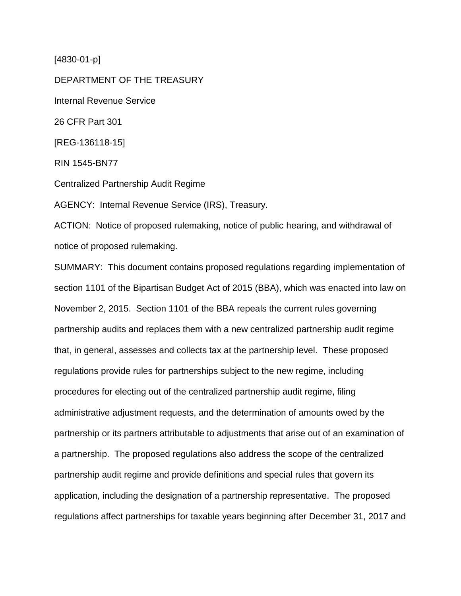[4830-01-p]

DEPARTMENT OF THE TREASURY Internal Revenue Service 26 CFR Part 301 [REG-136118-15] RIN 1545-BN77 Centralized Partnership Audit Regime AGENCY: Internal Revenue Service (IRS), Treasury.

ACTION: Notice of proposed rulemaking, notice of public hearing, and withdrawal of notice of proposed rulemaking.

SUMMARY: This document contains proposed regulations regarding implementation of section 1101 of the Bipartisan Budget Act of 2015 (BBA), which was enacted into law on November 2, 2015. Section 1101 of the BBA repeals the current rules governing partnership audits and replaces them with a new centralized partnership audit regime that, in general, assesses and collects tax at the partnership level. These proposed regulations provide rules for partnerships subject to the new regime, including procedures for electing out of the centralized partnership audit regime, filing administrative adjustment requests, and the determination of amounts owed by the partnership or its partners attributable to adjustments that arise out of an examination of a partnership. The proposed regulations also address the scope of the centralized partnership audit regime and provide definitions and special rules that govern its application, including the designation of a partnership representative. The proposed regulations affect partnerships for taxable years beginning after December 31, 2017 and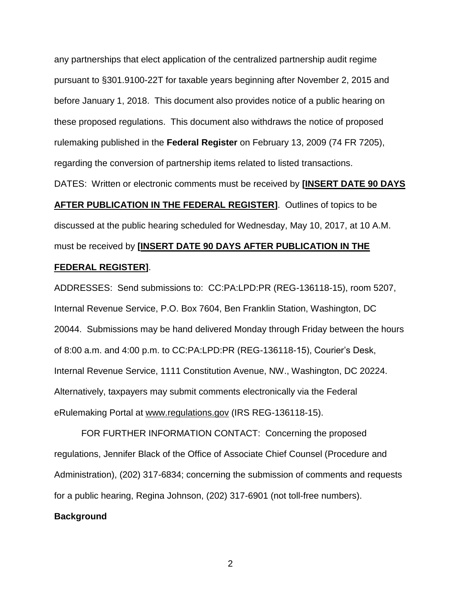any partnerships that elect application of the centralized partnership audit regime pursuant to §301.9100-22T for taxable years beginning after November 2, 2015 and before January 1, 2018. This document also provides notice of a public hearing on these proposed regulations. This document also withdraws the notice of proposed rulemaking published in the **Federal Register** on February 13, 2009 (74 FR 7205), regarding the conversion of partnership items related to listed transactions.

DATES: Written or electronic comments must be received by **[INSERT DATE 90 DAYS** 

**AFTER PUBLICATION IN THE FEDERAL REGISTER]**. Outlines of topics to be discussed at the public hearing scheduled for Wednesday, May 10, 2017, at 10 A.M. must be received by **[INSERT DATE 90 DAYS AFTER PUBLICATION IN THE** 

# **FEDERAL REGISTER]**.

ADDRESSES: Send submissions to: CC:PA:LPD:PR (REG-136118-15), room 5207, Internal Revenue Service, P.O. Box 7604, Ben Franklin Station, Washington, DC 20044. Submissions may be hand delivered Monday through Friday between the hours of 8:00 a.m. and 4:00 p.m. to CC:PA:LPD:PR (REG-136118-15), Courier's Desk, Internal Revenue Service, 1111 Constitution Avenue, NW., Washington, DC 20224. Alternatively, taxpayers may submit comments electronically via the Federal eRulemaking Portal at www.regulations.gov (IRS REG-136118-15).

FOR FURTHER INFORMATION CONTACT: Concerning the proposed regulations, Jennifer Black of the Office of Associate Chief Counsel (Procedure and Administration), (202) 317-6834; concerning the submission of comments and requests for a public hearing, Regina Johnson, (202) 317-6901 (not toll-free numbers).

# **Background**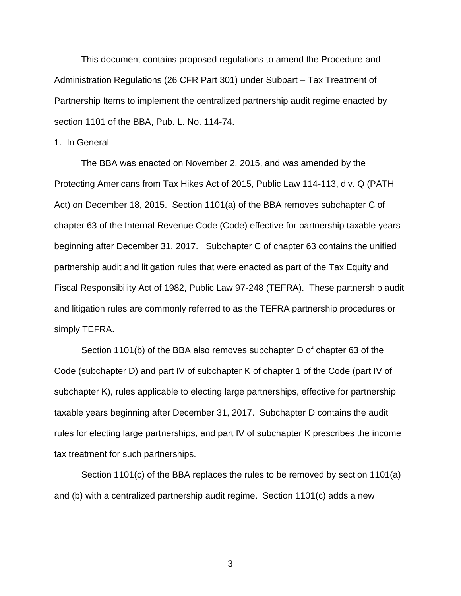This document contains proposed regulations to amend the Procedure and Administration Regulations (26 CFR Part 301) under Subpart – Tax Treatment of Partnership Items to implement the centralized partnership audit regime enacted by section 1101 of the BBA, Pub. L. No. 114-74.

# 1. In General

The BBA was enacted on November 2, 2015, and was amended by the Protecting Americans from Tax Hikes Act of 2015, Public Law 114-113, div. Q (PATH Act) on December 18, 2015. Section 1101(a) of the BBA removes subchapter C of chapter 63 of the Internal Revenue Code (Code) effective for partnership taxable years beginning after December 31, 2017. Subchapter C of chapter 63 contains the unified partnership audit and litigation rules that were enacted as part of the Tax Equity and Fiscal Responsibility Act of 1982, Public Law 97-248 (TEFRA). These partnership audit and litigation rules are commonly referred to as the TEFRA partnership procedures or simply TEFRA.

Section 1101(b) of the BBA also removes subchapter D of chapter 63 of the Code (subchapter D) and part IV of subchapter K of chapter 1 of the Code (part IV of subchapter K), rules applicable to electing large partnerships, effective for partnership taxable years beginning after December 31, 2017. Subchapter D contains the audit rules for electing large partnerships, and part IV of subchapter K prescribes the income tax treatment for such partnerships.

Section 1101(c) of the BBA replaces the rules to be removed by section 1101(a) and (b) with a centralized partnership audit regime. Section 1101(c) adds a new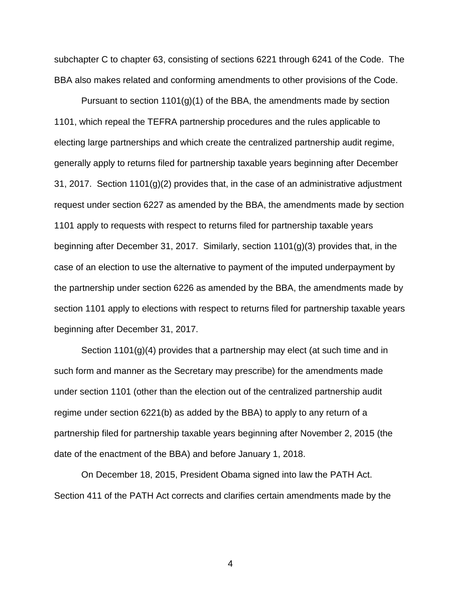subchapter C to chapter 63, consisting of sections 6221 through 6241 of the Code. The BBA also makes related and conforming amendments to other provisions of the Code.

Pursuant to section  $1101(g)(1)$  of the BBA, the amendments made by section 1101, which repeal the TEFRA partnership procedures and the rules applicable to electing large partnerships and which create the centralized partnership audit regime, generally apply to returns filed for partnership taxable years beginning after December 31, 2017. Section 1101(g)(2) provides that, in the case of an administrative adjustment request under section 6227 as amended by the BBA, the amendments made by section 1101 apply to requests with respect to returns filed for partnership taxable years beginning after December 31, 2017. Similarly, section 1101(g)(3) provides that, in the case of an election to use the alternative to payment of the imputed underpayment by the partnership under section 6226 as amended by the BBA, the amendments made by section 1101 apply to elections with respect to returns filed for partnership taxable years beginning after December 31, 2017.

Section 1101(g)(4) provides that a partnership may elect (at such time and in such form and manner as the Secretary may prescribe) for the amendments made under section 1101 (other than the election out of the centralized partnership audit regime under section 6221(b) as added by the BBA) to apply to any return of a partnership filed for partnership taxable years beginning after November 2, 2015 (the date of the enactment of the BBA) and before January 1, 2018.

On December 18, 2015, President Obama signed into law the PATH Act. Section 411 of the PATH Act corrects and clarifies certain amendments made by the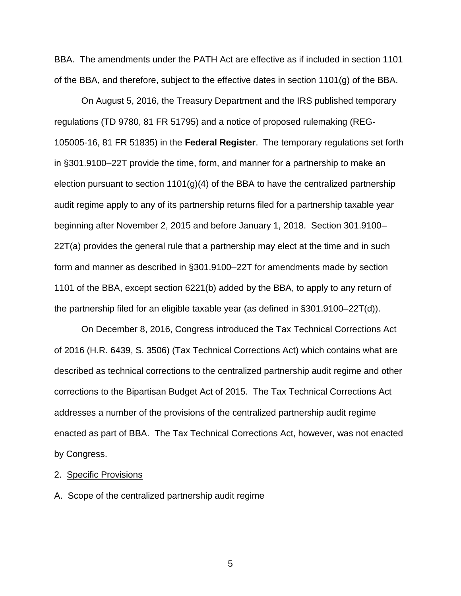BBA. The amendments under the PATH Act are effective as if included in section 1101 of the BBA, and therefore, subject to the effective dates in section 1101(g) of the BBA.

On August 5, 2016, the Treasury Department and the IRS published temporary regulations (TD 9780, 81 FR 51795) and a notice of proposed rulemaking (REG-105005-16, 81 FR 51835) in the **Federal Register**. The temporary regulations set forth in §301.9100–22T provide the time, form, and manner for a partnership to make an election pursuant to section  $1101(q)(4)$  of the BBA to have the centralized partnership audit regime apply to any of its partnership returns filed for a partnership taxable year beginning after November 2, 2015 and before January 1, 2018. Section 301.9100– 22T(a) provides the general rule that a partnership may elect at the time and in such form and manner as described in §301.9100–22T for amendments made by section 1101 of the BBA, except section 6221(b) added by the BBA, to apply to any return of the partnership filed for an eligible taxable year (as defined in §301.9100–22T(d)).

On December 8, 2016, Congress introduced the Tax Technical Corrections Act of 2016 (H.R. 6439, S. 3506) (Tax Technical Corrections Act) which contains what are described as technical corrections to the centralized partnership audit regime and other corrections to the Bipartisan Budget Act of 2015. The Tax Technical Corrections Act addresses a number of the provisions of the centralized partnership audit regime enacted as part of BBA. The Tax Technical Corrections Act, however, was not enacted by Congress.

# 2. Specific Provisions

### A. Scope of the centralized partnership audit regime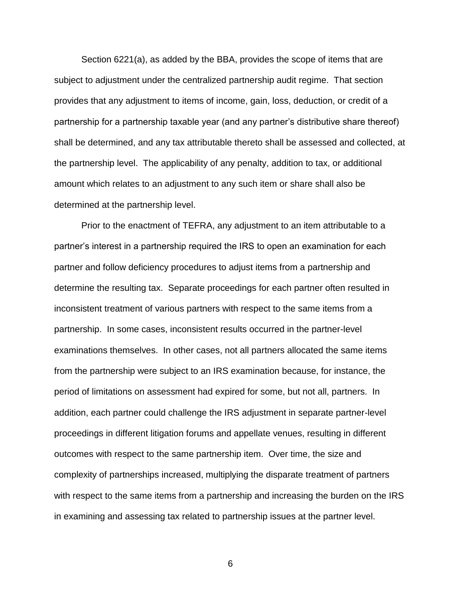Section 6221(a), as added by the BBA, provides the scope of items that are subject to adjustment under the centralized partnership audit regime. That section provides that any adjustment to items of income, gain, loss, deduction, or credit of a partnership for a partnership taxable year (and any partner's distributive share thereof) shall be determined, and any tax attributable thereto shall be assessed and collected, at the partnership level. The applicability of any penalty, addition to tax, or additional amount which relates to an adjustment to any such item or share shall also be determined at the partnership level.

Prior to the enactment of TEFRA, any adjustment to an item attributable to a partner's interest in a partnership required the IRS to open an examination for each partner and follow deficiency procedures to adjust items from a partnership and determine the resulting tax. Separate proceedings for each partner often resulted in inconsistent treatment of various partners with respect to the same items from a partnership. In some cases, inconsistent results occurred in the partner-level examinations themselves. In other cases, not all partners allocated the same items from the partnership were subject to an IRS examination because, for instance, the period of limitations on assessment had expired for some, but not all, partners. In addition, each partner could challenge the IRS adjustment in separate partner-level proceedings in different litigation forums and appellate venues, resulting in different outcomes with respect to the same partnership item. Over time, the size and complexity of partnerships increased, multiplying the disparate treatment of partners with respect to the same items from a partnership and increasing the burden on the IRS in examining and assessing tax related to partnership issues at the partner level.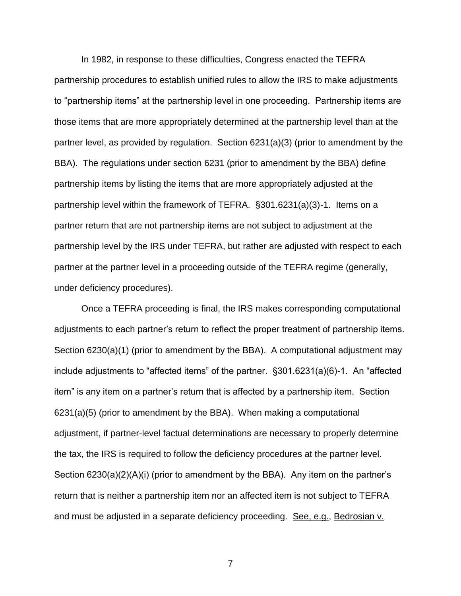In 1982, in response to these difficulties, Congress enacted the TEFRA partnership procedures to establish unified rules to allow the IRS to make adjustments to "partnership items" at the partnership level in one proceeding. Partnership items are those items that are more appropriately determined at the partnership level than at the partner level, as provided by regulation. Section 6231(a)(3) (prior to amendment by the BBA). The regulations under section 6231 (prior to amendment by the BBA) define partnership items by listing the items that are more appropriately adjusted at the partnership level within the framework of TEFRA. §301.6231(a)(3)-1. Items on a partner return that are not partnership items are not subject to adjustment at the partnership level by the IRS under TEFRA, but rather are adjusted with respect to each partner at the partner level in a proceeding outside of the TEFRA regime (generally, under deficiency procedures).

Once a TEFRA proceeding is final, the IRS makes corresponding computational adjustments to each partner's return to reflect the proper treatment of partnership items. Section 6230(a)(1) (prior to amendment by the BBA). A computational adjustment may include adjustments to "affected items" of the partner. §301.6231(a)(6)-1. An "affected item" is any item on a partner's return that is affected by a partnership item. Section 6231(a)(5) (prior to amendment by the BBA). When making a computational adjustment, if partner-level factual determinations are necessary to properly determine the tax, the IRS is required to follow the deficiency procedures at the partner level. Section 6230(a)(2)(A)(i) (prior to amendment by the BBA). Any item on the partner's return that is neither a partnership item nor an affected item is not subject to TEFRA and must be adjusted in a separate deficiency proceeding. See, e.g., Bedrosian v.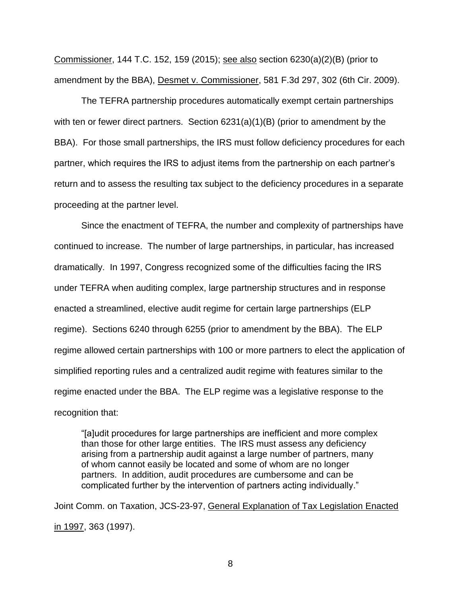Commissioner, 144 T.C. 152, 159 (2015); see also section 6230(a)(2)(B) (prior to amendment by the BBA), Desmet v. Commissioner, 581 F.3d 297, 302 (6th Cir. 2009).

The TEFRA partnership procedures automatically exempt certain partnerships with ten or fewer direct partners. Section 6231(a)(1)(B) (prior to amendment by the BBA). For those small partnerships, the IRS must follow deficiency procedures for each partner, which requires the IRS to adjust items from the partnership on each partner's return and to assess the resulting tax subject to the deficiency procedures in a separate proceeding at the partner level.

Since the enactment of TEFRA, the number and complexity of partnerships have continued to increase. The number of large partnerships, in particular, has increased dramatically. In 1997, Congress recognized some of the difficulties facing the IRS under TEFRA when auditing complex, large partnership structures and in response enacted a streamlined, elective audit regime for certain large partnerships (ELP regime). Sections 6240 through 6255 (prior to amendment by the BBA). The ELP regime allowed certain partnerships with 100 or more partners to elect the application of simplified reporting rules and a centralized audit regime with features similar to the regime enacted under the BBA. The ELP regime was a legislative response to the recognition that:

"[a]udit procedures for large partnerships are inefficient and more complex than those for other large entities. The IRS must assess any deficiency arising from a partnership audit against a large number of partners, many of whom cannot easily be located and some of whom are no longer partners. In addition, audit procedures are cumbersome and can be complicated further by the intervention of partners acting individually."

Joint Comm. on Taxation, JCS-23-97, General Explanation of Tax Legislation Enacted in 1997, 363 (1997).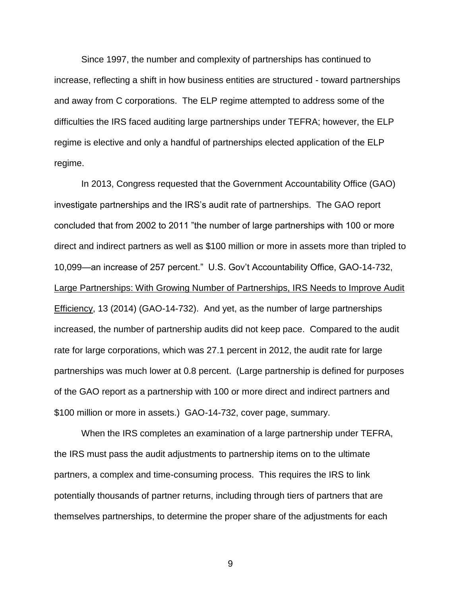Since 1997, the number and complexity of partnerships has continued to increase, reflecting a shift in how business entities are structured - toward partnerships and away from C corporations. The ELP regime attempted to address some of the difficulties the IRS faced auditing large partnerships under TEFRA; however, the ELP regime is elective and only a handful of partnerships elected application of the ELP regime.

In 2013, Congress requested that the Government Accountability Office (GAO) investigate partnerships and the IRS's audit rate of partnerships. The GAO report concluded that from 2002 to 2011 "the number of large partnerships with 100 or more direct and indirect partners as well as \$100 million or more in assets more than tripled to 10,099—an increase of 257 percent." U.S. Gov't Accountability Office, GAO-14-732, Large Partnerships: With Growing Number of Partnerships, IRS Needs to Improve Audit Efficiency, 13 (2014) (GAO-14-732). And yet, as the number of large partnerships increased, the number of partnership audits did not keep pace. Compared to the audit rate for large corporations, which was 27.1 percent in 2012, the audit rate for large partnerships was much lower at 0.8 percent. (Large partnership is defined for purposes of the GAO report as a partnership with 100 or more direct and indirect partners and \$100 million or more in assets.) GAO-14-732, cover page, summary.

When the IRS completes an examination of a large partnership under TEFRA, the IRS must pass the audit adjustments to partnership items on to the ultimate partners, a complex and time-consuming process. This requires the IRS to link potentially thousands of partner returns, including through tiers of partners that are themselves partnerships, to determine the proper share of the adjustments for each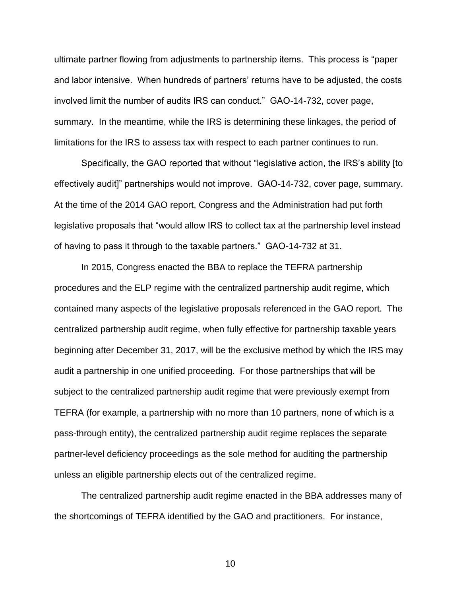ultimate partner flowing from adjustments to partnership items. This process is "paper and labor intensive. When hundreds of partners' returns have to be adjusted, the costs involved limit the number of audits IRS can conduct." GAO-14-732, cover page, summary. In the meantime, while the IRS is determining these linkages, the period of limitations for the IRS to assess tax with respect to each partner continues to run.

Specifically, the GAO reported that without "legislative action, the IRS's ability [to effectively audit]" partnerships would not improve. GAO-14-732, cover page, summary. At the time of the 2014 GAO report, Congress and the Administration had put forth legislative proposals that "would allow IRS to collect tax at the partnership level instead of having to pass it through to the taxable partners." GAO-14-732 at 31.

In 2015, Congress enacted the BBA to replace the TEFRA partnership procedures and the ELP regime with the centralized partnership audit regime, which contained many aspects of the legislative proposals referenced in the GAO report. The centralized partnership audit regime, when fully effective for partnership taxable years beginning after December 31, 2017, will be the exclusive method by which the IRS may audit a partnership in one unified proceeding. For those partnerships that will be subject to the centralized partnership audit regime that were previously exempt from TEFRA (for example, a partnership with no more than 10 partners, none of which is a pass-through entity), the centralized partnership audit regime replaces the separate partner-level deficiency proceedings as the sole method for auditing the partnership unless an eligible partnership elects out of the centralized regime.

The centralized partnership audit regime enacted in the BBA addresses many of the shortcomings of TEFRA identified by the GAO and practitioners. For instance,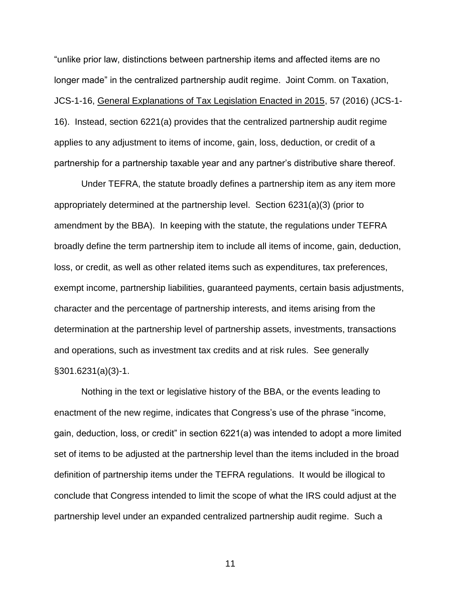"unlike prior law, distinctions between partnership items and affected items are no longer made" in the centralized partnership audit regime. Joint Comm. on Taxation, JCS-1-16, General Explanations of Tax Legislation Enacted in 2015, 57 (2016) (JCS-1- 16). Instead, section 6221(a) provides that the centralized partnership audit regime applies to any adjustment to items of income, gain, loss, deduction, or credit of a partnership for a partnership taxable year and any partner's distributive share thereof.

Under TEFRA, the statute broadly defines a partnership item as any item more appropriately determined at the partnership level. Section 6231(a)(3) (prior to amendment by the BBA). In keeping with the statute, the regulations under TEFRA broadly define the term partnership item to include all items of income, gain, deduction, loss, or credit, as well as other related items such as expenditures, tax preferences, exempt income, partnership liabilities, guaranteed payments, certain basis adjustments, character and the percentage of partnership interests, and items arising from the determination at the partnership level of partnership assets, investments, transactions and operations, such as investment tax credits and at risk rules. See generally §301.6231(a)(3)-1.

Nothing in the text or legislative history of the BBA, or the events leading to enactment of the new regime, indicates that Congress's use of the phrase "income, gain, deduction, loss, or credit" in section 6221(a) was intended to adopt a more limited set of items to be adjusted at the partnership level than the items included in the broad definition of partnership items under the TEFRA regulations. It would be illogical to conclude that Congress intended to limit the scope of what the IRS could adjust at the partnership level under an expanded centralized partnership audit regime. Such a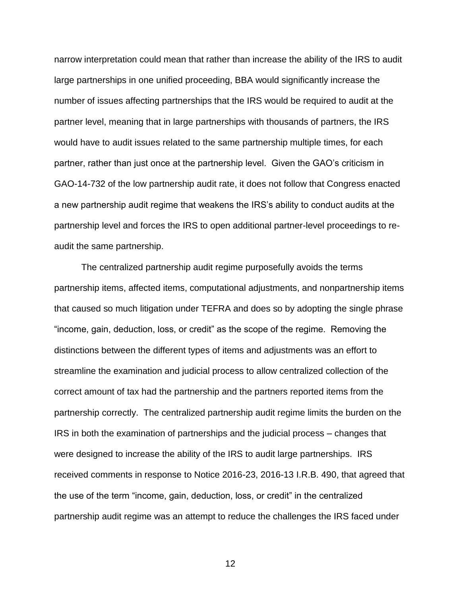narrow interpretation could mean that rather than increase the ability of the IRS to audit large partnerships in one unified proceeding, BBA would significantly increase the number of issues affecting partnerships that the IRS would be required to audit at the partner level, meaning that in large partnerships with thousands of partners, the IRS would have to audit issues related to the same partnership multiple times, for each partner, rather than just once at the partnership level. Given the GAO's criticism in GAO-14-732 of the low partnership audit rate, it does not follow that Congress enacted a new partnership audit regime that weakens the IRS's ability to conduct audits at the partnership level and forces the IRS to open additional partner-level proceedings to reaudit the same partnership.

The centralized partnership audit regime purposefully avoids the terms partnership items, affected items, computational adjustments, and nonpartnership items that caused so much litigation under TEFRA and does so by adopting the single phrase "income, gain, deduction, loss, or credit" as the scope of the regime. Removing the distinctions between the different types of items and adjustments was an effort to streamline the examination and judicial process to allow centralized collection of the correct amount of tax had the partnership and the partners reported items from the partnership correctly. The centralized partnership audit regime limits the burden on the IRS in both the examination of partnerships and the judicial process – changes that were designed to increase the ability of the IRS to audit large partnerships. IRS received comments in response to Notice 2016-23, 2016-13 I.R.B. 490, that agreed that the use of the term "income, gain, deduction, loss, or credit" in the centralized partnership audit regime was an attempt to reduce the challenges the IRS faced under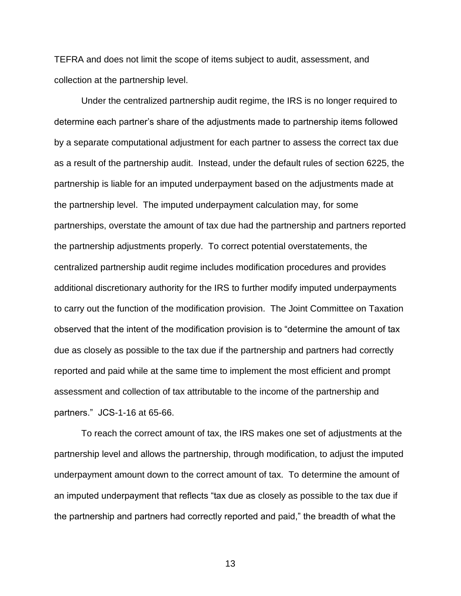TEFRA and does not limit the scope of items subject to audit, assessment, and collection at the partnership level.

Under the centralized partnership audit regime, the IRS is no longer required to determine each partner's share of the adjustments made to partnership items followed by a separate computational adjustment for each partner to assess the correct tax due as a result of the partnership audit. Instead, under the default rules of section 6225, the partnership is liable for an imputed underpayment based on the adjustments made at the partnership level. The imputed underpayment calculation may, for some partnerships, overstate the amount of tax due had the partnership and partners reported the partnership adjustments properly. To correct potential overstatements, the centralized partnership audit regime includes modification procedures and provides additional discretionary authority for the IRS to further modify imputed underpayments to carry out the function of the modification provision. The Joint Committee on Taxation observed that the intent of the modification provision is to "determine the amount of tax due as closely as possible to the tax due if the partnership and partners had correctly reported and paid while at the same time to implement the most efficient and prompt assessment and collection of tax attributable to the income of the partnership and partners." JCS-1-16 at 65-66.

To reach the correct amount of tax, the IRS makes one set of adjustments at the partnership level and allows the partnership, through modification, to adjust the imputed underpayment amount down to the correct amount of tax. To determine the amount of an imputed underpayment that reflects "tax due as closely as possible to the tax due if the partnership and partners had correctly reported and paid," the breadth of what the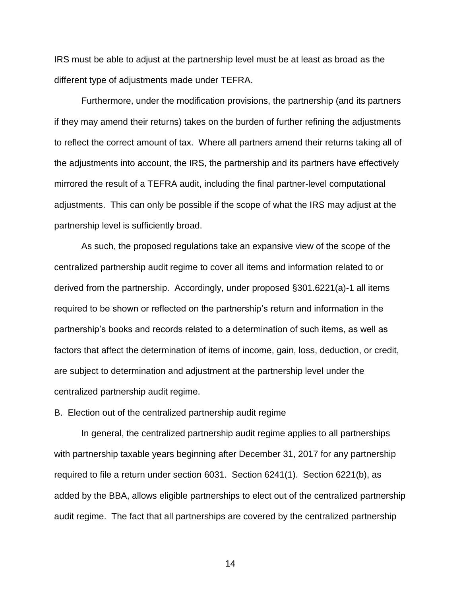IRS must be able to adjust at the partnership level must be at least as broad as the different type of adjustments made under TEFRA.

Furthermore, under the modification provisions, the partnership (and its partners if they may amend their returns) takes on the burden of further refining the adjustments to reflect the correct amount of tax. Where all partners amend their returns taking all of the adjustments into account, the IRS, the partnership and its partners have effectively mirrored the result of a TEFRA audit, including the final partner-level computational adjustments. This can only be possible if the scope of what the IRS may adjust at the partnership level is sufficiently broad.

As such, the proposed regulations take an expansive view of the scope of the centralized partnership audit regime to cover all items and information related to or derived from the partnership. Accordingly, under proposed §301.6221(a)-1 all items required to be shown or reflected on the partnership's return and information in the partnership's books and records related to a determination of such items, as well as factors that affect the determination of items of income, gain, loss, deduction, or credit, are subject to determination and adjustment at the partnership level under the centralized partnership audit regime.

### B. Election out of the centralized partnership audit regime

In general, the centralized partnership audit regime applies to all partnerships with partnership taxable years beginning after December 31, 2017 for any partnership required to file a return under section 6031. Section 6241(1). Section 6221(b), as added by the BBA, allows eligible partnerships to elect out of the centralized partnership audit regime. The fact that all partnerships are covered by the centralized partnership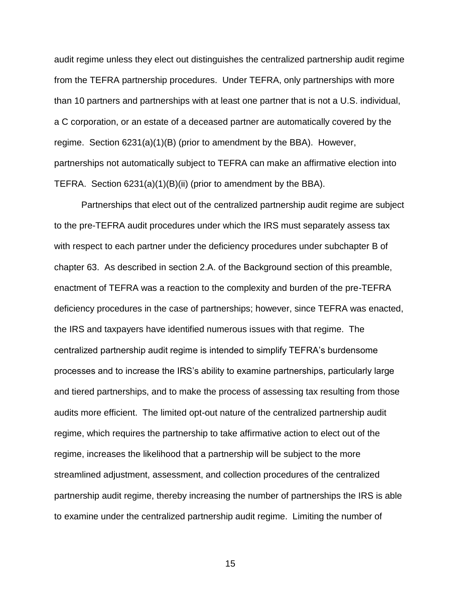audit regime unless they elect out distinguishes the centralized partnership audit regime from the TEFRA partnership procedures. Under TEFRA, only partnerships with more than 10 partners and partnerships with at least one partner that is not a U.S. individual, a C corporation, or an estate of a deceased partner are automatically covered by the regime. Section 6231(a)(1)(B) (prior to amendment by the BBA). However, partnerships not automatically subject to TEFRA can make an affirmative election into TEFRA. Section 6231(a)(1)(B)(ii) (prior to amendment by the BBA).

Partnerships that elect out of the centralized partnership audit regime are subject to the pre-TEFRA audit procedures under which the IRS must separately assess tax with respect to each partner under the deficiency procedures under subchapter B of chapter 63. As described in section 2.A. of the Background section of this preamble, enactment of TEFRA was a reaction to the complexity and burden of the pre-TEFRA deficiency procedures in the case of partnerships; however, since TEFRA was enacted, the IRS and taxpayers have identified numerous issues with that regime. The centralized partnership audit regime is intended to simplify TEFRA's burdensome processes and to increase the IRS's ability to examine partnerships, particularly large and tiered partnerships, and to make the process of assessing tax resulting from those audits more efficient. The limited opt-out nature of the centralized partnership audit regime, which requires the partnership to take affirmative action to elect out of the regime, increases the likelihood that a partnership will be subject to the more streamlined adjustment, assessment, and collection procedures of the centralized partnership audit regime, thereby increasing the number of partnerships the IRS is able to examine under the centralized partnership audit regime. Limiting the number of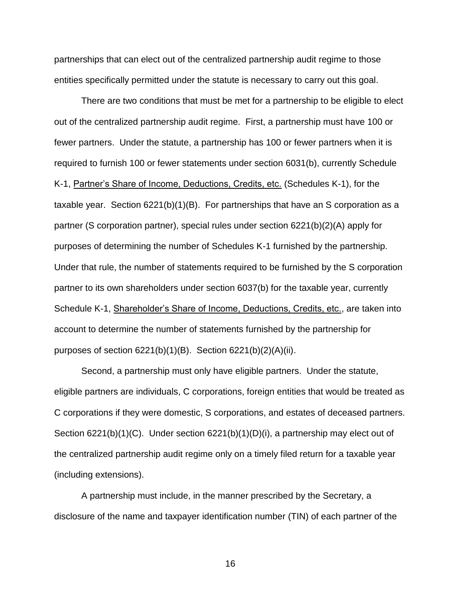partnerships that can elect out of the centralized partnership audit regime to those entities specifically permitted under the statute is necessary to carry out this goal.

There are two conditions that must be met for a partnership to be eligible to elect out of the centralized partnership audit regime. First, a partnership must have 100 or fewer partners. Under the statute, a partnership has 100 or fewer partners when it is required to furnish 100 or fewer statements under section 6031(b), currently Schedule K-1, Partner's Share of Income, Deductions, Credits, etc. (Schedules K-1), for the taxable year. Section 6221(b)(1)(B). For partnerships that have an S corporation as a partner (S corporation partner), special rules under section 6221(b)(2)(A) apply for purposes of determining the number of Schedules K-1 furnished by the partnership. Under that rule, the number of statements required to be furnished by the S corporation partner to its own shareholders under section 6037(b) for the taxable year, currently Schedule K-1, Shareholder's Share of Income, Deductions, Credits, etc., are taken into account to determine the number of statements furnished by the partnership for purposes of section  $6221(b)(1)(B)$ . Section  $6221(b)(2)(A)(ii)$ .

Second, a partnership must only have eligible partners. Under the statute, eligible partners are individuals, C corporations, foreign entities that would be treated as C corporations if they were domestic, S corporations, and estates of deceased partners. Section 6221(b)(1)(C). Under section 6221(b)(1)(D)(i), a partnership may elect out of the centralized partnership audit regime only on a timely filed return for a taxable year (including extensions).

A partnership must include, in the manner prescribed by the Secretary, a disclosure of the name and taxpayer identification number (TIN) of each partner of the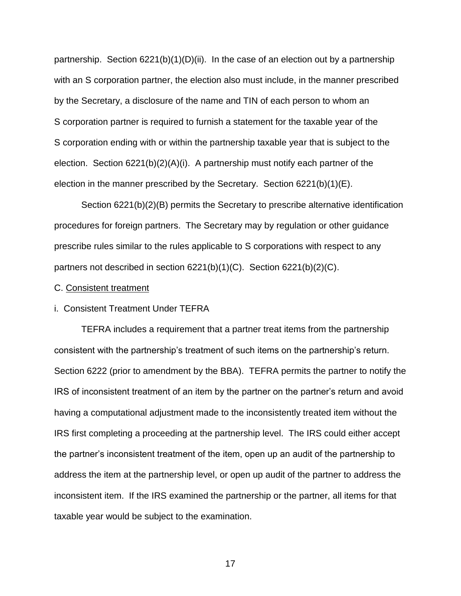partnership. Section  $6221(b)(1)(D)(ii)$ . In the case of an election out by a partnership with an S corporation partner, the election also must include, in the manner prescribed by the Secretary, a disclosure of the name and TIN of each person to whom an S corporation partner is required to furnish a statement for the taxable year of the S corporation ending with or within the partnership taxable year that is subject to the election. Section 6221(b)(2)(A)(i). A partnership must notify each partner of the election in the manner prescribed by the Secretary. Section 6221(b)(1)(E).

Section 6221(b)(2)(B) permits the Secretary to prescribe alternative identification procedures for foreign partners. The Secretary may by regulation or other guidance prescribe rules similar to the rules applicable to S corporations with respect to any partners not described in section 6221(b)(1)(C). Section 6221(b)(2)(C).

## C. Consistent treatment

### i. Consistent Treatment Under TEFRA

TEFRA includes a requirement that a partner treat items from the partnership consistent with the partnership's treatment of such items on the partnership's return. Section 6222 (prior to amendment by the BBA). TEFRA permits the partner to notify the IRS of inconsistent treatment of an item by the partner on the partner's return and avoid having a computational adjustment made to the inconsistently treated item without the IRS first completing a proceeding at the partnership level. The IRS could either accept the partner's inconsistent treatment of the item, open up an audit of the partnership to address the item at the partnership level, or open up audit of the partner to address the inconsistent item. If the IRS examined the partnership or the partner, all items for that taxable year would be subject to the examination.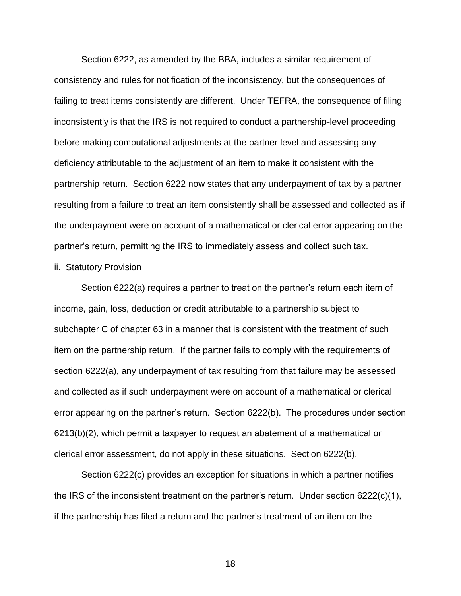Section 6222, as amended by the BBA, includes a similar requirement of consistency and rules for notification of the inconsistency, but the consequences of failing to treat items consistently are different. Under TEFRA, the consequence of filing inconsistently is that the IRS is not required to conduct a partnership-level proceeding before making computational adjustments at the partner level and assessing any deficiency attributable to the adjustment of an item to make it consistent with the partnership return. Section 6222 now states that any underpayment of tax by a partner resulting from a failure to treat an item consistently shall be assessed and collected as if the underpayment were on account of a mathematical or clerical error appearing on the partner's return, permitting the IRS to immediately assess and collect such tax.

### ii. Statutory Provision

Section 6222(a) requires a partner to treat on the partner's return each item of income, gain, loss, deduction or credit attributable to a partnership subject to subchapter C of chapter 63 in a manner that is consistent with the treatment of such item on the partnership return. If the partner fails to comply with the requirements of section 6222(a), any underpayment of tax resulting from that failure may be assessed and collected as if such underpayment were on account of a mathematical or clerical error appearing on the partner's return. Section 6222(b). The procedures under section 6213(b)(2), which permit a taxpayer to request an abatement of a mathematical or clerical error assessment, do not apply in these situations. Section 6222(b).

Section 6222(c) provides an exception for situations in which a partner notifies the IRS of the inconsistent treatment on the partner's return. Under section 6222(c)(1), if the partnership has filed a return and the partner's treatment of an item on the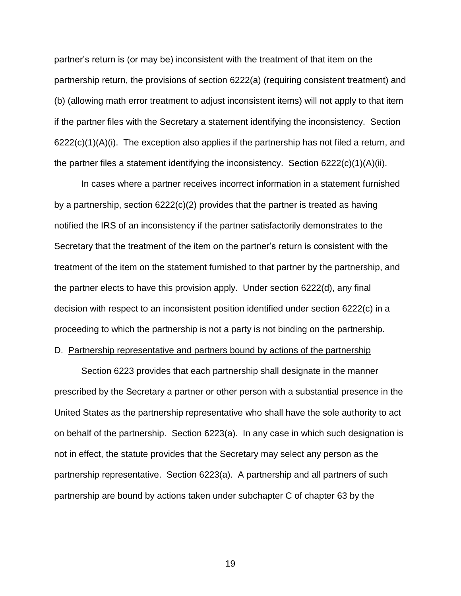partner's return is (or may be) inconsistent with the treatment of that item on the partnership return, the provisions of section 6222(a) (requiring consistent treatment) and (b) (allowing math error treatment to adjust inconsistent items) will not apply to that item if the partner files with the Secretary a statement identifying the inconsistency. Section  $6222(c)(1)(A)(i)$ . The exception also applies if the partnership has not filed a return, and the partner files a statement identifying the inconsistency. Section  $6222(c)(1)(A)(ii)$ .

In cases where a partner receives incorrect information in a statement furnished by a partnership, section  $6222(c)(2)$  provides that the partner is treated as having notified the IRS of an inconsistency if the partner satisfactorily demonstrates to the Secretary that the treatment of the item on the partner's return is consistent with the treatment of the item on the statement furnished to that partner by the partnership, and the partner elects to have this provision apply. Under section 6222(d), any final decision with respect to an inconsistent position identified under section 6222(c) in a proceeding to which the partnership is not a party is not binding on the partnership.

# D. Partnership representative and partners bound by actions of the partnership

Section 6223 provides that each partnership shall designate in the manner prescribed by the Secretary a partner or other person with a substantial presence in the United States as the partnership representative who shall have the sole authority to act on behalf of the partnership. Section 6223(a). In any case in which such designation is not in effect, the statute provides that the Secretary may select any person as the partnership representative. Section 6223(a). A partnership and all partners of such partnership are bound by actions taken under subchapter C of chapter 63 by the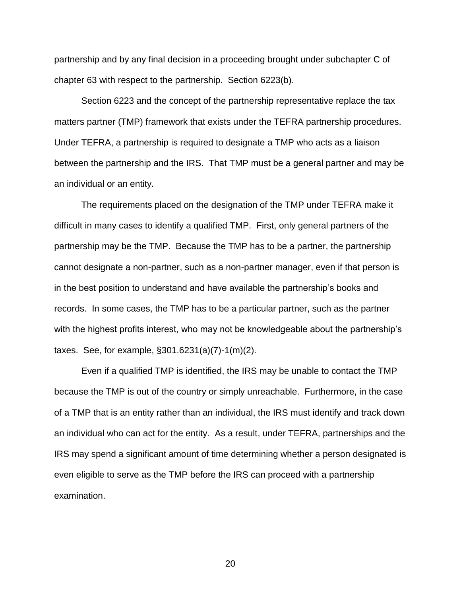partnership and by any final decision in a proceeding brought under subchapter C of chapter 63 with respect to the partnership. Section 6223(b).

Section 6223 and the concept of the partnership representative replace the tax matters partner (TMP) framework that exists under the TEFRA partnership procedures. Under TEFRA, a partnership is required to designate a TMP who acts as a liaison between the partnership and the IRS. That TMP must be a general partner and may be an individual or an entity.

The requirements placed on the designation of the TMP under TEFRA make it difficult in many cases to identify a qualified TMP. First, only general partners of the partnership may be the TMP. Because the TMP has to be a partner, the partnership cannot designate a non-partner, such as a non-partner manager, even if that person is in the best position to understand and have available the partnership's books and records. In some cases, the TMP has to be a particular partner, such as the partner with the highest profits interest, who may not be knowledgeable about the partnership's taxes. See, for example, §301.6231(a)(7)-1(m)(2).

Even if a qualified TMP is identified, the IRS may be unable to contact the TMP because the TMP is out of the country or simply unreachable. Furthermore, in the case of a TMP that is an entity rather than an individual, the IRS must identify and track down an individual who can act for the entity. As a result, under TEFRA, partnerships and the IRS may spend a significant amount of time determining whether a person designated is even eligible to serve as the TMP before the IRS can proceed with a partnership examination.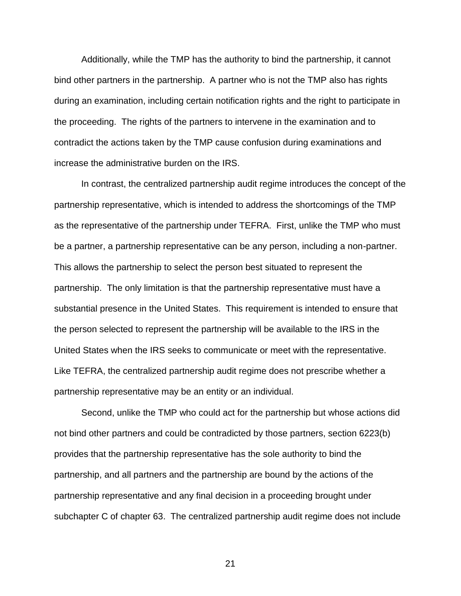Additionally, while the TMP has the authority to bind the partnership, it cannot bind other partners in the partnership. A partner who is not the TMP also has rights during an examination, including certain notification rights and the right to participate in the proceeding. The rights of the partners to intervene in the examination and to contradict the actions taken by the TMP cause confusion during examinations and increase the administrative burden on the IRS.

In contrast, the centralized partnership audit regime introduces the concept of the partnership representative, which is intended to address the shortcomings of the TMP as the representative of the partnership under TEFRA. First, unlike the TMP who must be a partner, a partnership representative can be any person, including a non-partner. This allows the partnership to select the person best situated to represent the partnership. The only limitation is that the partnership representative must have a substantial presence in the United States. This requirement is intended to ensure that the person selected to represent the partnership will be available to the IRS in the United States when the IRS seeks to communicate or meet with the representative. Like TEFRA, the centralized partnership audit regime does not prescribe whether a partnership representative may be an entity or an individual.

Second, unlike the TMP who could act for the partnership but whose actions did not bind other partners and could be contradicted by those partners, section 6223(b) provides that the partnership representative has the sole authority to bind the partnership, and all partners and the partnership are bound by the actions of the partnership representative and any final decision in a proceeding brought under subchapter C of chapter 63. The centralized partnership audit regime does not include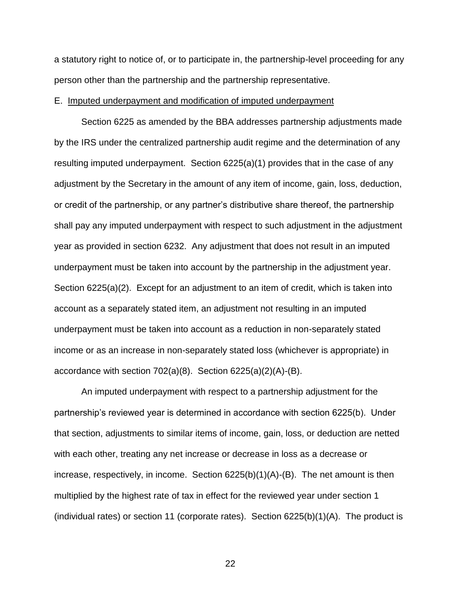a statutory right to notice of, or to participate in, the partnership-level proceeding for any person other than the partnership and the partnership representative.

### E. Imputed underpayment and modification of imputed underpayment

Section 6225 as amended by the BBA addresses partnership adjustments made by the IRS under the centralized partnership audit regime and the determination of any resulting imputed underpayment. Section 6225(a)(1) provides that in the case of any adjustment by the Secretary in the amount of any item of income, gain, loss, deduction, or credit of the partnership, or any partner's distributive share thereof, the partnership shall pay any imputed underpayment with respect to such adjustment in the adjustment year as provided in section 6232. Any adjustment that does not result in an imputed underpayment must be taken into account by the partnership in the adjustment year. Section 6225(a)(2). Except for an adjustment to an item of credit, which is taken into account as a separately stated item, an adjustment not resulting in an imputed underpayment must be taken into account as a reduction in non-separately stated income or as an increase in non-separately stated loss (whichever is appropriate) in accordance with section 702(a)(8). Section 6225(a)(2)(A)-(B).

An imputed underpayment with respect to a partnership adjustment for the partnership's reviewed year is determined in accordance with section 6225(b). Under that section, adjustments to similar items of income, gain, loss, or deduction are netted with each other, treating any net increase or decrease in loss as a decrease or increase, respectively, in income. Section 6225(b)(1)(A)-(B). The net amount is then multiplied by the highest rate of tax in effect for the reviewed year under section 1 (individual rates) or section 11 (corporate rates). Section  $6225(b)(1)(A)$ . The product is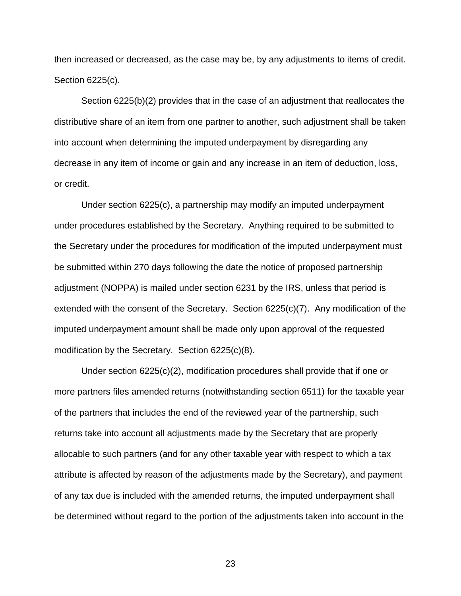then increased or decreased, as the case may be, by any adjustments to items of credit. Section 6225(c).

Section 6225(b)(2) provides that in the case of an adjustment that reallocates the distributive share of an item from one partner to another, such adjustment shall be taken into account when determining the imputed underpayment by disregarding any decrease in any item of income or gain and any increase in an item of deduction, loss, or credit.

Under section 6225(c), a partnership may modify an imputed underpayment under procedures established by the Secretary. Anything required to be submitted to the Secretary under the procedures for modification of the imputed underpayment must be submitted within 270 days following the date the notice of proposed partnership adjustment (NOPPA) is mailed under section 6231 by the IRS, unless that period is extended with the consent of the Secretary. Section 6225(c)(7). Any modification of the imputed underpayment amount shall be made only upon approval of the requested modification by the Secretary. Section 6225(c)(8).

Under section 6225(c)(2), modification procedures shall provide that if one or more partners files amended returns (notwithstanding section 6511) for the taxable year of the partners that includes the end of the reviewed year of the partnership, such returns take into account all adjustments made by the Secretary that are properly allocable to such partners (and for any other taxable year with respect to which a tax attribute is affected by reason of the adjustments made by the Secretary), and payment of any tax due is included with the amended returns, the imputed underpayment shall be determined without regard to the portion of the adjustments taken into account in the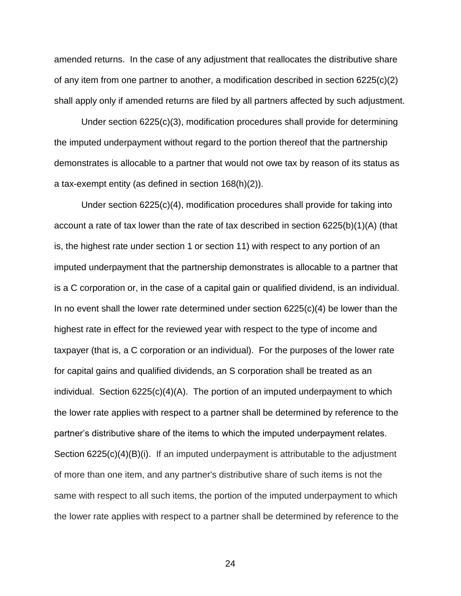amended returns. In the case of any adjustment that reallocates the distributive share of any item from one partner to another, a modification described in section 6225(c)(2) shall apply only if amended returns are filed by all partners affected by such adjustment.

Under section 6225(c)(3), modification procedures shall provide for determining the imputed underpayment without regard to the portion thereof that the partnership demonstrates is allocable to a partner that would not owe tax by reason of its status as a tax-exempt entity (as defined in section 168(h)(2)).

Under section 6225(c)(4), modification procedures shall provide for taking into account a rate of tax lower than the rate of tax described in section 6225(b)(1)(A) (that is, the highest rate under section 1 or section 11) with respect to any portion of an imputed underpayment that the partnership demonstrates is allocable to a partner that is a C corporation or, in the case of a capital gain or qualified dividend, is an individual. In no event shall the lower rate determined under section  $6225(c)(4)$  be lower than the highest rate in effect for the reviewed year with respect to the type of income and taxpayer (that is, a C corporation or an individual). For the purposes of the lower rate for capital gains and qualified dividends, an S corporation shall be treated as an individual. Section 6225(c)(4)(A). The portion of an imputed underpayment to which the lower rate applies with respect to a partner shall be determined by reference to the partner's distributive share of the items to which the imputed underpayment relates. Section 6225(c)(4)(B)(i). If an imputed underpayment is attributable to the adjustment of more than one item, and any partner's distributive share of such items is not the same with respect to all such items, the portion of the imputed underpayment to which the lower rate applies with respect to a partner shall be determined by reference to the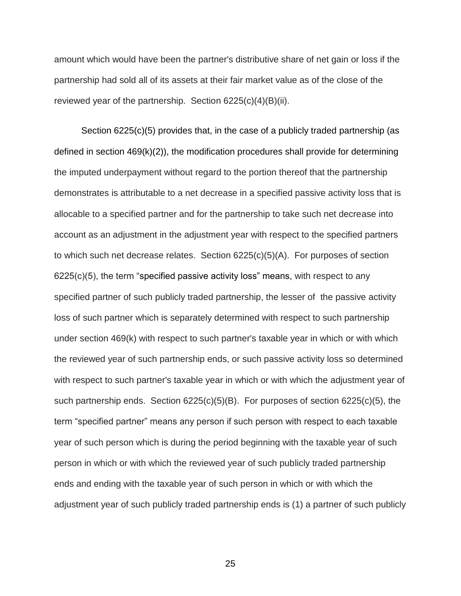amount which would have been the partner's distributive share of net gain or loss if the partnership had sold all of its assets at their fair market value as of the close of the reviewed year of the partnership. Section 6225(c)(4)(B)(ii).

Section 6225(c)(5) provides that, in the case of a publicly traded partnership (as defined in section 469(k)(2)), the modification procedures shall provide for determining the imputed underpayment without regard to the portion thereof that the partnership demonstrates is attributable to a net decrease in a specified passive activity loss that is allocable to a specified partner and for the partnership to take such net decrease into account as an adjustment in the adjustment year with respect to the specified partners to which such net decrease relates. Section 6225(c)(5)(A). For purposes of section  $6225(c)(5)$ , the term "specified passive activity loss" means, with respect to any specified partner of such publicly traded partnership, the lesser of the passive activity loss of such partner which is separately determined with respect to such partnership under section 469(k) with respect to such partner's taxable year in which or with which the reviewed year of such partnership ends, or such passive activity loss so determined with respect to such partner's taxable year in which or with which the adjustment year of such partnership ends. Section 6225(c)(5)(B). For purposes of section 6225(c)(5), the term "specified partner" means any person if such person with respect to each taxable year of such person which is during the period beginning with the taxable year of such person in which or with which the reviewed year of such publicly traded partnership ends and ending with the taxable year of such person in which or with which the adjustment year of such publicly traded partnership ends is (1) a partner of such publicly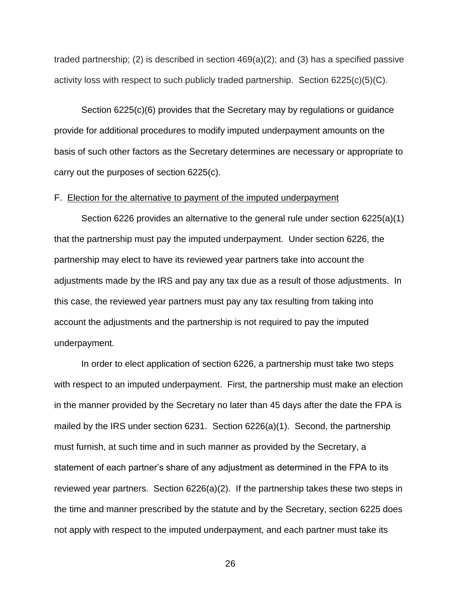traded partnership; (2) is described in section 469(a)(2); and (3) has a specified passive activity loss with respect to such publicly traded partnership. Section 6225(c)(5)(C).

Section 6225(c)(6) provides that the Secretary may by regulations or guidance provide for additional procedures to modify imputed underpayment amounts on the basis of such other factors as the Secretary determines are necessary or appropriate to carry out the purposes of section 6225(c).

### F. Election for the alternative to payment of the imputed underpayment

Section 6226 provides an alternative to the general rule under section 6225(a)(1) that the partnership must pay the imputed underpayment. Under section 6226, the partnership may elect to have its reviewed year partners take into account the adjustments made by the IRS and pay any tax due as a result of those adjustments. In this case, the reviewed year partners must pay any tax resulting from taking into account the adjustments and the partnership is not required to pay the imputed underpayment.

In order to elect application of section 6226, a partnership must take two steps with respect to an imputed underpayment. First, the partnership must make an election in the manner provided by the Secretary no later than 45 days after the date the FPA is mailed by the IRS under section 6231. Section 6226(a)(1). Second, the partnership must furnish, at such time and in such manner as provided by the Secretary, a statement of each partner's share of any adjustment as determined in the FPA to its reviewed year partners. Section 6226(a)(2). If the partnership takes these two steps in the time and manner prescribed by the statute and by the Secretary, section 6225 does not apply with respect to the imputed underpayment, and each partner must take its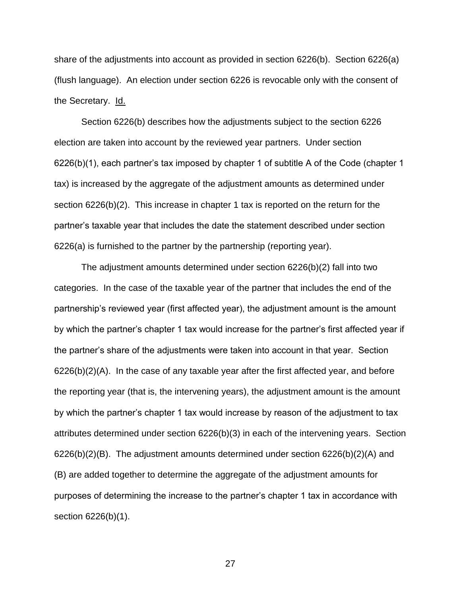share of the adjustments into account as provided in section 6226(b). Section 6226(a) (flush language). An election under section 6226 is revocable only with the consent of the Secretary. Id.

Section 6226(b) describes how the adjustments subject to the section 6226 election are taken into account by the reviewed year partners. Under section 6226(b)(1), each partner's tax imposed by chapter 1 of subtitle A of the Code (chapter 1 tax) is increased by the aggregate of the adjustment amounts as determined under section 6226(b)(2). This increase in chapter 1 tax is reported on the return for the partner's taxable year that includes the date the statement described under section 6226(a) is furnished to the partner by the partnership (reporting year).

The adjustment amounts determined under section 6226(b)(2) fall into two categories. In the case of the taxable year of the partner that includes the end of the partnership's reviewed year (first affected year), the adjustment amount is the amount by which the partner's chapter 1 tax would increase for the partner's first affected year if the partner's share of the adjustments were taken into account in that year. Section 6226(b)(2)(A). In the case of any taxable year after the first affected year, and before the reporting year (that is, the intervening years), the adjustment amount is the amount by which the partner's chapter 1 tax would increase by reason of the adjustment to tax attributes determined under section 6226(b)(3) in each of the intervening years. Section 6226(b)(2)(B). The adjustment amounts determined under section 6226(b)(2)(A) and (B) are added together to determine the aggregate of the adjustment amounts for purposes of determining the increase to the partner's chapter 1 tax in accordance with section 6226(b)(1).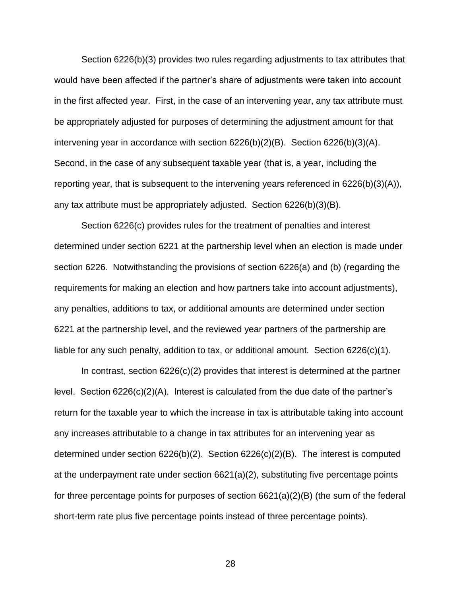Section 6226(b)(3) provides two rules regarding adjustments to tax attributes that would have been affected if the partner's share of adjustments were taken into account in the first affected year. First, in the case of an intervening year, any tax attribute must be appropriately adjusted for purposes of determining the adjustment amount for that intervening year in accordance with section  $6226(b)(2)(B)$ . Section  $6226(b)(3)(A)$ . Second, in the case of any subsequent taxable year (that is, a year, including the reporting year, that is subsequent to the intervening years referenced in 6226(b)(3)(A)), any tax attribute must be appropriately adjusted. Section 6226(b)(3)(B).

Section 6226(c) provides rules for the treatment of penalties and interest determined under section 6221 at the partnership level when an election is made under section 6226. Notwithstanding the provisions of section 6226(a) and (b) (regarding the requirements for making an election and how partners take into account adjustments), any penalties, additions to tax, or additional amounts are determined under section 6221 at the partnership level, and the reviewed year partners of the partnership are liable for any such penalty, addition to tax, or additional amount. Section 6226(c)(1).

In contrast, section 6226(c)(2) provides that interest is determined at the partner level. Section 6226(c)(2)(A). Interest is calculated from the due date of the partner's return for the taxable year to which the increase in tax is attributable taking into account any increases attributable to a change in tax attributes for an intervening year as determined under section 6226(b)(2). Section 6226(c)(2)(B). The interest is computed at the underpayment rate under section 6621(a)(2), substituting five percentage points for three percentage points for purposes of section 6621(a)(2)(B) (the sum of the federal short-term rate plus five percentage points instead of three percentage points).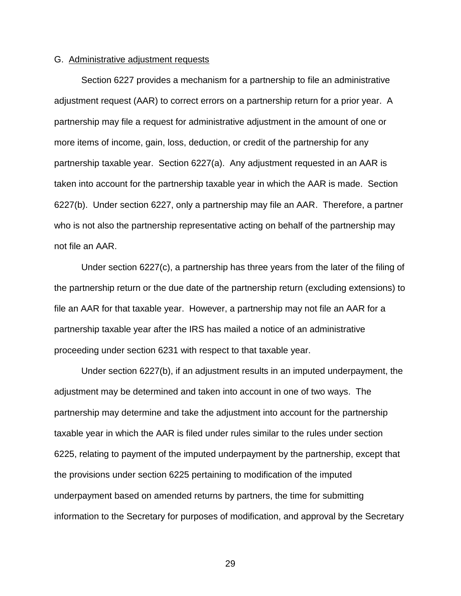# G. Administrative adjustment requests

Section 6227 provides a mechanism for a partnership to file an administrative adjustment request (AAR) to correct errors on a partnership return for a prior year. A partnership may file a request for administrative adjustment in the amount of one or more items of income, gain, loss, deduction, or credit of the partnership for any partnership taxable year. Section 6227(a). Any adjustment requested in an AAR is taken into account for the partnership taxable year in which the AAR is made. Section 6227(b). Under section 6227, only a partnership may file an AAR. Therefore, a partner who is not also the partnership representative acting on behalf of the partnership may not file an AAR.

Under section 6227(c), a partnership has three years from the later of the filing of the partnership return or the due date of the partnership return (excluding extensions) to file an AAR for that taxable year. However, a partnership may not file an AAR for a partnership taxable year after the IRS has mailed a notice of an administrative proceeding under section 6231 with respect to that taxable year.

Under section 6227(b), if an adjustment results in an imputed underpayment, the adjustment may be determined and taken into account in one of two ways. The partnership may determine and take the adjustment into account for the partnership taxable year in which the AAR is filed under rules similar to the rules under section 6225, relating to payment of the imputed underpayment by the partnership, except that the provisions under section 6225 pertaining to modification of the imputed underpayment based on amended returns by partners, the time for submitting information to the Secretary for purposes of modification, and approval by the Secretary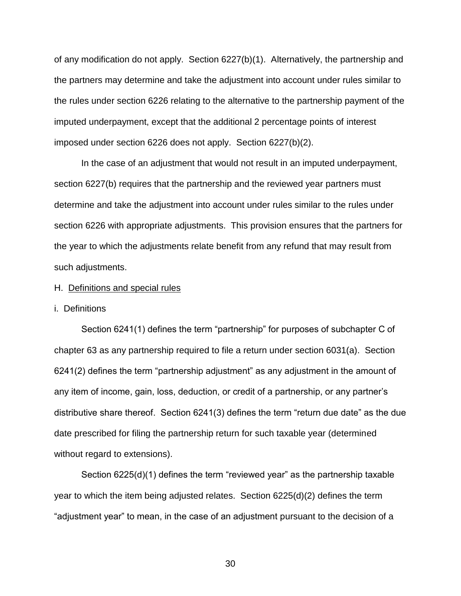of any modification do not apply. Section 6227(b)(1). Alternatively, the partnership and the partners may determine and take the adjustment into account under rules similar to the rules under section 6226 relating to the alternative to the partnership payment of the imputed underpayment, except that the additional 2 percentage points of interest imposed under section 6226 does not apply. Section 6227(b)(2).

In the case of an adjustment that would not result in an imputed underpayment, section 6227(b) requires that the partnership and the reviewed year partners must determine and take the adjustment into account under rules similar to the rules under section 6226 with appropriate adjustments. This provision ensures that the partners for the year to which the adjustments relate benefit from any refund that may result from such adjustments.

### H. Definitions and special rules

### i. Definitions

Section 6241(1) defines the term "partnership" for purposes of subchapter C of chapter 63 as any partnership required to file a return under section 6031(a). Section 6241(2) defines the term "partnership adjustment" as any adjustment in the amount of any item of income, gain, loss, deduction, or credit of a partnership, or any partner's distributive share thereof. Section 6241(3) defines the term "return due date" as the due date prescribed for filing the partnership return for such taxable year (determined without regard to extensions).

Section 6225(d)(1) defines the term "reviewed year" as the partnership taxable year to which the item being adjusted relates. Section 6225(d)(2) defines the term "adjustment year" to mean, in the case of an adjustment pursuant to the decision of a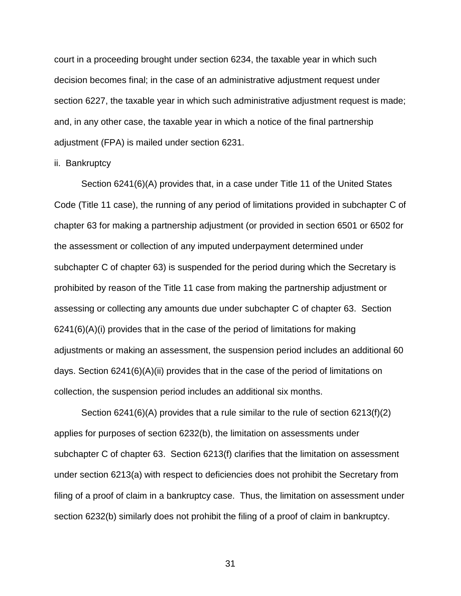court in a proceeding brought under section 6234, the taxable year in which such decision becomes final; in the case of an administrative adjustment request under section 6227, the taxable year in which such administrative adjustment request is made; and, in any other case, the taxable year in which a notice of the final partnership adjustment (FPA) is mailed under section 6231.

# ii. Bankruptcy

Section 6241(6)(A) provides that, in a case under Title 11 of the United States Code (Title 11 case), the running of any period of limitations provided in subchapter C of chapter 63 for making a partnership adjustment (or provided in section 6501 or 6502 for the assessment or collection of any imputed underpayment determined under subchapter C of chapter 63) is suspended for the period during which the Secretary is prohibited by reason of the Title 11 case from making the partnership adjustment or assessing or collecting any amounts due under subchapter C of chapter 63. Section 6241(6)(A)(i) provides that in the case of the period of limitations for making adjustments or making an assessment, the suspension period includes an additional 60 days. Section 6241(6)(A)(ii) provides that in the case of the period of limitations on collection, the suspension period includes an additional six months.

Section 6241(6)(A) provides that a rule similar to the rule of section 6213(f)(2) applies for purposes of section 6232(b), the limitation on assessments under subchapter C of chapter 63. Section 6213(f) clarifies that the limitation on assessment under section 6213(a) with respect to deficiencies does not prohibit the Secretary from filing of a proof of claim in a bankruptcy case. Thus, the limitation on assessment under section 6232(b) similarly does not prohibit the filing of a proof of claim in bankruptcy.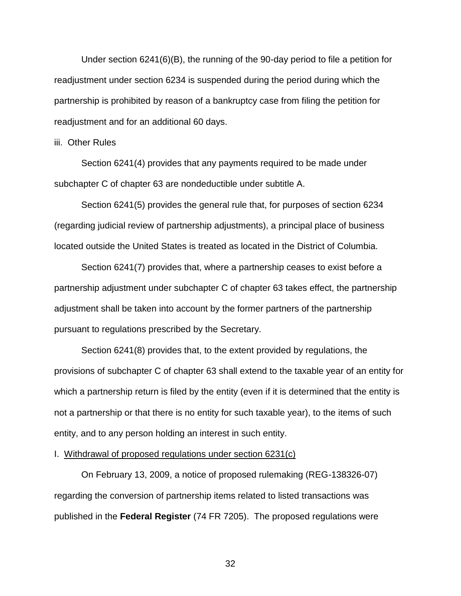Under section 6241(6)(B), the running of the 90-day period to file a petition for readjustment under section 6234 is suspended during the period during which the partnership is prohibited by reason of a bankruptcy case from filing the petition for readjustment and for an additional 60 days.

### iii. Other Rules

Section 6241(4) provides that any payments required to be made under subchapter C of chapter 63 are nondeductible under subtitle A.

Section 6241(5) provides the general rule that, for purposes of section 6234 (regarding judicial review of partnership adjustments), a principal place of business located outside the United States is treated as located in the District of Columbia.

Section 6241(7) provides that, where a partnership ceases to exist before a partnership adjustment under subchapter C of chapter 63 takes effect, the partnership adjustment shall be taken into account by the former partners of the partnership pursuant to regulations prescribed by the Secretary.

Section 6241(8) provides that, to the extent provided by regulations, the provisions of subchapter C of chapter 63 shall extend to the taxable year of an entity for which a partnership return is filed by the entity (even if it is determined that the entity is not a partnership or that there is no entity for such taxable year), to the items of such entity, and to any person holding an interest in such entity.

# I. Withdrawal of proposed regulations under section 6231(c)

On February 13, 2009, a notice of proposed rulemaking (REG-138326-07) regarding the conversion of partnership items related to listed transactions was published in the **Federal Register** (74 FR 7205). The proposed regulations were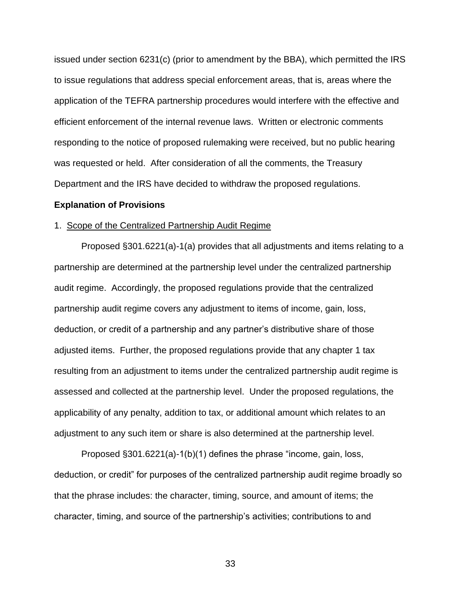issued under section 6231(c) (prior to amendment by the BBA), which permitted the IRS to issue regulations that address special enforcement areas, that is, areas where the application of the TEFRA partnership procedures would interfere with the effective and efficient enforcement of the internal revenue laws. Written or electronic comments responding to the notice of proposed rulemaking were received, but no public hearing was requested or held. After consideration of all the comments, the Treasury Department and the IRS have decided to withdraw the proposed regulations.

### **Explanation of Provisions**

#### 1. Scope of the Centralized Partnership Audit Regime

Proposed §301.6221(a)-1(a) provides that all adjustments and items relating to a partnership are determined at the partnership level under the centralized partnership audit regime. Accordingly, the proposed regulations provide that the centralized partnership audit regime covers any adjustment to items of income, gain, loss, deduction, or credit of a partnership and any partner's distributive share of those adjusted items. Further, the proposed regulations provide that any chapter 1 tax resulting from an adjustment to items under the centralized partnership audit regime is assessed and collected at the partnership level. Under the proposed regulations, the applicability of any penalty, addition to tax, or additional amount which relates to an adjustment to any such item or share is also determined at the partnership level.

Proposed §301.6221(a)-1(b)(1) defines the phrase "income, gain, loss, deduction, or credit" for purposes of the centralized partnership audit regime broadly so that the phrase includes: the character, timing, source, and amount of items; the character, timing, and source of the partnership's activities; contributions to and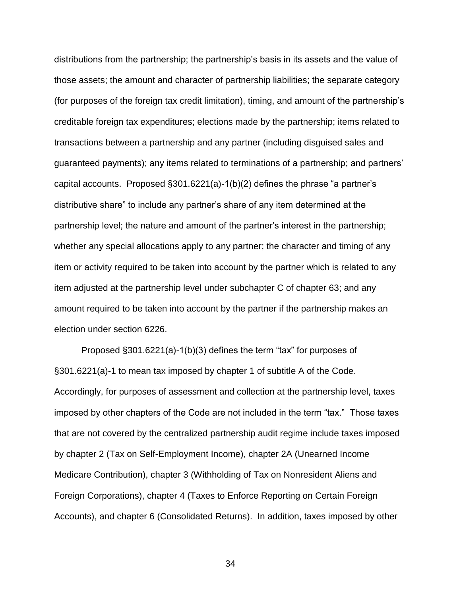distributions from the partnership; the partnership's basis in its assets and the value of those assets; the amount and character of partnership liabilities; the separate category (for purposes of the foreign tax credit limitation), timing, and amount of the partnership's creditable foreign tax expenditures; elections made by the partnership; items related to transactions between a partnership and any partner (including disguised sales and guaranteed payments); any items related to terminations of a partnership; and partners' capital accounts. Proposed §301.6221(a)-1(b)(2) defines the phrase "a partner's distributive share" to include any partner's share of any item determined at the partnership level; the nature and amount of the partner's interest in the partnership; whether any special allocations apply to any partner; the character and timing of any item or activity required to be taken into account by the partner which is related to any item adjusted at the partnership level under subchapter C of chapter 63; and any amount required to be taken into account by the partner if the partnership makes an election under section 6226.

Proposed §301.6221(a)-1(b)(3) defines the term "tax" for purposes of §301.6221(a)-1 to mean tax imposed by chapter 1 of subtitle A of the Code. Accordingly, for purposes of assessment and collection at the partnership level, taxes imposed by other chapters of the Code are not included in the term "tax." Those taxes that are not covered by the centralized partnership audit regime include taxes imposed by chapter 2 (Tax on Self-Employment Income), chapter 2A (Unearned Income Medicare Contribution), chapter 3 (Withholding of Tax on Nonresident Aliens and Foreign Corporations), chapter 4 (Taxes to Enforce Reporting on Certain Foreign Accounts), and chapter 6 (Consolidated Returns). In addition, taxes imposed by other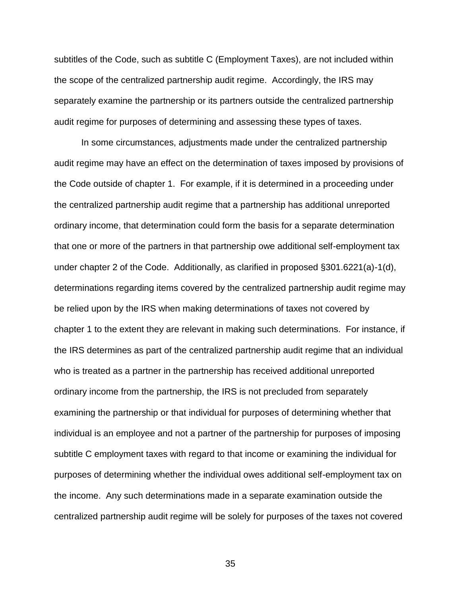subtitles of the Code, such as subtitle C (Employment Taxes), are not included within the scope of the centralized partnership audit regime. Accordingly, the IRS may separately examine the partnership or its partners outside the centralized partnership audit regime for purposes of determining and assessing these types of taxes.

In some circumstances, adjustments made under the centralized partnership audit regime may have an effect on the determination of taxes imposed by provisions of the Code outside of chapter 1. For example, if it is determined in a proceeding under the centralized partnership audit regime that a partnership has additional unreported ordinary income, that determination could form the basis for a separate determination that one or more of the partners in that partnership owe additional self-employment tax under chapter 2 of the Code. Additionally, as clarified in proposed §301.6221(a)-1(d), determinations regarding items covered by the centralized partnership audit regime may be relied upon by the IRS when making determinations of taxes not covered by chapter 1 to the extent they are relevant in making such determinations. For instance, if the IRS determines as part of the centralized partnership audit regime that an individual who is treated as a partner in the partnership has received additional unreported ordinary income from the partnership, the IRS is not precluded from separately examining the partnership or that individual for purposes of determining whether that individual is an employee and not a partner of the partnership for purposes of imposing subtitle C employment taxes with regard to that income or examining the individual for purposes of determining whether the individual owes additional self-employment tax on the income. Any such determinations made in a separate examination outside the centralized partnership audit regime will be solely for purposes of the taxes not covered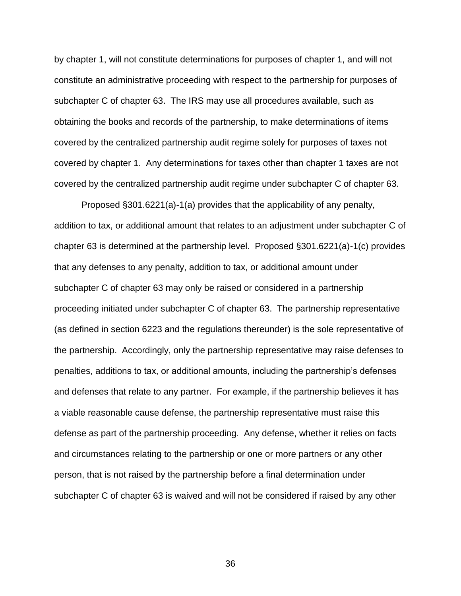by chapter 1, will not constitute determinations for purposes of chapter 1, and will not constitute an administrative proceeding with respect to the partnership for purposes of subchapter C of chapter 63. The IRS may use all procedures available, such as obtaining the books and records of the partnership, to make determinations of items covered by the centralized partnership audit regime solely for purposes of taxes not covered by chapter 1. Any determinations for taxes other than chapter 1 taxes are not covered by the centralized partnership audit regime under subchapter C of chapter 63.

Proposed §301.6221(a)-1(a) provides that the applicability of any penalty, addition to tax, or additional amount that relates to an adjustment under subchapter C of chapter 63 is determined at the partnership level. Proposed §301.6221(a)-1(c) provides that any defenses to any penalty, addition to tax, or additional amount under subchapter C of chapter 63 may only be raised or considered in a partnership proceeding initiated under subchapter C of chapter 63. The partnership representative (as defined in section 6223 and the regulations thereunder) is the sole representative of the partnership. Accordingly, only the partnership representative may raise defenses to penalties, additions to tax, or additional amounts, including the partnership's defenses and defenses that relate to any partner. For example, if the partnership believes it has a viable reasonable cause defense, the partnership representative must raise this defense as part of the partnership proceeding. Any defense, whether it relies on facts and circumstances relating to the partnership or one or more partners or any other person, that is not raised by the partnership before a final determination under subchapter C of chapter 63 is waived and will not be considered if raised by any other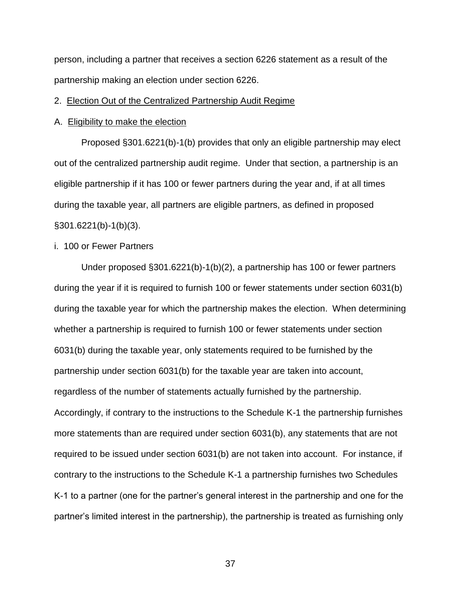person, including a partner that receives a section 6226 statement as a result of the partnership making an election under section 6226.

# 2. Election Out of the Centralized Partnership Audit Regime

### A. Eligibility to make the election

Proposed §301.6221(b)-1(b) provides that only an eligible partnership may elect out of the centralized partnership audit regime. Under that section, a partnership is an eligible partnership if it has 100 or fewer partners during the year and, if at all times during the taxable year, all partners are eligible partners, as defined in proposed §301.6221(b)-1(b)(3).

# i. 100 or Fewer Partners

Under proposed §301.6221(b)-1(b)(2), a partnership has 100 or fewer partners during the year if it is required to furnish 100 or fewer statements under section 6031(b) during the taxable year for which the partnership makes the election. When determining whether a partnership is required to furnish 100 or fewer statements under section 6031(b) during the taxable year, only statements required to be furnished by the partnership under section 6031(b) for the taxable year are taken into account, regardless of the number of statements actually furnished by the partnership. Accordingly, if contrary to the instructions to the Schedule K-1 the partnership furnishes more statements than are required under section 6031(b), any statements that are not required to be issued under section 6031(b) are not taken into account. For instance, if contrary to the instructions to the Schedule K-1 a partnership furnishes two Schedules K-1 to a partner (one for the partner's general interest in the partnership and one for the partner's limited interest in the partnership), the partnership is treated as furnishing only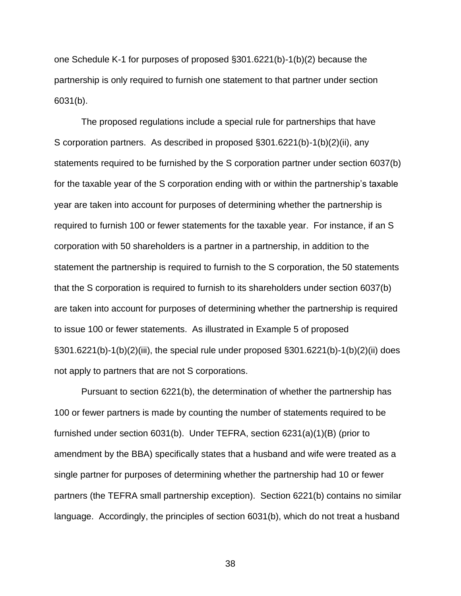one Schedule K-1 for purposes of proposed §301.6221(b)-1(b)(2) because the partnership is only required to furnish one statement to that partner under section 6031(b).

The proposed regulations include a special rule for partnerships that have S corporation partners. As described in proposed §301.6221(b)-1(b)(2)(ii), any statements required to be furnished by the S corporation partner under section 6037(b) for the taxable year of the S corporation ending with or within the partnership's taxable year are taken into account for purposes of determining whether the partnership is required to furnish 100 or fewer statements for the taxable year. For instance, if an S corporation with 50 shareholders is a partner in a partnership, in addition to the statement the partnership is required to furnish to the S corporation, the 50 statements that the S corporation is required to furnish to its shareholders under section 6037(b) are taken into account for purposes of determining whether the partnership is required to issue 100 or fewer statements. As illustrated in Example 5 of proposed §301.6221(b)-1(b)(2)(iii), the special rule under proposed §301.6221(b)-1(b)(2)(ii) does not apply to partners that are not S corporations.

Pursuant to section 6221(b), the determination of whether the partnership has 100 or fewer partners is made by counting the number of statements required to be furnished under section 6031(b). Under TEFRA, section 6231(a)(1)(B) (prior to amendment by the BBA) specifically states that a husband and wife were treated as a single partner for purposes of determining whether the partnership had 10 or fewer partners (the TEFRA small partnership exception). Section 6221(b) contains no similar language. Accordingly, the principles of section 6031(b), which do not treat a husband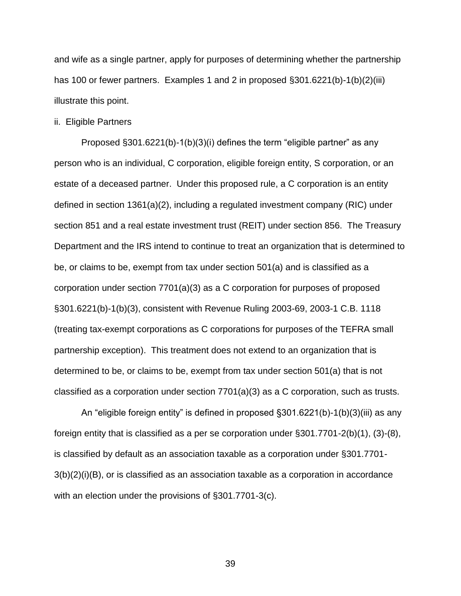and wife as a single partner, apply for purposes of determining whether the partnership has 100 or fewer partners. Examples 1 and 2 in proposed §301.6221(b)-1(b)(2)(iii) illustrate this point.

ii. Eligible Partners

Proposed §301.6221(b)-1(b)(3)(i) defines the term "eligible partner" as any person who is an individual, C corporation, eligible foreign entity, S corporation, or an estate of a deceased partner. Under this proposed rule, a C corporation is an entity defined in section 1361(a)(2), including a regulated investment company (RIC) under section 851 and a real estate investment trust (REIT) under section 856. The Treasury Department and the IRS intend to continue to treat an organization that is determined to be, or claims to be, exempt from tax under section 501(a) and is classified as a corporation under section 7701(a)(3) as a C corporation for purposes of proposed §301.6221(b)-1(b)(3), consistent with Revenue Ruling 2003-69, 2003-1 C.B. 1118 (treating tax-exempt corporations as C corporations for purposes of the TEFRA small partnership exception). This treatment does not extend to an organization that is determined to be, or claims to be, exempt from tax under section 501(a) that is not classified as a corporation under section 7701(a)(3) as a C corporation, such as trusts.

An "eligible foreign entity" is defined in proposed §301.6221(b)-1(b)(3)(iii) as any foreign entity that is classified as a per se corporation under §301.7701-2(b)(1), (3)-(8), is classified by default as an association taxable as a corporation under §301.7701- 3(b)(2)(i)(B), or is classified as an association taxable as a corporation in accordance with an election under the provisions of §301.7701-3(c).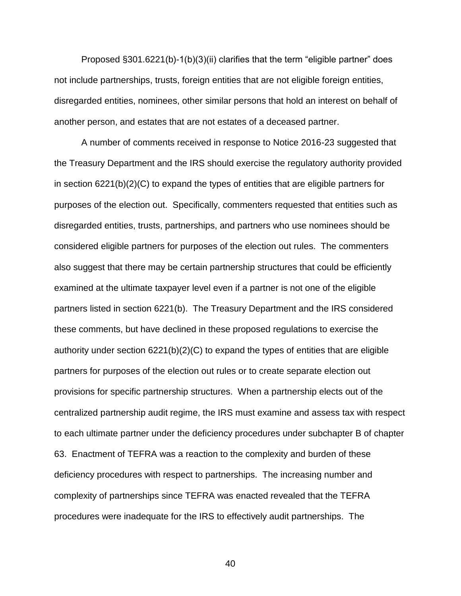Proposed §301.6221(b)-1(b)(3)(ii) clarifies that the term "eligible partner" does not include partnerships, trusts, foreign entities that are not eligible foreign entities, disregarded entities, nominees, other similar persons that hold an interest on behalf of another person, and estates that are not estates of a deceased partner.

A number of comments received in response to Notice 2016-23 suggested that the Treasury Department and the IRS should exercise the regulatory authority provided in section 6221(b)(2)(C) to expand the types of entities that are eligible partners for purposes of the election out. Specifically, commenters requested that entities such as disregarded entities, trusts, partnerships, and partners who use nominees should be considered eligible partners for purposes of the election out rules. The commenters also suggest that there may be certain partnership structures that could be efficiently examined at the ultimate taxpayer level even if a partner is not one of the eligible partners listed in section 6221(b). The Treasury Department and the IRS considered these comments, but have declined in these proposed regulations to exercise the authority under section 6221(b)(2)(C) to expand the types of entities that are eligible partners for purposes of the election out rules or to create separate election out provisions for specific partnership structures. When a partnership elects out of the centralized partnership audit regime, the IRS must examine and assess tax with respect to each ultimate partner under the deficiency procedures under subchapter B of chapter 63. Enactment of TEFRA was a reaction to the complexity and burden of these deficiency procedures with respect to partnerships. The increasing number and complexity of partnerships since TEFRA was enacted revealed that the TEFRA procedures were inadequate for the IRS to effectively audit partnerships. The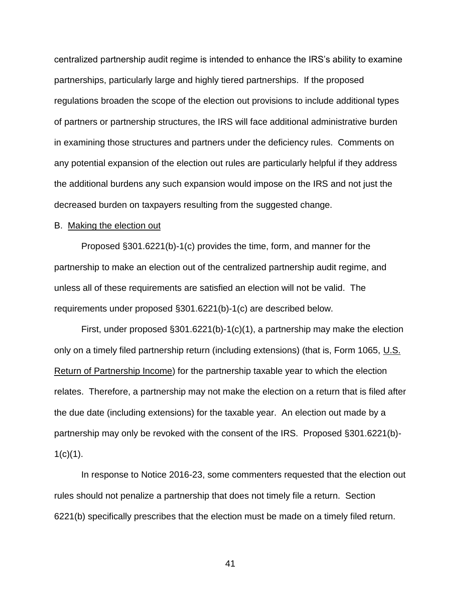centralized partnership audit regime is intended to enhance the IRS's ability to examine partnerships, particularly large and highly tiered partnerships. If the proposed regulations broaden the scope of the election out provisions to include additional types of partners or partnership structures, the IRS will face additional administrative burden in examining those structures and partners under the deficiency rules. Comments on any potential expansion of the election out rules are particularly helpful if they address the additional burdens any such expansion would impose on the IRS and not just the decreased burden on taxpayers resulting from the suggested change.

# B. Making the election out

Proposed §301.6221(b)-1(c) provides the time, form, and manner for the partnership to make an election out of the centralized partnership audit regime, and unless all of these requirements are satisfied an election will not be valid. The requirements under proposed §301.6221(b)-1(c) are described below.

First, under proposed §301.6221(b)-1(c)(1), a partnership may make the election only on a timely filed partnership return (including extensions) (that is, Form 1065, U.S. Return of Partnership Income) for the partnership taxable year to which the election relates. Therefore, a partnership may not make the election on a return that is filed after the due date (including extensions) for the taxable year. An election out made by a partnership may only be revoked with the consent of the IRS. Proposed §301.6221(b)-  $1(c)(1)$ .

In response to Notice 2016-23, some commenters requested that the election out rules should not penalize a partnership that does not timely file a return. Section 6221(b) specifically prescribes that the election must be made on a timely filed return.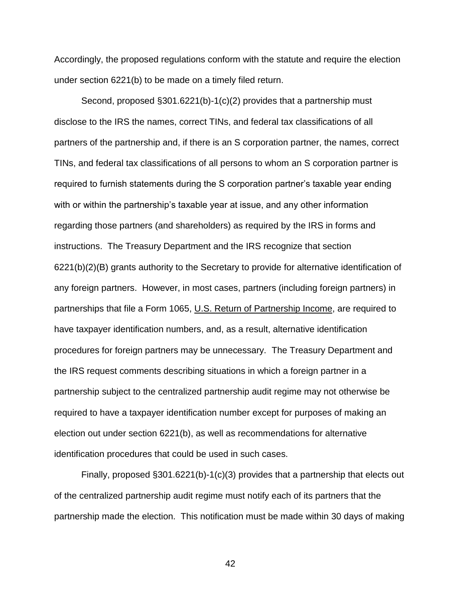Accordingly, the proposed regulations conform with the statute and require the election under section 6221(b) to be made on a timely filed return.

Second, proposed §301.6221(b)-1(c)(2) provides that a partnership must disclose to the IRS the names, correct TINs, and federal tax classifications of all partners of the partnership and, if there is an S corporation partner, the names, correct TINs, and federal tax classifications of all persons to whom an S corporation partner is required to furnish statements during the S corporation partner's taxable year ending with or within the partnership's taxable year at issue, and any other information regarding those partners (and shareholders) as required by the IRS in forms and instructions. The Treasury Department and the IRS recognize that section 6221(b)(2)(B) grants authority to the Secretary to provide for alternative identification of any foreign partners. However, in most cases, partners (including foreign partners) in partnerships that file a Form 1065, U.S. Return of Partnership Income, are required to have taxpayer identification numbers, and, as a result, alternative identification procedures for foreign partners may be unnecessary. The Treasury Department and the IRS request comments describing situations in which a foreign partner in a partnership subject to the centralized partnership audit regime may not otherwise be required to have a taxpayer identification number except for purposes of making an election out under section 6221(b), as well as recommendations for alternative identification procedures that could be used in such cases.

Finally, proposed §301.6221(b)-1(c)(3) provides that a partnership that elects out of the centralized partnership audit regime must notify each of its partners that the partnership made the election. This notification must be made within 30 days of making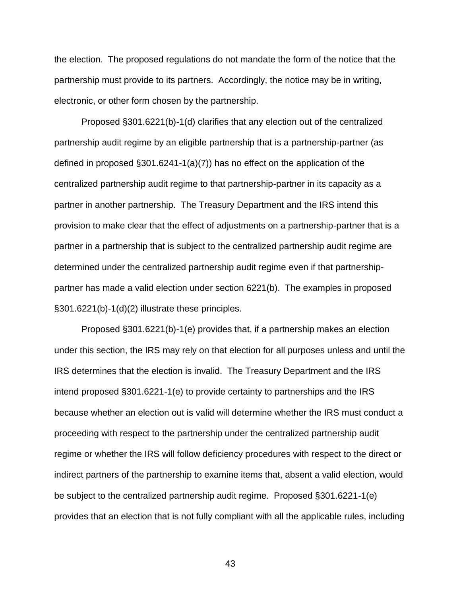the election. The proposed regulations do not mandate the form of the notice that the partnership must provide to its partners. Accordingly, the notice may be in writing, electronic, or other form chosen by the partnership.

Proposed §301.6221(b)-1(d) clarifies that any election out of the centralized partnership audit regime by an eligible partnership that is a partnership-partner (as defined in proposed  $\S301.6241-1(a)(7)$  has no effect on the application of the centralized partnership audit regime to that partnership-partner in its capacity as a partner in another partnership. The Treasury Department and the IRS intend this provision to make clear that the effect of adjustments on a partnership-partner that is a partner in a partnership that is subject to the centralized partnership audit regime are determined under the centralized partnership audit regime even if that partnershippartner has made a valid election under section 6221(b). The examples in proposed §301.6221(b)-1(d)(2) illustrate these principles.

Proposed §301.6221(b)-1(e) provides that, if a partnership makes an election under this section, the IRS may rely on that election for all purposes unless and until the IRS determines that the election is invalid. The Treasury Department and the IRS intend proposed §301.6221-1(e) to provide certainty to partnerships and the IRS because whether an election out is valid will determine whether the IRS must conduct a proceeding with respect to the partnership under the centralized partnership audit regime or whether the IRS will follow deficiency procedures with respect to the direct or indirect partners of the partnership to examine items that, absent a valid election, would be subject to the centralized partnership audit regime. Proposed §301.6221-1(e) provides that an election that is not fully compliant with all the applicable rules, including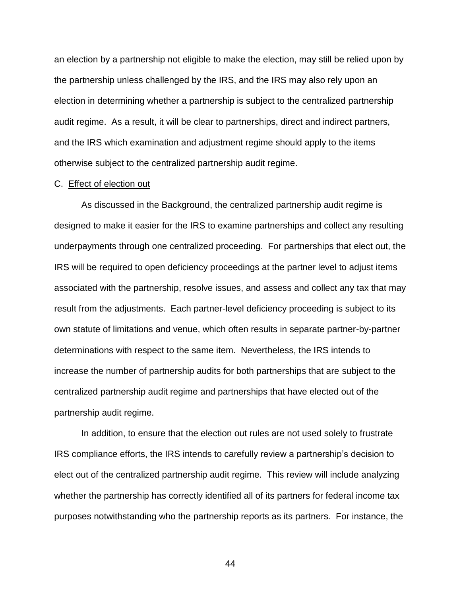an election by a partnership not eligible to make the election, may still be relied upon by the partnership unless challenged by the IRS, and the IRS may also rely upon an election in determining whether a partnership is subject to the centralized partnership audit regime. As a result, it will be clear to partnerships, direct and indirect partners, and the IRS which examination and adjustment regime should apply to the items otherwise subject to the centralized partnership audit regime.

### C. Effect of election out

As discussed in the Background, the centralized partnership audit regime is designed to make it easier for the IRS to examine partnerships and collect any resulting underpayments through one centralized proceeding. For partnerships that elect out, the IRS will be required to open deficiency proceedings at the partner level to adjust items associated with the partnership, resolve issues, and assess and collect any tax that may result from the adjustments. Each partner-level deficiency proceeding is subject to its own statute of limitations and venue, which often results in separate partner-by-partner determinations with respect to the same item. Nevertheless, the IRS intends to increase the number of partnership audits for both partnerships that are subject to the centralized partnership audit regime and partnerships that have elected out of the partnership audit regime.

In addition, to ensure that the election out rules are not used solely to frustrate IRS compliance efforts, the IRS intends to carefully review a partnership's decision to elect out of the centralized partnership audit regime. This review will include analyzing whether the partnership has correctly identified all of its partners for federal income tax purposes notwithstanding who the partnership reports as its partners. For instance, the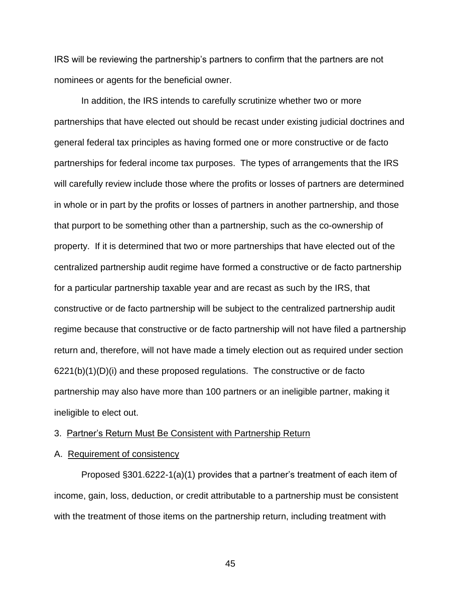IRS will be reviewing the partnership's partners to confirm that the partners are not nominees or agents for the beneficial owner.

In addition, the IRS intends to carefully scrutinize whether two or more partnerships that have elected out should be recast under existing judicial doctrines and general federal tax principles as having formed one or more constructive or de facto partnerships for federal income tax purposes. The types of arrangements that the IRS will carefully review include those where the profits or losses of partners are determined in whole or in part by the profits or losses of partners in another partnership, and those that purport to be something other than a partnership, such as the co-ownership of property. If it is determined that two or more partnerships that have elected out of the centralized partnership audit regime have formed a constructive or de facto partnership for a particular partnership taxable year and are recast as such by the IRS, that constructive or de facto partnership will be subject to the centralized partnership audit regime because that constructive or de facto partnership will not have filed a partnership return and, therefore, will not have made a timely election out as required under section  $6221(b)(1)(D)(i)$  and these proposed regulations. The constructive or de facto partnership may also have more than 100 partners or an ineligible partner, making it ineligible to elect out.

# 3. Partner's Return Must Be Consistent with Partnership Return

## A. Requirement of consistency

Proposed §301.6222-1(a)(1) provides that a partner's treatment of each item of income, gain, loss, deduction, or credit attributable to a partnership must be consistent with the treatment of those items on the partnership return, including treatment with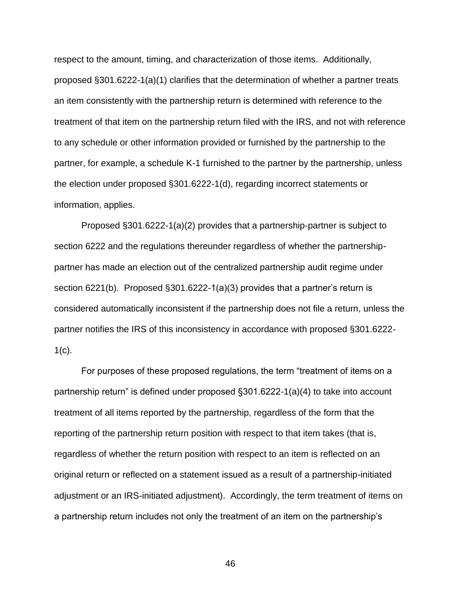respect to the amount, timing, and characterization of those items. Additionally, proposed §301.6222-1(a)(1) clarifies that the determination of whether a partner treats an item consistently with the partnership return is determined with reference to the treatment of that item on the partnership return filed with the IRS, and not with reference to any schedule or other information provided or furnished by the partnership to the partner, for example, a schedule K-1 furnished to the partner by the partnership, unless the election under proposed §301.6222-1(d), regarding incorrect statements or information, applies.

Proposed §301.6222-1(a)(2) provides that a partnership-partner is subject to section 6222 and the regulations thereunder regardless of whether the partnershippartner has made an election out of the centralized partnership audit regime under section 6221(b). Proposed §301.6222-1(a)(3) provides that a partner's return is considered automatically inconsistent if the partnership does not file a return, unless the partner notifies the IRS of this inconsistency in accordance with proposed §301.6222-  $1(c)$ .

For purposes of these proposed regulations, the term "treatment of items on a partnership return" is defined under proposed §301.6222-1(a)(4) to take into account treatment of all items reported by the partnership, regardless of the form that the reporting of the partnership return position with respect to that item takes (that is, regardless of whether the return position with respect to an item is reflected on an original return or reflected on a statement issued as a result of a partnership-initiated adjustment or an IRS-initiated adjustment). Accordingly, the term treatment of items on a partnership return includes not only the treatment of an item on the partnership's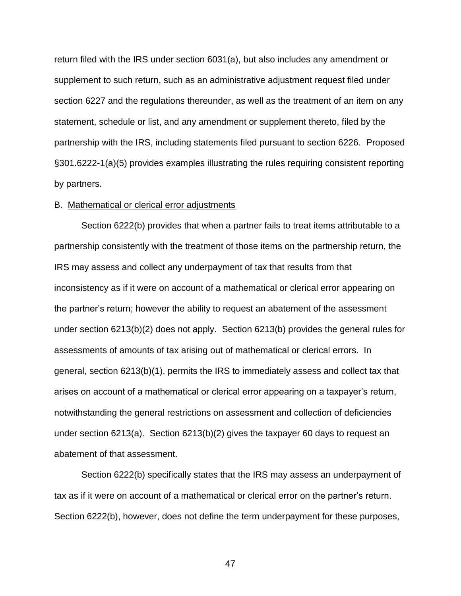return filed with the IRS under section 6031(a), but also includes any amendment or supplement to such return, such as an administrative adjustment request filed under section 6227 and the regulations thereunder, as well as the treatment of an item on any statement, schedule or list, and any amendment or supplement thereto, filed by the partnership with the IRS, including statements filed pursuant to section 6226. Proposed §301.6222-1(a)(5) provides examples illustrating the rules requiring consistent reporting by partners.

## B. Mathematical or clerical error adjustments

Section 6222(b) provides that when a partner fails to treat items attributable to a partnership consistently with the treatment of those items on the partnership return, the IRS may assess and collect any underpayment of tax that results from that inconsistency as if it were on account of a mathematical or clerical error appearing on the partner's return; however the ability to request an abatement of the assessment under section 6213(b)(2) does not apply. Section 6213(b) provides the general rules for assessments of amounts of tax arising out of mathematical or clerical errors. In general, section 6213(b)(1), permits the IRS to immediately assess and collect tax that arises on account of a mathematical or clerical error appearing on a taxpayer's return, notwithstanding the general restrictions on assessment and collection of deficiencies under section 6213(a). Section 6213(b)(2) gives the taxpayer 60 days to request an abatement of that assessment.

Section 6222(b) specifically states that the IRS may assess an underpayment of tax as if it were on account of a mathematical or clerical error on the partner's return. Section 6222(b), however, does not define the term underpayment for these purposes,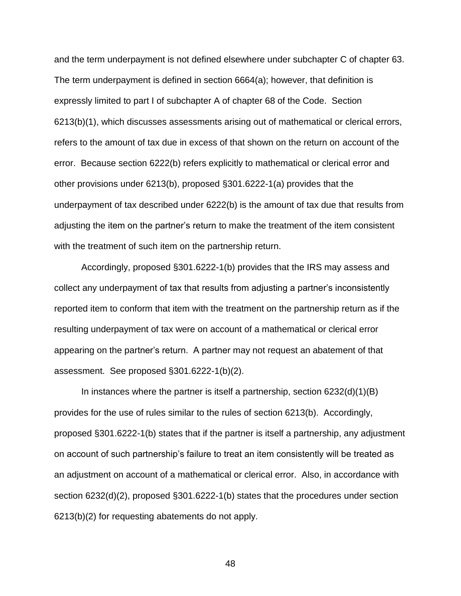and the term underpayment is not defined elsewhere under subchapter C of chapter 63. The term underpayment is defined in section 6664(a); however, that definition is expressly limited to part I of subchapter A of chapter 68 of the Code. Section 6213(b)(1), which discusses assessments arising out of mathematical or clerical errors, refers to the amount of tax due in excess of that shown on the return on account of the error. Because section 6222(b) refers explicitly to mathematical or clerical error and other provisions under 6213(b), proposed §301.6222-1(a) provides that the underpayment of tax described under 6222(b) is the amount of tax due that results from adjusting the item on the partner's return to make the treatment of the item consistent with the treatment of such item on the partnership return.

Accordingly, proposed §301.6222-1(b) provides that the IRS may assess and collect any underpayment of tax that results from adjusting a partner's inconsistently reported item to conform that item with the treatment on the partnership return as if the resulting underpayment of tax were on account of a mathematical or clerical error appearing on the partner's return. A partner may not request an abatement of that assessment. See proposed §301.6222-1(b)(2).

In instances where the partner is itself a partnership, section 6232(d)(1)(B) provides for the use of rules similar to the rules of section 6213(b). Accordingly, proposed §301.6222-1(b) states that if the partner is itself a partnership, any adjustment on account of such partnership's failure to treat an item consistently will be treated as an adjustment on account of a mathematical or clerical error. Also, in accordance with section 6232(d)(2), proposed §301.6222-1(b) states that the procedures under section 6213(b)(2) for requesting abatements do not apply.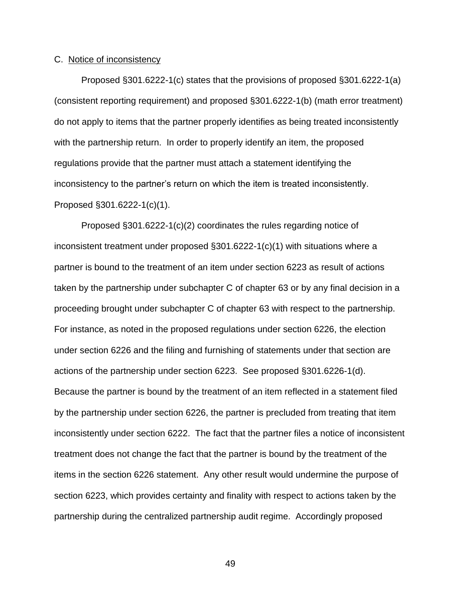## C. Notice of inconsistency

Proposed §301.6222-1(c) states that the provisions of proposed §301.6222-1(a) (consistent reporting requirement) and proposed §301.6222-1(b) (math error treatment) do not apply to items that the partner properly identifies as being treated inconsistently with the partnership return. In order to properly identify an item, the proposed regulations provide that the partner must attach a statement identifying the inconsistency to the partner's return on which the item is treated inconsistently. Proposed §301.6222-1(c)(1).

Proposed §301.6222-1(c)(2) coordinates the rules regarding notice of inconsistent treatment under proposed  $\S 301.6222-1(c)(1)$  with situations where a partner is bound to the treatment of an item under section 6223 as result of actions taken by the partnership under subchapter C of chapter 63 or by any final decision in a proceeding brought under subchapter C of chapter 63 with respect to the partnership. For instance, as noted in the proposed regulations under section 6226, the election under section 6226 and the filing and furnishing of statements under that section are actions of the partnership under section 6223. See proposed §301.6226-1(d). Because the partner is bound by the treatment of an item reflected in a statement filed by the partnership under section 6226, the partner is precluded from treating that item inconsistently under section 6222. The fact that the partner files a notice of inconsistent treatment does not change the fact that the partner is bound by the treatment of the items in the section 6226 statement. Any other result would undermine the purpose of section 6223, which provides certainty and finality with respect to actions taken by the partnership during the centralized partnership audit regime. Accordingly proposed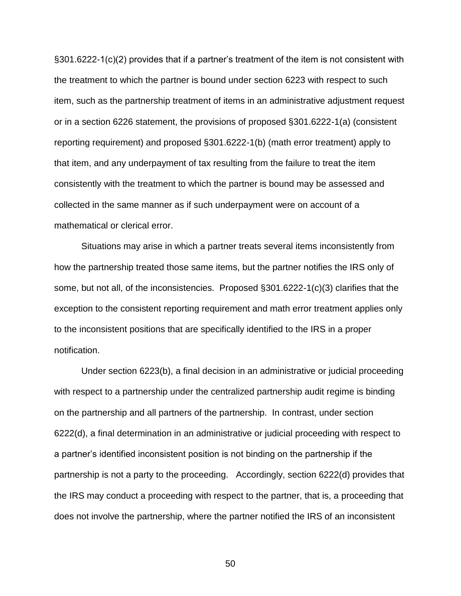§301.6222-1(c)(2) provides that if a partner's treatment of the item is not consistent with the treatment to which the partner is bound under section 6223 with respect to such item, such as the partnership treatment of items in an administrative adjustment request or in a section 6226 statement, the provisions of proposed §301.6222-1(a) (consistent reporting requirement) and proposed §301.6222-1(b) (math error treatment) apply to that item, and any underpayment of tax resulting from the failure to treat the item consistently with the treatment to which the partner is bound may be assessed and collected in the same manner as if such underpayment were on account of a mathematical or clerical error.

Situations may arise in which a partner treats several items inconsistently from how the partnership treated those same items, but the partner notifies the IRS only of some, but not all, of the inconsistencies. Proposed §301.6222-1(c)(3) clarifies that the exception to the consistent reporting requirement and math error treatment applies only to the inconsistent positions that are specifically identified to the IRS in a proper notification.

Under section 6223(b), a final decision in an administrative or judicial proceeding with respect to a partnership under the centralized partnership audit regime is binding on the partnership and all partners of the partnership. In contrast, under section 6222(d), a final determination in an administrative or judicial proceeding with respect to a partner's identified inconsistent position is not binding on the partnership if the partnership is not a party to the proceeding. Accordingly, section 6222(d) provides that the IRS may conduct a proceeding with respect to the partner, that is, a proceeding that does not involve the partnership, where the partner notified the IRS of an inconsistent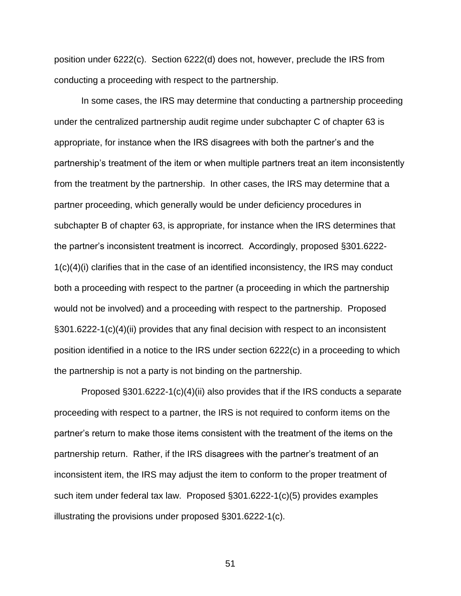position under 6222(c). Section 6222(d) does not, however, preclude the IRS from conducting a proceeding with respect to the partnership.

In some cases, the IRS may determine that conducting a partnership proceeding under the centralized partnership audit regime under subchapter C of chapter 63 is appropriate, for instance when the IRS disagrees with both the partner's and the partnership's treatment of the item or when multiple partners treat an item inconsistently from the treatment by the partnership. In other cases, the IRS may determine that a partner proceeding, which generally would be under deficiency procedures in subchapter B of chapter 63, is appropriate, for instance when the IRS determines that the partner's inconsistent treatment is incorrect. Accordingly, proposed §301.6222-  $1(c)(4)(i)$  clarifies that in the case of an identified inconsistency, the IRS may conduct both a proceeding with respect to the partner (a proceeding in which the partnership would not be involved) and a proceeding with respect to the partnership. Proposed §301.6222-1(c)(4)(ii) provides that any final decision with respect to an inconsistent position identified in a notice to the IRS under section 6222(c) in a proceeding to which the partnership is not a party is not binding on the partnership.

Proposed §301.6222-1(c)(4)(ii) also provides that if the IRS conducts a separate proceeding with respect to a partner, the IRS is not required to conform items on the partner's return to make those items consistent with the treatment of the items on the partnership return. Rather, if the IRS disagrees with the partner's treatment of an inconsistent item, the IRS may adjust the item to conform to the proper treatment of such item under federal tax law. Proposed §301.6222-1(c)(5) provides examples illustrating the provisions under proposed §301.6222-1(c).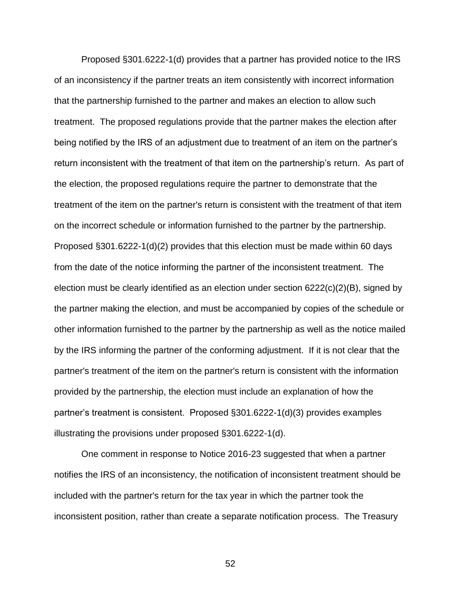Proposed §301.6222-1(d) provides that a partner has provided notice to the IRS of an inconsistency if the partner treats an item consistently with incorrect information that the partnership furnished to the partner and makes an election to allow such treatment. The proposed regulations provide that the partner makes the election after being notified by the IRS of an adjustment due to treatment of an item on the partner's return inconsistent with the treatment of that item on the partnership's return. As part of the election, the proposed regulations require the partner to demonstrate that the treatment of the item on the partner's return is consistent with the treatment of that item on the incorrect schedule or information furnished to the partner by the partnership. Proposed §301.6222-1(d)(2) provides that this election must be made within 60 days from the date of the notice informing the partner of the inconsistent treatment. The election must be clearly identified as an election under section  $6222(c)(2)(B)$ , signed by the partner making the election, and must be accompanied by copies of the schedule or other information furnished to the partner by the partnership as well as the notice mailed by the IRS informing the partner of the conforming adjustment. If it is not clear that the partner's treatment of the item on the partner's return is consistent with the information provided by the partnership, the election must include an explanation of how the partner's treatment is consistent. Proposed §301.6222-1(d)(3) provides examples illustrating the provisions under proposed §301.6222-1(d).

One comment in response to Notice 2016-23 suggested that when a partner notifies the IRS of an inconsistency, the notification of inconsistent treatment should be included with the partner's return for the tax year in which the partner took the inconsistent position, rather than create a separate notification process. The Treasury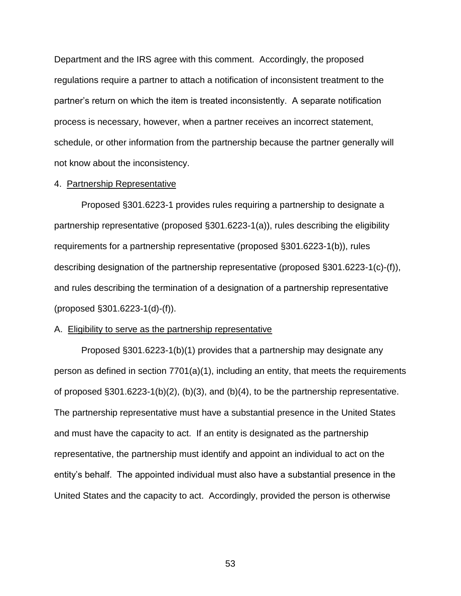Department and the IRS agree with this comment. Accordingly, the proposed regulations require a partner to attach a notification of inconsistent treatment to the partner's return on which the item is treated inconsistently. A separate notification process is necessary, however, when a partner receives an incorrect statement, schedule, or other information from the partnership because the partner generally will not know about the inconsistency.

## 4. Partnership Representative

Proposed §301.6223-1 provides rules requiring a partnership to designate a partnership representative (proposed §301.6223-1(a)), rules describing the eligibility requirements for a partnership representative (proposed §301.6223-1(b)), rules describing designation of the partnership representative (proposed §301.6223-1(c)-(f)), and rules describing the termination of a designation of a partnership representative (proposed §301.6223-1(d)-(f)).

#### A. Eligibility to serve as the partnership representative

Proposed §301.6223-1(b)(1) provides that a partnership may designate any person as defined in section  $7701(a)(1)$ , including an entity, that meets the requirements of proposed §301.6223-1(b)(2), (b)(3), and (b)(4), to be the partnership representative. The partnership representative must have a substantial presence in the United States and must have the capacity to act. If an entity is designated as the partnership representative, the partnership must identify and appoint an individual to act on the entity's behalf. The appointed individual must also have a substantial presence in the United States and the capacity to act. Accordingly, provided the person is otherwise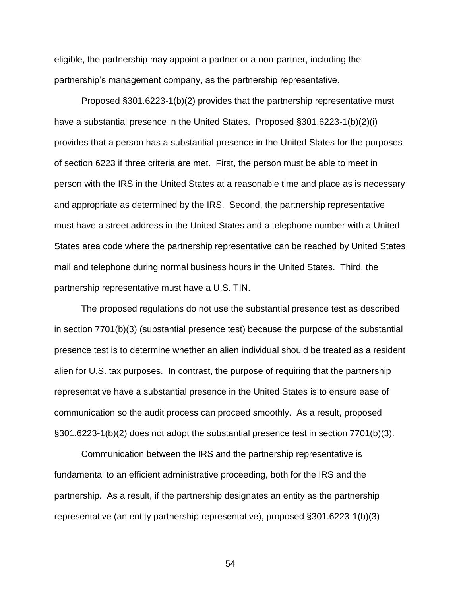eligible, the partnership may appoint a partner or a non-partner, including the partnership's management company, as the partnership representative.

Proposed §301.6223-1(b)(2) provides that the partnership representative must have a substantial presence in the United States. Proposed §301.6223-1(b)(2)(i) provides that a person has a substantial presence in the United States for the purposes of section 6223 if three criteria are met. First, the person must be able to meet in person with the IRS in the United States at a reasonable time and place as is necessary and appropriate as determined by the IRS. Second, the partnership representative must have a street address in the United States and a telephone number with a United States area code where the partnership representative can be reached by United States mail and telephone during normal business hours in the United States. Third, the partnership representative must have a U.S. TIN.

The proposed regulations do not use the substantial presence test as described in section 7701(b)(3) (substantial presence test) because the purpose of the substantial presence test is to determine whether an alien individual should be treated as a resident alien for U.S. tax purposes. In contrast, the purpose of requiring that the partnership representative have a substantial presence in the United States is to ensure ease of communication so the audit process can proceed smoothly. As a result, proposed §301.6223-1(b)(2) does not adopt the substantial presence test in section 7701(b)(3).

Communication between the IRS and the partnership representative is fundamental to an efficient administrative proceeding, both for the IRS and the partnership. As a result, if the partnership designates an entity as the partnership representative (an entity partnership representative), proposed §301.6223-1(b)(3)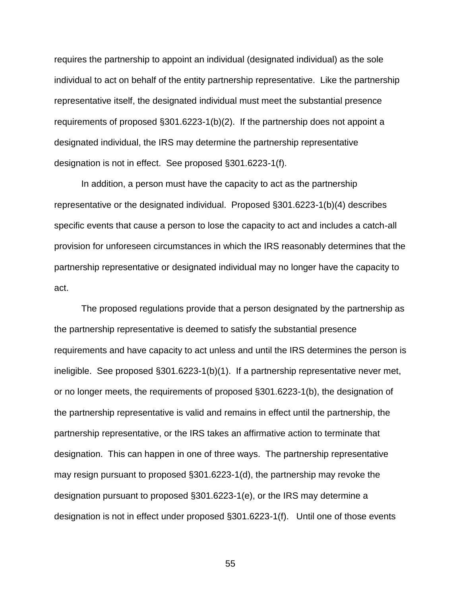requires the partnership to appoint an individual (designated individual) as the sole individual to act on behalf of the entity partnership representative. Like the partnership representative itself, the designated individual must meet the substantial presence requirements of proposed §301.6223-1(b)(2). If the partnership does not appoint a designated individual, the IRS may determine the partnership representative designation is not in effect. See proposed §301.6223-1(f).

In addition, a person must have the capacity to act as the partnership representative or the designated individual. Proposed §301.6223-1(b)(4) describes specific events that cause a person to lose the capacity to act and includes a catch-all provision for unforeseen circumstances in which the IRS reasonably determines that the partnership representative or designated individual may no longer have the capacity to act.

The proposed regulations provide that a person designated by the partnership as the partnership representative is deemed to satisfy the substantial presence requirements and have capacity to act unless and until the IRS determines the person is ineligible. See proposed §301.6223-1(b)(1). If a partnership representative never met, or no longer meets, the requirements of proposed §301.6223-1(b), the designation of the partnership representative is valid and remains in effect until the partnership, the partnership representative, or the IRS takes an affirmative action to terminate that designation. This can happen in one of three ways. The partnership representative may resign pursuant to proposed §301.6223-1(d), the partnership may revoke the designation pursuant to proposed §301.6223-1(e), or the IRS may determine a designation is not in effect under proposed §301.6223-1(f). Until one of those events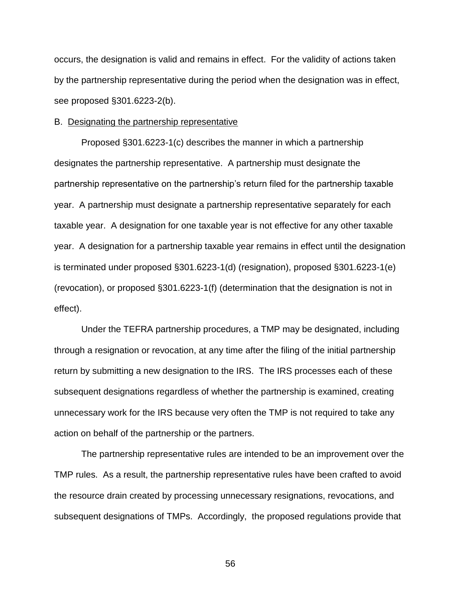occurs, the designation is valid and remains in effect. For the validity of actions taken by the partnership representative during the period when the designation was in effect, see proposed §301.6223-2(b).

### B. Designating the partnership representative

Proposed §301.6223-1(c) describes the manner in which a partnership designates the partnership representative. A partnership must designate the partnership representative on the partnership's return filed for the partnership taxable year. A partnership must designate a partnership representative separately for each taxable year. A designation for one taxable year is not effective for any other taxable year. A designation for a partnership taxable year remains in effect until the designation is terminated under proposed §301.6223-1(d) (resignation), proposed §301.6223-1(e) (revocation), or proposed §301.6223-1(f) (determination that the designation is not in effect).

Under the TEFRA partnership procedures, a TMP may be designated, including through a resignation or revocation, at any time after the filing of the initial partnership return by submitting a new designation to the IRS. The IRS processes each of these subsequent designations regardless of whether the partnership is examined, creating unnecessary work for the IRS because very often the TMP is not required to take any action on behalf of the partnership or the partners.

The partnership representative rules are intended to be an improvement over the TMP rules. As a result, the partnership representative rules have been crafted to avoid the resource drain created by processing unnecessary resignations, revocations, and subsequent designations of TMPs. Accordingly, the proposed regulations provide that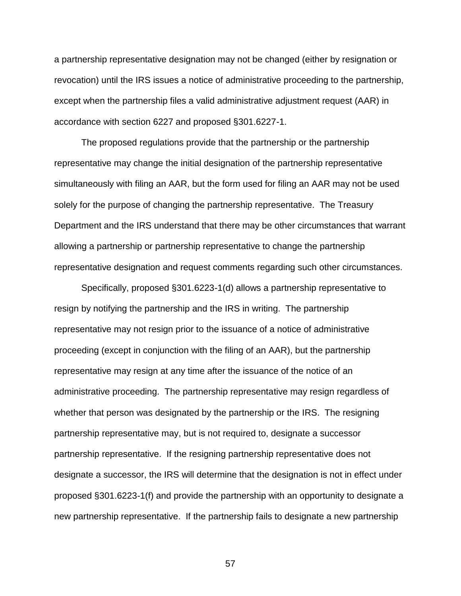a partnership representative designation may not be changed (either by resignation or revocation) until the IRS issues a notice of administrative proceeding to the partnership, except when the partnership files a valid administrative adjustment request (AAR) in accordance with section 6227 and proposed §301.6227-1.

The proposed regulations provide that the partnership or the partnership representative may change the initial designation of the partnership representative simultaneously with filing an AAR, but the form used for filing an AAR may not be used solely for the purpose of changing the partnership representative. The Treasury Department and the IRS understand that there may be other circumstances that warrant allowing a partnership or partnership representative to change the partnership representative designation and request comments regarding such other circumstances.

Specifically, proposed §301.6223-1(d) allows a partnership representative to resign by notifying the partnership and the IRS in writing. The partnership representative may not resign prior to the issuance of a notice of administrative proceeding (except in conjunction with the filing of an AAR), but the partnership representative may resign at any time after the issuance of the notice of an administrative proceeding. The partnership representative may resign regardless of whether that person was designated by the partnership or the IRS. The resigning partnership representative may, but is not required to, designate a successor partnership representative. If the resigning partnership representative does not designate a successor, the IRS will determine that the designation is not in effect under proposed §301.6223-1(f) and provide the partnership with an opportunity to designate a new partnership representative. If the partnership fails to designate a new partnership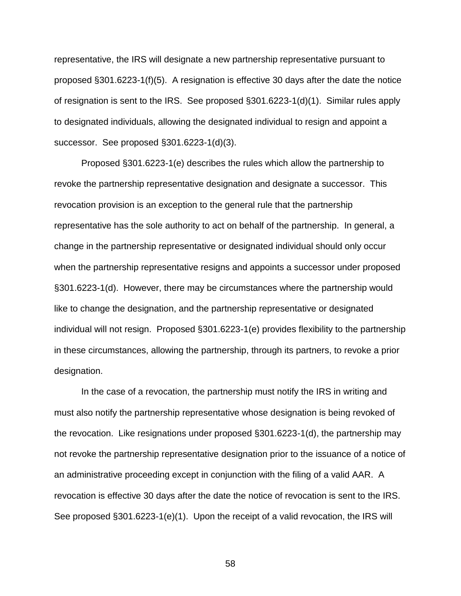representative, the IRS will designate a new partnership representative pursuant to proposed §301.6223-1(f)(5). A resignation is effective 30 days after the date the notice of resignation is sent to the IRS. See proposed §301.6223-1(d)(1). Similar rules apply to designated individuals, allowing the designated individual to resign and appoint a successor. See proposed §301.6223-1(d)(3).

Proposed §301.6223-1(e) describes the rules which allow the partnership to revoke the partnership representative designation and designate a successor. This revocation provision is an exception to the general rule that the partnership representative has the sole authority to act on behalf of the partnership. In general, a change in the partnership representative or designated individual should only occur when the partnership representative resigns and appoints a successor under proposed §301.6223-1(d). However, there may be circumstances where the partnership would like to change the designation, and the partnership representative or designated individual will not resign. Proposed §301.6223-1(e) provides flexibility to the partnership in these circumstances, allowing the partnership, through its partners, to revoke a prior designation.

In the case of a revocation, the partnership must notify the IRS in writing and must also notify the partnership representative whose designation is being revoked of the revocation. Like resignations under proposed §301.6223-1(d), the partnership may not revoke the partnership representative designation prior to the issuance of a notice of an administrative proceeding except in conjunction with the filing of a valid AAR. A revocation is effective 30 days after the date the notice of revocation is sent to the IRS. See proposed §301.6223-1(e)(1). Upon the receipt of a valid revocation, the IRS will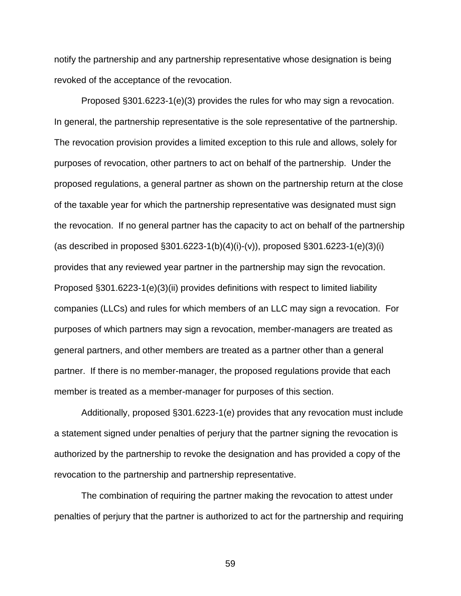notify the partnership and any partnership representative whose designation is being revoked of the acceptance of the revocation.

Proposed §301.6223-1(e)(3) provides the rules for who may sign a revocation. In general, the partnership representative is the sole representative of the partnership. The revocation provision provides a limited exception to this rule and allows, solely for purposes of revocation, other partners to act on behalf of the partnership. Under the proposed regulations, a general partner as shown on the partnership return at the close of the taxable year for which the partnership representative was designated must sign the revocation. If no general partner has the capacity to act on behalf of the partnership (as described in proposed §301.6223-1(b)(4)(i)-(v)), proposed §301.6223-1(e)(3)(i) provides that any reviewed year partner in the partnership may sign the revocation. Proposed §301.6223-1(e)(3)(ii) provides definitions with respect to limited liability companies (LLCs) and rules for which members of an LLC may sign a revocation. For purposes of which partners may sign a revocation, member-managers are treated as general partners, and other members are treated as a partner other than a general partner. If there is no member-manager, the proposed regulations provide that each member is treated as a member-manager for purposes of this section.

Additionally, proposed §301.6223-1(e) provides that any revocation must include a statement signed under penalties of perjury that the partner signing the revocation is authorized by the partnership to revoke the designation and has provided a copy of the revocation to the partnership and partnership representative.

The combination of requiring the partner making the revocation to attest under penalties of perjury that the partner is authorized to act for the partnership and requiring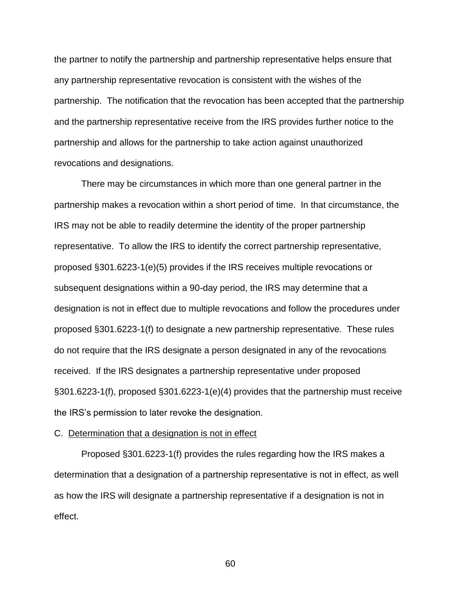the partner to notify the partnership and partnership representative helps ensure that any partnership representative revocation is consistent with the wishes of the partnership. The notification that the revocation has been accepted that the partnership and the partnership representative receive from the IRS provides further notice to the partnership and allows for the partnership to take action against unauthorized revocations and designations.

There may be circumstances in which more than one general partner in the partnership makes a revocation within a short period of time. In that circumstance, the IRS may not be able to readily determine the identity of the proper partnership representative. To allow the IRS to identify the correct partnership representative, proposed §301.6223-1(e)(5) provides if the IRS receives multiple revocations or subsequent designations within a 90-day period, the IRS may determine that a designation is not in effect due to multiple revocations and follow the procedures under proposed §301.6223-1(f) to designate a new partnership representative. These rules do not require that the IRS designate a person designated in any of the revocations received. If the IRS designates a partnership representative under proposed §301.6223-1(f), proposed §301.6223-1(e)(4) provides that the partnership must receive the IRS's permission to later revoke the designation.

## C. Determination that a designation is not in effect

Proposed §301.6223-1(f) provides the rules regarding how the IRS makes a determination that a designation of a partnership representative is not in effect, as well as how the IRS will designate a partnership representative if a designation is not in effect.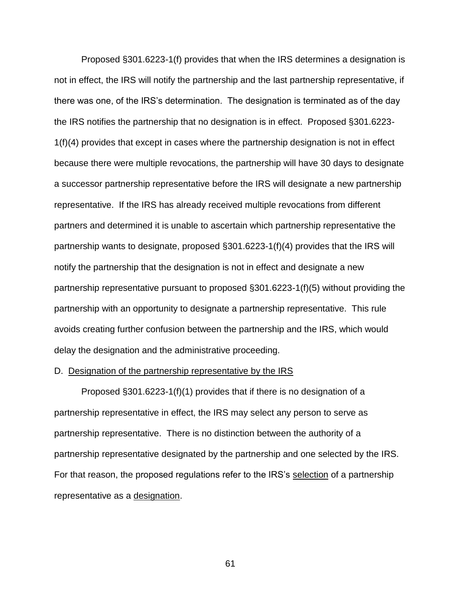Proposed §301.6223-1(f) provides that when the IRS determines a designation is not in effect, the IRS will notify the partnership and the last partnership representative, if there was one, of the IRS's determination. The designation is terminated as of the day the IRS notifies the partnership that no designation is in effect. Proposed §301.6223- 1(f)(4) provides that except in cases where the partnership designation is not in effect because there were multiple revocations, the partnership will have 30 days to designate a successor partnership representative before the IRS will designate a new partnership representative. If the IRS has already received multiple revocations from different partners and determined it is unable to ascertain which partnership representative the partnership wants to designate, proposed §301.6223-1(f)(4) provides that the IRS will notify the partnership that the designation is not in effect and designate a new partnership representative pursuant to proposed §301.6223-1(f)(5) without providing the partnership with an opportunity to designate a partnership representative. This rule avoids creating further confusion between the partnership and the IRS, which would delay the designation and the administrative proceeding.

### D. Designation of the partnership representative by the IRS

Proposed §301.6223-1(f)(1) provides that if there is no designation of a partnership representative in effect, the IRS may select any person to serve as partnership representative. There is no distinction between the authority of a partnership representative designated by the partnership and one selected by the IRS. For that reason, the proposed regulations refer to the IRS's selection of a partnership representative as a designation.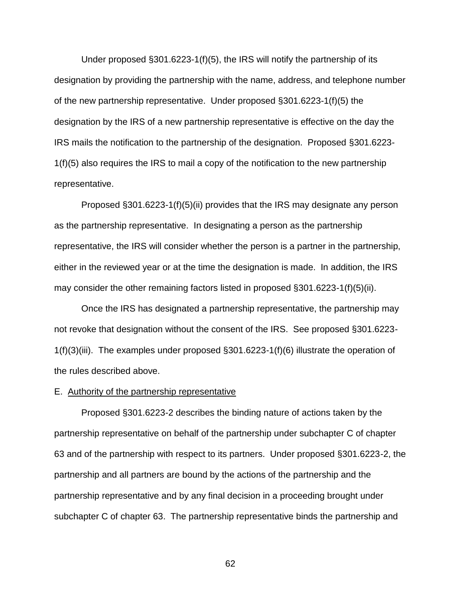Under proposed §301.6223-1(f)(5), the IRS will notify the partnership of its designation by providing the partnership with the name, address, and telephone number of the new partnership representative. Under proposed §301.6223-1(f)(5) the designation by the IRS of a new partnership representative is effective on the day the IRS mails the notification to the partnership of the designation. Proposed §301.6223- 1(f)(5) also requires the IRS to mail a copy of the notification to the new partnership representative.

Proposed §301.6223-1(f)(5)(ii) provides that the IRS may designate any person as the partnership representative. In designating a person as the partnership representative, the IRS will consider whether the person is a partner in the partnership, either in the reviewed year or at the time the designation is made. In addition, the IRS may consider the other remaining factors listed in proposed §301.6223-1(f)(5)(ii).

Once the IRS has designated a partnership representative, the partnership may not revoke that designation without the consent of the IRS. See proposed §301.6223- 1(f)(3)(iii). The examples under proposed §301.6223-1(f)(6) illustrate the operation of the rules described above.

# E. Authority of the partnership representative

Proposed §301.6223-2 describes the binding nature of actions taken by the partnership representative on behalf of the partnership under subchapter C of chapter 63 and of the partnership with respect to its partners. Under proposed §301.6223-2, the partnership and all partners are bound by the actions of the partnership and the partnership representative and by any final decision in a proceeding brought under subchapter C of chapter 63. The partnership representative binds the partnership and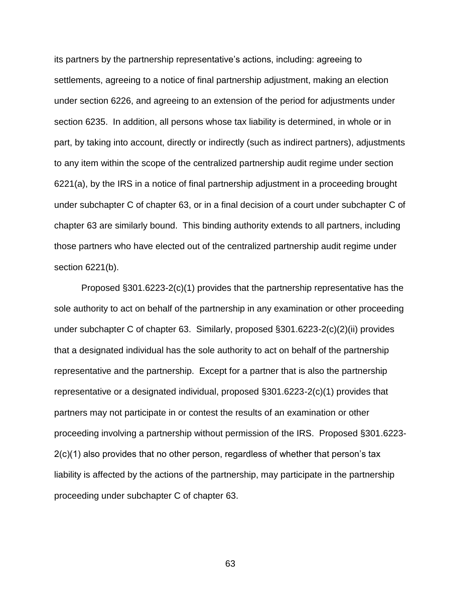its partners by the partnership representative's actions, including: agreeing to settlements, agreeing to a notice of final partnership adjustment, making an election under section 6226, and agreeing to an extension of the period for adjustments under section 6235. In addition, all persons whose tax liability is determined, in whole or in part, by taking into account, directly or indirectly (such as indirect partners), adjustments to any item within the scope of the centralized partnership audit regime under section 6221(a), by the IRS in a notice of final partnership adjustment in a proceeding brought under subchapter C of chapter 63, or in a final decision of a court under subchapter C of chapter 63 are similarly bound. This binding authority extends to all partners, including those partners who have elected out of the centralized partnership audit regime under section 6221(b).

Proposed §301.6223-2(c)(1) provides that the partnership representative has the sole authority to act on behalf of the partnership in any examination or other proceeding under subchapter C of chapter 63. Similarly, proposed §301.6223-2(c)(2)(ii) provides that a designated individual has the sole authority to act on behalf of the partnership representative and the partnership. Except for a partner that is also the partnership representative or a designated individual, proposed §301.6223-2(c)(1) provides that partners may not participate in or contest the results of an examination or other proceeding involving a partnership without permission of the IRS. Proposed §301.6223- 2(c)(1) also provides that no other person, regardless of whether that person's tax liability is affected by the actions of the partnership, may participate in the partnership proceeding under subchapter C of chapter 63.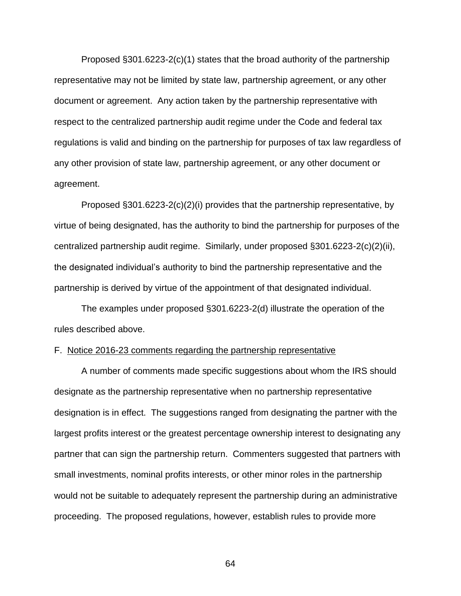Proposed §301.6223-2(c)(1) states that the broad authority of the partnership representative may not be limited by state law, partnership agreement, or any other document or agreement. Any action taken by the partnership representative with respect to the centralized partnership audit regime under the Code and federal tax regulations is valid and binding on the partnership for purposes of tax law regardless of any other provision of state law, partnership agreement, or any other document or agreement.

Proposed §301.6223-2(c)(2)(i) provides that the partnership representative, by virtue of being designated, has the authority to bind the partnership for purposes of the centralized partnership audit regime. Similarly, under proposed §301.6223-2(c)(2)(ii), the designated individual's authority to bind the partnership representative and the partnership is derived by virtue of the appointment of that designated individual.

The examples under proposed §301.6223-2(d) illustrate the operation of the rules described above.

### F. Notice 2016-23 comments regarding the partnership representative

A number of comments made specific suggestions about whom the IRS should designate as the partnership representative when no partnership representative designation is in effect. The suggestions ranged from designating the partner with the largest profits interest or the greatest percentage ownership interest to designating any partner that can sign the partnership return. Commenters suggested that partners with small investments, nominal profits interests, or other minor roles in the partnership would not be suitable to adequately represent the partnership during an administrative proceeding. The proposed regulations, however, establish rules to provide more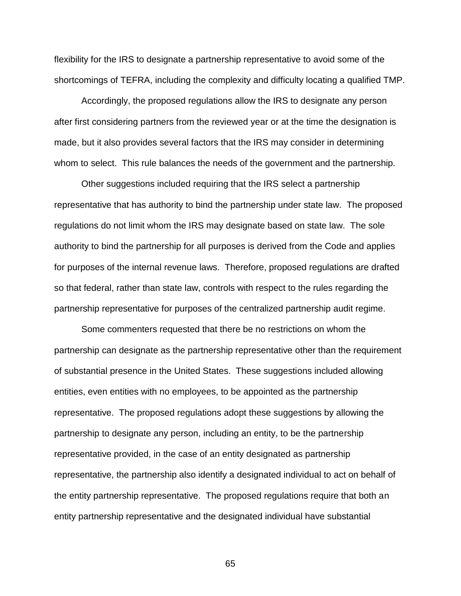flexibility for the IRS to designate a partnership representative to avoid some of the shortcomings of TEFRA, including the complexity and difficulty locating a qualified TMP.

Accordingly, the proposed regulations allow the IRS to designate any person after first considering partners from the reviewed year or at the time the designation is made, but it also provides several factors that the IRS may consider in determining whom to select. This rule balances the needs of the government and the partnership.

Other suggestions included requiring that the IRS select a partnership representative that has authority to bind the partnership under state law. The proposed regulations do not limit whom the IRS may designate based on state law. The sole authority to bind the partnership for all purposes is derived from the Code and applies for purposes of the internal revenue laws. Therefore, proposed regulations are drafted so that federal, rather than state law, controls with respect to the rules regarding the partnership representative for purposes of the centralized partnership audit regime.

Some commenters requested that there be no restrictions on whom the partnership can designate as the partnership representative other than the requirement of substantial presence in the United States. These suggestions included allowing entities, even entities with no employees, to be appointed as the partnership representative. The proposed regulations adopt these suggestions by allowing the partnership to designate any person, including an entity, to be the partnership representative provided, in the case of an entity designated as partnership representative, the partnership also identify a designated individual to act on behalf of the entity partnership representative. The proposed regulations require that both an entity partnership representative and the designated individual have substantial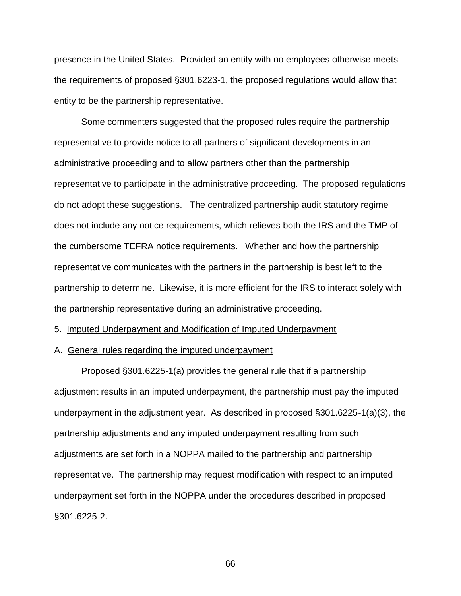presence in the United States. Provided an entity with no employees otherwise meets the requirements of proposed §301.6223-1, the proposed regulations would allow that entity to be the partnership representative.

Some commenters suggested that the proposed rules require the partnership representative to provide notice to all partners of significant developments in an administrative proceeding and to allow partners other than the partnership representative to participate in the administrative proceeding. The proposed regulations do not adopt these suggestions. The centralized partnership audit statutory regime does not include any notice requirements, which relieves both the IRS and the TMP of the cumbersome TEFRA notice requirements. Whether and how the partnership representative communicates with the partners in the partnership is best left to the partnership to determine. Likewise, it is more efficient for the IRS to interact solely with the partnership representative during an administrative proceeding.

### 5. Imputed Underpayment and Modification of Imputed Underpayment

## A. General rules regarding the imputed underpayment

Proposed §301.6225-1(a) provides the general rule that if a partnership adjustment results in an imputed underpayment, the partnership must pay the imputed underpayment in the adjustment year. As described in proposed §301.6225-1(a)(3), the partnership adjustments and any imputed underpayment resulting from such adjustments are set forth in a NOPPA mailed to the partnership and partnership representative. The partnership may request modification with respect to an imputed underpayment set forth in the NOPPA under the procedures described in proposed §301.6225-2.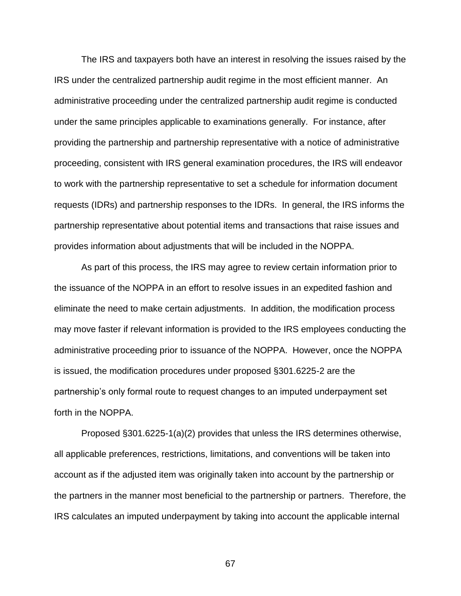The IRS and taxpayers both have an interest in resolving the issues raised by the IRS under the centralized partnership audit regime in the most efficient manner. An administrative proceeding under the centralized partnership audit regime is conducted under the same principles applicable to examinations generally. For instance, after providing the partnership and partnership representative with a notice of administrative proceeding, consistent with IRS general examination procedures, the IRS will endeavor to work with the partnership representative to set a schedule for information document requests (IDRs) and partnership responses to the IDRs. In general, the IRS informs the partnership representative about potential items and transactions that raise issues and provides information about adjustments that will be included in the NOPPA.

As part of this process, the IRS may agree to review certain information prior to the issuance of the NOPPA in an effort to resolve issues in an expedited fashion and eliminate the need to make certain adjustments. In addition, the modification process may move faster if relevant information is provided to the IRS employees conducting the administrative proceeding prior to issuance of the NOPPA. However, once the NOPPA is issued, the modification procedures under proposed §301.6225-2 are the partnership's only formal route to request changes to an imputed underpayment set forth in the NOPPA.

Proposed §301.6225-1(a)(2) provides that unless the IRS determines otherwise, all applicable preferences, restrictions, limitations, and conventions will be taken into account as if the adjusted item was originally taken into account by the partnership or the partners in the manner most beneficial to the partnership or partners. Therefore, the IRS calculates an imputed underpayment by taking into account the applicable internal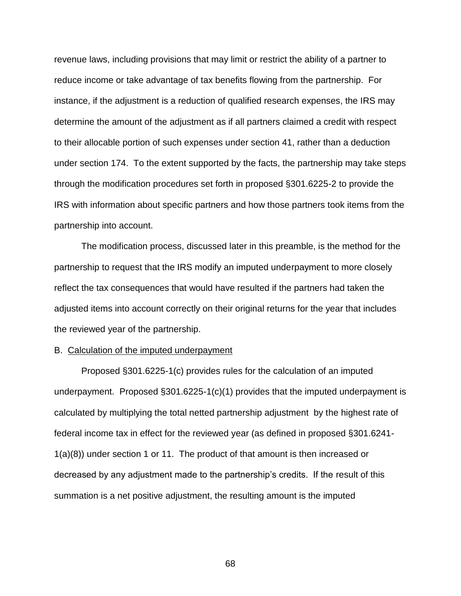revenue laws, including provisions that may limit or restrict the ability of a partner to reduce income or take advantage of tax benefits flowing from the partnership. For instance, if the adjustment is a reduction of qualified research expenses, the IRS may determine the amount of the adjustment as if all partners claimed a credit with respect to their allocable portion of such expenses under section 41, rather than a deduction under section 174. To the extent supported by the facts, the partnership may take steps through the modification procedures set forth in proposed §301.6225-2 to provide the IRS with information about specific partners and how those partners took items from the partnership into account.

The modification process, discussed later in this preamble, is the method for the partnership to request that the IRS modify an imputed underpayment to more closely reflect the tax consequences that would have resulted if the partners had taken the adjusted items into account correctly on their original returns for the year that includes the reviewed year of the partnership.

## B. Calculation of the imputed underpayment

Proposed §301.6225-1(c) provides rules for the calculation of an imputed underpayment. Proposed  $\S 301.6225 - 1(c)(1)$  provides that the imputed underpayment is calculated by multiplying the total netted partnership adjustment by the highest rate of federal income tax in effect for the reviewed year (as defined in proposed §301.6241- 1(a)(8)) under section 1 or 11. The product of that amount is then increased or decreased by any adjustment made to the partnership's credits. If the result of this summation is a net positive adjustment, the resulting amount is the imputed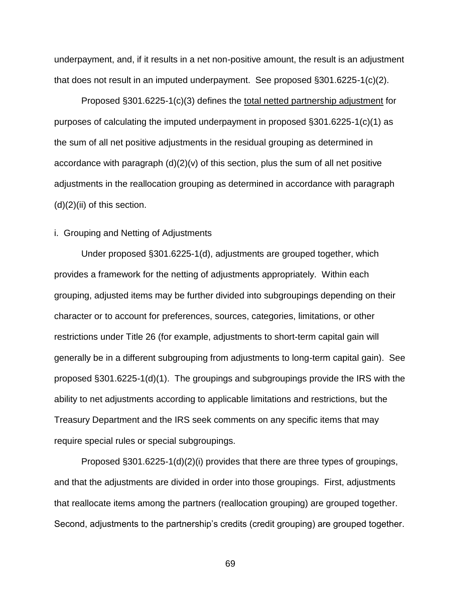underpayment, and, if it results in a net non-positive amount, the result is an adjustment that does not result in an imputed underpayment. See proposed §301.6225-1(c)(2).

Proposed §301.6225-1(c)(3) defines the total netted partnership adjustment for purposes of calculating the imputed underpayment in proposed §301.6225-1(c)(1) as the sum of all net positive adjustments in the residual grouping as determined in accordance with paragraph  $(d)(2)(v)$  of this section, plus the sum of all net positive adjustments in the reallocation grouping as determined in accordance with paragraph  $(d)(2)(ii)$  of this section.

# i. Grouping and Netting of Adjustments

Under proposed §301.6225-1(d), adjustments are grouped together, which provides a framework for the netting of adjustments appropriately. Within each grouping, adjusted items may be further divided into subgroupings depending on their character or to account for preferences, sources, categories, limitations, or other restrictions under Title 26 (for example, adjustments to short-term capital gain will generally be in a different subgrouping from adjustments to long-term capital gain). See proposed §301.6225-1(d)(1). The groupings and subgroupings provide the IRS with the ability to net adjustments according to applicable limitations and restrictions, but the Treasury Department and the IRS seek comments on any specific items that may require special rules or special subgroupings.

Proposed §301.6225-1(d)(2)(i) provides that there are three types of groupings, and that the adjustments are divided in order into those groupings. First, adjustments that reallocate items among the partners (reallocation grouping) are grouped together. Second, adjustments to the partnership's credits (credit grouping) are grouped together.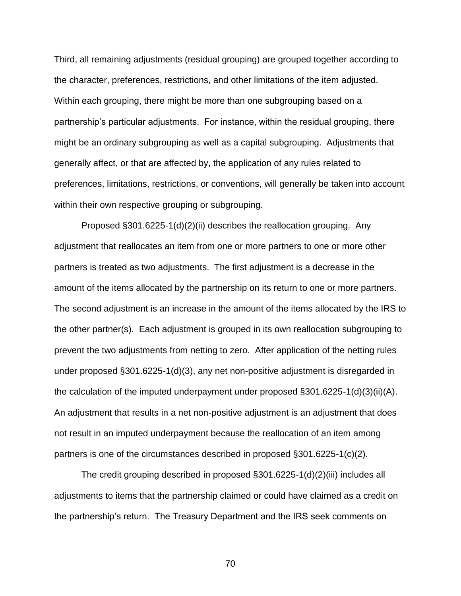Third, all remaining adjustments (residual grouping) are grouped together according to the character, preferences, restrictions, and other limitations of the item adjusted. Within each grouping, there might be more than one subgrouping based on a partnership's particular adjustments. For instance, within the residual grouping, there might be an ordinary subgrouping as well as a capital subgrouping. Adjustments that generally affect, or that are affected by, the application of any rules related to preferences, limitations, restrictions, or conventions, will generally be taken into account within their own respective grouping or subgrouping.

Proposed §301.6225-1(d)(2)(ii) describes the reallocation grouping. Any adjustment that reallocates an item from one or more partners to one or more other partners is treated as two adjustments. The first adjustment is a decrease in the amount of the items allocated by the partnership on its return to one or more partners. The second adjustment is an increase in the amount of the items allocated by the IRS to the other partner(s). Each adjustment is grouped in its own reallocation subgrouping to prevent the two adjustments from netting to zero. After application of the netting rules under proposed §301.6225-1(d)(3), any net non-positive adjustment is disregarded in the calculation of the imputed underpayment under proposed §301.6225-1(d)(3)(ii)(A). An adjustment that results in a net non-positive adjustment is an adjustment that does not result in an imputed underpayment because the reallocation of an item among partners is one of the circumstances described in proposed §301.6225-1(c)(2).

The credit grouping described in proposed §301.6225-1(d)(2)(iii) includes all adjustments to items that the partnership claimed or could have claimed as a credit on the partnership's return. The Treasury Department and the IRS seek comments on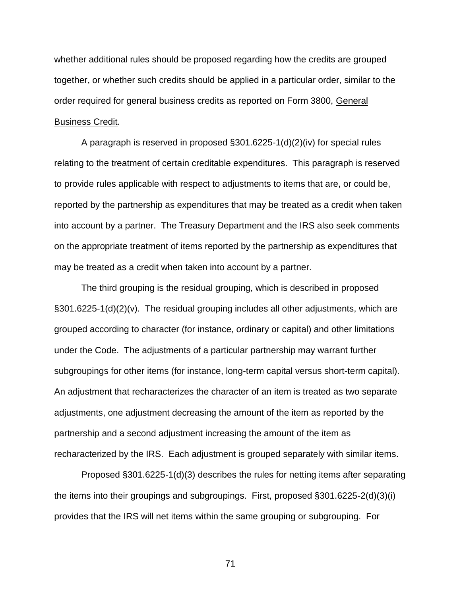whether additional rules should be proposed regarding how the credits are grouped together, or whether such credits should be applied in a particular order, similar to the order required for general business credits as reported on Form 3800, General Business Credit.

A paragraph is reserved in proposed §301.6225-1(d)(2)(iv) for special rules relating to the treatment of certain creditable expenditures. This paragraph is reserved to provide rules applicable with respect to adjustments to items that are, or could be, reported by the partnership as expenditures that may be treated as a credit when taken into account by a partner. The Treasury Department and the IRS also seek comments on the appropriate treatment of items reported by the partnership as expenditures that may be treated as a credit when taken into account by a partner.

The third grouping is the residual grouping, which is described in proposed §301.6225-1(d)(2)(v). The residual grouping includes all other adjustments, which are grouped according to character (for instance, ordinary or capital) and other limitations under the Code. The adjustments of a particular partnership may warrant further subgroupings for other items (for instance, long-term capital versus short-term capital). An adjustment that recharacterizes the character of an item is treated as two separate adjustments, one adjustment decreasing the amount of the item as reported by the partnership and a second adjustment increasing the amount of the item as recharacterized by the IRS. Each adjustment is grouped separately with similar items.

Proposed §301.6225-1(d)(3) describes the rules for netting items after separating the items into their groupings and subgroupings. First, proposed §301.6225-2(d)(3)(i) provides that the IRS will net items within the same grouping or subgrouping. For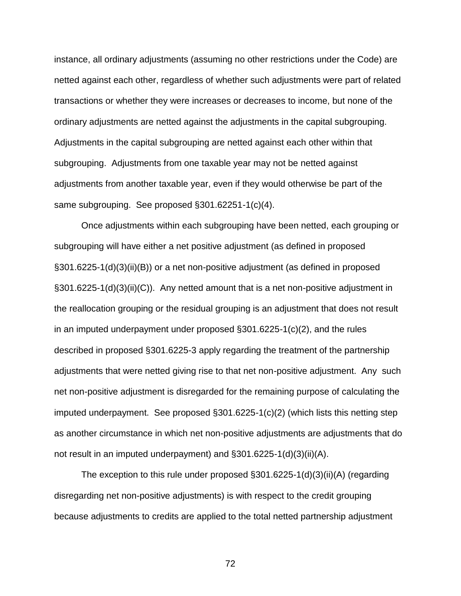instance, all ordinary adjustments (assuming no other restrictions under the Code) are netted against each other, regardless of whether such adjustments were part of related transactions or whether they were increases or decreases to income, but none of the ordinary adjustments are netted against the adjustments in the capital subgrouping. Adjustments in the capital subgrouping are netted against each other within that subgrouping. Adjustments from one taxable year may not be netted against adjustments from another taxable year, even if they would otherwise be part of the same subgrouping. See proposed §301.62251-1(c)(4).

Once adjustments within each subgrouping have been netted, each grouping or subgrouping will have either a net positive adjustment (as defined in proposed §301.6225-1(d)(3)(ii)(B)) or a net non-positive adjustment (as defined in proposed §301.6225-1(d)(3)(ii)(C)). Any netted amount that is a net non-positive adjustment in the reallocation grouping or the residual grouping is an adjustment that does not result in an imputed underpayment under proposed §301.6225-1(c)(2), and the rules described in proposed §301.6225-3 apply regarding the treatment of the partnership adjustments that were netted giving rise to that net non-positive adjustment. Any such net non-positive adjustment is disregarded for the remaining purpose of calculating the imputed underpayment. See proposed §301.6225-1(c)(2) (which lists this netting step as another circumstance in which net non-positive adjustments are adjustments that do not result in an imputed underpayment) and §301.6225-1(d)(3)(ii)(A).

The exception to this rule under proposed §301.6225-1(d)(3)(ii)(A) (regarding disregarding net non-positive adjustments) is with respect to the credit grouping because adjustments to credits are applied to the total netted partnership adjustment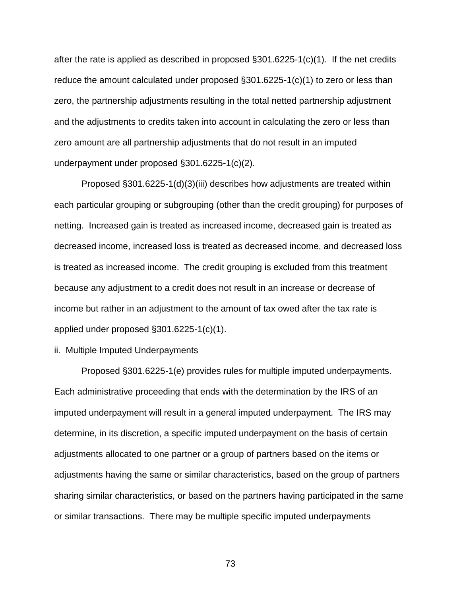after the rate is applied as described in proposed  $\S 301.6225-1(c)(1)$ . If the net credits reduce the amount calculated under proposed §301.6225-1(c)(1) to zero or less than zero, the partnership adjustments resulting in the total netted partnership adjustment and the adjustments to credits taken into account in calculating the zero or less than zero amount are all partnership adjustments that do not result in an imputed underpayment under proposed §301.6225-1(c)(2).

Proposed §301.6225-1(d)(3)(iii) describes how adjustments are treated within each particular grouping or subgrouping (other than the credit grouping) for purposes of netting. Increased gain is treated as increased income, decreased gain is treated as decreased income, increased loss is treated as decreased income, and decreased loss is treated as increased income. The credit grouping is excluded from this treatment because any adjustment to a credit does not result in an increase or decrease of income but rather in an adjustment to the amount of tax owed after the tax rate is applied under proposed §301.6225-1(c)(1).

ii. Multiple Imputed Underpayments

Proposed §301.6225-1(e) provides rules for multiple imputed underpayments. Each administrative proceeding that ends with the determination by the IRS of an imputed underpayment will result in a general imputed underpayment. The IRS may determine, in its discretion, a specific imputed underpayment on the basis of certain adjustments allocated to one partner or a group of partners based on the items or adjustments having the same or similar characteristics, based on the group of partners sharing similar characteristics, or based on the partners having participated in the same or similar transactions. There may be multiple specific imputed underpayments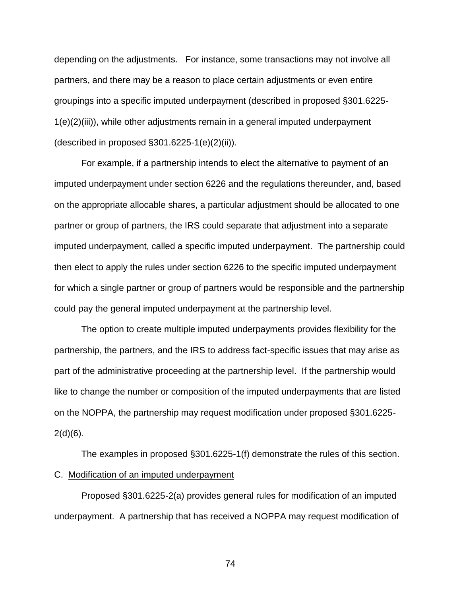depending on the adjustments. For instance, some transactions may not involve all partners, and there may be a reason to place certain adjustments or even entire groupings into a specific imputed underpayment (described in proposed §301.6225- 1(e)(2)(iii)), while other adjustments remain in a general imputed underpayment (described in proposed §301.6225-1(e)(2)(ii)).

For example, if a partnership intends to elect the alternative to payment of an imputed underpayment under section 6226 and the regulations thereunder, and, based on the appropriate allocable shares, a particular adjustment should be allocated to one partner or group of partners, the IRS could separate that adjustment into a separate imputed underpayment, called a specific imputed underpayment. The partnership could then elect to apply the rules under section 6226 to the specific imputed underpayment for which a single partner or group of partners would be responsible and the partnership could pay the general imputed underpayment at the partnership level.

The option to create multiple imputed underpayments provides flexibility for the partnership, the partners, and the IRS to address fact-specific issues that may arise as part of the administrative proceeding at the partnership level. If the partnership would like to change the number or composition of the imputed underpayments that are listed on the NOPPA, the partnership may request modification under proposed §301.6225-  $2(d)(6)$ .

The examples in proposed §301.6225-1(f) demonstrate the rules of this section. C. Modification of an imputed underpayment

Proposed §301.6225-2(a) provides general rules for modification of an imputed underpayment. A partnership that has received a NOPPA may request modification of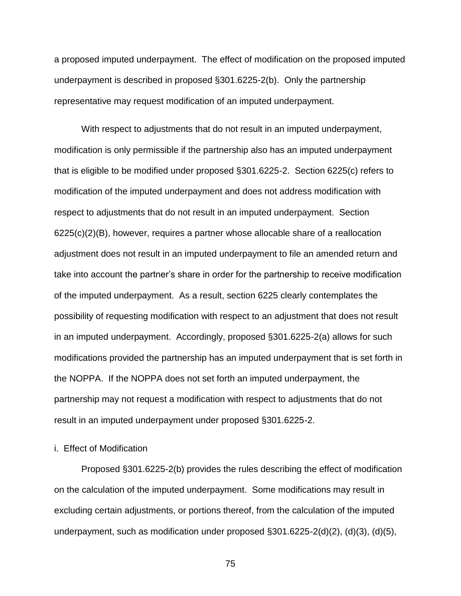a proposed imputed underpayment. The effect of modification on the proposed imputed underpayment is described in proposed §301.6225-2(b). Only the partnership representative may request modification of an imputed underpayment.

With respect to adjustments that do not result in an imputed underpayment, modification is only permissible if the partnership also has an imputed underpayment that is eligible to be modified under proposed §301.6225-2. Section 6225(c) refers to modification of the imputed underpayment and does not address modification with respect to adjustments that do not result in an imputed underpayment. Section 6225(c)(2)(B), however, requires a partner whose allocable share of a reallocation adjustment does not result in an imputed underpayment to file an amended return and take into account the partner's share in order for the partnership to receive modification of the imputed underpayment. As a result, section 6225 clearly contemplates the possibility of requesting modification with respect to an adjustment that does not result in an imputed underpayment. Accordingly, proposed §301.6225-2(a) allows for such modifications provided the partnership has an imputed underpayment that is set forth in the NOPPA. If the NOPPA does not set forth an imputed underpayment, the partnership may not request a modification with respect to adjustments that do not result in an imputed underpayment under proposed §301.6225-2.

# i. Effect of Modification

Proposed §301.6225-2(b) provides the rules describing the effect of modification on the calculation of the imputed underpayment. Some modifications may result in excluding certain adjustments, or portions thereof, from the calculation of the imputed underpayment, such as modification under proposed §301.6225-2(d)(2), (d)(3), (d)(5),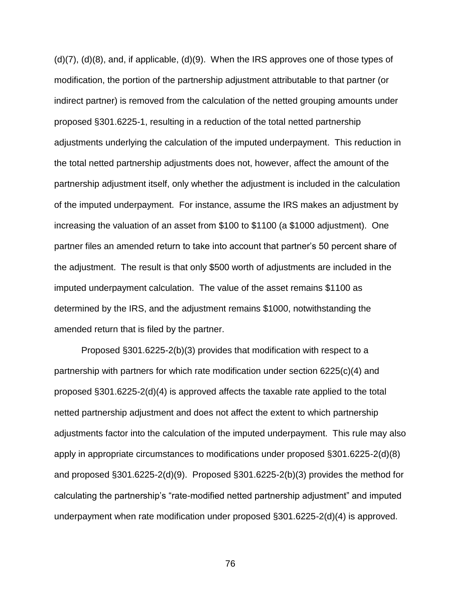(d)(7), (d)(8), and, if applicable, (d)(9). When the IRS approves one of those types of modification, the portion of the partnership adjustment attributable to that partner (or indirect partner) is removed from the calculation of the netted grouping amounts under proposed §301.6225-1, resulting in a reduction of the total netted partnership adjustments underlying the calculation of the imputed underpayment. This reduction in the total netted partnership adjustments does not, however, affect the amount of the partnership adjustment itself, only whether the adjustment is included in the calculation of the imputed underpayment. For instance, assume the IRS makes an adjustment by increasing the valuation of an asset from \$100 to \$1100 (a \$1000 adjustment). One partner files an amended return to take into account that partner's 50 percent share of the adjustment. The result is that only \$500 worth of adjustments are included in the imputed underpayment calculation. The value of the asset remains \$1100 as determined by the IRS, and the adjustment remains \$1000, notwithstanding the amended return that is filed by the partner.

Proposed §301.6225-2(b)(3) provides that modification with respect to a partnership with partners for which rate modification under section 6225(c)(4) and proposed §301.6225-2(d)(4) is approved affects the taxable rate applied to the total netted partnership adjustment and does not affect the extent to which partnership adjustments factor into the calculation of the imputed underpayment. This rule may also apply in appropriate circumstances to modifications under proposed §301.6225-2(d)(8) and proposed §301.6225-2(d)(9). Proposed §301.6225-2(b)(3) provides the method for calculating the partnership's "rate-modified netted partnership adjustment" and imputed underpayment when rate modification under proposed §301.6225-2(d)(4) is approved.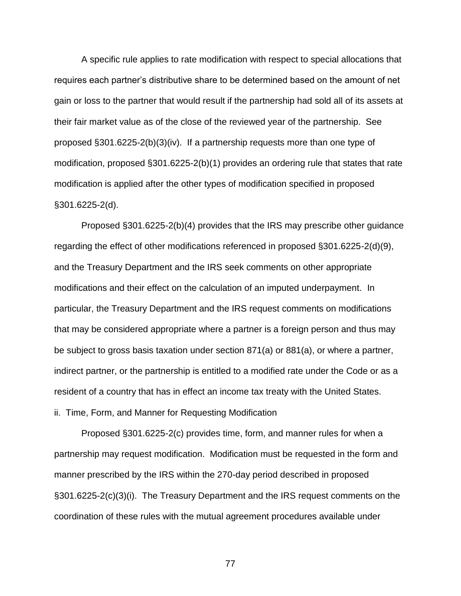A specific rule applies to rate modification with respect to special allocations that requires each partner's distributive share to be determined based on the amount of net gain or loss to the partner that would result if the partnership had sold all of its assets at their fair market value as of the close of the reviewed year of the partnership. See proposed §301.6225-2(b)(3)(iv). If a partnership requests more than one type of modification, proposed §301.6225-2(b)(1) provides an ordering rule that states that rate modification is applied after the other types of modification specified in proposed §301.6225-2(d).

Proposed §301.6225-2(b)(4) provides that the IRS may prescribe other guidance regarding the effect of other modifications referenced in proposed §301.6225-2(d)(9), and the Treasury Department and the IRS seek comments on other appropriate modifications and their effect on the calculation of an imputed underpayment. In particular, the Treasury Department and the IRS request comments on modifications that may be considered appropriate where a partner is a foreign person and thus may be subject to gross basis taxation under section 871(a) or 881(a), or where a partner, indirect partner, or the partnership is entitled to a modified rate under the Code or as a resident of a country that has in effect an income tax treaty with the United States. ii. Time, Form, and Manner for Requesting Modification

Proposed §301.6225-2(c) provides time, form, and manner rules for when a partnership may request modification. Modification must be requested in the form and manner prescribed by the IRS within the 270-day period described in proposed §301.6225-2(c)(3)(i). The Treasury Department and the IRS request comments on the coordination of these rules with the mutual agreement procedures available under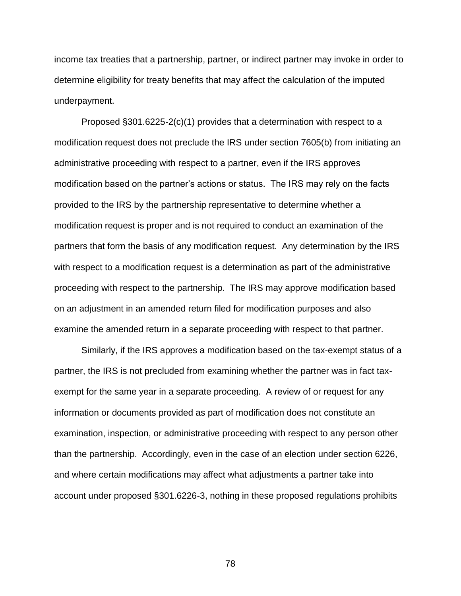income tax treaties that a partnership, partner, or indirect partner may invoke in order to determine eligibility for treaty benefits that may affect the calculation of the imputed underpayment.

Proposed §301.6225-2(c)(1) provides that a determination with respect to a modification request does not preclude the IRS under section 7605(b) from initiating an administrative proceeding with respect to a partner, even if the IRS approves modification based on the partner's actions or status. The IRS may rely on the facts provided to the IRS by the partnership representative to determine whether a modification request is proper and is not required to conduct an examination of the partners that form the basis of any modification request. Any determination by the IRS with respect to a modification request is a determination as part of the administrative proceeding with respect to the partnership. The IRS may approve modification based on an adjustment in an amended return filed for modification purposes and also examine the amended return in a separate proceeding with respect to that partner.

Similarly, if the IRS approves a modification based on the tax-exempt status of a partner, the IRS is not precluded from examining whether the partner was in fact taxexempt for the same year in a separate proceeding. A review of or request for any information or documents provided as part of modification does not constitute an examination, inspection, or administrative proceeding with respect to any person other than the partnership. Accordingly, even in the case of an election under section 6226, and where certain modifications may affect what adjustments a partner take into account under proposed §301.6226-3, nothing in these proposed regulations prohibits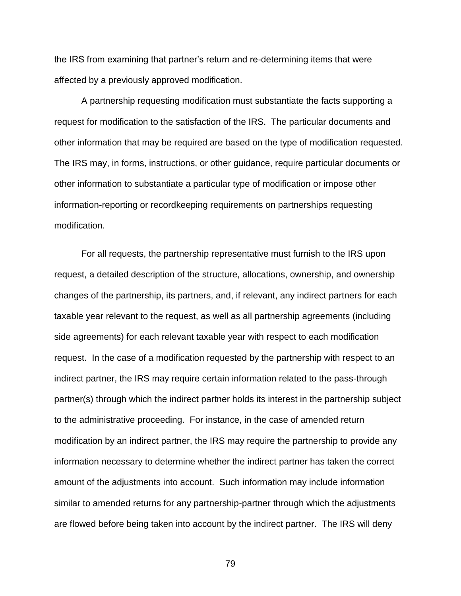the IRS from examining that partner's return and re-determining items that were affected by a previously approved modification.

A partnership requesting modification must substantiate the facts supporting a request for modification to the satisfaction of the IRS. The particular documents and other information that may be required are based on the type of modification requested. The IRS may, in forms, instructions, or other guidance, require particular documents or other information to substantiate a particular type of modification or impose other information-reporting or recordkeeping requirements on partnerships requesting modification.

For all requests, the partnership representative must furnish to the IRS upon request, a detailed description of the structure, allocations, ownership, and ownership changes of the partnership, its partners, and, if relevant, any indirect partners for each taxable year relevant to the request, as well as all partnership agreements (including side agreements) for each relevant taxable year with respect to each modification request. In the case of a modification requested by the partnership with respect to an indirect partner, the IRS may require certain information related to the pass-through partner(s) through which the indirect partner holds its interest in the partnership subject to the administrative proceeding. For instance, in the case of amended return modification by an indirect partner, the IRS may require the partnership to provide any information necessary to determine whether the indirect partner has taken the correct amount of the adjustments into account. Such information may include information similar to amended returns for any partnership-partner through which the adjustments are flowed before being taken into account by the indirect partner. The IRS will deny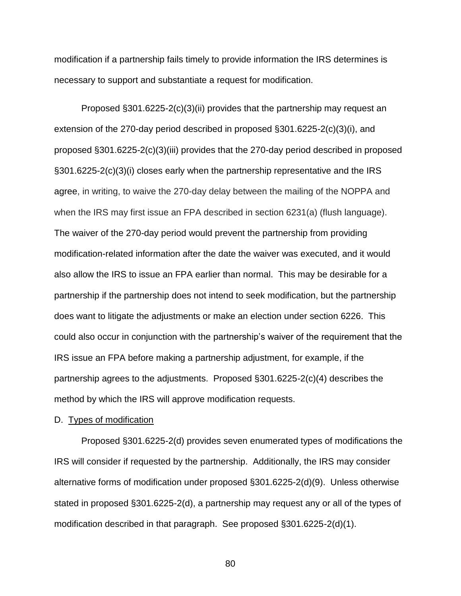modification if a partnership fails timely to provide information the IRS determines is necessary to support and substantiate a request for modification.

Proposed §301.6225-2(c)(3)(ii) provides that the partnership may request an extension of the 270-day period described in proposed §301.6225-2(c)(3)(i), and proposed §301.6225-2(c)(3)(iii) provides that the 270-day period described in proposed §301.6225-2(c)(3)(i) closes early when the partnership representative and the IRS agree, in writing, to waive the 270-day delay between the mailing of the NOPPA and when the IRS may first issue an FPA described in section 6231(a) (flush language). The waiver of the 270-day period would prevent the partnership from providing modification-related information after the date the waiver was executed, and it would also allow the IRS to issue an FPA earlier than normal. This may be desirable for a partnership if the partnership does not intend to seek modification, but the partnership does want to litigate the adjustments or make an election under section 6226. This could also occur in conjunction with the partnership's waiver of the requirement that the IRS issue an FPA before making a partnership adjustment, for example, if the partnership agrees to the adjustments. Proposed §301.6225-2(c)(4) describes the method by which the IRS will approve modification requests.

# D. Types of modification

Proposed §301.6225-2(d) provides seven enumerated types of modifications the IRS will consider if requested by the partnership. Additionally, the IRS may consider alternative forms of modification under proposed §301.6225-2(d)(9). Unless otherwise stated in proposed §301.6225-2(d), a partnership may request any or all of the types of modification described in that paragraph. See proposed §301.6225-2(d)(1).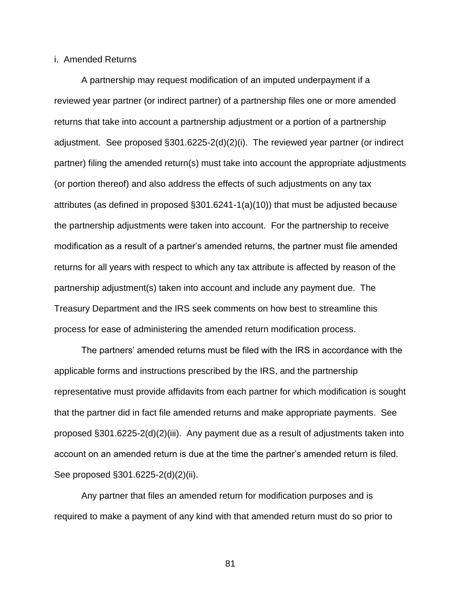## i. Amended Returns

A partnership may request modification of an imputed underpayment if a reviewed year partner (or indirect partner) of a partnership files one or more amended returns that take into account a partnership adjustment or a portion of a partnership adjustment. See proposed §301.6225-2(d)(2)(i). The reviewed year partner (or indirect partner) filing the amended return(s) must take into account the appropriate adjustments (or portion thereof) and also address the effects of such adjustments on any tax attributes (as defined in proposed §301.6241-1(a)(10)) that must be adjusted because the partnership adjustments were taken into account. For the partnership to receive modification as a result of a partner's amended returns, the partner must file amended returns for all years with respect to which any tax attribute is affected by reason of the partnership adjustment(s) taken into account and include any payment due. The Treasury Department and the IRS seek comments on how best to streamline this process for ease of administering the amended return modification process.

The partners' amended returns must be filed with the IRS in accordance with the applicable forms and instructions prescribed by the IRS, and the partnership representative must provide affidavits from each partner for which modification is sought that the partner did in fact file amended returns and make appropriate payments. See proposed §301.6225-2(d)(2)(iii). Any payment due as a result of adjustments taken into account on an amended return is due at the time the partner's amended return is filed. See proposed §301.6225-2(d)(2)(ii).

Any partner that files an amended return for modification purposes and is required to make a payment of any kind with that amended return must do so prior to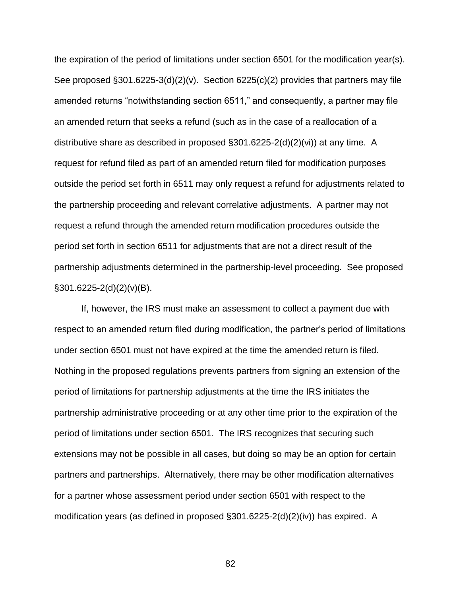the expiration of the period of limitations under section 6501 for the modification year(s). See proposed §301.6225-3(d)(2)(v). Section 6225(c)(2) provides that partners may file amended returns "notwithstanding section 6511," and consequently, a partner may file an amended return that seeks a refund (such as in the case of a reallocation of a distributive share as described in proposed  $\S301.6225-2(d)(2)(vi)$  at any time. A request for refund filed as part of an amended return filed for modification purposes outside the period set forth in 6511 may only request a refund for adjustments related to the partnership proceeding and relevant correlative adjustments. A partner may not request a refund through the amended return modification procedures outside the period set forth in section 6511 for adjustments that are not a direct result of the partnership adjustments determined in the partnership-level proceeding. See proposed  $\S$ 301.6225-2(d)(2)(v)(B).

If, however, the IRS must make an assessment to collect a payment due with respect to an amended return filed during modification, the partner's period of limitations under section 6501 must not have expired at the time the amended return is filed. Nothing in the proposed regulations prevents partners from signing an extension of the period of limitations for partnership adjustments at the time the IRS initiates the partnership administrative proceeding or at any other time prior to the expiration of the period of limitations under section 6501. The IRS recognizes that securing such extensions may not be possible in all cases, but doing so may be an option for certain partners and partnerships. Alternatively, there may be other modification alternatives for a partner whose assessment period under section 6501 with respect to the modification years (as defined in proposed §301.6225-2(d)(2)(iv)) has expired. A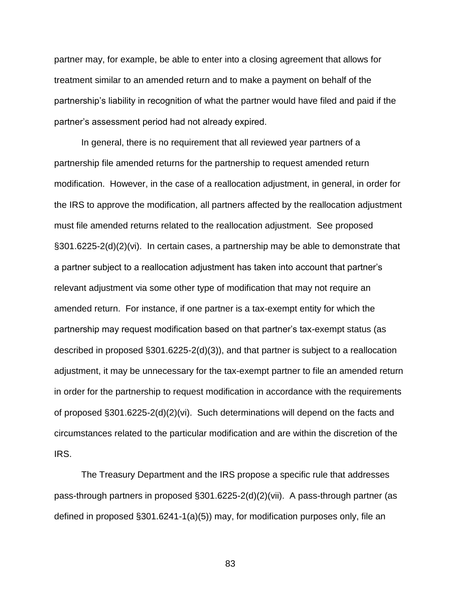partner may, for example, be able to enter into a closing agreement that allows for treatment similar to an amended return and to make a payment on behalf of the partnership's liability in recognition of what the partner would have filed and paid if the partner's assessment period had not already expired.

In general, there is no requirement that all reviewed year partners of a partnership file amended returns for the partnership to request amended return modification. However, in the case of a reallocation adjustment, in general, in order for the IRS to approve the modification, all partners affected by the reallocation adjustment must file amended returns related to the reallocation adjustment. See proposed §301.6225-2(d)(2)(vi). In certain cases, a partnership may be able to demonstrate that a partner subject to a reallocation adjustment has taken into account that partner's relevant adjustment via some other type of modification that may not require an amended return. For instance, if one partner is a tax-exempt entity for which the partnership may request modification based on that partner's tax-exempt status (as described in proposed §301.6225-2(d)(3)), and that partner is subject to a reallocation adjustment, it may be unnecessary for the tax-exempt partner to file an amended return in order for the partnership to request modification in accordance with the requirements of proposed §301.6225-2(d)(2)(vi). Such determinations will depend on the facts and circumstances related to the particular modification and are within the discretion of the IRS.

The Treasury Department and the IRS propose a specific rule that addresses pass-through partners in proposed §301.6225-2(d)(2)(vii). A pass-through partner (as defined in proposed §301.6241-1(a)(5)) may, for modification purposes only, file an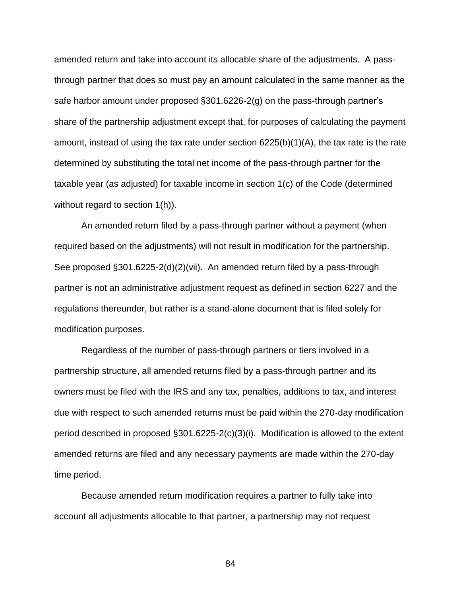amended return and take into account its allocable share of the adjustments. A passthrough partner that does so must pay an amount calculated in the same manner as the safe harbor amount under proposed §301.6226-2(g) on the pass-through partner's share of the partnership adjustment except that, for purposes of calculating the payment amount, instead of using the tax rate under section 6225(b)(1)(A), the tax rate is the rate determined by substituting the total net income of the pass-through partner for the taxable year (as adjusted) for taxable income in section 1(c) of the Code (determined without regard to section 1(h)).

An amended return filed by a pass-through partner without a payment (when required based on the adjustments) will not result in modification for the partnership. See proposed §301.6225-2(d)(2)(vii). An amended return filed by a pass-through partner is not an administrative adjustment request as defined in section 6227 and the regulations thereunder, but rather is a stand-alone document that is filed solely for modification purposes.

Regardless of the number of pass-through partners or tiers involved in a partnership structure, all amended returns filed by a pass-through partner and its owners must be filed with the IRS and any tax, penalties, additions to tax, and interest due with respect to such amended returns must be paid within the 270-day modification period described in proposed §301.6225-2(c)(3)(i). Modification is allowed to the extent amended returns are filed and any necessary payments are made within the 270-day time period.

Because amended return modification requires a partner to fully take into account all adjustments allocable to that partner, a partnership may not request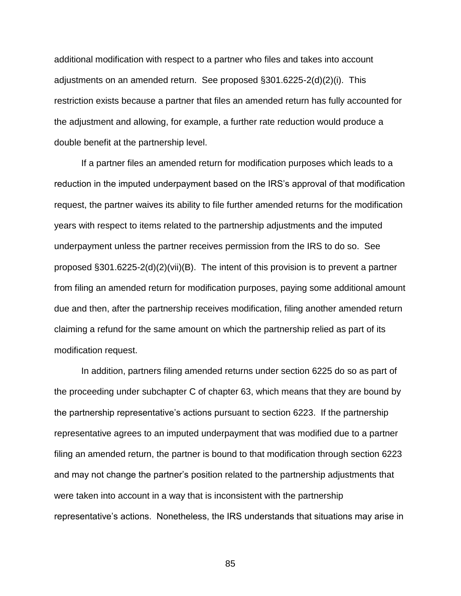additional modification with respect to a partner who files and takes into account adjustments on an amended return. See proposed §301.6225-2(d)(2)(i). This restriction exists because a partner that files an amended return has fully accounted for the adjustment and allowing, for example, a further rate reduction would produce a double benefit at the partnership level.

If a partner files an amended return for modification purposes which leads to a reduction in the imputed underpayment based on the IRS's approval of that modification request, the partner waives its ability to file further amended returns for the modification years with respect to items related to the partnership adjustments and the imputed underpayment unless the partner receives permission from the IRS to do so. See proposed §301.6225-2(d)(2)(vii)(B). The intent of this provision is to prevent a partner from filing an amended return for modification purposes, paying some additional amount due and then, after the partnership receives modification, filing another amended return claiming a refund for the same amount on which the partnership relied as part of its modification request.

In addition, partners filing amended returns under section 6225 do so as part of the proceeding under subchapter C of chapter 63, which means that they are bound by the partnership representative's actions pursuant to section 6223. If the partnership representative agrees to an imputed underpayment that was modified due to a partner filing an amended return, the partner is bound to that modification through section 6223 and may not change the partner's position related to the partnership adjustments that were taken into account in a way that is inconsistent with the partnership representative's actions. Nonetheless, the IRS understands that situations may arise in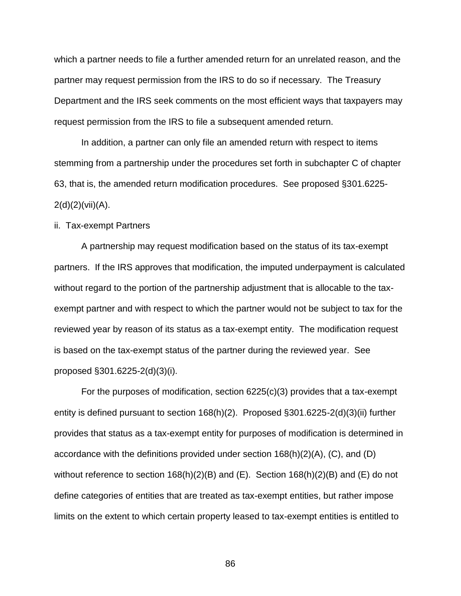which a partner needs to file a further amended return for an unrelated reason, and the partner may request permission from the IRS to do so if necessary. The Treasury Department and the IRS seek comments on the most efficient ways that taxpayers may request permission from the IRS to file a subsequent amended return.

In addition, a partner can only file an amended return with respect to items stemming from a partnership under the procedures set forth in subchapter C of chapter 63, that is, the amended return modification procedures. See proposed §301.6225-  $2(d)(2)(\n \nu ii)(A).$ 

### ii. Tax-exempt Partners

A partnership may request modification based on the status of its tax-exempt partners. If the IRS approves that modification, the imputed underpayment is calculated without regard to the portion of the partnership adjustment that is allocable to the taxexempt partner and with respect to which the partner would not be subject to tax for the reviewed year by reason of its status as a tax-exempt entity. The modification request is based on the tax-exempt status of the partner during the reviewed year. See proposed §301.6225-2(d)(3)(i).

For the purposes of modification, section 6225(c)(3) provides that a tax-exempt entity is defined pursuant to section 168(h)(2). Proposed §301.6225-2(d)(3)(ii) further provides that status as a tax-exempt entity for purposes of modification is determined in accordance with the definitions provided under section 168(h)(2)(A), (C), and (D) without reference to section 168(h)(2)(B) and (E). Section 168(h)(2)(B) and (E) do not define categories of entities that are treated as tax-exempt entities, but rather impose limits on the extent to which certain property leased to tax-exempt entities is entitled to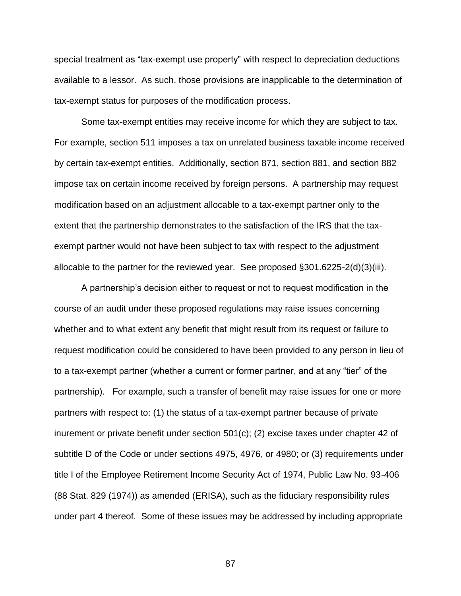special treatment as "tax-exempt use property" with respect to depreciation deductions available to a lessor. As such, those provisions are inapplicable to the determination of tax-exempt status for purposes of the modification process.

Some tax-exempt entities may receive income for which they are subject to tax. For example, section 511 imposes a tax on unrelated business taxable income received by certain tax-exempt entities. Additionally, section 871, section 881, and section 882 impose tax on certain income received by foreign persons. A partnership may request modification based on an adjustment allocable to a tax-exempt partner only to the extent that the partnership demonstrates to the satisfaction of the IRS that the taxexempt partner would not have been subject to tax with respect to the adjustment allocable to the partner for the reviewed year. See proposed §301.6225-2(d)(3)(iii).

A partnership's decision either to request or not to request modification in the course of an audit under these proposed regulations may raise issues concerning whether and to what extent any benefit that might result from its request or failure to request modification could be considered to have been provided to any person in lieu of to a tax-exempt partner (whether a current or former partner, and at any "tier" of the partnership). For example, such a transfer of benefit may raise issues for one or more partners with respect to: (1) the status of a tax-exempt partner because of private inurement or private benefit under section 501(c); (2) excise taxes under chapter 42 of subtitle D of the Code or under sections 4975, 4976, or 4980; or (3) requirements under title I of the Employee Retirement Income Security Act of 1974, Public Law No. 93-406 (88 Stat. 829 (1974)) as amended (ERISA), such as the fiduciary responsibility rules under part 4 thereof. Some of these issues may be addressed by including appropriate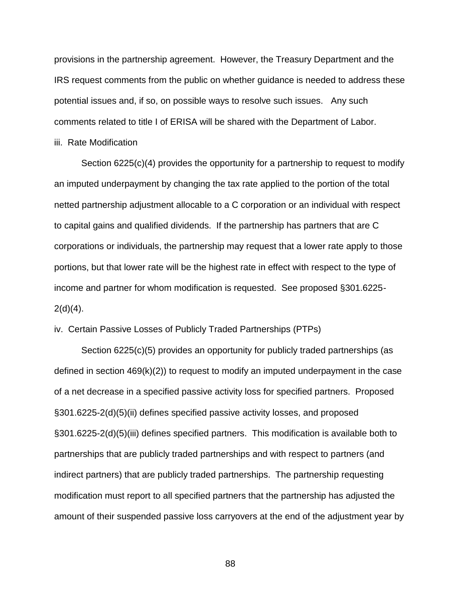provisions in the partnership agreement. However, the Treasury Department and the IRS request comments from the public on whether guidance is needed to address these potential issues and, if so, on possible ways to resolve such issues. Any such comments related to title I of ERISA will be shared with the Department of Labor.

#### iii. Rate Modification

Section 6225(c)(4) provides the opportunity for a partnership to request to modify an imputed underpayment by changing the tax rate applied to the portion of the total netted partnership adjustment allocable to a C corporation or an individual with respect to capital gains and qualified dividends. If the partnership has partners that are C corporations or individuals, the partnership may request that a lower rate apply to those portions, but that lower rate will be the highest rate in effect with respect to the type of income and partner for whom modification is requested. See proposed §301.6225-  $2(d)(4)$ .

# iv. Certain Passive Losses of Publicly Traded Partnerships (PTPs)

Section 6225(c)(5) provides an opportunity for publicly traded partnerships (as defined in section 469(k)(2)) to request to modify an imputed underpayment in the case of a net decrease in a specified passive activity loss for specified partners. Proposed §301.6225-2(d)(5)(ii) defines specified passive activity losses, and proposed §301.6225-2(d)(5)(iii) defines specified partners. This modification is available both to partnerships that are publicly traded partnerships and with respect to partners (and indirect partners) that are publicly traded partnerships. The partnership requesting modification must report to all specified partners that the partnership has adjusted the amount of their suspended passive loss carryovers at the end of the adjustment year by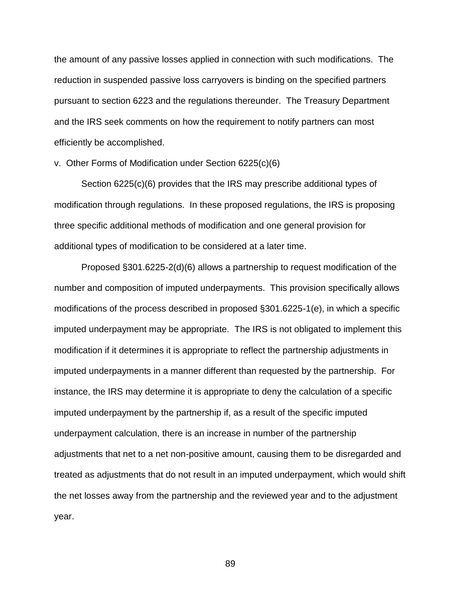the amount of any passive losses applied in connection with such modifications. The reduction in suspended passive loss carryovers is binding on the specified partners pursuant to section 6223 and the regulations thereunder. The Treasury Department and the IRS seek comments on how the requirement to notify partners can most efficiently be accomplished.

# v. Other Forms of Modification under Section 6225(c)(6)

Section 6225(c)(6) provides that the IRS may prescribe additional types of modification through regulations. In these proposed regulations, the IRS is proposing three specific additional methods of modification and one general provision for additional types of modification to be considered at a later time.

Proposed §301.6225-2(d)(6) allows a partnership to request modification of the number and composition of imputed underpayments. This provision specifically allows modifications of the process described in proposed §301.6225-1(e), in which a specific imputed underpayment may be appropriate. The IRS is not obligated to implement this modification if it determines it is appropriate to reflect the partnership adjustments in imputed underpayments in a manner different than requested by the partnership. For instance, the IRS may determine it is appropriate to deny the calculation of a specific imputed underpayment by the partnership if, as a result of the specific imputed underpayment calculation, there is an increase in number of the partnership adjustments that net to a net non-positive amount, causing them to be disregarded and treated as adjustments that do not result in an imputed underpayment, which would shift the net losses away from the partnership and the reviewed year and to the adjustment year.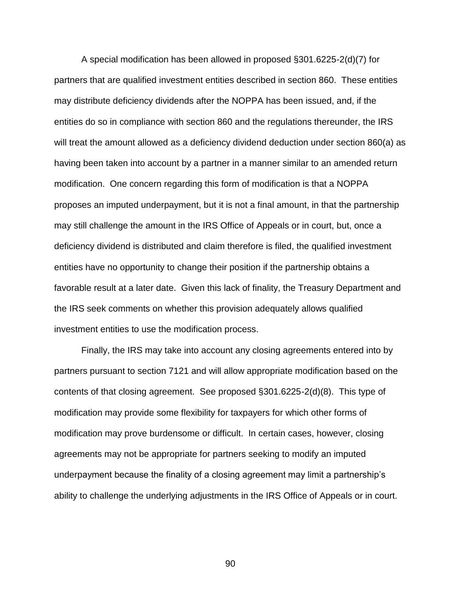A special modification has been allowed in proposed §301.6225-2(d)(7) for partners that are qualified investment entities described in section 860. These entities may distribute deficiency dividends after the NOPPA has been issued, and, if the entities do so in compliance with section 860 and the regulations thereunder, the IRS will treat the amount allowed as a deficiency dividend deduction under section 860(a) as having been taken into account by a partner in a manner similar to an amended return modification. One concern regarding this form of modification is that a NOPPA proposes an imputed underpayment, but it is not a final amount, in that the partnership may still challenge the amount in the IRS Office of Appeals or in court, but, once a deficiency dividend is distributed and claim therefore is filed, the qualified investment entities have no opportunity to change their position if the partnership obtains a favorable result at a later date. Given this lack of finality, the Treasury Department and the IRS seek comments on whether this provision adequately allows qualified investment entities to use the modification process.

Finally, the IRS may take into account any closing agreements entered into by partners pursuant to section 7121 and will allow appropriate modification based on the contents of that closing agreement. See proposed §301.6225-2(d)(8). This type of modification may provide some flexibility for taxpayers for which other forms of modification may prove burdensome or difficult. In certain cases, however, closing agreements may not be appropriate for partners seeking to modify an imputed underpayment because the finality of a closing agreement may limit a partnership's ability to challenge the underlying adjustments in the IRS Office of Appeals or in court.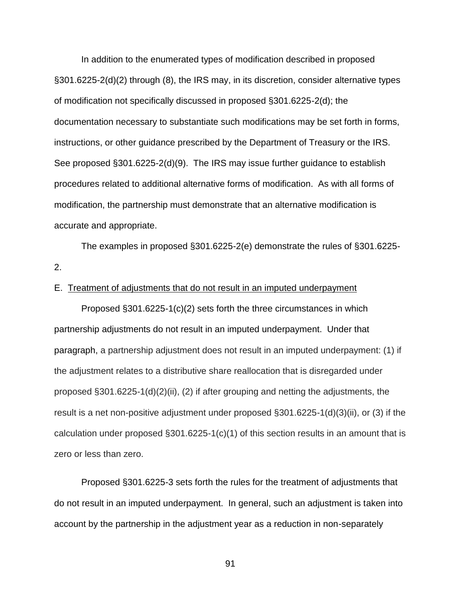In addition to the enumerated types of modification described in proposed §301.6225-2(d)(2) through (8), the IRS may, in its discretion, consider alternative types of modification not specifically discussed in proposed §301.6225-2(d); the documentation necessary to substantiate such modifications may be set forth in forms, instructions, or other guidance prescribed by the Department of Treasury or the IRS. See proposed §301.6225-2(d)(9). The IRS may issue further guidance to establish procedures related to additional alternative forms of modification. As with all forms of modification, the partnership must demonstrate that an alternative modification is accurate and appropriate.

The examples in proposed §301.6225-2(e) demonstrate the rules of §301.6225- 2.

# E. Treatment of adjustments that do not result in an imputed underpayment

Proposed §301.6225-1(c)(2) sets forth the three circumstances in which partnership adjustments do not result in an imputed underpayment. Under that paragraph, a partnership adjustment does not result in an imputed underpayment: (1) if the adjustment relates to a distributive share reallocation that is disregarded under proposed §301.6225-1(d)(2)(ii), (2) if after grouping and netting the adjustments, the result is a net non-positive adjustment under proposed §301.6225-1(d)(3)(ii), or (3) if the calculation under proposed §301.6225-1(c)(1) of this section results in an amount that is zero or less than zero.

Proposed §301.6225-3 sets forth the rules for the treatment of adjustments that do not result in an imputed underpayment. In general, such an adjustment is taken into account by the partnership in the adjustment year as a reduction in non-separately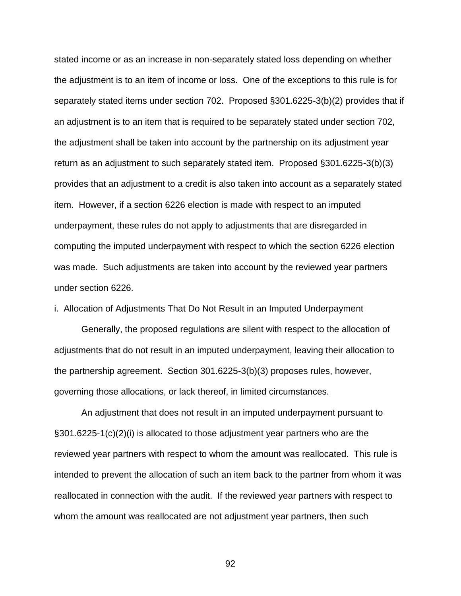stated income or as an increase in non-separately stated loss depending on whether the adjustment is to an item of income or loss. One of the exceptions to this rule is for separately stated items under section 702. Proposed §301.6225-3(b)(2) provides that if an adjustment is to an item that is required to be separately stated under section 702, the adjustment shall be taken into account by the partnership on its adjustment year return as an adjustment to such separately stated item. Proposed §301.6225-3(b)(3) provides that an adjustment to a credit is also taken into account as a separately stated item. However, if a section 6226 election is made with respect to an imputed underpayment, these rules do not apply to adjustments that are disregarded in computing the imputed underpayment with respect to which the section 6226 election was made. Such adjustments are taken into account by the reviewed year partners under section 6226.

i. Allocation of Adjustments That Do Not Result in an Imputed Underpayment

Generally, the proposed regulations are silent with respect to the allocation of adjustments that do not result in an imputed underpayment, leaving their allocation to the partnership agreement. Section 301.6225-3(b)(3) proposes rules, however, governing those allocations, or lack thereof, in limited circumstances.

An adjustment that does not result in an imputed underpayment pursuant to §301.6225-1(c)(2)(i) is allocated to those adjustment year partners who are the reviewed year partners with respect to whom the amount was reallocated. This rule is intended to prevent the allocation of such an item back to the partner from whom it was reallocated in connection with the audit. If the reviewed year partners with respect to whom the amount was reallocated are not adjustment year partners, then such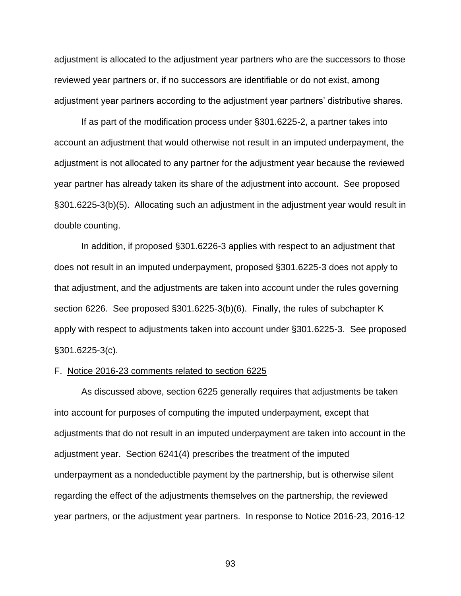adjustment is allocated to the adjustment year partners who are the successors to those reviewed year partners or, if no successors are identifiable or do not exist, among adjustment year partners according to the adjustment year partners' distributive shares.

If as part of the modification process under §301.6225-2, a partner takes into account an adjustment that would otherwise not result in an imputed underpayment, the adjustment is not allocated to any partner for the adjustment year because the reviewed year partner has already taken its share of the adjustment into account. See proposed §301.6225-3(b)(5). Allocating such an adjustment in the adjustment year would result in double counting.

In addition, if proposed §301.6226-3 applies with respect to an adjustment that does not result in an imputed underpayment, proposed §301.6225-3 does not apply to that adjustment, and the adjustments are taken into account under the rules governing section 6226. See proposed §301.6225-3(b)(6). Finally, the rules of subchapter K apply with respect to adjustments taken into account under §301.6225-3. See proposed §301.6225-3(c).

#### F. Notice 2016-23 comments related to section 6225

As discussed above, section 6225 generally requires that adjustments be taken into account for purposes of computing the imputed underpayment, except that adjustments that do not result in an imputed underpayment are taken into account in the adjustment year. Section 6241(4) prescribes the treatment of the imputed underpayment as a nondeductible payment by the partnership, but is otherwise silent regarding the effect of the adjustments themselves on the partnership, the reviewed year partners, or the adjustment year partners. In response to Notice 2016-23, 2016-12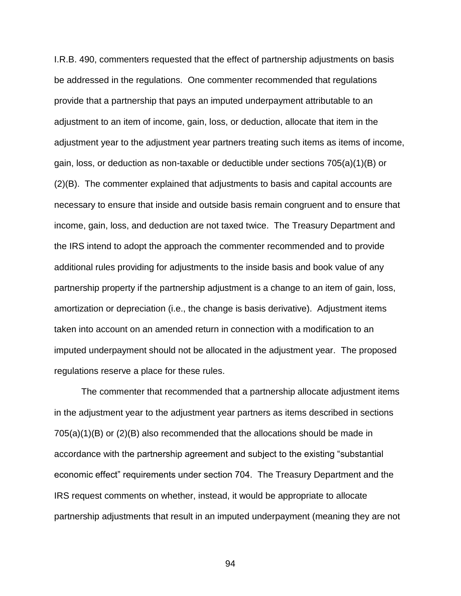I.R.B. 490, commenters requested that the effect of partnership adjustments on basis be addressed in the regulations. One commenter recommended that regulations provide that a partnership that pays an imputed underpayment attributable to an adjustment to an item of income, gain, loss, or deduction, allocate that item in the adjustment year to the adjustment year partners treating such items as items of income, gain, loss, or deduction as non-taxable or deductible under sections 705(a)(1)(B) or (2)(B). The commenter explained that adjustments to basis and capital accounts are necessary to ensure that inside and outside basis remain congruent and to ensure that income, gain, loss, and deduction are not taxed twice. The Treasury Department and the IRS intend to adopt the approach the commenter recommended and to provide additional rules providing for adjustments to the inside basis and book value of any partnership property if the partnership adjustment is a change to an item of gain, loss, amortization or depreciation (i.e., the change is basis derivative). Adjustment items taken into account on an amended return in connection with a modification to an imputed underpayment should not be allocated in the adjustment year. The proposed regulations reserve a place for these rules.

The commenter that recommended that a partnership allocate adjustment items in the adjustment year to the adjustment year partners as items described in sections 705(a)(1)(B) or (2)(B) also recommended that the allocations should be made in accordance with the partnership agreement and subject to the existing "substantial economic effect" requirements under section 704. The Treasury Department and the IRS request comments on whether, instead, it would be appropriate to allocate partnership adjustments that result in an imputed underpayment (meaning they are not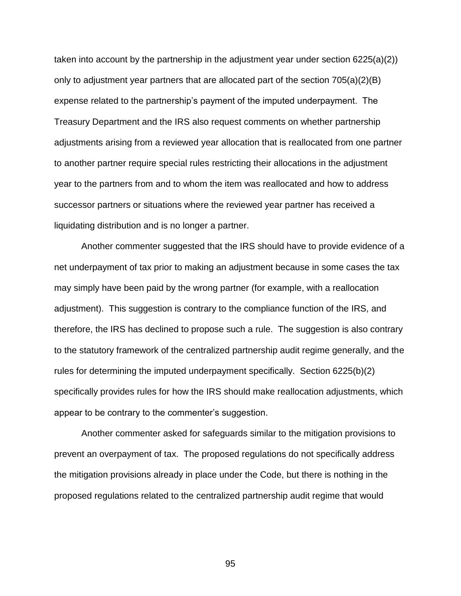taken into account by the partnership in the adjustment year under section 6225(a)(2)) only to adjustment year partners that are allocated part of the section  $705(a)(2)(B)$ expense related to the partnership's payment of the imputed underpayment. The Treasury Department and the IRS also request comments on whether partnership adjustments arising from a reviewed year allocation that is reallocated from one partner to another partner require special rules restricting their allocations in the adjustment year to the partners from and to whom the item was reallocated and how to address successor partners or situations where the reviewed year partner has received a liquidating distribution and is no longer a partner.

Another commenter suggested that the IRS should have to provide evidence of a net underpayment of tax prior to making an adjustment because in some cases the tax may simply have been paid by the wrong partner (for example, with a reallocation adjustment). This suggestion is contrary to the compliance function of the IRS, and therefore, the IRS has declined to propose such a rule. The suggestion is also contrary to the statutory framework of the centralized partnership audit regime generally, and the rules for determining the imputed underpayment specifically. Section 6225(b)(2) specifically provides rules for how the IRS should make reallocation adjustments, which appear to be contrary to the commenter's suggestion.

Another commenter asked for safeguards similar to the mitigation provisions to prevent an overpayment of tax. The proposed regulations do not specifically address the mitigation provisions already in place under the Code, but there is nothing in the proposed regulations related to the centralized partnership audit regime that would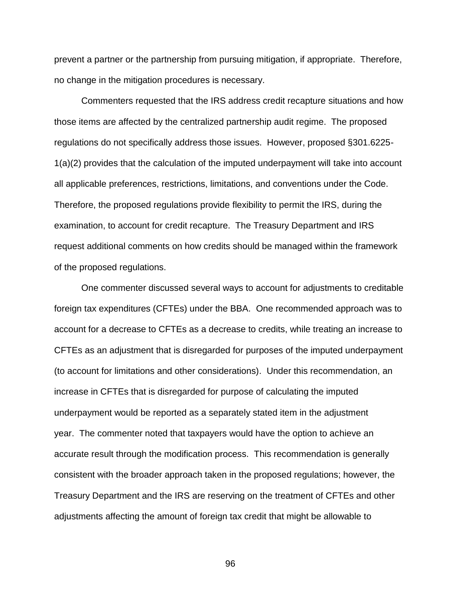prevent a partner or the partnership from pursuing mitigation, if appropriate. Therefore, no change in the mitigation procedures is necessary.

Commenters requested that the IRS address credit recapture situations and how those items are affected by the centralized partnership audit regime. The proposed regulations do not specifically address those issues. However, proposed §301.6225- 1(a)(2) provides that the calculation of the imputed underpayment will take into account all applicable preferences, restrictions, limitations, and conventions under the Code. Therefore, the proposed regulations provide flexibility to permit the IRS, during the examination, to account for credit recapture. The Treasury Department and IRS request additional comments on how credits should be managed within the framework of the proposed regulations.

One commenter discussed several ways to account for adjustments to creditable foreign tax expenditures (CFTEs) under the BBA. One recommended approach was to account for a decrease to CFTEs as a decrease to credits, while treating an increase to CFTEs as an adjustment that is disregarded for purposes of the imputed underpayment (to account for limitations and other considerations). Under this recommendation, an increase in CFTEs that is disregarded for purpose of calculating the imputed underpayment would be reported as a separately stated item in the adjustment year. The commenter noted that taxpayers would have the option to achieve an accurate result through the modification process. This recommendation is generally consistent with the broader approach taken in the proposed regulations; however, the Treasury Department and the IRS are reserving on the treatment of CFTEs and other adjustments affecting the amount of foreign tax credit that might be allowable to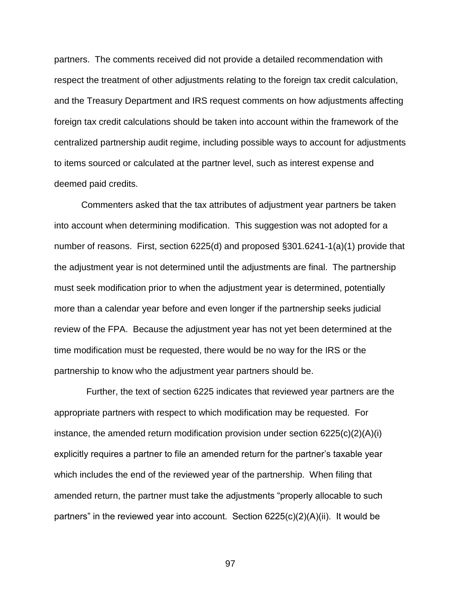partners. The comments received did not provide a detailed recommendation with respect the treatment of other adjustments relating to the foreign tax credit calculation, and the Treasury Department and IRS request comments on how adjustments affecting foreign tax credit calculations should be taken into account within the framework of the centralized partnership audit regime, including possible ways to account for adjustments to items sourced or calculated at the partner level, such as interest expense and deemed paid credits.

Commenters asked that the tax attributes of adjustment year partners be taken into account when determining modification. This suggestion was not adopted for a number of reasons. First, section 6225(d) and proposed §301.6241-1(a)(1) provide that the adjustment year is not determined until the adjustments are final. The partnership must seek modification prior to when the adjustment year is determined, potentially more than a calendar year before and even longer if the partnership seeks judicial review of the FPA. Because the adjustment year has not yet been determined at the time modification must be requested, there would be no way for the IRS or the partnership to know who the adjustment year partners should be.

 Further, the text of section 6225 indicates that reviewed year partners are the appropriate partners with respect to which modification may be requested. For instance, the amended return modification provision under section 6225(c)(2)(A)(i) explicitly requires a partner to file an amended return for the partner's taxable year which includes the end of the reviewed year of the partnership. When filing that amended return, the partner must take the adjustments "properly allocable to such partners" in the reviewed year into account. Section 6225(c)(2)(A)(ii). It would be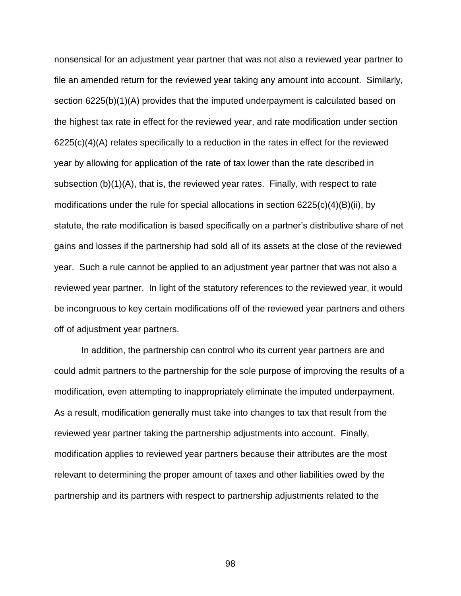nonsensical for an adjustment year partner that was not also a reviewed year partner to file an amended return for the reviewed year taking any amount into account. Similarly, section 6225(b)(1)(A) provides that the imputed underpayment is calculated based on the highest tax rate in effect for the reviewed year, and rate modification under section  $6225(c)(4)(A)$  relates specifically to a reduction in the rates in effect for the reviewed year by allowing for application of the rate of tax lower than the rate described in subsection (b)(1)(A), that is, the reviewed year rates. Finally, with respect to rate modifications under the rule for special allocations in section 6225(c)(4)(B)(ii), by statute, the rate modification is based specifically on a partner's distributive share of net gains and losses if the partnership had sold all of its assets at the close of the reviewed year. Such a rule cannot be applied to an adjustment year partner that was not also a reviewed year partner. In light of the statutory references to the reviewed year, it would be incongruous to key certain modifications off of the reviewed year partners and others off of adjustment year partners.

In addition, the partnership can control who its current year partners are and could admit partners to the partnership for the sole purpose of improving the results of a modification, even attempting to inappropriately eliminate the imputed underpayment. As a result, modification generally must take into changes to tax that result from the reviewed year partner taking the partnership adjustments into account. Finally, modification applies to reviewed year partners because their attributes are the most relevant to determining the proper amount of taxes and other liabilities owed by the partnership and its partners with respect to partnership adjustments related to the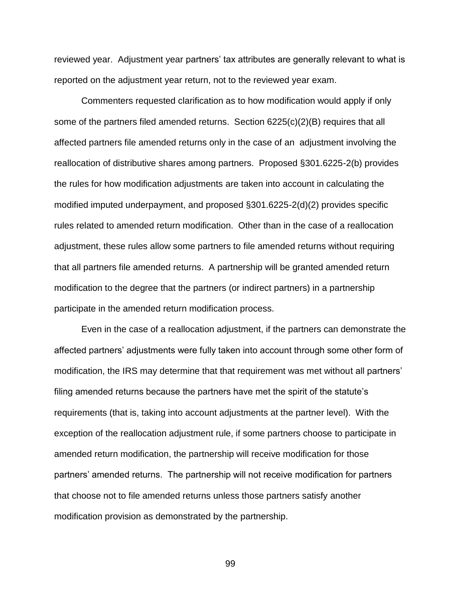reviewed year. Adjustment year partners' tax attributes are generally relevant to what is reported on the adjustment year return, not to the reviewed year exam.

Commenters requested clarification as to how modification would apply if only some of the partners filed amended returns. Section 6225(c)(2)(B) requires that all affected partners file amended returns only in the case of an adjustment involving the reallocation of distributive shares among partners. Proposed §301.6225-2(b) provides the rules for how modification adjustments are taken into account in calculating the modified imputed underpayment, and proposed §301.6225-2(d)(2) provides specific rules related to amended return modification. Other than in the case of a reallocation adjustment, these rules allow some partners to file amended returns without requiring that all partners file amended returns. A partnership will be granted amended return modification to the degree that the partners (or indirect partners) in a partnership participate in the amended return modification process.

Even in the case of a reallocation adjustment, if the partners can demonstrate the affected partners' adjustments were fully taken into account through some other form of modification, the IRS may determine that that requirement was met without all partners' filing amended returns because the partners have met the spirit of the statute's requirements (that is, taking into account adjustments at the partner level). With the exception of the reallocation adjustment rule, if some partners choose to participate in amended return modification, the partnership will receive modification for those partners' amended returns. The partnership will not receive modification for partners that choose not to file amended returns unless those partners satisfy another modification provision as demonstrated by the partnership.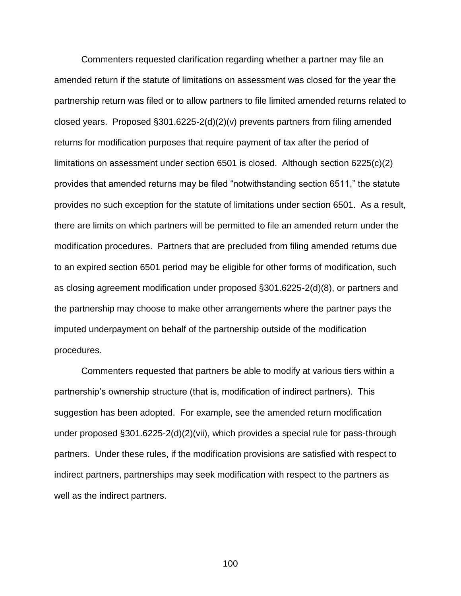Commenters requested clarification regarding whether a partner may file an amended return if the statute of limitations on assessment was closed for the year the partnership return was filed or to allow partners to file limited amended returns related to closed years. Proposed §301.6225-2(d)(2)(v) prevents partners from filing amended returns for modification purposes that require payment of tax after the period of limitations on assessment under section 6501 is closed. Although section 6225(c)(2) provides that amended returns may be filed "notwithstanding section 6511," the statute provides no such exception for the statute of limitations under section 6501. As a result, there are limits on which partners will be permitted to file an amended return under the modification procedures. Partners that are precluded from filing amended returns due to an expired section 6501 period may be eligible for other forms of modification, such as closing agreement modification under proposed §301.6225-2(d)(8), or partners and the partnership may choose to make other arrangements where the partner pays the imputed underpayment on behalf of the partnership outside of the modification procedures.

Commenters requested that partners be able to modify at various tiers within a partnership's ownership structure (that is, modification of indirect partners). This suggestion has been adopted. For example, see the amended return modification under proposed §301.6225-2(d)(2)(vii), which provides a special rule for pass-through partners. Under these rules, if the modification provisions are satisfied with respect to indirect partners, partnerships may seek modification with respect to the partners as well as the indirect partners.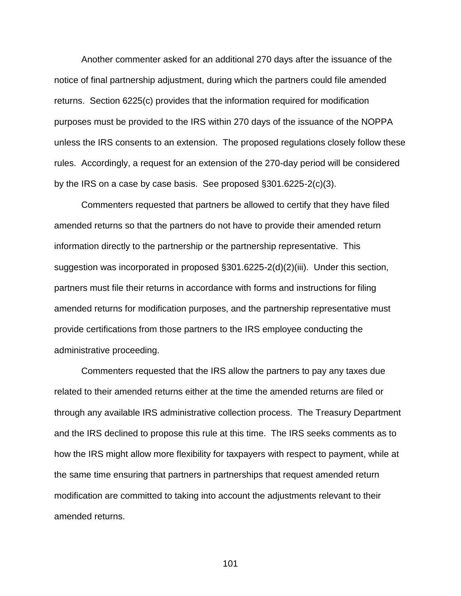Another commenter asked for an additional 270 days after the issuance of the notice of final partnership adjustment, during which the partners could file amended returns. Section 6225(c) provides that the information required for modification purposes must be provided to the IRS within 270 days of the issuance of the NOPPA unless the IRS consents to an extension. The proposed regulations closely follow these rules. Accordingly, a request for an extension of the 270-day period will be considered by the IRS on a case by case basis. See proposed §301.6225-2(c)(3).

Commenters requested that partners be allowed to certify that they have filed amended returns so that the partners do not have to provide their amended return information directly to the partnership or the partnership representative. This suggestion was incorporated in proposed §301.6225-2(d)(2)(iii). Under this section, partners must file their returns in accordance with forms and instructions for filing amended returns for modification purposes, and the partnership representative must provide certifications from those partners to the IRS employee conducting the administrative proceeding.

Commenters requested that the IRS allow the partners to pay any taxes due related to their amended returns either at the time the amended returns are filed or through any available IRS administrative collection process. The Treasury Department and the IRS declined to propose this rule at this time. The IRS seeks comments as to how the IRS might allow more flexibility for taxpayers with respect to payment, while at the same time ensuring that partners in partnerships that request amended return modification are committed to taking into account the adjustments relevant to their amended returns.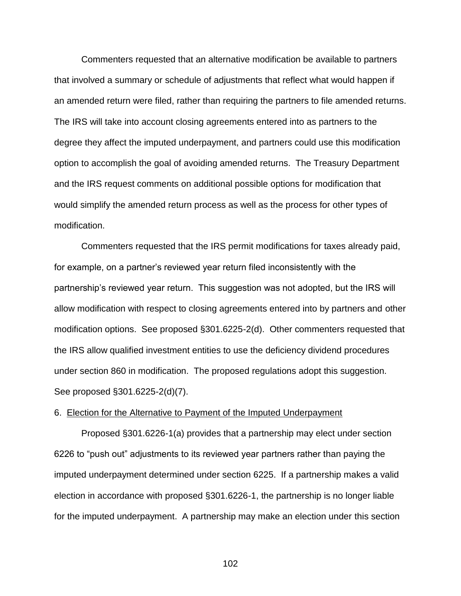Commenters requested that an alternative modification be available to partners that involved a summary or schedule of adjustments that reflect what would happen if an amended return were filed, rather than requiring the partners to file amended returns. The IRS will take into account closing agreements entered into as partners to the degree they affect the imputed underpayment, and partners could use this modification option to accomplish the goal of avoiding amended returns. The Treasury Department and the IRS request comments on additional possible options for modification that would simplify the amended return process as well as the process for other types of modification.

Commenters requested that the IRS permit modifications for taxes already paid, for example, on a partner's reviewed year return filed inconsistently with the partnership's reviewed year return. This suggestion was not adopted, but the IRS will allow modification with respect to closing agreements entered into by partners and other modification options. See proposed §301.6225-2(d). Other commenters requested that the IRS allow qualified investment entities to use the deficiency dividend procedures under section 860 in modification. The proposed regulations adopt this suggestion. See proposed §301.6225-2(d)(7).

### 6. Election for the Alternative to Payment of the Imputed Underpayment

Proposed §301.6226-1(a) provides that a partnership may elect under section 6226 to "push out" adjustments to its reviewed year partners rather than paying the imputed underpayment determined under section 6225. If a partnership makes a valid election in accordance with proposed §301.6226-1, the partnership is no longer liable for the imputed underpayment. A partnership may make an election under this section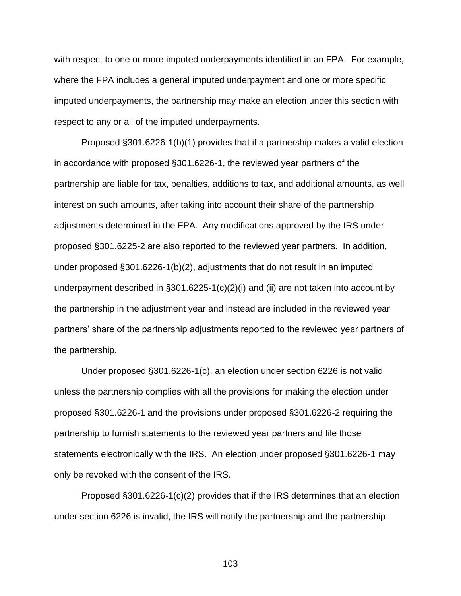with respect to one or more imputed underpayments identified in an FPA. For example, where the FPA includes a general imputed underpayment and one or more specific imputed underpayments, the partnership may make an election under this section with respect to any or all of the imputed underpayments.

Proposed §301.6226-1(b)(1) provides that if a partnership makes a valid election in accordance with proposed §301.6226-1, the reviewed year partners of the partnership are liable for tax, penalties, additions to tax, and additional amounts, as well interest on such amounts, after taking into account their share of the partnership adjustments determined in the FPA. Any modifications approved by the IRS under proposed §301.6225-2 are also reported to the reviewed year partners. In addition, under proposed §301.6226-1(b)(2), adjustments that do not result in an imputed underpayment described in §301.6225-1(c)(2)(i) and (ii) are not taken into account by the partnership in the adjustment year and instead are included in the reviewed year partners' share of the partnership adjustments reported to the reviewed year partners of the partnership.

Under proposed §301.6226-1(c), an election under section 6226 is not valid unless the partnership complies with all the provisions for making the election under proposed §301.6226-1 and the provisions under proposed §301.6226-2 requiring the partnership to furnish statements to the reviewed year partners and file those statements electronically with the IRS. An election under proposed §301.6226-1 may only be revoked with the consent of the IRS.

Proposed §301.6226-1(c)(2) provides that if the IRS determines that an election under section 6226 is invalid, the IRS will notify the partnership and the partnership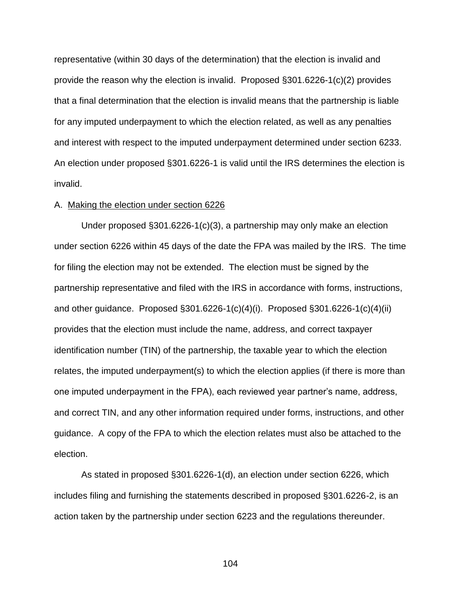representative (within 30 days of the determination) that the election is invalid and provide the reason why the election is invalid. Proposed §301.6226-1(c)(2) provides that a final determination that the election is invalid means that the partnership is liable for any imputed underpayment to which the election related, as well as any penalties and interest with respect to the imputed underpayment determined under section 6233. An election under proposed §301.6226-1 is valid until the IRS determines the election is invalid.

#### A. Making the election under section 6226

Under proposed §301.6226-1(c)(3), a partnership may only make an election under section 6226 within 45 days of the date the FPA was mailed by the IRS. The time for filing the election may not be extended. The election must be signed by the partnership representative and filed with the IRS in accordance with forms, instructions, and other guidance. Proposed §301.6226-1(c)(4)(i). Proposed §301.6226-1(c)(4)(ii) provides that the election must include the name, address, and correct taxpayer identification number (TIN) of the partnership, the taxable year to which the election relates, the imputed underpayment(s) to which the election applies (if there is more than one imputed underpayment in the FPA), each reviewed year partner's name, address, and correct TIN, and any other information required under forms, instructions, and other guidance. A copy of the FPA to which the election relates must also be attached to the election.

As stated in proposed §301.6226-1(d), an election under section 6226, which includes filing and furnishing the statements described in proposed §301.6226-2, is an action taken by the partnership under section 6223 and the regulations thereunder.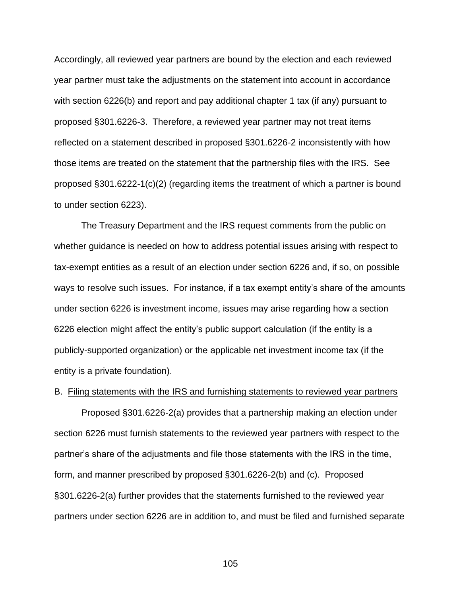Accordingly, all reviewed year partners are bound by the election and each reviewed year partner must take the adjustments on the statement into account in accordance with section 6226(b) and report and pay additional chapter 1 tax (if any) pursuant to proposed §301.6226-3. Therefore, a reviewed year partner may not treat items reflected on a statement described in proposed §301.6226-2 inconsistently with how those items are treated on the statement that the partnership files with the IRS. See proposed §301.6222-1(c)(2) (regarding items the treatment of which a partner is bound to under section 6223).

The Treasury Department and the IRS request comments from the public on whether guidance is needed on how to address potential issues arising with respect to tax-exempt entities as a result of an election under section 6226 and, if so, on possible ways to resolve such issues. For instance, if a tax exempt entity's share of the amounts under section 6226 is investment income, issues may arise regarding how a section 6226 election might affect the entity's public support calculation (if the entity is a publicly-supported organization) or the applicable net investment income tax (if the entity is a private foundation).

### B. Filing statements with the IRS and furnishing statements to reviewed year partners

Proposed §301.6226-2(a) provides that a partnership making an election under section 6226 must furnish statements to the reviewed year partners with respect to the partner's share of the adjustments and file those statements with the IRS in the time, form, and manner prescribed by proposed §301.6226-2(b) and (c). Proposed §301.6226-2(a) further provides that the statements furnished to the reviewed year partners under section 6226 are in addition to, and must be filed and furnished separate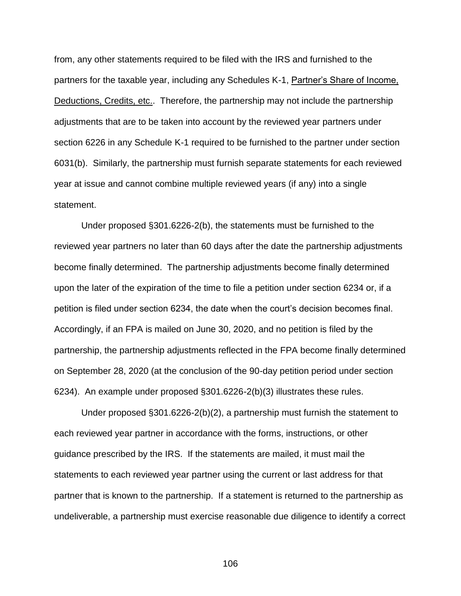from, any other statements required to be filed with the IRS and furnished to the partners for the taxable year, including any Schedules K-1, Partner's Share of Income, Deductions, Credits, etc.. Therefore, the partnership may not include the partnership adjustments that are to be taken into account by the reviewed year partners under section 6226 in any Schedule K-1 required to be furnished to the partner under section 6031(b). Similarly, the partnership must furnish separate statements for each reviewed year at issue and cannot combine multiple reviewed years (if any) into a single statement.

Under proposed §301.6226-2(b), the statements must be furnished to the reviewed year partners no later than 60 days after the date the partnership adjustments become finally determined. The partnership adjustments become finally determined upon the later of the expiration of the time to file a petition under section 6234 or, if a petition is filed under section 6234, the date when the court's decision becomes final. Accordingly, if an FPA is mailed on June 30, 2020, and no petition is filed by the partnership, the partnership adjustments reflected in the FPA become finally determined on September 28, 2020 (at the conclusion of the 90-day petition period under section 6234). An example under proposed §301.6226-2(b)(3) illustrates these rules.

Under proposed §301.6226-2(b)(2), a partnership must furnish the statement to each reviewed year partner in accordance with the forms, instructions, or other guidance prescribed by the IRS. If the statements are mailed, it must mail the statements to each reviewed year partner using the current or last address for that partner that is known to the partnership. If a statement is returned to the partnership as undeliverable, a partnership must exercise reasonable due diligence to identify a correct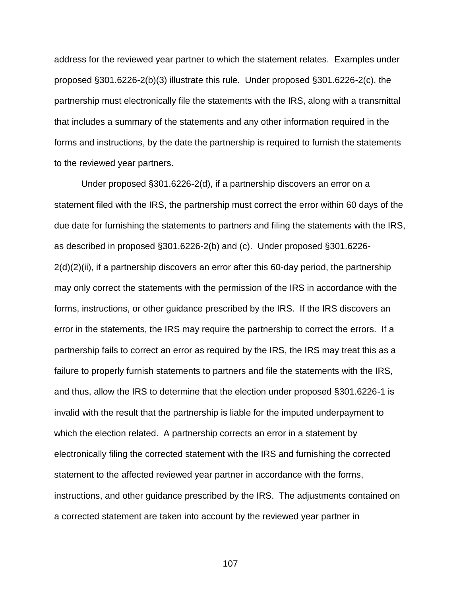address for the reviewed year partner to which the statement relates. Examples under proposed §301.6226-2(b)(3) illustrate this rule. Under proposed §301.6226-2(c), the partnership must electronically file the statements with the IRS, along with a transmittal that includes a summary of the statements and any other information required in the forms and instructions, by the date the partnership is required to furnish the statements to the reviewed year partners.

Under proposed §301.6226-2(d), if a partnership discovers an error on a statement filed with the IRS, the partnership must correct the error within 60 days of the due date for furnishing the statements to partners and filing the statements with the IRS, as described in proposed §301.6226-2(b) and (c). Under proposed §301.6226- 2(d)(2)(ii), if a partnership discovers an error after this 60-day period, the partnership may only correct the statements with the permission of the IRS in accordance with the forms, instructions, or other guidance prescribed by the IRS. If the IRS discovers an error in the statements, the IRS may require the partnership to correct the errors. If a partnership fails to correct an error as required by the IRS, the IRS may treat this as a failure to properly furnish statements to partners and file the statements with the IRS, and thus, allow the IRS to determine that the election under proposed §301.6226-1 is invalid with the result that the partnership is liable for the imputed underpayment to which the election related. A partnership corrects an error in a statement by electronically filing the corrected statement with the IRS and furnishing the corrected statement to the affected reviewed year partner in accordance with the forms, instructions, and other guidance prescribed by the IRS. The adjustments contained on a corrected statement are taken into account by the reviewed year partner in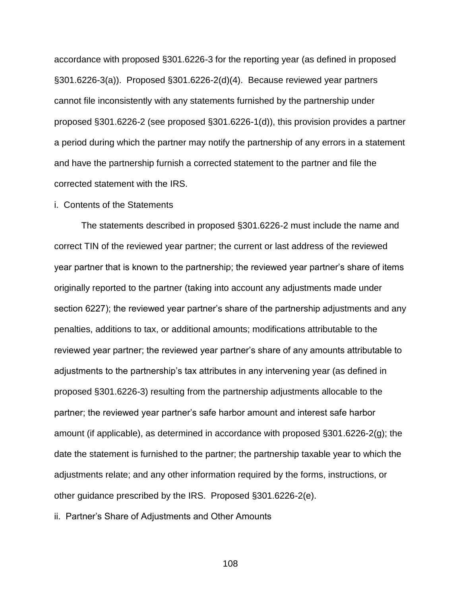accordance with proposed §301.6226-3 for the reporting year (as defined in proposed §301.6226-3(a)). Proposed §301.6226-2(d)(4). Because reviewed year partners cannot file inconsistently with any statements furnished by the partnership under proposed §301.6226-2 (see proposed §301.6226-1(d)), this provision provides a partner a period during which the partner may notify the partnership of any errors in a statement and have the partnership furnish a corrected statement to the partner and file the corrected statement with the IRS.

# i. Contents of the Statements

The statements described in proposed §301.6226-2 must include the name and correct TIN of the reviewed year partner; the current or last address of the reviewed year partner that is known to the partnership; the reviewed year partner's share of items originally reported to the partner (taking into account any adjustments made under section 6227); the reviewed year partner's share of the partnership adjustments and any penalties, additions to tax, or additional amounts; modifications attributable to the reviewed year partner; the reviewed year partner's share of any amounts attributable to adjustments to the partnership's tax attributes in any intervening year (as defined in proposed §301.6226-3) resulting from the partnership adjustments allocable to the partner; the reviewed year partner's safe harbor amount and interest safe harbor amount (if applicable), as determined in accordance with proposed §301.6226-2(g); the date the statement is furnished to the partner; the partnership taxable year to which the adjustments relate; and any other information required by the forms, instructions, or other guidance prescribed by the IRS. Proposed §301.6226-2(e).

ii. Partner's Share of Adjustments and Other Amounts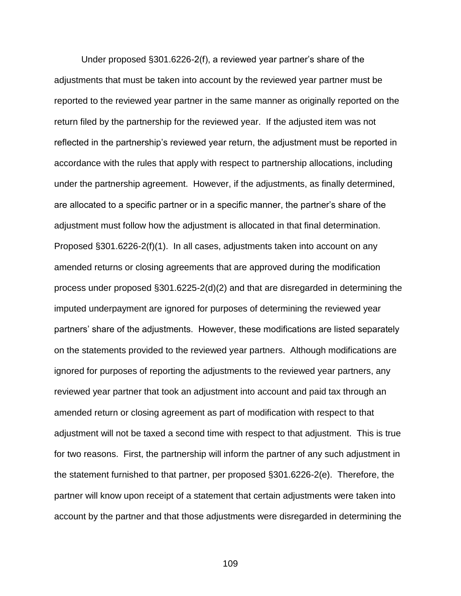Under proposed §301.6226-2(f), a reviewed year partner's share of the adjustments that must be taken into account by the reviewed year partner must be reported to the reviewed year partner in the same manner as originally reported on the return filed by the partnership for the reviewed year. If the adjusted item was not reflected in the partnership's reviewed year return, the adjustment must be reported in accordance with the rules that apply with respect to partnership allocations, including under the partnership agreement. However, if the adjustments, as finally determined, are allocated to a specific partner or in a specific manner, the partner's share of the adjustment must follow how the adjustment is allocated in that final determination. Proposed §301.6226-2(f)(1). In all cases, adjustments taken into account on any amended returns or closing agreements that are approved during the modification process under proposed §301.6225-2(d)(2) and that are disregarded in determining the imputed underpayment are ignored for purposes of determining the reviewed year partners' share of the adjustments. However, these modifications are listed separately on the statements provided to the reviewed year partners. Although modifications are ignored for purposes of reporting the adjustments to the reviewed year partners, any reviewed year partner that took an adjustment into account and paid tax through an amended return or closing agreement as part of modification with respect to that adjustment will not be taxed a second time with respect to that adjustment. This is true for two reasons. First, the partnership will inform the partner of any such adjustment in the statement furnished to that partner, per proposed §301.6226-2(e). Therefore, the partner will know upon receipt of a statement that certain adjustments were taken into account by the partner and that those adjustments were disregarded in determining the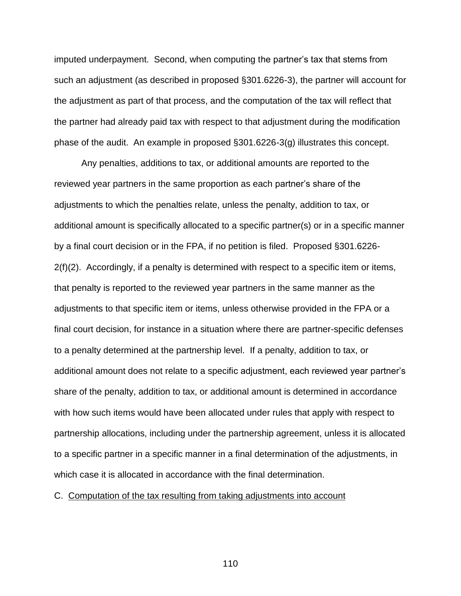imputed underpayment. Second, when computing the partner's tax that stems from such an adjustment (as described in proposed §301.6226-3), the partner will account for the adjustment as part of that process, and the computation of the tax will reflect that the partner had already paid tax with respect to that adjustment during the modification phase of the audit. An example in proposed §301.6226-3(g) illustrates this concept.

Any penalties, additions to tax, or additional amounts are reported to the reviewed year partners in the same proportion as each partner's share of the adjustments to which the penalties relate, unless the penalty, addition to tax, or additional amount is specifically allocated to a specific partner(s) or in a specific manner by a final court decision or in the FPA, if no petition is filed. Proposed §301.6226-  $2(f)(2)$ . Accordingly, if a penalty is determined with respect to a specific item or items, that penalty is reported to the reviewed year partners in the same manner as the adjustments to that specific item or items, unless otherwise provided in the FPA or a final court decision, for instance in a situation where there are partner-specific defenses to a penalty determined at the partnership level. If a penalty, addition to tax, or additional amount does not relate to a specific adjustment, each reviewed year partner's share of the penalty, addition to tax, or additional amount is determined in accordance with how such items would have been allocated under rules that apply with respect to partnership allocations, including under the partnership agreement, unless it is allocated to a specific partner in a specific manner in a final determination of the adjustments, in which case it is allocated in accordance with the final determination.

# C. Computation of the tax resulting from taking adjustments into account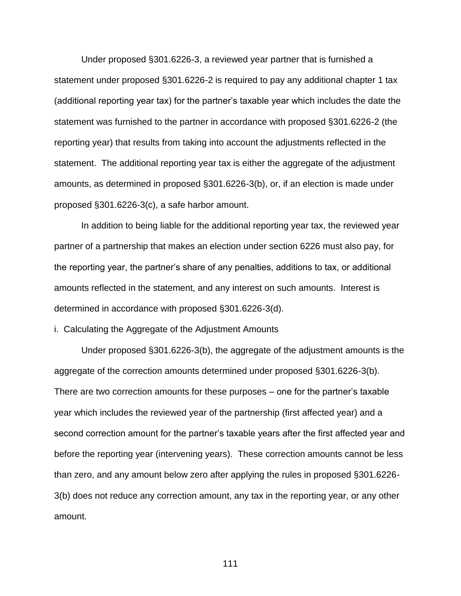Under proposed §301.6226-3, a reviewed year partner that is furnished a statement under proposed §301.6226-2 is required to pay any additional chapter 1 tax (additional reporting year tax) for the partner's taxable year which includes the date the statement was furnished to the partner in accordance with proposed §301.6226-2 (the reporting year) that results from taking into account the adjustments reflected in the statement. The additional reporting year tax is either the aggregate of the adjustment amounts, as determined in proposed §301.6226-3(b), or, if an election is made under proposed §301.6226-3(c), a safe harbor amount.

In addition to being liable for the additional reporting year tax, the reviewed year partner of a partnership that makes an election under section 6226 must also pay, for the reporting year, the partner's share of any penalties, additions to tax, or additional amounts reflected in the statement, and any interest on such amounts. Interest is determined in accordance with proposed §301.6226-3(d).

i. Calculating the Aggregate of the Adjustment Amounts

Under proposed §301.6226-3(b), the aggregate of the adjustment amounts is the aggregate of the correction amounts determined under proposed §301.6226-3(b). There are two correction amounts for these purposes – one for the partner's taxable year which includes the reviewed year of the partnership (first affected year) and a second correction amount for the partner's taxable years after the first affected year and before the reporting year (intervening years). These correction amounts cannot be less than zero, and any amount below zero after applying the rules in proposed §301.6226- 3(b) does not reduce any correction amount, any tax in the reporting year, or any other amount.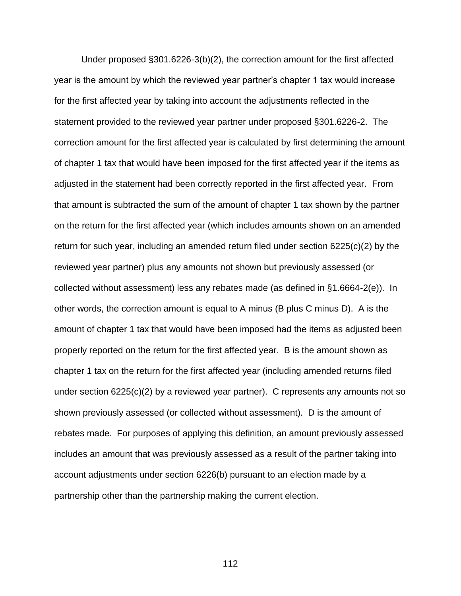Under proposed §301.6226-3(b)(2), the correction amount for the first affected year is the amount by which the reviewed year partner's chapter 1 tax would increase for the first affected year by taking into account the adjustments reflected in the statement provided to the reviewed year partner under proposed §301.6226-2. The correction amount for the first affected year is calculated by first determining the amount of chapter 1 tax that would have been imposed for the first affected year if the items as adjusted in the statement had been correctly reported in the first affected year. From that amount is subtracted the sum of the amount of chapter 1 tax shown by the partner on the return for the first affected year (which includes amounts shown on an amended return for such year, including an amended return filed under section 6225(c)(2) by the reviewed year partner) plus any amounts not shown but previously assessed (or collected without assessment) less any rebates made (as defined in §1.6664-2(e)). In other words, the correction amount is equal to A minus (B plus C minus D). A is the amount of chapter 1 tax that would have been imposed had the items as adjusted been properly reported on the return for the first affected year. B is the amount shown as chapter 1 tax on the return for the first affected year (including amended returns filed under section 6225(c)(2) by a reviewed year partner). C represents any amounts not so shown previously assessed (or collected without assessment). D is the amount of rebates made. For purposes of applying this definition, an amount previously assessed includes an amount that was previously assessed as a result of the partner taking into account adjustments under section 6226(b) pursuant to an election made by a partnership other than the partnership making the current election.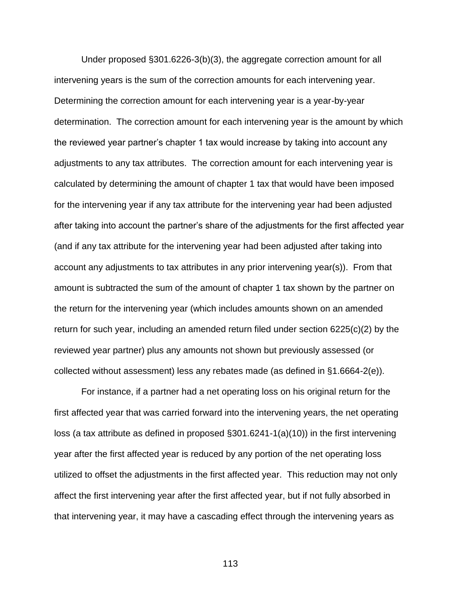Under proposed §301.6226-3(b)(3), the aggregate correction amount for all intervening years is the sum of the correction amounts for each intervening year. Determining the correction amount for each intervening year is a year-by-year determination. The correction amount for each intervening year is the amount by which the reviewed year partner's chapter 1 tax would increase by taking into account any adjustments to any tax attributes. The correction amount for each intervening year is calculated by determining the amount of chapter 1 tax that would have been imposed for the intervening year if any tax attribute for the intervening year had been adjusted after taking into account the partner's share of the adjustments for the first affected year (and if any tax attribute for the intervening year had been adjusted after taking into account any adjustments to tax attributes in any prior intervening year(s)). From that amount is subtracted the sum of the amount of chapter 1 tax shown by the partner on the return for the intervening year (which includes amounts shown on an amended return for such year, including an amended return filed under section 6225(c)(2) by the reviewed year partner) plus any amounts not shown but previously assessed (or collected without assessment) less any rebates made (as defined in §1.6664-2(e)).

For instance, if a partner had a net operating loss on his original return for the first affected year that was carried forward into the intervening years, the net operating loss (a tax attribute as defined in proposed §301.6241-1(a)(10)) in the first intervening year after the first affected year is reduced by any portion of the net operating loss utilized to offset the adjustments in the first affected year. This reduction may not only affect the first intervening year after the first affected year, but if not fully absorbed in that intervening year, it may have a cascading effect through the intervening years as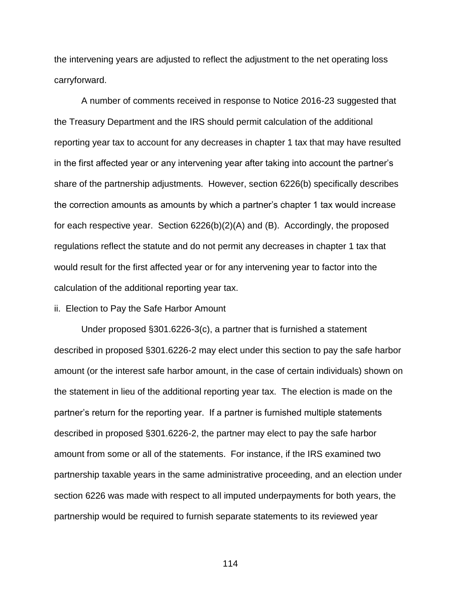the intervening years are adjusted to reflect the adjustment to the net operating loss carryforward.

A number of comments received in response to Notice 2016-23 suggested that the Treasury Department and the IRS should permit calculation of the additional reporting year tax to account for any decreases in chapter 1 tax that may have resulted in the first affected year or any intervening year after taking into account the partner's share of the partnership adjustments. However, section 6226(b) specifically describes the correction amounts as amounts by which a partner's chapter 1 tax would increase for each respective year. Section 6226(b)(2)(A) and (B). Accordingly, the proposed regulations reflect the statute and do not permit any decreases in chapter 1 tax that would result for the first affected year or for any intervening year to factor into the calculation of the additional reporting year tax.

ii. Election to Pay the Safe Harbor Amount

Under proposed §301.6226-3(c), a partner that is furnished a statement described in proposed §301.6226-2 may elect under this section to pay the safe harbor amount (or the interest safe harbor amount, in the case of certain individuals) shown on the statement in lieu of the additional reporting year tax. The election is made on the partner's return for the reporting year. If a partner is furnished multiple statements described in proposed §301.6226-2, the partner may elect to pay the safe harbor amount from some or all of the statements. For instance, if the IRS examined two partnership taxable years in the same administrative proceeding, and an election under section 6226 was made with respect to all imputed underpayments for both years, the partnership would be required to furnish separate statements to its reviewed year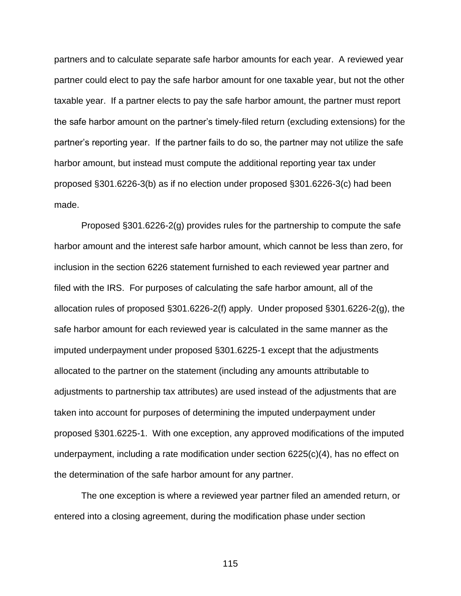partners and to calculate separate safe harbor amounts for each year. A reviewed year partner could elect to pay the safe harbor amount for one taxable year, but not the other taxable year. If a partner elects to pay the safe harbor amount, the partner must report the safe harbor amount on the partner's timely-filed return (excluding extensions) for the partner's reporting year. If the partner fails to do so, the partner may not utilize the safe harbor amount, but instead must compute the additional reporting year tax under proposed §301.6226-3(b) as if no election under proposed §301.6226-3(c) had been made.

Proposed §301.6226-2(g) provides rules for the partnership to compute the safe harbor amount and the interest safe harbor amount, which cannot be less than zero, for inclusion in the section 6226 statement furnished to each reviewed year partner and filed with the IRS. For purposes of calculating the safe harbor amount, all of the allocation rules of proposed §301.6226-2(f) apply. Under proposed §301.6226-2(g), the safe harbor amount for each reviewed year is calculated in the same manner as the imputed underpayment under proposed §301.6225-1 except that the adjustments allocated to the partner on the statement (including any amounts attributable to adjustments to partnership tax attributes) are used instead of the adjustments that are taken into account for purposes of determining the imputed underpayment under proposed §301.6225-1. With one exception, any approved modifications of the imputed underpayment, including a rate modification under section 6225(c)(4), has no effect on the determination of the safe harbor amount for any partner.

The one exception is where a reviewed year partner filed an amended return, or entered into a closing agreement, during the modification phase under section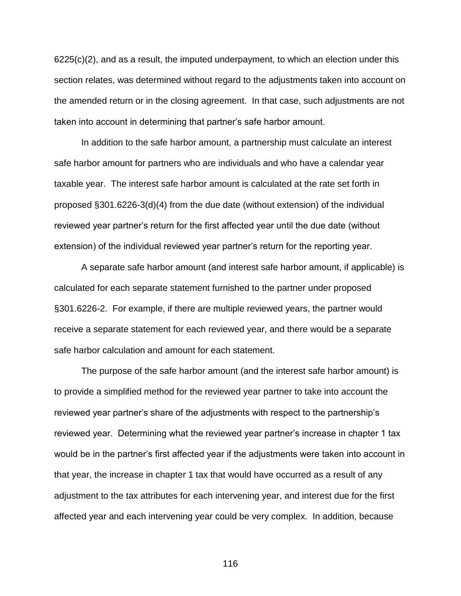$6225(c)(2)$ , and as a result, the imputed underpayment, to which an election under this section relates, was determined without regard to the adjustments taken into account on the amended return or in the closing agreement. In that case, such adjustments are not taken into account in determining that partner's safe harbor amount.

In addition to the safe harbor amount, a partnership must calculate an interest safe harbor amount for partners who are individuals and who have a calendar year taxable year. The interest safe harbor amount is calculated at the rate set forth in proposed §301.6226-3(d)(4) from the due date (without extension) of the individual reviewed year partner's return for the first affected year until the due date (without extension) of the individual reviewed year partner's return for the reporting year.

A separate safe harbor amount (and interest safe harbor amount, if applicable) is calculated for each separate statement furnished to the partner under proposed §301.6226-2. For example, if there are multiple reviewed years, the partner would receive a separate statement for each reviewed year, and there would be a separate safe harbor calculation and amount for each statement.

The purpose of the safe harbor amount (and the interest safe harbor amount) is to provide a simplified method for the reviewed year partner to take into account the reviewed year partner's share of the adjustments with respect to the partnership's reviewed year. Determining what the reviewed year partner's increase in chapter 1 tax would be in the partner's first affected year if the adjustments were taken into account in that year, the increase in chapter 1 tax that would have occurred as a result of any adjustment to the tax attributes for each intervening year, and interest due for the first affected year and each intervening year could be very complex. In addition, because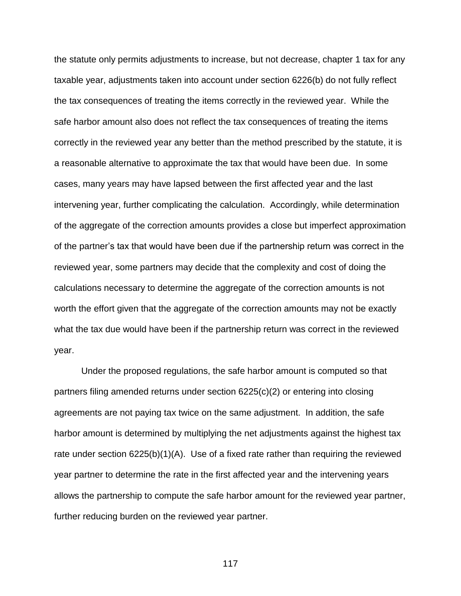the statute only permits adjustments to increase, but not decrease, chapter 1 tax for any taxable year, adjustments taken into account under section 6226(b) do not fully reflect the tax consequences of treating the items correctly in the reviewed year. While the safe harbor amount also does not reflect the tax consequences of treating the items correctly in the reviewed year any better than the method prescribed by the statute, it is a reasonable alternative to approximate the tax that would have been due. In some cases, many years may have lapsed between the first affected year and the last intervening year, further complicating the calculation. Accordingly, while determination of the aggregate of the correction amounts provides a close but imperfect approximation of the partner's tax that would have been due if the partnership return was correct in the reviewed year, some partners may decide that the complexity and cost of doing the calculations necessary to determine the aggregate of the correction amounts is not worth the effort given that the aggregate of the correction amounts may not be exactly what the tax due would have been if the partnership return was correct in the reviewed year.

Under the proposed regulations, the safe harbor amount is computed so that partners filing amended returns under section 6225(c)(2) or entering into closing agreements are not paying tax twice on the same adjustment. In addition, the safe harbor amount is determined by multiplying the net adjustments against the highest tax rate under section 6225(b)(1)(A). Use of a fixed rate rather than requiring the reviewed year partner to determine the rate in the first affected year and the intervening years allows the partnership to compute the safe harbor amount for the reviewed year partner, further reducing burden on the reviewed year partner.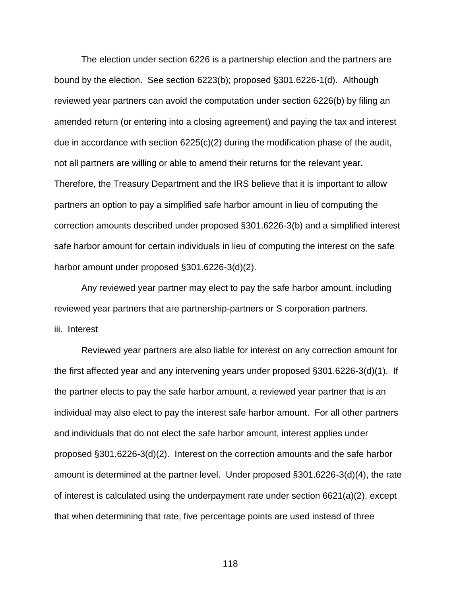The election under section 6226 is a partnership election and the partners are bound by the election. See section 6223(b); proposed §301.6226-1(d). Although reviewed year partners can avoid the computation under section 6226(b) by filing an amended return (or entering into a closing agreement) and paying the tax and interest due in accordance with section  $6225(c)(2)$  during the modification phase of the audit, not all partners are willing or able to amend their returns for the relevant year. Therefore, the Treasury Department and the IRS believe that it is important to allow partners an option to pay a simplified safe harbor amount in lieu of computing the correction amounts described under proposed §301.6226-3(b) and a simplified interest safe harbor amount for certain individuals in lieu of computing the interest on the safe harbor amount under proposed §301.6226-3(d)(2).

Any reviewed year partner may elect to pay the safe harbor amount, including reviewed year partners that are partnership-partners or S corporation partners. iii. Interest

Reviewed year partners are also liable for interest on any correction amount for the first affected year and any intervening years under proposed §301.6226-3(d)(1). If the partner elects to pay the safe harbor amount, a reviewed year partner that is an individual may also elect to pay the interest safe harbor amount. For all other partners and individuals that do not elect the safe harbor amount, interest applies under proposed §301.6226-3(d)(2). Interest on the correction amounts and the safe harbor amount is determined at the partner level. Under proposed §301.6226-3(d)(4), the rate of interest is calculated using the underpayment rate under section 6621(a)(2), except that when determining that rate, five percentage points are used instead of three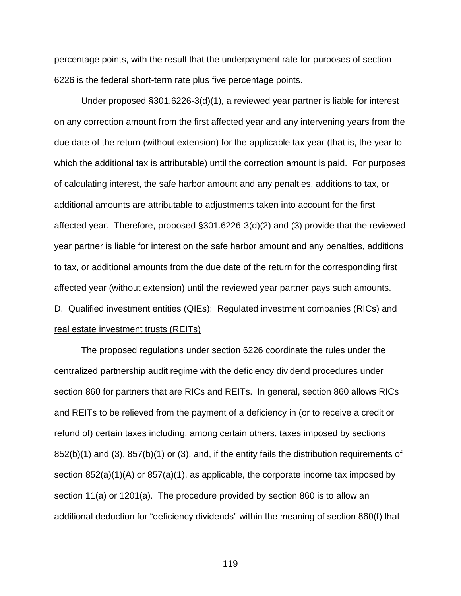percentage points, with the result that the underpayment rate for purposes of section 6226 is the federal short-term rate plus five percentage points.

Under proposed §301.6226-3(d)(1), a reviewed year partner is liable for interest on any correction amount from the first affected year and any intervening years from the due date of the return (without extension) for the applicable tax year (that is, the year to which the additional tax is attributable) until the correction amount is paid. For purposes of calculating interest, the safe harbor amount and any penalties, additions to tax, or additional amounts are attributable to adjustments taken into account for the first affected year. Therefore, proposed §301.6226-3(d)(2) and (3) provide that the reviewed year partner is liable for interest on the safe harbor amount and any penalties, additions to tax, or additional amounts from the due date of the return for the corresponding first affected year (without extension) until the reviewed year partner pays such amounts. D. Qualified investment entities (QIEs): Regulated investment companies (RICs) and

real estate investment trusts (REITs)

The proposed regulations under section 6226 coordinate the rules under the centralized partnership audit regime with the deficiency dividend procedures under section 860 for partners that are RICs and REITs. In general, section 860 allows RICs and REITs to be relieved from the payment of a deficiency in (or to receive a credit or refund of) certain taxes including, among certain others, taxes imposed by sections 852(b)(1) and (3), 857(b)(1) or (3), and, if the entity fails the distribution requirements of section 852(a)(1)(A) or 857(a)(1), as applicable, the corporate income tax imposed by section 11(a) or 1201(a). The procedure provided by section 860 is to allow an additional deduction for "deficiency dividends" within the meaning of section 860(f) that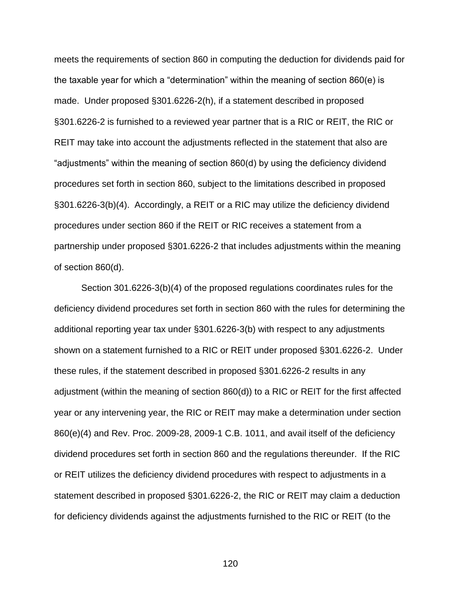meets the requirements of section 860 in computing the deduction for dividends paid for the taxable year for which a "determination" within the meaning of section 860(e) is made. Under proposed §301.6226-2(h), if a statement described in proposed §301.6226-2 is furnished to a reviewed year partner that is a RIC or REIT, the RIC or REIT may take into account the adjustments reflected in the statement that also are "adjustments" within the meaning of section 860(d) by using the deficiency dividend procedures set forth in section 860, subject to the limitations described in proposed §301.6226-3(b)(4). Accordingly, a REIT or a RIC may utilize the deficiency dividend procedures under section 860 if the REIT or RIC receives a statement from a partnership under proposed §301.6226-2 that includes adjustments within the meaning of section 860(d).

Section 301.6226-3(b)(4) of the proposed regulations coordinates rules for the deficiency dividend procedures set forth in section 860 with the rules for determining the additional reporting year tax under §301.6226-3(b) with respect to any adjustments shown on a statement furnished to a RIC or REIT under proposed §301.6226-2. Under these rules, if the statement described in proposed §301.6226-2 results in any adjustment (within the meaning of section 860(d)) to a RIC or REIT for the first affected year or any intervening year, the RIC or REIT may make a determination under section 860(e)(4) and Rev. Proc. 2009-28, 2009-1 C.B. 1011, and avail itself of the deficiency dividend procedures set forth in section 860 and the regulations thereunder. If the RIC or REIT utilizes the deficiency dividend procedures with respect to adjustments in a statement described in proposed §301.6226-2, the RIC or REIT may claim a deduction for deficiency dividends against the adjustments furnished to the RIC or REIT (to the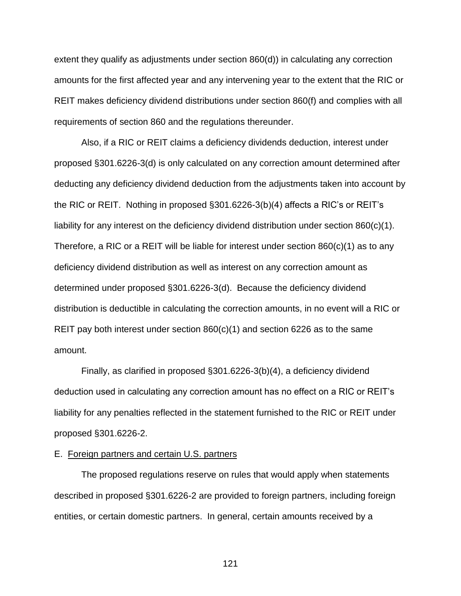extent they qualify as adjustments under section 860(d)) in calculating any correction amounts for the first affected year and any intervening year to the extent that the RIC or REIT makes deficiency dividend distributions under section 860(f) and complies with all requirements of section 860 and the regulations thereunder.

Also, if a RIC or REIT claims a deficiency dividends deduction, interest under proposed §301.6226-3(d) is only calculated on any correction amount determined after deducting any deficiency dividend deduction from the adjustments taken into account by the RIC or REIT. Nothing in proposed §301.6226-3(b)(4) affects a RIC's or REIT's liability for any interest on the deficiency dividend distribution under section 860(c)(1). Therefore, a RIC or a REIT will be liable for interest under section 860(c)(1) as to any deficiency dividend distribution as well as interest on any correction amount as determined under proposed §301.6226-3(d). Because the deficiency dividend distribution is deductible in calculating the correction amounts, in no event will a RIC or REIT pay both interest under section  $860(c)(1)$  and section 6226 as to the same amount.

Finally, as clarified in proposed §301.6226-3(b)(4), a deficiency dividend deduction used in calculating any correction amount has no effect on a RIC or REIT's liability for any penalties reflected in the statement furnished to the RIC or REIT under proposed §301.6226-2.

# E. Foreign partners and certain U.S. partners

The proposed regulations reserve on rules that would apply when statements described in proposed §301.6226-2 are provided to foreign partners, including foreign entities, or certain domestic partners. In general, certain amounts received by a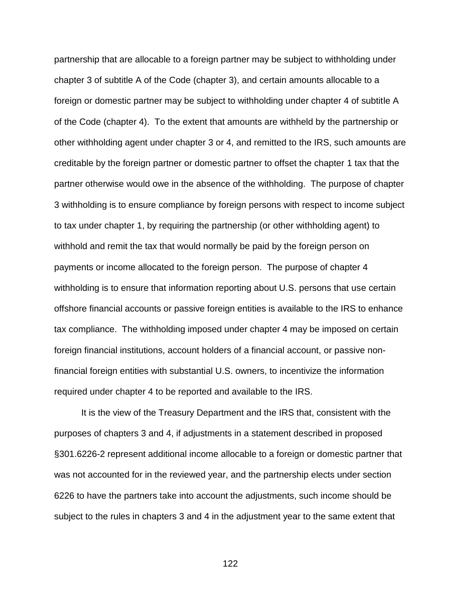partnership that are allocable to a foreign partner may be subject to withholding under chapter 3 of subtitle A of the Code (chapter 3), and certain amounts allocable to a foreign or domestic partner may be subject to withholding under chapter 4 of subtitle A of the Code (chapter 4). To the extent that amounts are withheld by the partnership or other withholding agent under chapter 3 or 4, and remitted to the IRS, such amounts are creditable by the foreign partner or domestic partner to offset the chapter 1 tax that the partner otherwise would owe in the absence of the withholding. The purpose of chapter 3 withholding is to ensure compliance by foreign persons with respect to income subject to tax under chapter 1, by requiring the partnership (or other withholding agent) to withhold and remit the tax that would normally be paid by the foreign person on payments or income allocated to the foreign person. The purpose of chapter 4 withholding is to ensure that information reporting about U.S. persons that use certain offshore financial accounts or passive foreign entities is available to the IRS to enhance tax compliance. The withholding imposed under chapter 4 may be imposed on certain foreign financial institutions, account holders of a financial account, or passive nonfinancial foreign entities with substantial U.S. owners, to incentivize the information required under chapter 4 to be reported and available to the IRS.

It is the view of the Treasury Department and the IRS that, consistent with the purposes of chapters 3 and 4, if adjustments in a statement described in proposed §301.6226-2 represent additional income allocable to a foreign or domestic partner that was not accounted for in the reviewed year, and the partnership elects under section 6226 to have the partners take into account the adjustments, such income should be subject to the rules in chapters 3 and 4 in the adjustment year to the same extent that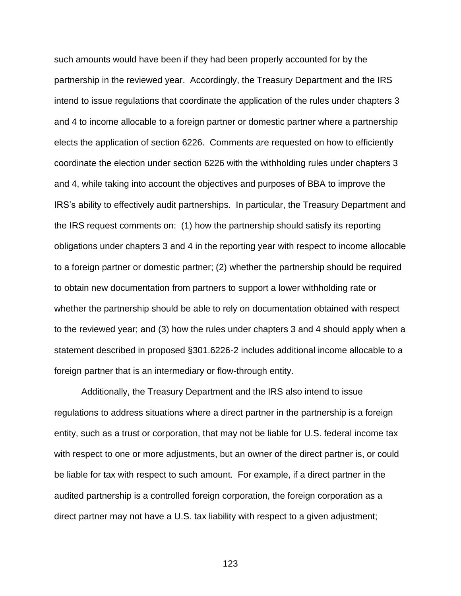such amounts would have been if they had been properly accounted for by the partnership in the reviewed year. Accordingly, the Treasury Department and the IRS intend to issue regulations that coordinate the application of the rules under chapters 3 and 4 to income allocable to a foreign partner or domestic partner where a partnership elects the application of section 6226. Comments are requested on how to efficiently coordinate the election under section 6226 with the withholding rules under chapters 3 and 4, while taking into account the objectives and purposes of BBA to improve the IRS's ability to effectively audit partnerships. In particular, the Treasury Department and the IRS request comments on: (1) how the partnership should satisfy its reporting obligations under chapters 3 and 4 in the reporting year with respect to income allocable to a foreign partner or domestic partner; (2) whether the partnership should be required to obtain new documentation from partners to support a lower withholding rate or whether the partnership should be able to rely on documentation obtained with respect to the reviewed year; and (3) how the rules under chapters 3 and 4 should apply when a statement described in proposed §301.6226-2 includes additional income allocable to a foreign partner that is an intermediary or flow-through entity.

Additionally, the Treasury Department and the IRS also intend to issue regulations to address situations where a direct partner in the partnership is a foreign entity, such as a trust or corporation, that may not be liable for U.S. federal income tax with respect to one or more adjustments, but an owner of the direct partner is, or could be liable for tax with respect to such amount. For example, if a direct partner in the audited partnership is a controlled foreign corporation, the foreign corporation as a direct partner may not have a U.S. tax liability with respect to a given adjustment;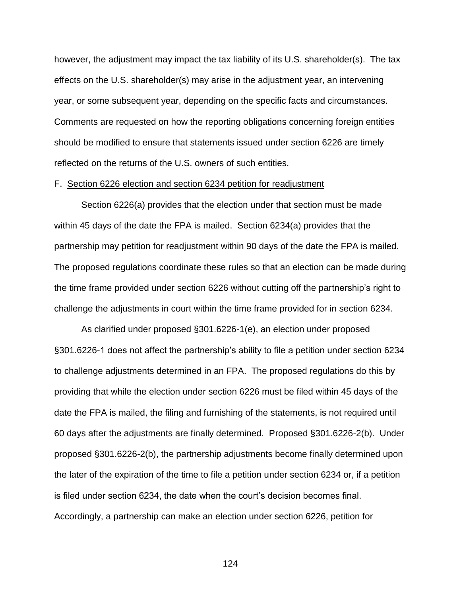however, the adjustment may impact the tax liability of its U.S. shareholder(s). The tax effects on the U.S. shareholder(s) may arise in the adjustment year, an intervening year, or some subsequent year, depending on the specific facts and circumstances. Comments are requested on how the reporting obligations concerning foreign entities should be modified to ensure that statements issued under section 6226 are timely reflected on the returns of the U.S. owners of such entities.

# F. Section 6226 election and section 6234 petition for readjustment

Section 6226(a) provides that the election under that section must be made within 45 days of the date the FPA is mailed. Section 6234(a) provides that the partnership may petition for readjustment within 90 days of the date the FPA is mailed. The proposed regulations coordinate these rules so that an election can be made during the time frame provided under section 6226 without cutting off the partnership's right to challenge the adjustments in court within the time frame provided for in section 6234.

As clarified under proposed §301.6226-1(e), an election under proposed §301.6226-1 does not affect the partnership's ability to file a petition under section 6234 to challenge adjustments determined in an FPA. The proposed regulations do this by providing that while the election under section 6226 must be filed within 45 days of the date the FPA is mailed, the filing and furnishing of the statements, is not required until 60 days after the adjustments are finally determined. Proposed §301.6226-2(b). Under proposed §301.6226-2(b), the partnership adjustments become finally determined upon the later of the expiration of the time to file a petition under section 6234 or, if a petition is filed under section 6234, the date when the court's decision becomes final. Accordingly, a partnership can make an election under section 6226, petition for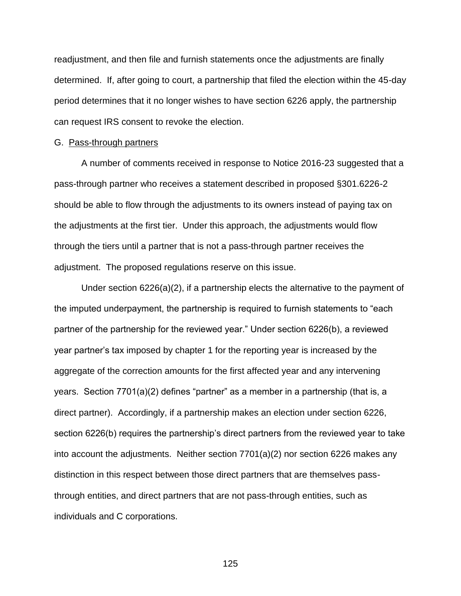readjustment, and then file and furnish statements once the adjustments are finally determined. If, after going to court, a partnership that filed the election within the 45-day period determines that it no longer wishes to have section 6226 apply, the partnership can request IRS consent to revoke the election.

### G. Pass-through partners

A number of comments received in response to Notice 2016-23 suggested that a pass-through partner who receives a statement described in proposed §301.6226-2 should be able to flow through the adjustments to its owners instead of paying tax on the adjustments at the first tier. Under this approach, the adjustments would flow through the tiers until a partner that is not a pass-through partner receives the adjustment. The proposed regulations reserve on this issue.

Under section 6226(a)(2), if a partnership elects the alternative to the payment of the imputed underpayment, the partnership is required to furnish statements to "each partner of the partnership for the reviewed year." Under section 6226(b), a reviewed year partner's tax imposed by chapter 1 for the reporting year is increased by the aggregate of the correction amounts for the first affected year and any intervening years. Section 7701(a)(2) defines "partner" as a member in a partnership (that is, a direct partner). Accordingly, if a partnership makes an election under section 6226, section 6226(b) requires the partnership's direct partners from the reviewed year to take into account the adjustments. Neither section 7701(a)(2) nor section 6226 makes any distinction in this respect between those direct partners that are themselves passthrough entities, and direct partners that are not pass-through entities, such as individuals and C corporations.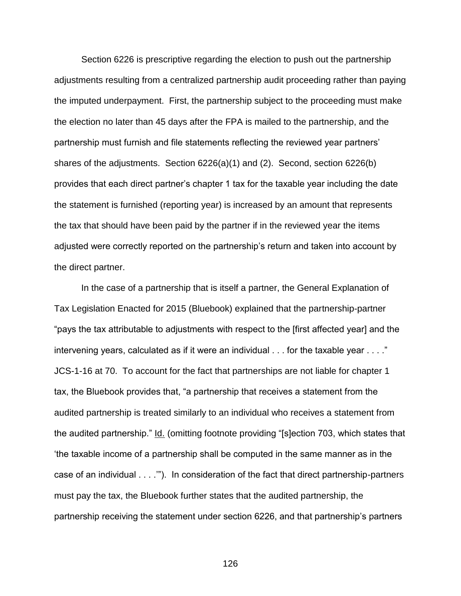Section 6226 is prescriptive regarding the election to push out the partnership adjustments resulting from a centralized partnership audit proceeding rather than paying the imputed underpayment. First, the partnership subject to the proceeding must make the election no later than 45 days after the FPA is mailed to the partnership, and the partnership must furnish and file statements reflecting the reviewed year partners' shares of the adjustments. Section 6226(a)(1) and (2). Second, section 6226(b) provides that each direct partner's chapter 1 tax for the taxable year including the date the statement is furnished (reporting year) is increased by an amount that represents the tax that should have been paid by the partner if in the reviewed year the items adjusted were correctly reported on the partnership's return and taken into account by the direct partner.

In the case of a partnership that is itself a partner, the General Explanation of Tax Legislation Enacted for 2015 (Bluebook) explained that the partnership-partner "pays the tax attributable to adjustments with respect to the [first affected year] and the intervening years, calculated as if it were an individual . . . for the taxable year . . . ." JCS-1-16 at 70. To account for the fact that partnerships are not liable for chapter 1 tax, the Bluebook provides that, "a partnership that receives a statement from the audited partnership is treated similarly to an individual who receives a statement from the audited partnership." Id. (omitting footnote providing "[s]ection 703, which states that 'the taxable income of a partnership shall be computed in the same manner as in the case of an individual . . . .'"). In consideration of the fact that direct partnership-partners must pay the tax, the Bluebook further states that the audited partnership, the partnership receiving the statement under section 6226, and that partnership's partners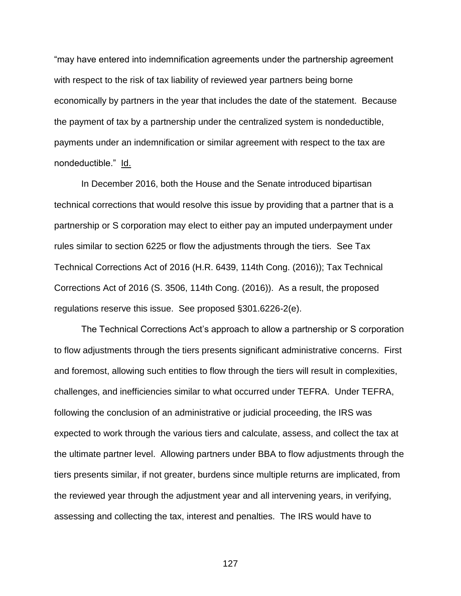"may have entered into indemnification agreements under the partnership agreement with respect to the risk of tax liability of reviewed year partners being borne economically by partners in the year that includes the date of the statement. Because the payment of tax by a partnership under the centralized system is nondeductible, payments under an indemnification or similar agreement with respect to the tax are nondeductible." Id.

In December 2016, both the House and the Senate introduced bipartisan technical corrections that would resolve this issue by providing that a partner that is a partnership or S corporation may elect to either pay an imputed underpayment under rules similar to section 6225 or flow the adjustments through the tiers. See Tax Technical Corrections Act of 2016 (H.R. 6439, 114th Cong. (2016)); Tax Technical Corrections Act of 2016 (S. 3506, 114th Cong. (2016)). As a result, the proposed regulations reserve this issue. See proposed §301.6226-2(e).

The Technical Corrections Act's approach to allow a partnership or S corporation to flow adjustments through the tiers presents significant administrative concerns. First and foremost, allowing such entities to flow through the tiers will result in complexities, challenges, and inefficiencies similar to what occurred under TEFRA. Under TEFRA, following the conclusion of an administrative or judicial proceeding, the IRS was expected to work through the various tiers and calculate, assess, and collect the tax at the ultimate partner level. Allowing partners under BBA to flow adjustments through the tiers presents similar, if not greater, burdens since multiple returns are implicated, from the reviewed year through the adjustment year and all intervening years, in verifying, assessing and collecting the tax, interest and penalties. The IRS would have to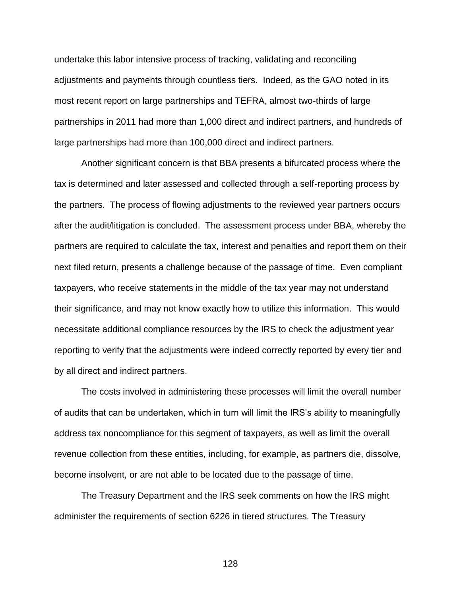undertake this labor intensive process of tracking, validating and reconciling adjustments and payments through countless tiers. Indeed, as the GAO noted in its most recent report on large partnerships and TEFRA, almost two-thirds of large partnerships in 2011 had more than 1,000 direct and indirect partners, and hundreds of large partnerships had more than 100,000 direct and indirect partners.

Another significant concern is that BBA presents a bifurcated process where the tax is determined and later assessed and collected through a self-reporting process by the partners. The process of flowing adjustments to the reviewed year partners occurs after the audit/litigation is concluded. The assessment process under BBA, whereby the partners are required to calculate the tax, interest and penalties and report them on their next filed return, presents a challenge because of the passage of time. Even compliant taxpayers, who receive statements in the middle of the tax year may not understand their significance, and may not know exactly how to utilize this information. This would necessitate additional compliance resources by the IRS to check the adjustment year reporting to verify that the adjustments were indeed correctly reported by every tier and by all direct and indirect partners.

The costs involved in administering these processes will limit the overall number of audits that can be undertaken, which in turn will limit the IRS's ability to meaningfully address tax noncompliance for this segment of taxpayers, as well as limit the overall revenue collection from these entities, including, for example, as partners die, dissolve, become insolvent, or are not able to be located due to the passage of time.

The Treasury Department and the IRS seek comments on how the IRS might administer the requirements of section 6226 in tiered structures. The Treasury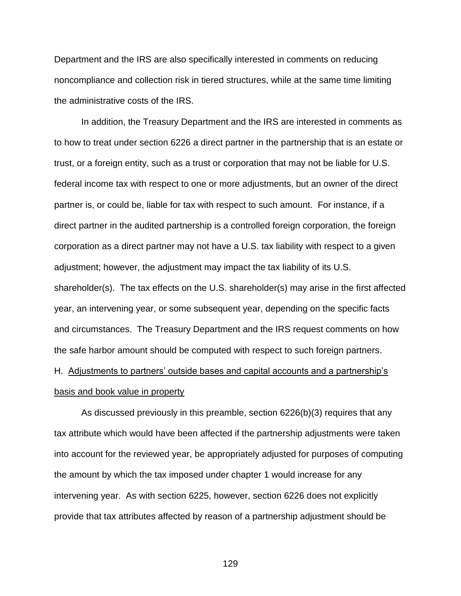Department and the IRS are also specifically interested in comments on reducing noncompliance and collection risk in tiered structures, while at the same time limiting the administrative costs of the IRS.

In addition, the Treasury Department and the IRS are interested in comments as to how to treat under section 6226 a direct partner in the partnership that is an estate or trust, or a foreign entity, such as a trust or corporation that may not be liable for U.S. federal income tax with respect to one or more adjustments, but an owner of the direct partner is, or could be, liable for tax with respect to such amount. For instance, if a direct partner in the audited partnership is a controlled foreign corporation, the foreign corporation as a direct partner may not have a U.S. tax liability with respect to a given adjustment; however, the adjustment may impact the tax liability of its U.S. shareholder(s). The tax effects on the U.S. shareholder(s) may arise in the first affected year, an intervening year, or some subsequent year, depending on the specific facts and circumstances. The Treasury Department and the IRS request comments on how the safe harbor amount should be computed with respect to such foreign partners.

# H. Adjustments to partners' outside bases and capital accounts and a partnership's basis and book value in property

As discussed previously in this preamble, section 6226(b)(3) requires that any tax attribute which would have been affected if the partnership adjustments were taken into account for the reviewed year, be appropriately adjusted for purposes of computing the amount by which the tax imposed under chapter 1 would increase for any intervening year. As with section 6225, however, section 6226 does not explicitly provide that tax attributes affected by reason of a partnership adjustment should be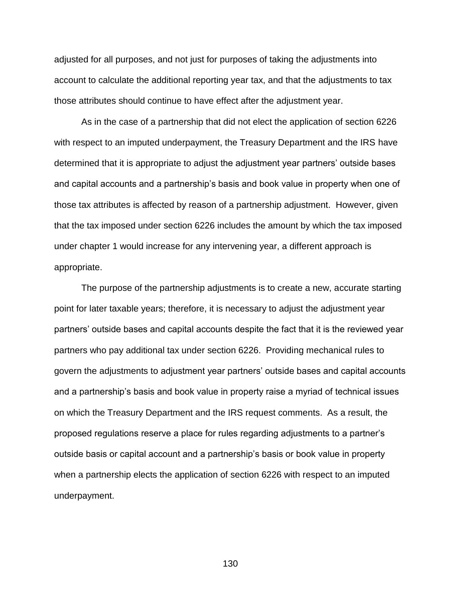adjusted for all purposes, and not just for purposes of taking the adjustments into account to calculate the additional reporting year tax, and that the adjustments to tax those attributes should continue to have effect after the adjustment year.

As in the case of a partnership that did not elect the application of section 6226 with respect to an imputed underpayment, the Treasury Department and the IRS have determined that it is appropriate to adjust the adjustment year partners' outside bases and capital accounts and a partnership's basis and book value in property when one of those tax attributes is affected by reason of a partnership adjustment. However, given that the tax imposed under section 6226 includes the amount by which the tax imposed under chapter 1 would increase for any intervening year, a different approach is appropriate.

The purpose of the partnership adjustments is to create a new, accurate starting point for later taxable years; therefore, it is necessary to adjust the adjustment year partners' outside bases and capital accounts despite the fact that it is the reviewed year partners who pay additional tax under section 6226. Providing mechanical rules to govern the adjustments to adjustment year partners' outside bases and capital accounts and a partnership's basis and book value in property raise a myriad of technical issues on which the Treasury Department and the IRS request comments. As a result, the proposed regulations reserve a place for rules regarding adjustments to a partner's outside basis or capital account and a partnership's basis or book value in property when a partnership elects the application of section 6226 with respect to an imputed underpayment.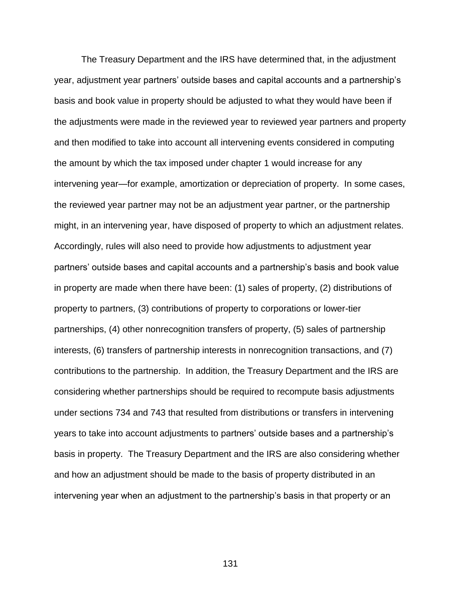The Treasury Department and the IRS have determined that, in the adjustment year, adjustment year partners' outside bases and capital accounts and a partnership's basis and book value in property should be adjusted to what they would have been if the adjustments were made in the reviewed year to reviewed year partners and property and then modified to take into account all intervening events considered in computing the amount by which the tax imposed under chapter 1 would increase for any intervening year—for example, amortization or depreciation of property. In some cases, the reviewed year partner may not be an adjustment year partner, or the partnership might, in an intervening year, have disposed of property to which an adjustment relates. Accordingly, rules will also need to provide how adjustments to adjustment year partners' outside bases and capital accounts and a partnership's basis and book value in property are made when there have been: (1) sales of property, (2) distributions of property to partners, (3) contributions of property to corporations or lower-tier partnerships, (4) other nonrecognition transfers of property, (5) sales of partnership interests, (6) transfers of partnership interests in nonrecognition transactions, and (7) contributions to the partnership. In addition, the Treasury Department and the IRS are considering whether partnerships should be required to recompute basis adjustments under sections 734 and 743 that resulted from distributions or transfers in intervening years to take into account adjustments to partners' outside bases and a partnership's basis in property. The Treasury Department and the IRS are also considering whether and how an adjustment should be made to the basis of property distributed in an intervening year when an adjustment to the partnership's basis in that property or an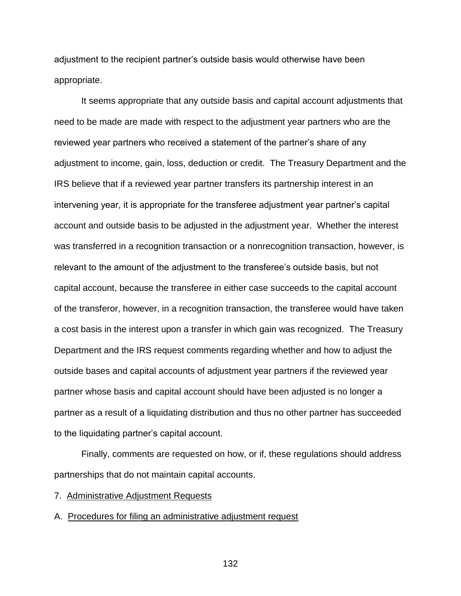adjustment to the recipient partner's outside basis would otherwise have been appropriate.

It seems appropriate that any outside basis and capital account adjustments that need to be made are made with respect to the adjustment year partners who are the reviewed year partners who received a statement of the partner's share of any adjustment to income, gain, loss, deduction or credit. The Treasury Department and the IRS believe that if a reviewed year partner transfers its partnership interest in an intervening year, it is appropriate for the transferee adjustment year partner's capital account and outside basis to be adjusted in the adjustment year. Whether the interest was transferred in a recognition transaction or a nonrecognition transaction, however, is relevant to the amount of the adjustment to the transferee's outside basis, but not capital account, because the transferee in either case succeeds to the capital account of the transferor, however, in a recognition transaction, the transferee would have taken a cost basis in the interest upon a transfer in which gain was recognized. The Treasury Department and the IRS request comments regarding whether and how to adjust the outside bases and capital accounts of adjustment year partners if the reviewed year partner whose basis and capital account should have been adjusted is no longer a partner as a result of a liquidating distribution and thus no other partner has succeeded to the liquidating partner's capital account.

Finally, comments are requested on how, or if, these regulations should address partnerships that do not maintain capital accounts.

7. Administrative Adjustment Requests

A. Procedures for filing an administrative adjustment request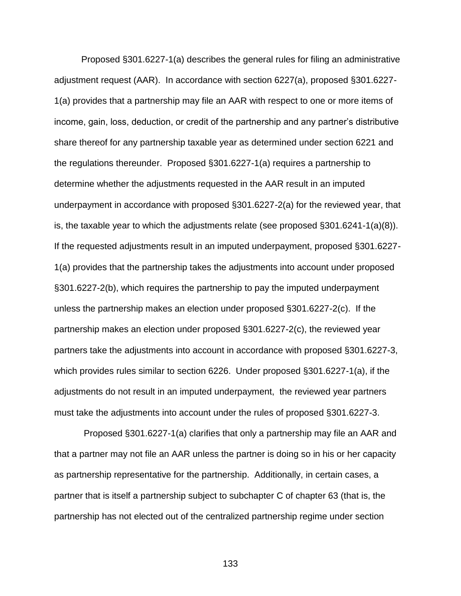Proposed §301.6227-1(a) describes the general rules for filing an administrative adjustment request (AAR). In accordance with section 6227(a), proposed §301.6227- 1(a) provides that a partnership may file an AAR with respect to one or more items of income, gain, loss, deduction, or credit of the partnership and any partner's distributive share thereof for any partnership taxable year as determined under section 6221 and the regulations thereunder. Proposed §301.6227-1(a) requires a partnership to determine whether the adjustments requested in the AAR result in an imputed underpayment in accordance with proposed §301.6227-2(a) for the reviewed year, that is, the taxable year to which the adjustments relate (see proposed §301.6241-1(a)(8)). If the requested adjustments result in an imputed underpayment, proposed §301.6227- 1(a) provides that the partnership takes the adjustments into account under proposed §301.6227-2(b), which requires the partnership to pay the imputed underpayment unless the partnership makes an election under proposed §301.6227-2(c). If the partnership makes an election under proposed §301.6227-2(c), the reviewed year partners take the adjustments into account in accordance with proposed §301.6227-3, which provides rules similar to section 6226. Under proposed §301.6227-1(a), if the adjustments do not result in an imputed underpayment, the reviewed year partners must take the adjustments into account under the rules of proposed §301.6227-3.

Proposed §301.6227-1(a) clarifies that only a partnership may file an AAR and that a partner may not file an AAR unless the partner is doing so in his or her capacity as partnership representative for the partnership. Additionally, in certain cases, a partner that is itself a partnership subject to subchapter C of chapter 63 (that is, the partnership has not elected out of the centralized partnership regime under section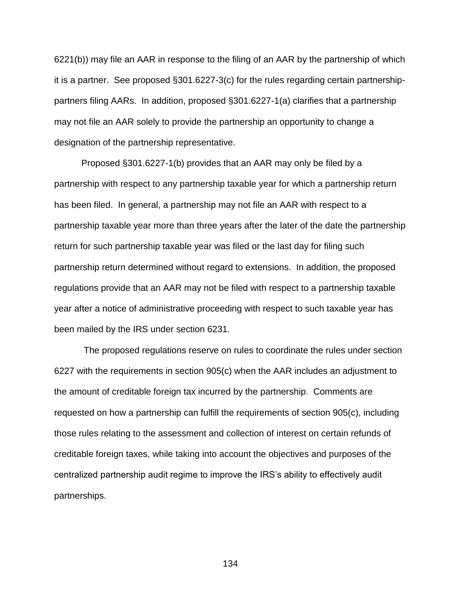6221(b)) may file an AAR in response to the filing of an AAR by the partnership of which it is a partner. See proposed §301.6227-3(c) for the rules regarding certain partnershippartners filing AARs. In addition, proposed §301.6227-1(a) clarifies that a partnership may not file an AAR solely to provide the partnership an opportunity to change a designation of the partnership representative.

Proposed §301.6227-1(b) provides that an AAR may only be filed by a partnership with respect to any partnership taxable year for which a partnership return has been filed. In general, a partnership may not file an AAR with respect to a partnership taxable year more than three years after the later of the date the partnership return for such partnership taxable year was filed or the last day for filing such partnership return determined without regard to extensions. In addition, the proposed regulations provide that an AAR may not be filed with respect to a partnership taxable year after a notice of administrative proceeding with respect to such taxable year has been mailed by the IRS under section 6231.

The proposed regulations reserve on rules to coordinate the rules under section 6227 with the requirements in section 905(c) when the AAR includes an adjustment to the amount of creditable foreign tax incurred by the partnership. Comments are requested on how a partnership can fulfill the requirements of section 905(c), including those rules relating to the assessment and collection of interest on certain refunds of creditable foreign taxes, while taking into account the objectives and purposes of the centralized partnership audit regime to improve the IRS's ability to effectively audit partnerships.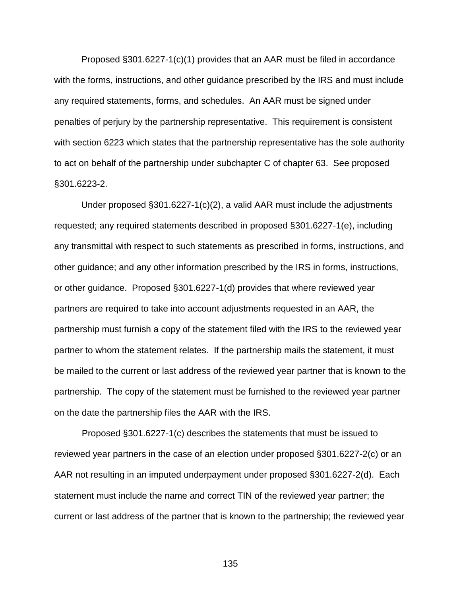Proposed §301.6227-1(c)(1) provides that an AAR must be filed in accordance with the forms, instructions, and other guidance prescribed by the IRS and must include any required statements, forms, and schedules. An AAR must be signed under penalties of perjury by the partnership representative. This requirement is consistent with section 6223 which states that the partnership representative has the sole authority to act on behalf of the partnership under subchapter C of chapter 63. See proposed §301.6223-2.

Under proposed §301.6227-1(c)(2), a valid AAR must include the adjustments requested; any required statements described in proposed §301.6227-1(e), including any transmittal with respect to such statements as prescribed in forms, instructions, and other guidance; and any other information prescribed by the IRS in forms, instructions, or other guidance. Proposed §301.6227-1(d) provides that where reviewed year partners are required to take into account adjustments requested in an AAR, the partnership must furnish a copy of the statement filed with the IRS to the reviewed year partner to whom the statement relates. If the partnership mails the statement, it must be mailed to the current or last address of the reviewed year partner that is known to the partnership. The copy of the statement must be furnished to the reviewed year partner on the date the partnership files the AAR with the IRS.

 Proposed §301.6227-1(c) describes the statements that must be issued to reviewed year partners in the case of an election under proposed §301.6227-2(c) or an AAR not resulting in an imputed underpayment under proposed §301.6227-2(d). Each statement must include the name and correct TIN of the reviewed year partner; the current or last address of the partner that is known to the partnership; the reviewed year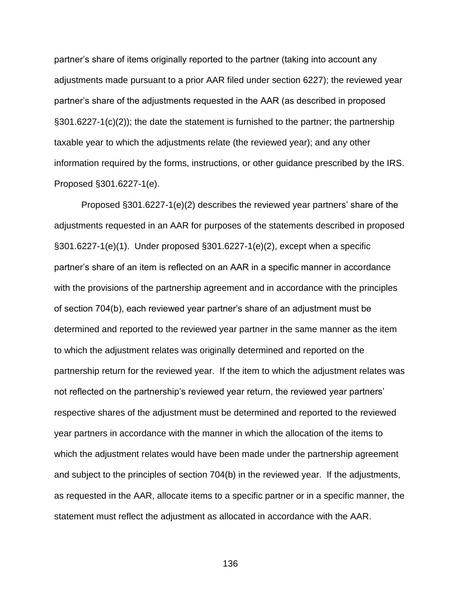partner's share of items originally reported to the partner (taking into account any adjustments made pursuant to a prior AAR filed under section 6227); the reviewed year partner's share of the adjustments requested in the AAR (as described in proposed §301.6227-1(c)(2)); the date the statement is furnished to the partner; the partnership taxable year to which the adjustments relate (the reviewed year); and any other information required by the forms, instructions, or other guidance prescribed by the IRS. Proposed §301.6227-1(e).

Proposed §301.6227-1(e)(2) describes the reviewed year partners' share of the adjustments requested in an AAR for purposes of the statements described in proposed §301.6227-1(e)(1). Under proposed §301.6227-1(e)(2), except when a specific partner's share of an item is reflected on an AAR in a specific manner in accordance with the provisions of the partnership agreement and in accordance with the principles of section 704(b), each reviewed year partner's share of an adjustment must be determined and reported to the reviewed year partner in the same manner as the item to which the adjustment relates was originally determined and reported on the partnership return for the reviewed year. If the item to which the adjustment relates was not reflected on the partnership's reviewed year return, the reviewed year partners' respective shares of the adjustment must be determined and reported to the reviewed year partners in accordance with the manner in which the allocation of the items to which the adjustment relates would have been made under the partnership agreement and subject to the principles of section 704(b) in the reviewed year. If the adjustments, as requested in the AAR, allocate items to a specific partner or in a specific manner, the statement must reflect the adjustment as allocated in accordance with the AAR.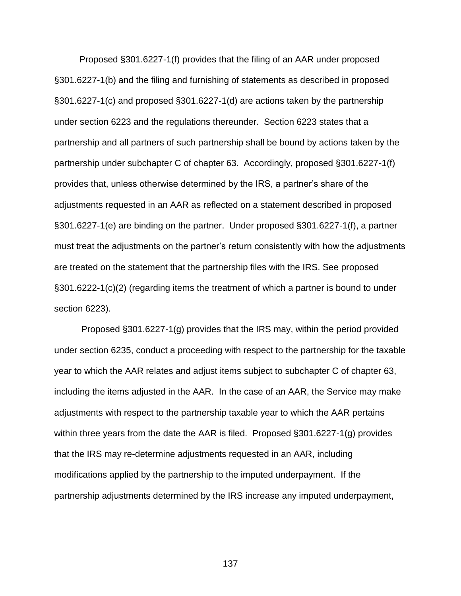Proposed §301.6227-1(f) provides that the filing of an AAR under proposed §301.6227-1(b) and the filing and furnishing of statements as described in proposed §301.6227-1(c) and proposed §301.6227-1(d) are actions taken by the partnership under section 6223 and the regulations thereunder. Section 6223 states that a partnership and all partners of such partnership shall be bound by actions taken by the partnership under subchapter C of chapter 63. Accordingly, proposed §301.6227-1(f) provides that, unless otherwise determined by the IRS, a partner's share of the adjustments requested in an AAR as reflected on a statement described in proposed §301.6227-1(e) are binding on the partner. Under proposed §301.6227-1(f), a partner must treat the adjustments on the partner's return consistently with how the adjustments are treated on the statement that the partnership files with the IRS. See proposed §301.6222-1(c)(2) (regarding items the treatment of which a partner is bound to under section 6223).

Proposed §301.6227-1(g) provides that the IRS may, within the period provided under section 6235, conduct a proceeding with respect to the partnership for the taxable year to which the AAR relates and adjust items subject to subchapter C of chapter 63, including the items adjusted in the AAR. In the case of an AAR, the Service may make adjustments with respect to the partnership taxable year to which the AAR pertains within three years from the date the AAR is filed. Proposed §301.6227-1(g) provides that the IRS may re-determine adjustments requested in an AAR, including modifications applied by the partnership to the imputed underpayment. If the partnership adjustments determined by the IRS increase any imputed underpayment,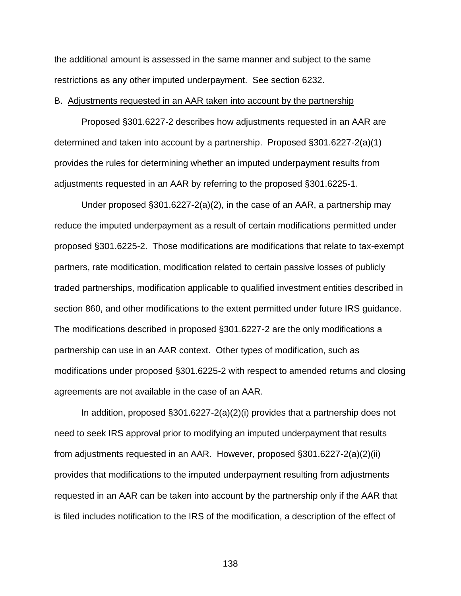the additional amount is assessed in the same manner and subject to the same restrictions as any other imputed underpayment. See section 6232.

### B. Adjustments requested in an AAR taken into account by the partnership

Proposed §301.6227-2 describes how adjustments requested in an AAR are determined and taken into account by a partnership. Proposed §301.6227-2(a)(1) provides the rules for determining whether an imputed underpayment results from adjustments requested in an AAR by referring to the proposed §301.6225-1.

 Under proposed §301.6227-2(a)(2), in the case of an AAR, a partnership may reduce the imputed underpayment as a result of certain modifications permitted under proposed §301.6225-2. Those modifications are modifications that relate to tax-exempt partners, rate modification, modification related to certain passive losses of publicly traded partnerships, modification applicable to qualified investment entities described in section 860, and other modifications to the extent permitted under future IRS guidance. The modifications described in proposed §301.6227-2 are the only modifications a partnership can use in an AAR context. Other types of modification, such as modifications under proposed §301.6225-2 with respect to amended returns and closing agreements are not available in the case of an AAR.

In addition, proposed §301.6227-2(a)(2)(i) provides that a partnership does not need to seek IRS approval prior to modifying an imputed underpayment that results from adjustments requested in an AAR. However, proposed §301.6227-2(a)(2)(ii) provides that modifications to the imputed underpayment resulting from adjustments requested in an AAR can be taken into account by the partnership only if the AAR that is filed includes notification to the IRS of the modification, a description of the effect of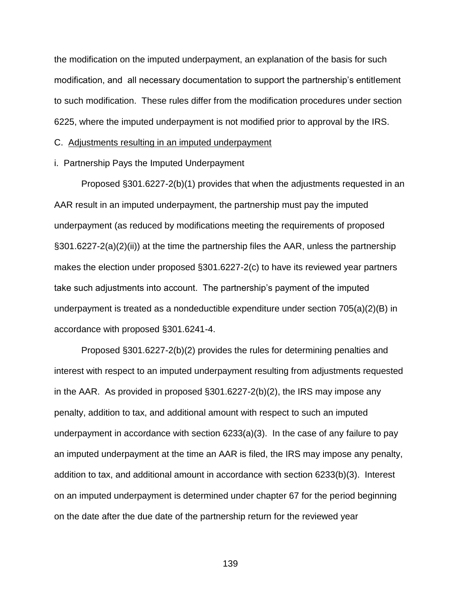the modification on the imputed underpayment, an explanation of the basis for such modification, and all necessary documentation to support the partnership's entitlement to such modification. These rules differ from the modification procedures under section 6225, where the imputed underpayment is not modified prior to approval by the IRS.

# C. Adjustments resulting in an imputed underpayment

i. Partnership Pays the Imputed Underpayment

Proposed §301.6227-2(b)(1) provides that when the adjustments requested in an AAR result in an imputed underpayment, the partnership must pay the imputed underpayment (as reduced by modifications meeting the requirements of proposed §301.6227-2(a)(2)(ii)) at the time the partnership files the AAR, unless the partnership makes the election under proposed §301.6227-2(c) to have its reviewed year partners take such adjustments into account. The partnership's payment of the imputed underpayment is treated as a nondeductible expenditure under section 705(a)(2)(B) in accordance with proposed §301.6241-4.

Proposed §301.6227-2(b)(2) provides the rules for determining penalties and interest with respect to an imputed underpayment resulting from adjustments requested in the AAR. As provided in proposed §301.6227-2(b)(2), the IRS may impose any penalty, addition to tax, and additional amount with respect to such an imputed underpayment in accordance with section 6233(a)(3). In the case of any failure to pay an imputed underpayment at the time an AAR is filed, the IRS may impose any penalty, addition to tax, and additional amount in accordance with section 6233(b)(3). Interest on an imputed underpayment is determined under chapter 67 for the period beginning on the date after the due date of the partnership return for the reviewed year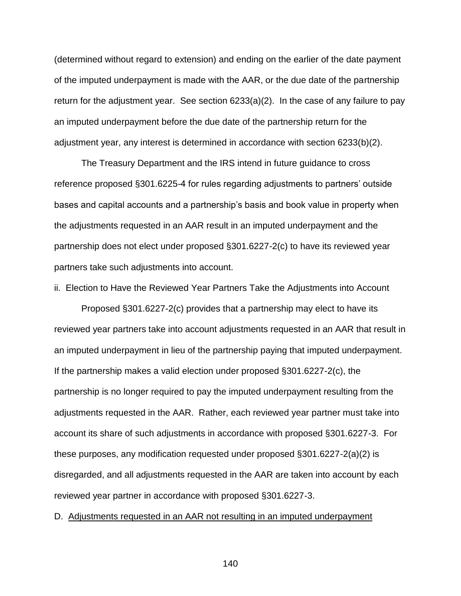(determined without regard to extension) and ending on the earlier of the date payment of the imputed underpayment is made with the AAR, or the due date of the partnership return for the adjustment year. See section 6233(a)(2). In the case of any failure to pay an imputed underpayment before the due date of the partnership return for the adjustment year, any interest is determined in accordance with section 6233(b)(2).

The Treasury Department and the IRS intend in future guidance to cross reference proposed §301.6225-4 for rules regarding adjustments to partners' outside bases and capital accounts and a partnership's basis and book value in property when the adjustments requested in an AAR result in an imputed underpayment and the partnership does not elect under proposed §301.6227-2(c) to have its reviewed year partners take such adjustments into account.

ii. Election to Have the Reviewed Year Partners Take the Adjustments into Account

Proposed §301.6227-2(c) provides that a partnership may elect to have its reviewed year partners take into account adjustments requested in an AAR that result in an imputed underpayment in lieu of the partnership paying that imputed underpayment. If the partnership makes a valid election under proposed §301.6227-2(c), the partnership is no longer required to pay the imputed underpayment resulting from the adjustments requested in the AAR. Rather, each reviewed year partner must take into account its share of such adjustments in accordance with proposed §301.6227-3. For these purposes, any modification requested under proposed §301.6227-2(a)(2) is disregarded, and all adjustments requested in the AAR are taken into account by each reviewed year partner in accordance with proposed §301.6227-3.

D. Adjustments requested in an AAR not resulting in an imputed underpayment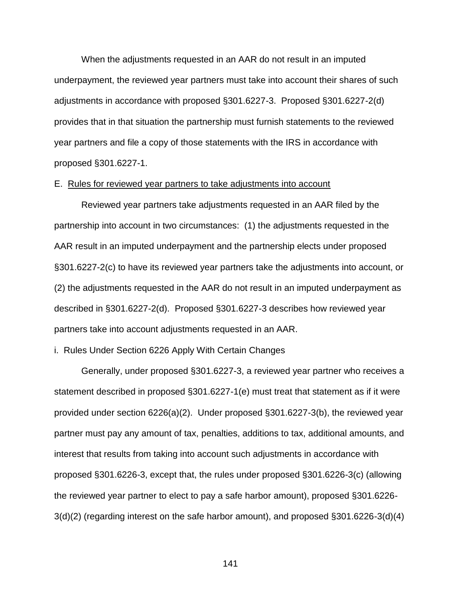When the adjustments requested in an AAR do not result in an imputed underpayment, the reviewed year partners must take into account their shares of such adjustments in accordance with proposed §301.6227-3. Proposed §301.6227-2(d) provides that in that situation the partnership must furnish statements to the reviewed year partners and file a copy of those statements with the IRS in accordance with proposed §301.6227-1.

#### E. Rules for reviewed year partners to take adjustments into account

Reviewed year partners take adjustments requested in an AAR filed by the partnership into account in two circumstances: (1) the adjustments requested in the AAR result in an imputed underpayment and the partnership elects under proposed §301.6227-2(c) to have its reviewed year partners take the adjustments into account, or (2) the adjustments requested in the AAR do not result in an imputed underpayment as described in §301.6227-2(d). Proposed §301.6227-3 describes how reviewed year partners take into account adjustments requested in an AAR.

# i. Rules Under Section 6226 Apply With Certain Changes

Generally, under proposed §301.6227-3, a reviewed year partner who receives a statement described in proposed §301.6227-1(e) must treat that statement as if it were provided under section 6226(a)(2). Under proposed §301.6227-3(b), the reviewed year partner must pay any amount of tax, penalties, additions to tax, additional amounts, and interest that results from taking into account such adjustments in accordance with proposed §301.6226-3, except that, the rules under proposed §301.6226-3(c) (allowing the reviewed year partner to elect to pay a safe harbor amount), proposed §301.6226- 3(d)(2) (regarding interest on the safe harbor amount), and proposed §301.6226-3(d)(4)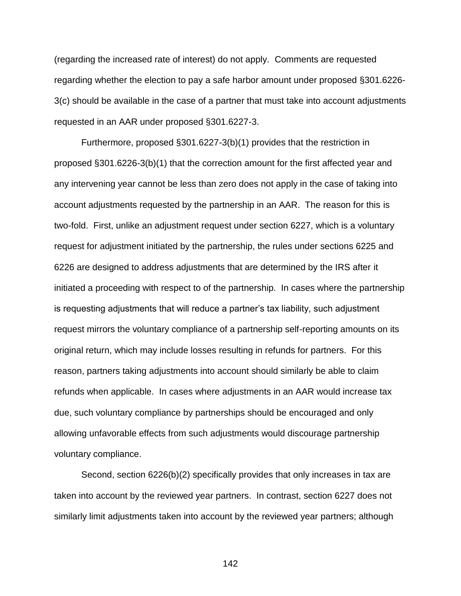(regarding the increased rate of interest) do not apply. Comments are requested regarding whether the election to pay a safe harbor amount under proposed §301.6226- 3(c) should be available in the case of a partner that must take into account adjustments requested in an AAR under proposed §301.6227-3.

Furthermore, proposed §301.6227-3(b)(1) provides that the restriction in proposed §301.6226-3(b)(1) that the correction amount for the first affected year and any intervening year cannot be less than zero does not apply in the case of taking into account adjustments requested by the partnership in an AAR. The reason for this is two-fold. First, unlike an adjustment request under section 6227, which is a voluntary request for adjustment initiated by the partnership, the rules under sections 6225 and 6226 are designed to address adjustments that are determined by the IRS after it initiated a proceeding with respect to of the partnership. In cases where the partnership is requesting adjustments that will reduce a partner's tax liability, such adjustment request mirrors the voluntary compliance of a partnership self-reporting amounts on its original return, which may include losses resulting in refunds for partners. For this reason, partners taking adjustments into account should similarly be able to claim refunds when applicable. In cases where adjustments in an AAR would increase tax due, such voluntary compliance by partnerships should be encouraged and only allowing unfavorable effects from such adjustments would discourage partnership voluntary compliance.

Second, section 6226(b)(2) specifically provides that only increases in tax are taken into account by the reviewed year partners. In contrast, section 6227 does not similarly limit adjustments taken into account by the reviewed year partners; although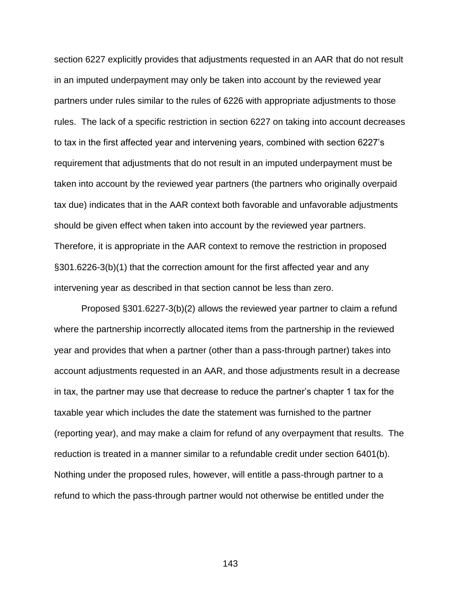section 6227 explicitly provides that adjustments requested in an AAR that do not result in an imputed underpayment may only be taken into account by the reviewed year partners under rules similar to the rules of 6226 with appropriate adjustments to those rules. The lack of a specific restriction in section 6227 on taking into account decreases to tax in the first affected year and intervening years, combined with section 6227's requirement that adjustments that do not result in an imputed underpayment must be taken into account by the reviewed year partners (the partners who originally overpaid tax due) indicates that in the AAR context both favorable and unfavorable adjustments should be given effect when taken into account by the reviewed year partners. Therefore, it is appropriate in the AAR context to remove the restriction in proposed §301.6226-3(b)(1) that the correction amount for the first affected year and any intervening year as described in that section cannot be less than zero.

Proposed §301.6227-3(b)(2) allows the reviewed year partner to claim a refund where the partnership incorrectly allocated items from the partnership in the reviewed year and provides that when a partner (other than a pass-through partner) takes into account adjustments requested in an AAR, and those adjustments result in a decrease in tax, the partner may use that decrease to reduce the partner's chapter 1 tax for the taxable year which includes the date the statement was furnished to the partner (reporting year), and may make a claim for refund of any overpayment that results. The reduction is treated in a manner similar to a refundable credit under section 6401(b). Nothing under the proposed rules, however, will entitle a pass-through partner to a refund to which the pass-through partner would not otherwise be entitled under the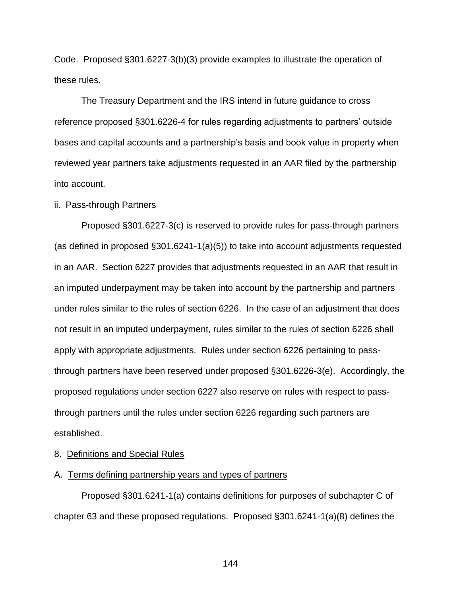Code. Proposed §301.6227-3(b)(3) provide examples to illustrate the operation of these rules.

The Treasury Department and the IRS intend in future guidance to cross reference proposed §301.6226-4 for rules regarding adjustments to partners' outside bases and capital accounts and a partnership's basis and book value in property when reviewed year partners take adjustments requested in an AAR filed by the partnership into account.

### ii. Pass-through Partners

Proposed §301.6227-3(c) is reserved to provide rules for pass-through partners (as defined in proposed §301.6241-1(a)(5)) to take into account adjustments requested in an AAR. Section 6227 provides that adjustments requested in an AAR that result in an imputed underpayment may be taken into account by the partnership and partners under rules similar to the rules of section 6226. In the case of an adjustment that does not result in an imputed underpayment, rules similar to the rules of section 6226 shall apply with appropriate adjustments. Rules under section 6226 pertaining to passthrough partners have been reserved under proposed §301.6226-3(e). Accordingly, the proposed regulations under section 6227 also reserve on rules with respect to passthrough partners until the rules under section 6226 regarding such partners are established.

### 8. Definitions and Special Rules

# A. Terms defining partnership years and types of partners

Proposed §301.6241-1(a) contains definitions for purposes of subchapter C of chapter 63 and these proposed regulations. Proposed §301.6241-1(a)(8) defines the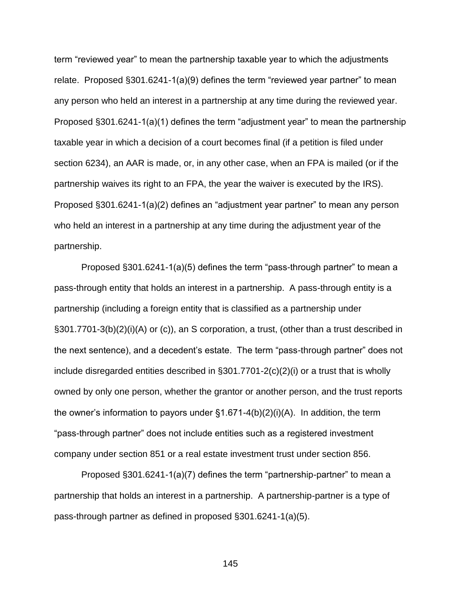term "reviewed year" to mean the partnership taxable year to which the adjustments relate. Proposed §301.6241-1(a)(9) defines the term "reviewed year partner" to mean any person who held an interest in a partnership at any time during the reviewed year. Proposed §301.6241-1(a)(1) defines the term "adjustment year" to mean the partnership taxable year in which a decision of a court becomes final (if a petition is filed under section 6234), an AAR is made, or, in any other case, when an FPA is mailed (or if the partnership waives its right to an FPA, the year the waiver is executed by the IRS). Proposed §301.6241-1(a)(2) defines an "adjustment year partner" to mean any person who held an interest in a partnership at any time during the adjustment year of the partnership.

Proposed §301.6241-1(a)(5) defines the term "pass-through partner" to mean a pass-through entity that holds an interest in a partnership. A pass-through entity is a partnership (including a foreign entity that is classified as a partnership under §301.7701-3(b)(2)(i)(A) or (c)), an S corporation, a trust, (other than a trust described in the next sentence), and a decedent's estate. The term "pass-through partner" does not include disregarded entities described in §301.7701-2(c)(2)(i) or a trust that is wholly owned by only one person, whether the grantor or another person, and the trust reports the owner's information to payors under §1.671-4(b)(2)(i)(A). In addition, the term "pass-through partner" does not include entities such as a registered investment company under section 851 or a real estate investment trust under section 856.

Proposed §301.6241-1(a)(7) defines the term "partnership-partner" to mean a partnership that holds an interest in a partnership. A partnership-partner is a type of pass-through partner as defined in proposed §301.6241-1(a)(5).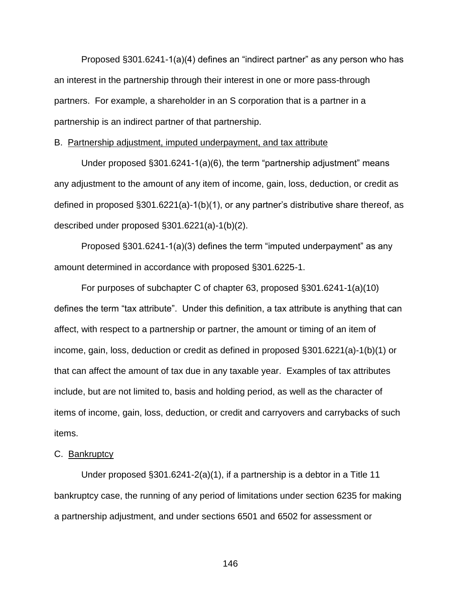Proposed §301.6241-1(a)(4) defines an "indirect partner" as any person who has an interest in the partnership through their interest in one or more pass-through partners. For example, a shareholder in an S corporation that is a partner in a partnership is an indirect partner of that partnership.

### B. Partnership adjustment, imputed underpayment, and tax attribute

Under proposed §301.6241-1(a)(6), the term "partnership adjustment" means any adjustment to the amount of any item of income, gain, loss, deduction, or credit as defined in proposed §301.6221(a)-1(b)(1), or any partner's distributive share thereof, as described under proposed §301.6221(a)-1(b)(2).

Proposed §301.6241-1(a)(3) defines the term "imputed underpayment" as any amount determined in accordance with proposed §301.6225-1.

For purposes of subchapter C of chapter 63, proposed §301.6241-1(a)(10) defines the term "tax attribute". Under this definition, a tax attribute is anything that can affect, with respect to a partnership or partner, the amount or timing of an item of income, gain, loss, deduction or credit as defined in proposed §301.6221(a)-1(b)(1) or that can affect the amount of tax due in any taxable year. Examples of tax attributes include, but are not limited to, basis and holding period, as well as the character of items of income, gain, loss, deduction, or credit and carryovers and carrybacks of such items.

## C. Bankruptcy

Under proposed §301.6241-2(a)(1), if a partnership is a debtor in a Title 11 bankruptcy case, the running of any period of limitations under section 6235 for making a partnership adjustment, and under sections 6501 and 6502 for assessment or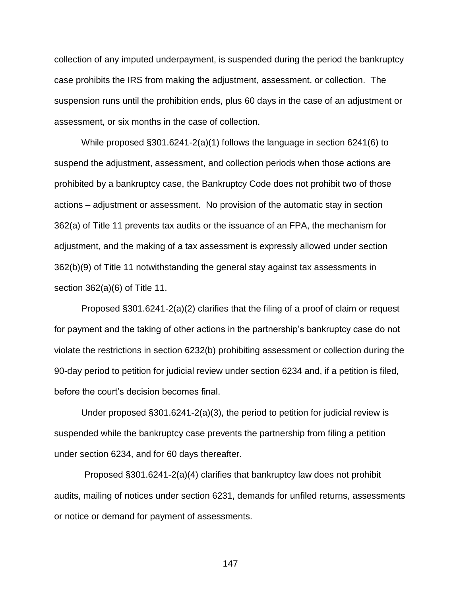collection of any imputed underpayment, is suspended during the period the bankruptcy case prohibits the IRS from making the adjustment, assessment, or collection. The suspension runs until the prohibition ends, plus 60 days in the case of an adjustment or assessment, or six months in the case of collection.

While proposed §301.6241-2(a)(1) follows the language in section 6241(6) to suspend the adjustment, assessment, and collection periods when those actions are prohibited by a bankruptcy case, the Bankruptcy Code does not prohibit two of those actions – adjustment or assessment. No provision of the automatic stay in section 362(a) of Title 11 prevents tax audits or the issuance of an FPA, the mechanism for adjustment, and the making of a tax assessment is expressly allowed under section 362(b)(9) of Title 11 notwithstanding the general stay against tax assessments in section 362(a)(6) of Title 11.

Proposed §301.6241-2(a)(2) clarifies that the filing of a proof of claim or request for payment and the taking of other actions in the partnership's bankruptcy case do not violate the restrictions in section 6232(b) prohibiting assessment or collection during the 90-day period to petition for judicial review under section 6234 and, if a petition is filed, before the court's decision becomes final.

Under proposed §301.6241-2(a)(3), the period to petition for judicial review is suspended while the bankruptcy case prevents the partnership from filing a petition under section 6234, and for 60 days thereafter.

 Proposed §301.6241-2(a)(4) clarifies that bankruptcy law does not prohibit audits, mailing of notices under section 6231, demands for unfiled returns, assessments or notice or demand for payment of assessments.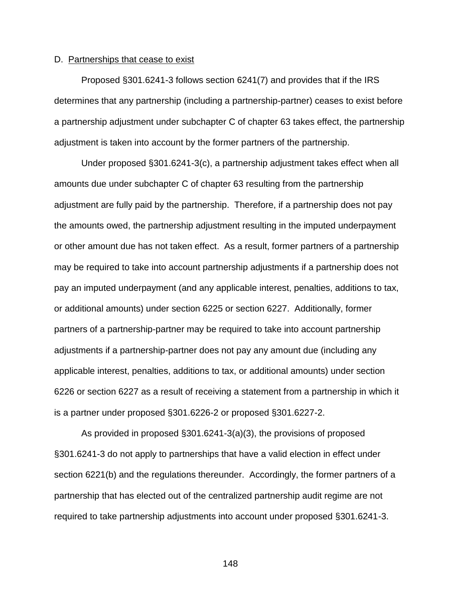### D. Partnerships that cease to exist

Proposed §301.6241-3 follows section 6241(7) and provides that if the IRS determines that any partnership (including a partnership-partner) ceases to exist before a partnership adjustment under subchapter C of chapter 63 takes effect, the partnership adjustment is taken into account by the former partners of the partnership.

Under proposed §301.6241-3(c), a partnership adjustment takes effect when all amounts due under subchapter C of chapter 63 resulting from the partnership adjustment are fully paid by the partnership. Therefore, if a partnership does not pay the amounts owed, the partnership adjustment resulting in the imputed underpayment or other amount due has not taken effect. As a result, former partners of a partnership may be required to take into account partnership adjustments if a partnership does not pay an imputed underpayment (and any applicable interest, penalties, additions to tax, or additional amounts) under section 6225 or section 6227. Additionally, former partners of a partnership-partner may be required to take into account partnership adjustments if a partnership-partner does not pay any amount due (including any applicable interest, penalties, additions to tax, or additional amounts) under section 6226 or section 6227 as a result of receiving a statement from a partnership in which it is a partner under proposed §301.6226-2 or proposed §301.6227-2.

As provided in proposed §301.6241-3(a)(3), the provisions of proposed §301.6241-3 do not apply to partnerships that have a valid election in effect under section 6221(b) and the regulations thereunder. Accordingly, the former partners of a partnership that has elected out of the centralized partnership audit regime are not required to take partnership adjustments into account under proposed §301.6241-3.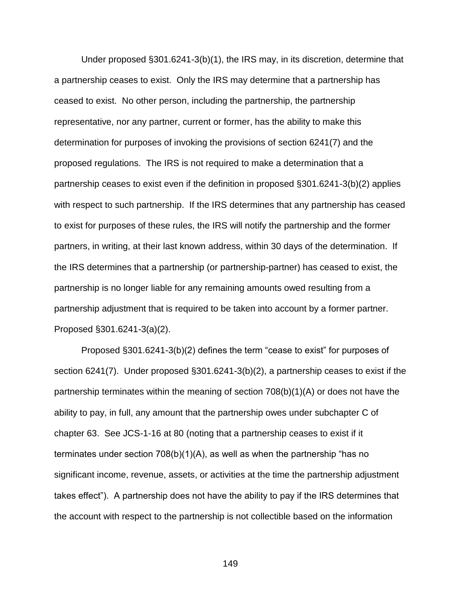Under proposed §301.6241-3(b)(1), the IRS may, in its discretion, determine that a partnership ceases to exist. Only the IRS may determine that a partnership has ceased to exist. No other person, including the partnership, the partnership representative, nor any partner, current or former, has the ability to make this determination for purposes of invoking the provisions of section 6241(7) and the proposed regulations. The IRS is not required to make a determination that a partnership ceases to exist even if the definition in proposed §301.6241-3(b)(2) applies with respect to such partnership. If the IRS determines that any partnership has ceased to exist for purposes of these rules, the IRS will notify the partnership and the former partners, in writing, at their last known address, within 30 days of the determination. If the IRS determines that a partnership (or partnership-partner) has ceased to exist, the partnership is no longer liable for any remaining amounts owed resulting from a partnership adjustment that is required to be taken into account by a former partner. Proposed §301.6241-3(a)(2).

Proposed §301.6241-3(b)(2) defines the term "cease to exist" for purposes of section 6241(7). Under proposed §301.6241-3(b)(2), a partnership ceases to exist if the partnership terminates within the meaning of section 708(b)(1)(A) or does not have the ability to pay, in full, any amount that the partnership owes under subchapter C of chapter 63. See JCS-1-16 at 80 (noting that a partnership ceases to exist if it terminates under section 708(b)(1)(A), as well as when the partnership "has no significant income, revenue, assets, or activities at the time the partnership adjustment takes effect"). A partnership does not have the ability to pay if the IRS determines that the account with respect to the partnership is not collectible based on the information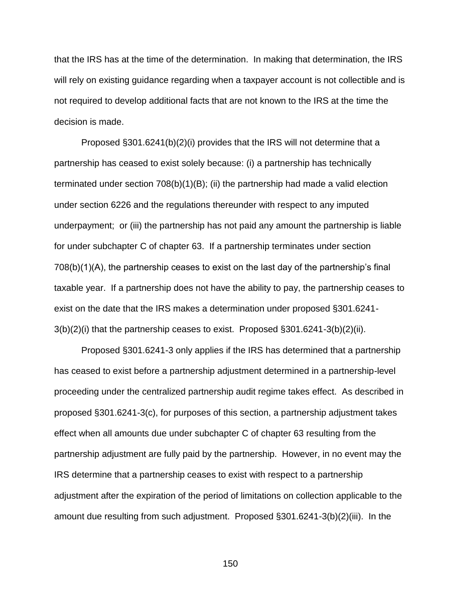that the IRS has at the time of the determination. In making that determination, the IRS will rely on existing guidance regarding when a taxpayer account is not collectible and is not required to develop additional facts that are not known to the IRS at the time the decision is made.

Proposed §301.6241(b)(2)(i) provides that the IRS will not determine that a partnership has ceased to exist solely because: (i) a partnership has technically terminated under section 708(b)(1)(B); (ii) the partnership had made a valid election under section 6226 and the regulations thereunder with respect to any imputed underpayment; or (iii) the partnership has not paid any amount the partnership is liable for under subchapter C of chapter 63. If a partnership terminates under section 708(b)(1)(A), the partnership ceases to exist on the last day of the partnership's final taxable year. If a partnership does not have the ability to pay, the partnership ceases to exist on the date that the IRS makes a determination under proposed §301.6241- 3(b)(2)(i) that the partnership ceases to exist. Proposed §301.6241-3(b)(2)(ii).

Proposed §301.6241-3 only applies if the IRS has determined that a partnership has ceased to exist before a partnership adjustment determined in a partnership-level proceeding under the centralized partnership audit regime takes effect. As described in proposed §301.6241-3(c), for purposes of this section, a partnership adjustment takes effect when all amounts due under subchapter C of chapter 63 resulting from the partnership adjustment are fully paid by the partnership. However, in no event may the IRS determine that a partnership ceases to exist with respect to a partnership adjustment after the expiration of the period of limitations on collection applicable to the amount due resulting from such adjustment. Proposed §301.6241-3(b)(2)(iii). In the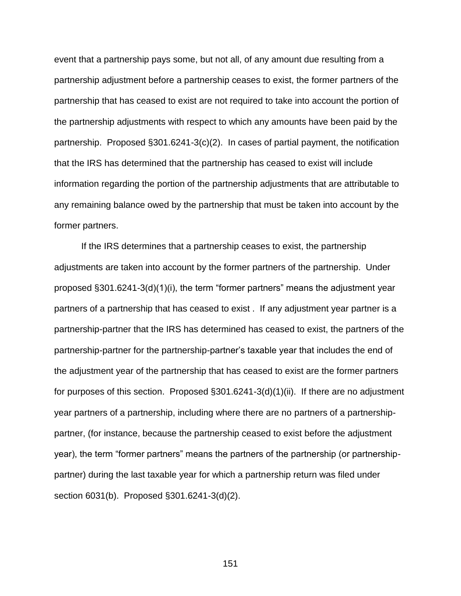event that a partnership pays some, but not all, of any amount due resulting from a partnership adjustment before a partnership ceases to exist, the former partners of the partnership that has ceased to exist are not required to take into account the portion of the partnership adjustments with respect to which any amounts have been paid by the partnership. Proposed §301.6241-3(c)(2). In cases of partial payment, the notification that the IRS has determined that the partnership has ceased to exist will include information regarding the portion of the partnership adjustments that are attributable to any remaining balance owed by the partnership that must be taken into account by the former partners.

If the IRS determines that a partnership ceases to exist, the partnership adjustments are taken into account by the former partners of the partnership. Under proposed §301.6241-3(d)(1)(i), the term "former partners" means the adjustment year partners of a partnership that has ceased to exist . If any adjustment year partner is a partnership-partner that the IRS has determined has ceased to exist, the partners of the partnership-partner for the partnership-partner's taxable year that includes the end of the adjustment year of the partnership that has ceased to exist are the former partners for purposes of this section. Proposed §301.6241-3(d)(1)(ii). If there are no adjustment year partners of a partnership, including where there are no partners of a partnershippartner, (for instance, because the partnership ceased to exist before the adjustment year), the term "former partners" means the partners of the partnership (or partnershippartner) during the last taxable year for which a partnership return was filed under section 6031(b). Proposed §301.6241-3(d)(2).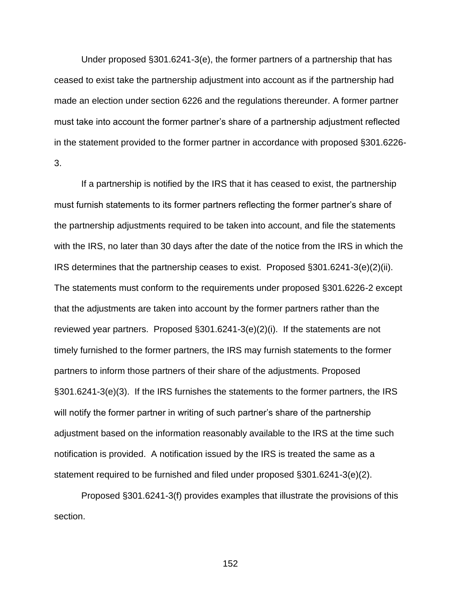Under proposed §301.6241-3(e), the former partners of a partnership that has ceased to exist take the partnership adjustment into account as if the partnership had made an election under section 6226 and the regulations thereunder. A former partner must take into account the former partner's share of a partnership adjustment reflected in the statement provided to the former partner in accordance with proposed §301.6226- 3.

If a partnership is notified by the IRS that it has ceased to exist, the partnership must furnish statements to its former partners reflecting the former partner's share of the partnership adjustments required to be taken into account, and file the statements with the IRS, no later than 30 days after the date of the notice from the IRS in which the IRS determines that the partnership ceases to exist. Proposed §301.6241-3(e)(2)(ii). The statements must conform to the requirements under proposed §301.6226-2 except that the adjustments are taken into account by the former partners rather than the reviewed year partners. Proposed §301.6241-3(e)(2)(i). If the statements are not timely furnished to the former partners, the IRS may furnish statements to the former partners to inform those partners of their share of the adjustments. Proposed §301.6241-3(e)(3). If the IRS furnishes the statements to the former partners, the IRS will notify the former partner in writing of such partner's share of the partnership adjustment based on the information reasonably available to the IRS at the time such notification is provided. A notification issued by the IRS is treated the same as a statement required to be furnished and filed under proposed §301.6241-3(e)(2).

Proposed §301.6241-3(f) provides examples that illustrate the provisions of this section.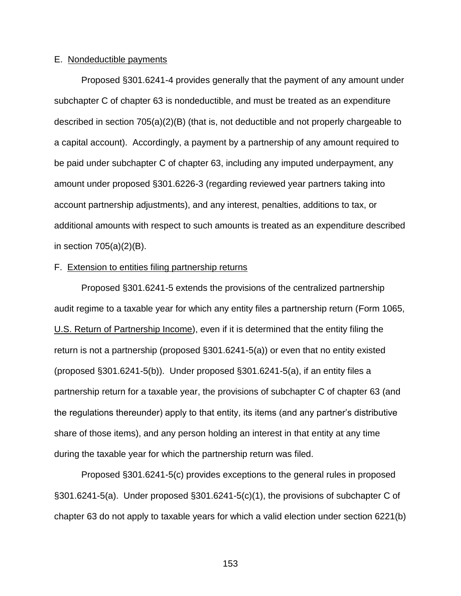#### E. Nondeductible payments

Proposed §301.6241-4 provides generally that the payment of any amount under subchapter C of chapter 63 is nondeductible, and must be treated as an expenditure described in section 705(a)(2)(B) (that is, not deductible and not properly chargeable to a capital account). Accordingly, a payment by a partnership of any amount required to be paid under subchapter C of chapter 63, including any imputed underpayment, any amount under proposed §301.6226-3 (regarding reviewed year partners taking into account partnership adjustments), and any interest, penalties, additions to tax, or additional amounts with respect to such amounts is treated as an expenditure described in section 705(a)(2)(B).

## F. Extension to entities filing partnership returns

Proposed §301.6241-5 extends the provisions of the centralized partnership audit regime to a taxable year for which any entity files a partnership return (Form 1065, U.S. Return of Partnership Income), even if it is determined that the entity filing the return is not a partnership (proposed §301.6241-5(a)) or even that no entity existed (proposed §301.6241-5(b)). Under proposed §301.6241-5(a), if an entity files a partnership return for a taxable year, the provisions of subchapter C of chapter 63 (and the regulations thereunder) apply to that entity, its items (and any partner's distributive share of those items), and any person holding an interest in that entity at any time during the taxable year for which the partnership return was filed.

Proposed §301.6241-5(c) provides exceptions to the general rules in proposed §301.6241-5(a). Under proposed §301.6241-5(c)(1), the provisions of subchapter C of chapter 63 do not apply to taxable years for which a valid election under section 6221(b)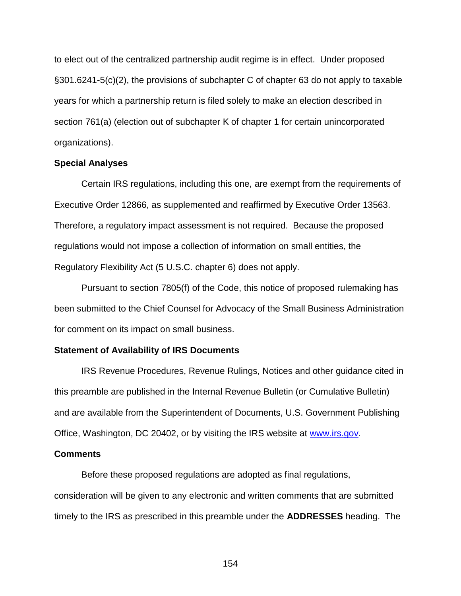to elect out of the centralized partnership audit regime is in effect. Under proposed §301.6241-5(c)(2), the provisions of subchapter C of chapter 63 do not apply to taxable years for which a partnership return is filed solely to make an election described in section 761(a) (election out of subchapter K of chapter 1 for certain unincorporated organizations).

## **Special Analyses**

Certain IRS regulations, including this one, are exempt from the requirements of Executive Order 12866, as supplemented and reaffirmed by Executive Order 13563. Therefore, a regulatory impact assessment is not required. Because the proposed regulations would not impose a collection of information on small entities, the Regulatory Flexibility Act (5 U.S.C. chapter 6) does not apply.

Pursuant to section 7805(f) of the Code, this notice of proposed rulemaking has been submitted to the Chief Counsel for Advocacy of the Small Business Administration for comment on its impact on small business.

#### **Statement of Availability of IRS Documents**

IRS Revenue Procedures, Revenue Rulings, Notices and other guidance cited in this preamble are published in the Internal Revenue Bulletin (or Cumulative Bulletin) and are available from the Superintendent of Documents, U.S. Government Publishing Office, Washington, DC 20402, or by visiting the IRS website at [www.irs.gov.](http://www.irs.gov/)

#### **Comments**

Before these proposed regulations are adopted as final regulations, consideration will be given to any electronic and written comments that are submitted timely to the IRS as prescribed in this preamble under the **ADDRESSES** heading. The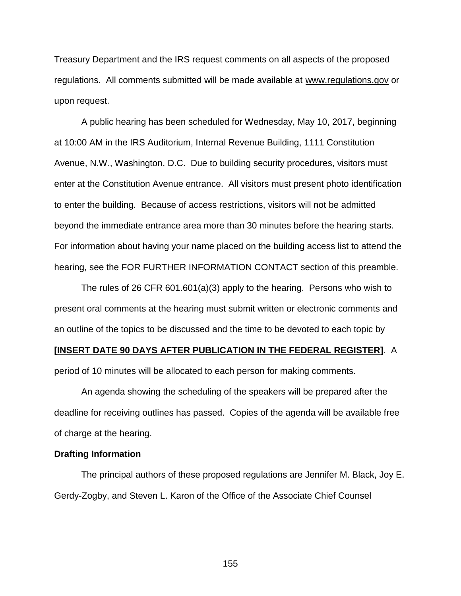Treasury Department and the IRS request comments on all aspects of the proposed regulations. All comments submitted will be made available at www.regulations.gov or upon request.

A public hearing has been scheduled for Wednesday, May 10, 2017, beginning at 10:00 AM in the IRS Auditorium, Internal Revenue Building, 1111 Constitution Avenue, N.W., Washington, D.C. Due to building security procedures, visitors must enter at the Constitution Avenue entrance. All visitors must present photo identification to enter the building. Because of access restrictions, visitors will not be admitted beyond the immediate entrance area more than 30 minutes before the hearing starts. For information about having your name placed on the building access list to attend the hearing, see the FOR FURTHER INFORMATION CONTACT section of this preamble.

The rules of 26 CFR 601.601(a)(3) apply to the hearing. Persons who wish to present oral comments at the hearing must submit written or electronic comments and an outline of the topics to be discussed and the time to be devoted to each topic by

## **[INSERT DATE 90 DAYS AFTER PUBLICATION IN THE FEDERAL REGISTER]**. A

period of 10 minutes will be allocated to each person for making comments.

An agenda showing the scheduling of the speakers will be prepared after the deadline for receiving outlines has passed. Copies of the agenda will be available free of charge at the hearing.

## **Drafting Information**

The principal authors of these proposed regulations are Jennifer M. Black, Joy E. Gerdy-Zogby, and Steven L. Karon of the Office of the Associate Chief Counsel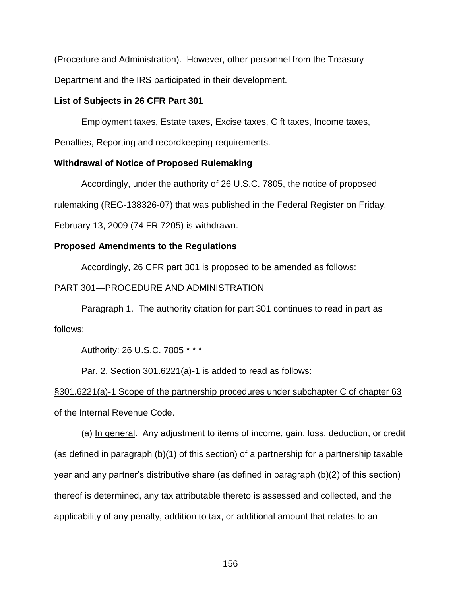(Procedure and Administration). However, other personnel from the Treasury

Department and the IRS participated in their development.

# **List of Subjects in 26 CFR Part 301**

Employment taxes, Estate taxes, Excise taxes, Gift taxes, Income taxes,

Penalties, Reporting and recordkeeping requirements.

# **Withdrawal of Notice of Proposed Rulemaking**

Accordingly, under the authority of 26 U.S.C. 7805, the notice of proposed

rulemaking (REG-138326-07) that was published in the Federal Register on Friday,

February 13, 2009 (74 FR 7205) is withdrawn.

# **Proposed Amendments to the Regulations**

Accordingly, 26 CFR part 301 is proposed to be amended as follows:

# PART 301—PROCEDURE AND ADMINISTRATION

Paragraph 1. The authority citation for part 301 continues to read in part as follows:

Authority: 26 U.S.C. 7805 \* \* \*

Par. 2. Section 301.6221(a)-1 is added to read as follows:

# §301.6221(a)-1 Scope of the partnership procedures under subchapter C of chapter 63 of the Internal Revenue Code.

(a) In general. Any adjustment to items of income, gain, loss, deduction, or credit (as defined in paragraph (b)(1) of this section) of a partnership for a partnership taxable year and any partner's distributive share (as defined in paragraph (b)(2) of this section) thereof is determined, any tax attributable thereto is assessed and collected, and the applicability of any penalty, addition to tax, or additional amount that relates to an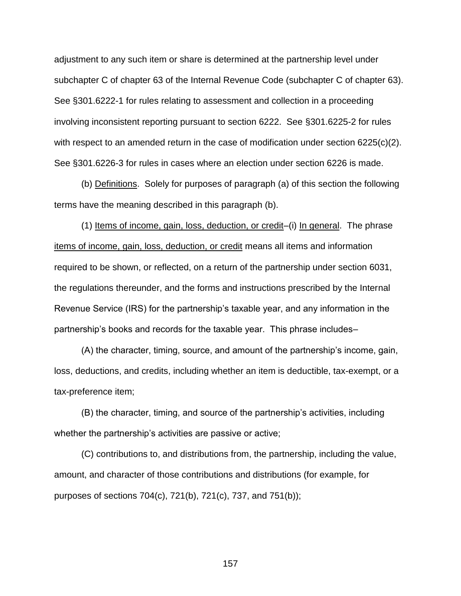adjustment to any such item or share is determined at the partnership level under subchapter C of chapter 63 of the Internal Revenue Code (subchapter C of chapter 63). See §301.6222-1 for rules relating to assessment and collection in a proceeding involving inconsistent reporting pursuant to section 6222. See §301.6225-2 for rules with respect to an amended return in the case of modification under section 6225(c)(2). See §301.6226-3 for rules in cases where an election under section 6226 is made.

(b) Definitions. Solely for purposes of paragraph (a) of this section the following terms have the meaning described in this paragraph (b).

(1) Items of income, gain, loss, deduction, or credit–(i) In general. The phrase items of income, gain, loss, deduction, or credit means all items and information required to be shown, or reflected, on a return of the partnership under section 6031, the regulations thereunder, and the forms and instructions prescribed by the Internal Revenue Service (IRS) for the partnership's taxable year, and any information in the partnership's books and records for the taxable year. This phrase includes–

(A) the character, timing, source, and amount of the partnership's income, gain, loss, deductions, and credits, including whether an item is deductible, tax-exempt, or a tax-preference item;

(B) the character, timing, and source of the partnership's activities, including whether the partnership's activities are passive or active;

(C) contributions to, and distributions from, the partnership, including the value, amount, and character of those contributions and distributions (for example, for purposes of sections 704(c), 721(b), 721(c), 737, and 751(b));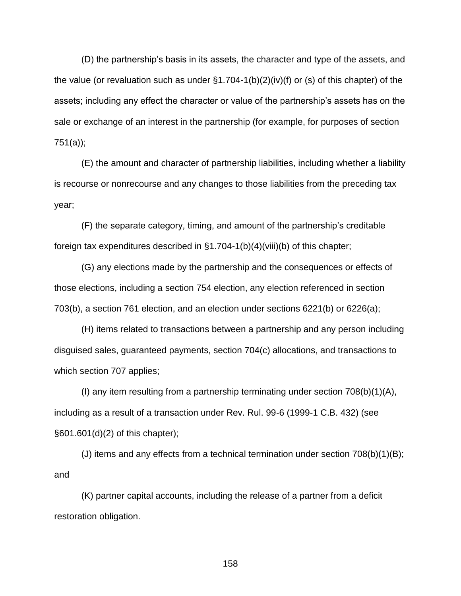(D) the partnership's basis in its assets, the character and type of the assets, and the value (or revaluation such as under §1.704-1(b)(2)(iv)(f) or (s) of this chapter) of the assets; including any effect the character or value of the partnership's assets has on the sale or exchange of an interest in the partnership (for example, for purposes of section 751(a));

(E) the amount and character of partnership liabilities, including whether a liability is recourse or nonrecourse and any changes to those liabilities from the preceding tax year;

(F) the separate category, timing, and amount of the partnership's creditable foreign tax expenditures described in §1.704-1(b)(4)(viii)(b) of this chapter;

(G) any elections made by the partnership and the consequences or effects of those elections, including a section 754 election, any election referenced in section 703(b), a section 761 election, and an election under sections 6221(b) or 6226(a);

(H) items related to transactions between a partnership and any person including disguised sales, guaranteed payments, section 704(c) allocations, and transactions to which section 707 applies;

(I) any item resulting from a partnership terminating under section 708(b)(1)(A), including as a result of a transaction under Rev. Rul. 99-6 (1999-1 C.B. 432) (see §601.601(d)(2) of this chapter);

(J) items and any effects from a technical termination under section 708(b)(1)(B); and

(K) partner capital accounts, including the release of a partner from a deficit restoration obligation.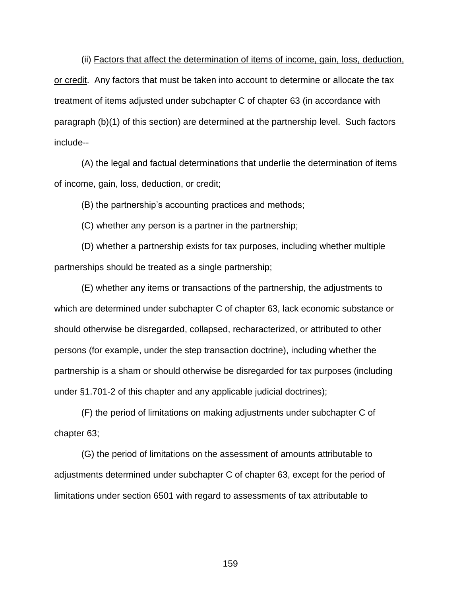(ii) Factors that affect the determination of items of income, gain, loss, deduction, or credit. Any factors that must be taken into account to determine or allocate the tax treatment of items adjusted under subchapter C of chapter 63 (in accordance with paragraph (b)(1) of this section) are determined at the partnership level. Such factors include--

(A) the legal and factual determinations that underlie the determination of items of income, gain, loss, deduction, or credit;

(B) the partnership's accounting practices and methods;

(C) whether any person is a partner in the partnership;

(D) whether a partnership exists for tax purposes, including whether multiple partnerships should be treated as a single partnership;

(E) whether any items or transactions of the partnership, the adjustments to which are determined under subchapter C of chapter 63, lack economic substance or should otherwise be disregarded, collapsed, recharacterized, or attributed to other persons (for example, under the step transaction doctrine), including whether the partnership is a sham or should otherwise be disregarded for tax purposes (including under §1.701-2 of this chapter and any applicable judicial doctrines);

(F) the period of limitations on making adjustments under subchapter C of chapter 63;

(G) the period of limitations on the assessment of amounts attributable to adjustments determined under subchapter C of chapter 63, except for the period of limitations under section 6501 with regard to assessments of tax attributable to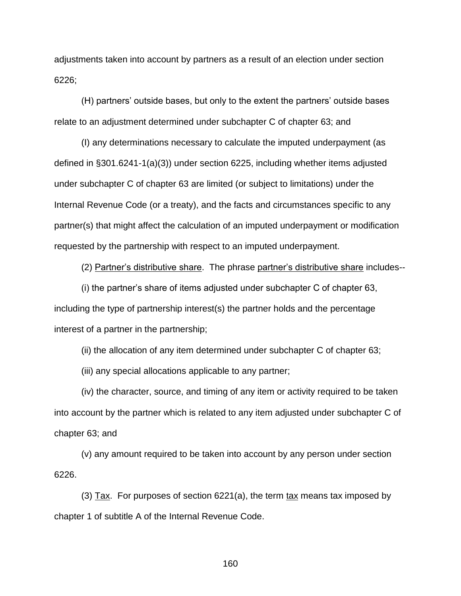adjustments taken into account by partners as a result of an election under section 6226;

(H) partners' outside bases, but only to the extent the partners' outside bases relate to an adjustment determined under subchapter C of chapter 63; and

(I) any determinations necessary to calculate the imputed underpayment (as defined in §301.6241-1(a)(3)) under section 6225, including whether items adjusted under subchapter C of chapter 63 are limited (or subject to limitations) under the Internal Revenue Code (or a treaty), and the facts and circumstances specific to any partner(s) that might affect the calculation of an imputed underpayment or modification requested by the partnership with respect to an imputed underpayment.

(2) Partner's distributive share. The phrase partner's distributive share includes--

(i) the partner's share of items adjusted under subchapter C of chapter 63, including the type of partnership interest(s) the partner holds and the percentage interest of a partner in the partnership;

(ii) the allocation of any item determined under subchapter C of chapter 63;

(iii) any special allocations applicable to any partner;

(iv) the character, source, and timing of any item or activity required to be taken into account by the partner which is related to any item adjusted under subchapter C of chapter 63; and

(v) any amount required to be taken into account by any person under section 6226.

(3) Tax. For purposes of section 6221(a), the term tax means tax imposed by chapter 1 of subtitle A of the Internal Revenue Code.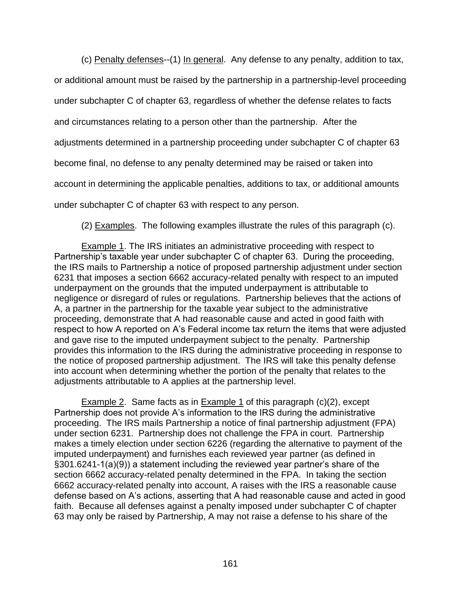(c) Penalty defenses--(1) In general. Any defense to any penalty, addition to tax,

or additional amount must be raised by the partnership in a partnership-level proceeding under subchapter C of chapter 63, regardless of whether the defense relates to facts and circumstances relating to a person other than the partnership. After the adjustments determined in a partnership proceeding under subchapter C of chapter 63 become final, no defense to any penalty determined may be raised or taken into account in determining the applicable penalties, additions to tax, or additional amounts under subchapter C of chapter 63 with respect to any person.

(2) Examples. The following examples illustrate the rules of this paragraph (c).

Example 1. The IRS initiates an administrative proceeding with respect to Partnership's taxable year under subchapter C of chapter 63. During the proceeding, the IRS mails to Partnership a notice of proposed partnership adjustment under section 6231 that imposes a section 6662 accuracy-related penalty with respect to an imputed underpayment on the grounds that the imputed underpayment is attributable to negligence or disregard of rules or regulations. Partnership believes that the actions of A, a partner in the partnership for the taxable year subject to the administrative proceeding, demonstrate that A had reasonable cause and acted in good faith with respect to how A reported on A's Federal income tax return the items that were adjusted and gave rise to the imputed underpayment subject to the penalty. Partnership provides this information to the IRS during the administrative proceeding in response to the notice of proposed partnership adjustment. The IRS will take this penalty defense into account when determining whether the portion of the penalty that relates to the adjustments attributable to A applies at the partnership level.

Example 2. Same facts as in Example 1 of this paragraph (c)(2), except Partnership does not provide A's information to the IRS during the administrative proceeding. The IRS mails Partnership a notice of final partnership adjustment (FPA) under section 6231. Partnership does not challenge the FPA in court. Partnership makes a timely election under section 6226 (regarding the alternative to payment of the imputed underpayment) and furnishes each reviewed year partner (as defined in §301.6241-1(a)(9)) a statement including the reviewed year partner's share of the section 6662 accuracy-related penalty determined in the FPA. In taking the section 6662 accuracy-related penalty into account, A raises with the IRS a reasonable cause defense based on A's actions, asserting that A had reasonable cause and acted in good faith. Because all defenses against a penalty imposed under subchapter C of chapter 63 may only be raised by Partnership, A may not raise a defense to his share of the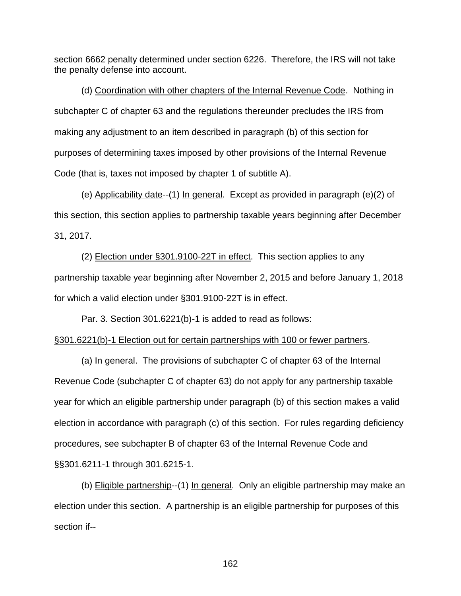section 6662 penalty determined under section 6226. Therefore, the IRS will not take the penalty defense into account.

(d) Coordination with other chapters of the Internal Revenue Code. Nothing in subchapter C of chapter 63 and the regulations thereunder precludes the IRS from making any adjustment to an item described in paragraph (b) of this section for purposes of determining taxes imposed by other provisions of the Internal Revenue Code (that is, taxes not imposed by chapter 1 of subtitle A).

(e) Applicability date--(1) In general. Except as provided in paragraph (e)(2) of this section, this section applies to partnership taxable years beginning after December 31, 2017.

(2) Election under §301.9100-22T in effect. This section applies to any partnership taxable year beginning after November 2, 2015 and before January 1, 2018 for which a valid election under §301.9100-22T is in effect.

Par. 3. Section 301.6221(b)-1 is added to read as follows:

## §301.6221(b)-1 Election out for certain partnerships with 100 or fewer partners.

(a) In general. The provisions of subchapter C of chapter 63 of the Internal Revenue Code (subchapter C of chapter 63) do not apply for any partnership taxable year for which an eligible partnership under paragraph (b) of this section makes a valid election in accordance with paragraph (c) of this section. For rules regarding deficiency procedures, see subchapter B of chapter 63 of the Internal Revenue Code and §§301.6211-1 through 301.6215-1.

(b) Eligible partnership--(1) In general. Only an eligible partnership may make an election under this section. A partnership is an eligible partnership for purposes of this section if--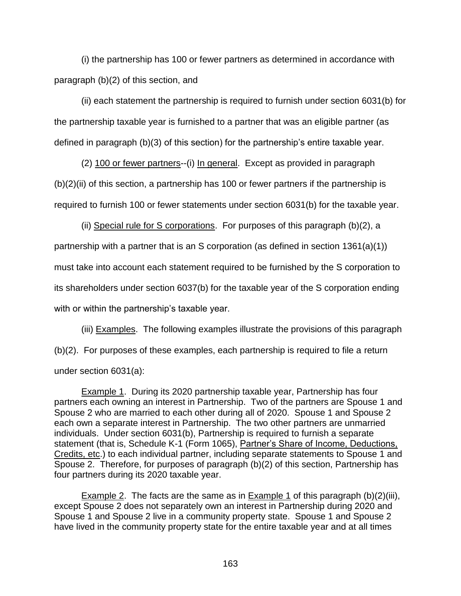(i) the partnership has 100 or fewer partners as determined in accordance with paragraph (b)(2) of this section, and

(ii) each statement the partnership is required to furnish under section 6031(b) for the partnership taxable year is furnished to a partner that was an eligible partner (as defined in paragraph (b)(3) of this section) for the partnership's entire taxable year.

(2) 100 or fewer partners--(i) In general. Except as provided in paragraph (b)(2)(ii) of this section, a partnership has 100 or fewer partners if the partnership is required to furnish 100 or fewer statements under section 6031(b) for the taxable year.

(ii) Special rule for S corporations. For purposes of this paragraph (b)(2), a partnership with a partner that is an S corporation (as defined in section 1361(a)(1)) must take into account each statement required to be furnished by the S corporation to its shareholders under section 6037(b) for the taxable year of the S corporation ending with or within the partnership's taxable year.

(iii) Examples. The following examples illustrate the provisions of this paragraph (b)(2). For purposes of these examples, each partnership is required to file a return under section 6031(a):

Example 1. During its 2020 partnership taxable year, Partnership has four partners each owning an interest in Partnership. Two of the partners are Spouse 1 and Spouse 2 who are married to each other during all of 2020. Spouse 1 and Spouse 2 each own a separate interest in Partnership. The two other partners are unmarried individuals. Under section 6031(b), Partnership is required to furnish a separate statement (that is, Schedule K-1 (Form 1065), Partner's Share of Income, Deductions, Credits, etc.) to each individual partner, including separate statements to Spouse 1 and Spouse 2. Therefore, for purposes of paragraph (b)(2) of this section, Partnership has four partners during its 2020 taxable year.

**Example 2.** The facts are the same as in **Example 1** of this paragraph  $(b)(2)(iii)$ , except Spouse 2 does not separately own an interest in Partnership during 2020 and Spouse 1 and Spouse 2 live in a community property state. Spouse 1 and Spouse 2 have lived in the community property state for the entire taxable year and at all times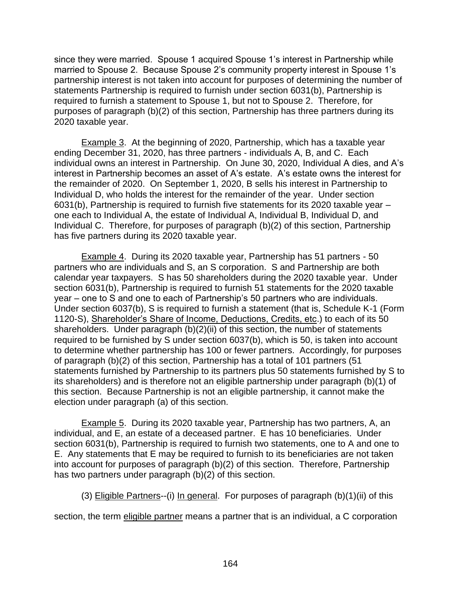since they were married. Spouse 1 acquired Spouse 1's interest in Partnership while married to Spouse 2. Because Spouse 2's community property interest in Spouse 1's partnership interest is not taken into account for purposes of determining the number of statements Partnership is required to furnish under section 6031(b), Partnership is required to furnish a statement to Spouse 1, but not to Spouse 2. Therefore, for purposes of paragraph (b)(2) of this section, Partnership has three partners during its 2020 taxable year.

Example 3. At the beginning of 2020, Partnership, which has a taxable year ending December 31, 2020, has three partners - individuals A, B, and C. Each individual owns an interest in Partnership. On June 30, 2020, Individual A dies, and A's interest in Partnership becomes an asset of A's estate. A's estate owns the interest for the remainder of 2020. On September 1, 2020, B sells his interest in Partnership to Individual D, who holds the interest for the remainder of the year. Under section 6031(b), Partnership is required to furnish five statements for its 2020 taxable year – one each to Individual A, the estate of Individual A, Individual B, Individual D, and Individual C. Therefore, for purposes of paragraph (b)(2) of this section, Partnership has five partners during its 2020 taxable year.

Example 4. During its 2020 taxable year, Partnership has 51 partners - 50 partners who are individuals and S, an S corporation. S and Partnership are both calendar year taxpayers. S has 50 shareholders during the 2020 taxable year. Under section 6031(b), Partnership is required to furnish 51 statements for the 2020 taxable year – one to S and one to each of Partnership's 50 partners who are individuals. Under section 6037(b), S is required to furnish a statement (that is, Schedule K-1 (Form 1120-S), Shareholder's Share of Income, Deductions, Credits, etc.) to each of its 50 shareholders. Under paragraph (b)(2)(ii) of this section, the number of statements required to be furnished by S under section 6037(b), which is 50, is taken into account to determine whether partnership has 100 or fewer partners. Accordingly, for purposes of paragraph (b)(2) of this section, Partnership has a total of 101 partners (51 statements furnished by Partnership to its partners plus 50 statements furnished by S to its shareholders) and is therefore not an eligible partnership under paragraph (b)(1) of this section. Because Partnership is not an eligible partnership, it cannot make the election under paragraph (a) of this section.

Example 5. During its 2020 taxable year, Partnership has two partners, A, an individual, and E, an estate of a deceased partner. E has 10 beneficiaries. Under section 6031(b), Partnership is required to furnish two statements, one to A and one to E. Any statements that E may be required to furnish to its beneficiaries are not taken into account for purposes of paragraph (b)(2) of this section. Therefore, Partnership has two partners under paragraph (b)(2) of this section.

(3) Eligible Partners--(i) In general. For purposes of paragraph  $(b)(1)(ii)$  of this

section, the term eligible partner means a partner that is an individual, a C corporation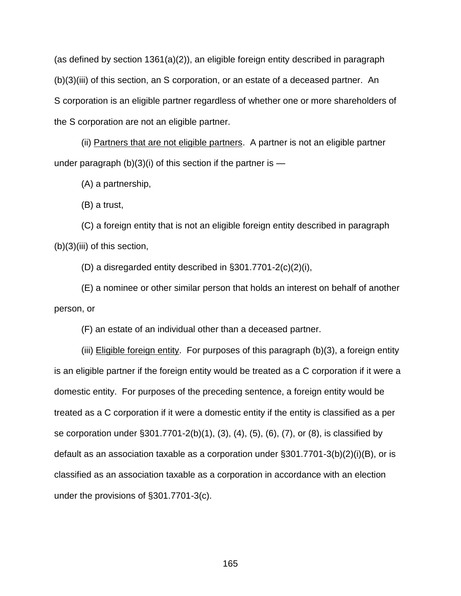(as defined by section  $1361(a)(2)$ ), an eligible foreign entity described in paragraph (b)(3)(iii) of this section, an S corporation, or an estate of a deceased partner. An S corporation is an eligible partner regardless of whether one or more shareholders of the S corporation are not an eligible partner.

(ii) Partners that are not eligible partners. A partner is not an eligible partner under paragraph  $(b)(3)(i)$  of this section if the partner is —

(A) a partnership,

(B) a trust,

(C) a foreign entity that is not an eligible foreign entity described in paragraph (b)(3)(iii) of this section,

(D) a disregarded entity described in §301.7701-2(c)(2)(i),

(E) a nominee or other similar person that holds an interest on behalf of another person, or

(F) an estate of an individual other than a deceased partner.

(iii) Eligible foreign entity. For purposes of this paragraph (b)(3), a foreign entity is an eligible partner if the foreign entity would be treated as a C corporation if it were a domestic entity. For purposes of the preceding sentence, a foreign entity would be treated as a C corporation if it were a domestic entity if the entity is classified as a per se corporation under §301.7701-2(b)(1), (3), (4), (5), (6), (7), or (8), is classified by default as an association taxable as a corporation under §301.7701-3(b)(2)(i)(B), or is classified as an association taxable as a corporation in accordance with an election under the provisions of §301.7701-3(c).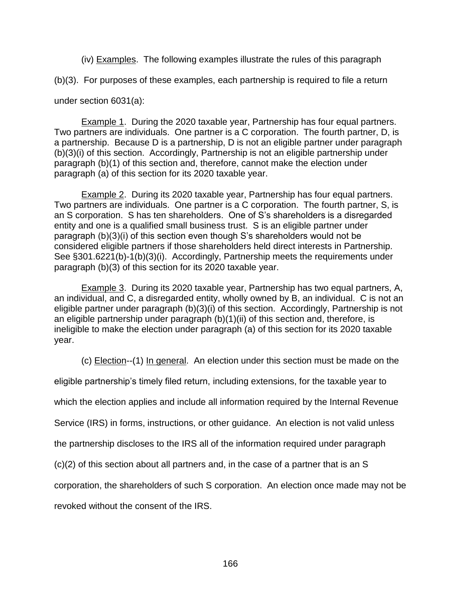(iv) Examples. The following examples illustrate the rules of this paragraph

(b)(3). For purposes of these examples, each partnership is required to file a return

under section 6031(a):

**Example 1.** During the 2020 taxable year, Partnership has four equal partners. Two partners are individuals. One partner is a C corporation. The fourth partner, D, is a partnership. Because D is a partnership, D is not an eligible partner under paragraph (b)(3)(i) of this section. Accordingly, Partnership is not an eligible partnership under paragraph (b)(1) of this section and, therefore, cannot make the election under paragraph (a) of this section for its 2020 taxable year.

**Example 2.** During its 2020 taxable year, Partnership has four equal partners. Two partners are individuals. One partner is a C corporation. The fourth partner, S, is an S corporation. S has ten shareholders. One of S's shareholders is a disregarded entity and one is a qualified small business trust. S is an eligible partner under paragraph (b)(3)(i) of this section even though S's shareholders would not be considered eligible partners if those shareholders held direct interests in Partnership. See §301.6221(b)-1(b)(3)(i). Accordingly, Partnership meets the requirements under paragraph (b)(3) of this section for its 2020 taxable year.

Example 3. During its 2020 taxable year, Partnership has two equal partners, A, an individual, and C, a disregarded entity, wholly owned by B, an individual. C is not an eligible partner under paragraph (b)(3)(i) of this section. Accordingly, Partnership is not an eligible partnership under paragraph (b)(1)(ii) of this section and, therefore, is ineligible to make the election under paragraph (a) of this section for its 2020 taxable year.

(c) Election--(1) In general. An election under this section must be made on the

eligible partnership's timely filed return, including extensions, for the taxable year to

which the election applies and include all information required by the Internal Revenue

Service (IRS) in forms, instructions, or other guidance. An election is not valid unless

the partnership discloses to the IRS all of the information required under paragraph

(c)(2) of this section about all partners and, in the case of a partner that is an S

corporation, the shareholders of such S corporation. An election once made may not be

revoked without the consent of the IRS.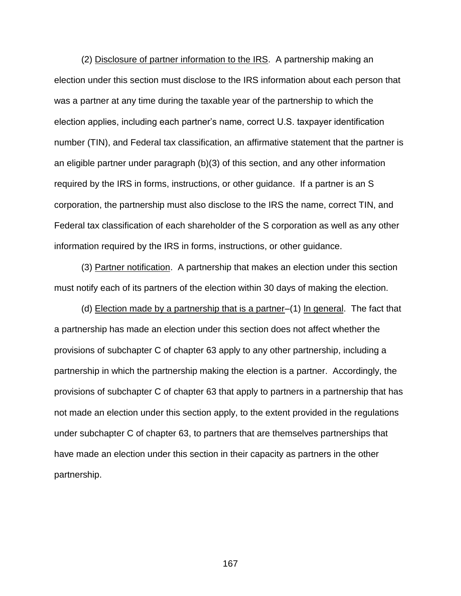(2) Disclosure of partner information to the IRS. A partnership making an election under this section must disclose to the IRS information about each person that was a partner at any time during the taxable year of the partnership to which the election applies, including each partner's name, correct U.S. taxpayer identification number (TIN), and Federal tax classification, an affirmative statement that the partner is an eligible partner under paragraph (b)(3) of this section, and any other information required by the IRS in forms, instructions, or other guidance. If a partner is an S corporation, the partnership must also disclose to the IRS the name, correct TIN, and Federal tax classification of each shareholder of the S corporation as well as any other information required by the IRS in forms, instructions, or other guidance.

(3) Partner notification. A partnership that makes an election under this section must notify each of its partners of the election within 30 days of making the election.

(d) Election made by a partnership that is a partner–(1) In general. The fact that a partnership has made an election under this section does not affect whether the provisions of subchapter C of chapter 63 apply to any other partnership, including a partnership in which the partnership making the election is a partner. Accordingly, the provisions of subchapter C of chapter 63 that apply to partners in a partnership that has not made an election under this section apply, to the extent provided in the regulations under subchapter C of chapter 63, to partners that are themselves partnerships that have made an election under this section in their capacity as partners in the other partnership.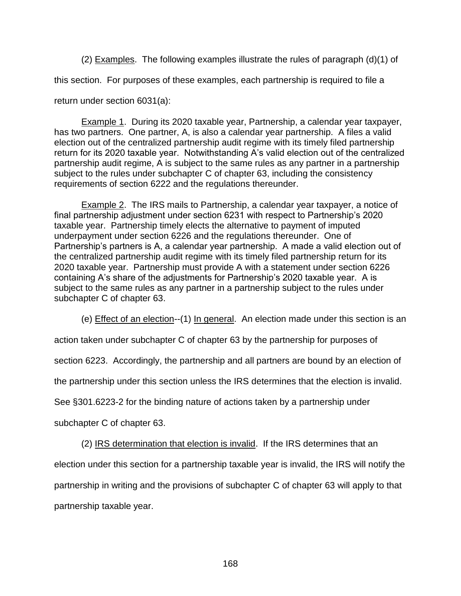(2) Examples. The following examples illustrate the rules of paragraph (d)(1) of

this section. For purposes of these examples, each partnership is required to file a

return under section 6031(a):

Example 1. During its 2020 taxable year, Partnership, a calendar year taxpayer, has two partners. One partner, A, is also a calendar year partnership. A files a valid election out of the centralized partnership audit regime with its timely filed partnership return for its 2020 taxable year. Notwithstanding A's valid election out of the centralized partnership audit regime, A is subject to the same rules as any partner in a partnership subject to the rules under subchapter C of chapter 63, including the consistency requirements of section 6222 and the regulations thereunder.

Example 2. The IRS mails to Partnership, a calendar year taxpayer, a notice of final partnership adjustment under section 6231 with respect to Partnership's 2020 taxable year. Partnership timely elects the alternative to payment of imputed underpayment under section 6226 and the regulations thereunder. One of Partnership's partners is A, a calendar year partnership. A made a valid election out of the centralized partnership audit regime with its timely filed partnership return for its 2020 taxable year. Partnership must provide A with a statement under section 6226 containing A's share of the adjustments for Partnership's 2020 taxable year. A is subject to the same rules as any partner in a partnership subject to the rules under subchapter C of chapter 63.

(e) Effect of an election--(1) In general. An election made under this section is an

action taken under subchapter C of chapter 63 by the partnership for purposes of

section 6223. Accordingly, the partnership and all partners are bound by an election of

the partnership under this section unless the IRS determines that the election is invalid.

See §301.6223-2 for the binding nature of actions taken by a partnership under

subchapter C of chapter 63.

(2) IRS determination that election is invalid. If the IRS determines that an election under this section for a partnership taxable year is invalid, the IRS will notify the partnership in writing and the provisions of subchapter C of chapter 63 will apply to that partnership taxable year.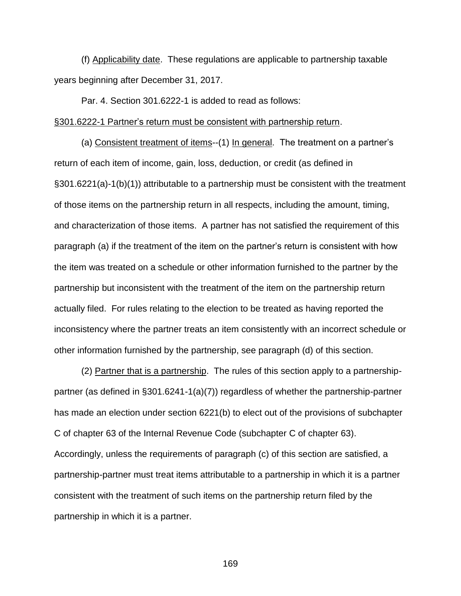(f) Applicability date. These regulations are applicable to partnership taxable years beginning after December 31, 2017.

Par. 4. Section 301.6222-1 is added to read as follows:

#### §301.6222-1 Partner's return must be consistent with partnership return.

(a) Consistent treatment of items--(1) In general. The treatment on a partner's return of each item of income, gain, loss, deduction, or credit (as defined in §301.6221(a)-1(b)(1)) attributable to a partnership must be consistent with the treatment of those items on the partnership return in all respects, including the amount, timing, and characterization of those items. A partner has not satisfied the requirement of this paragraph (a) if the treatment of the item on the partner's return is consistent with how the item was treated on a schedule or other information furnished to the partner by the partnership but inconsistent with the treatment of the item on the partnership return actually filed. For rules relating to the election to be treated as having reported the inconsistency where the partner treats an item consistently with an incorrect schedule or other information furnished by the partnership, see paragraph (d) of this section.

(2) Partner that is a partnership. The rules of this section apply to a partnershippartner (as defined in §301.6241-1(a)(7)) regardless of whether the partnership-partner has made an election under section 6221(b) to elect out of the provisions of subchapter C of chapter 63 of the Internal Revenue Code (subchapter C of chapter 63). Accordingly, unless the requirements of paragraph (c) of this section are satisfied, a partnership-partner must treat items attributable to a partnership in which it is a partner consistent with the treatment of such items on the partnership return filed by the partnership in which it is a partner.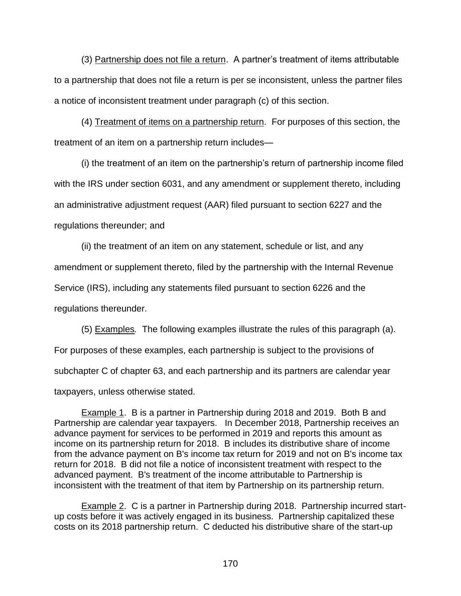(3) Partnership does not file a return. A partner's treatment of items attributable to a partnership that does not file a return is per se inconsistent, unless the partner files a notice of inconsistent treatment under paragraph (c) of this section.

(4) Treatment of items on a partnership return. For purposes of this section, the treatment of an item on a partnership return includes—

(i) the treatment of an item on the partnership's return of partnership income filed with the IRS under section 6031, and any amendment or supplement thereto, including an administrative adjustment request (AAR) filed pursuant to section 6227 and the regulations thereunder; and

(ii) the treatment of an item on any statement, schedule or list, and any amendment or supplement thereto, filed by the partnership with the Internal Revenue Service (IRS), including any statements filed pursuant to section 6226 and the regulations thereunder.

(5) Examples*.* The following examples illustrate the rules of this paragraph (a). For purposes of these examples, each partnership is subject to the provisions of subchapter C of chapter 63, and each partnership and its partners are calendar year taxpayers, unless otherwise stated.

Example 1. B is a partner in Partnership during 2018 and 2019. Both B and Partnership are calendar year taxpayers. In December 2018, Partnership receives an advance payment for services to be performed in 2019 and reports this amount as income on its partnership return for 2018. B includes its distributive share of income from the advance payment on B's income tax return for 2019 and not on B's income tax return for 2018. B did not file a notice of inconsistent treatment with respect to the advanced payment. B's treatment of the income attributable to Partnership is inconsistent with the treatment of that item by Partnership on its partnership return.

Example 2. C is a partner in Partnership during 2018. Partnership incurred startup costs before it was actively engaged in its business. Partnership capitalized these costs on its 2018 partnership return. C deducted his distributive share of the start-up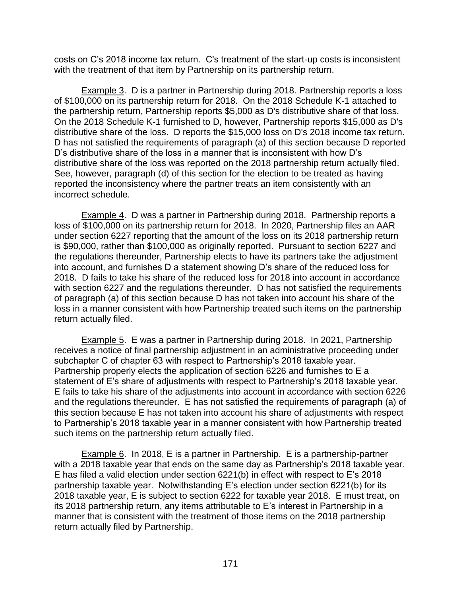costs on C's 2018 income tax return. C's treatment of the start-up costs is inconsistent with the treatment of that item by Partnership on its partnership return.

Example 3. D is a partner in Partnership during 2018. Partnership reports a loss of \$100,000 on its partnership return for 2018. On the 2018 Schedule K-1 attached to the partnership return, Partnership reports \$5,000 as D's distributive share of that loss. On the 2018 Schedule K-1 furnished to D, however, Partnership reports \$15,000 as D's distributive share of the loss. D reports the \$15,000 loss on D's 2018 income tax return. D has not satisfied the requirements of paragraph (a) of this section because D reported D's distributive share of the loss in a manner that is inconsistent with how D's distributive share of the loss was reported on the 2018 partnership return actually filed. See, however, paragraph (d) of this section for the election to be treated as having reported the inconsistency where the partner treats an item consistently with an incorrect schedule.

Example 4. D was a partner in Partnership during 2018. Partnership reports a loss of \$100,000 on its partnership return for 2018. In 2020, Partnership files an AAR under section 6227 reporting that the amount of the loss on its 2018 partnership return is \$90,000, rather than \$100,000 as originally reported. Pursuant to section 6227 and the regulations thereunder, Partnership elects to have its partners take the adjustment into account, and furnishes D a statement showing D's share of the reduced loss for 2018. D fails to take his share of the reduced loss for 2018 into account in accordance with section 6227 and the regulations thereunder. D has not satisfied the requirements of paragraph (a) of this section because D has not taken into account his share of the loss in a manner consistent with how Partnership treated such items on the partnership return actually filed.

Example 5. E was a partner in Partnership during 2018. In 2021, Partnership receives a notice of final partnership adjustment in an administrative proceeding under subchapter C of chapter 63 with respect to Partnership's 2018 taxable year. Partnership properly elects the application of section 6226 and furnishes to E a statement of E's share of adjustments with respect to Partnership's 2018 taxable year. E fails to take his share of the adjustments into account in accordance with section 6226 and the regulations thereunder. E has not satisfied the requirements of paragraph (a) of this section because E has not taken into account his share of adjustments with respect to Partnership's 2018 taxable year in a manner consistent with how Partnership treated such items on the partnership return actually filed.

Example 6. In 2018, E is a partner in Partnership. E is a partnership-partner with a 2018 taxable year that ends on the same day as Partnership's 2018 taxable year. E has filed a valid election under section 6221(b) in effect with respect to E's 2018 partnership taxable year. Notwithstanding E's election under section 6221(b) for its 2018 taxable year, E is subject to section 6222 for taxable year 2018. E must treat, on its 2018 partnership return, any items attributable to E's interest in Partnership in a manner that is consistent with the treatment of those items on the 2018 partnership return actually filed by Partnership.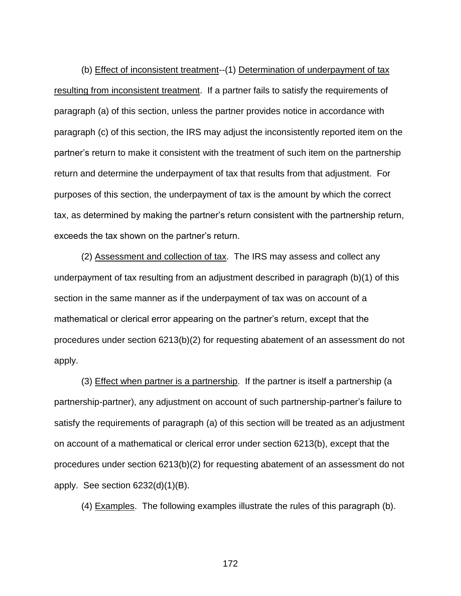(b) Effect of inconsistent treatment--(1) Determination of underpayment of tax resulting from inconsistent treatment. If a partner fails to satisfy the requirements of paragraph (a) of this section, unless the partner provides notice in accordance with paragraph (c) of this section, the IRS may adjust the inconsistently reported item on the partner's return to make it consistent with the treatment of such item on the partnership return and determine the underpayment of tax that results from that adjustment. For purposes of this section, the underpayment of tax is the amount by which the correct tax, as determined by making the partner's return consistent with the partnership return, exceeds the tax shown on the partner's return.

(2) Assessment and collection of tax. The IRS may assess and collect any underpayment of tax resulting from an adjustment described in paragraph (b)(1) of this section in the same manner as if the underpayment of tax was on account of a mathematical or clerical error appearing on the partner's return, except that the procedures under section 6213(b)(2) for requesting abatement of an assessment do not apply.

(3) Effect when partner is a partnership. If the partner is itself a partnership (a partnership-partner), any adjustment on account of such partnership-partner's failure to satisfy the requirements of paragraph (a) of this section will be treated as an adjustment on account of a mathematical or clerical error under section 6213(b), except that the procedures under section 6213(b)(2) for requesting abatement of an assessment do not apply. See section 6232(d)(1)(B).

(4) Examples. The following examples illustrate the rules of this paragraph (b).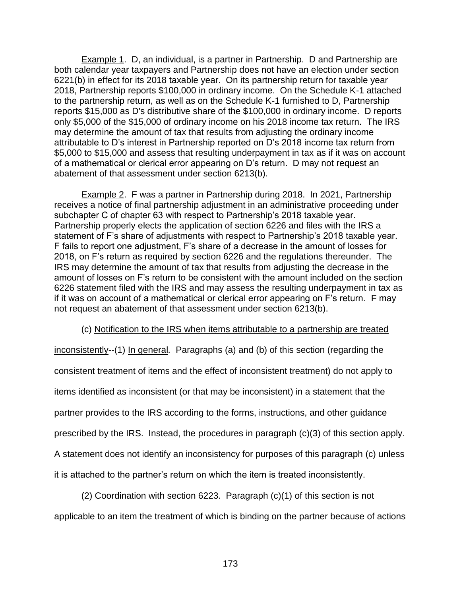Example 1. D, an individual, is a partner in Partnership. D and Partnership are both calendar year taxpayers and Partnership does not have an election under section 6221(b) in effect for its 2018 taxable year. On its partnership return for taxable year 2018, Partnership reports \$100,000 in ordinary income. On the Schedule K-1 attached to the partnership return, as well as on the Schedule K-1 furnished to D, Partnership reports \$15,000 as D's distributive share of the \$100,000 in ordinary income. D reports only \$5,000 of the \$15,000 of ordinary income on his 2018 income tax return. The IRS may determine the amount of tax that results from adjusting the ordinary income attributable to D's interest in Partnership reported on D's 2018 income tax return from \$5,000 to \$15,000 and assess that resulting underpayment in tax as if it was on account of a mathematical or clerical error appearing on D's return. D may not request an abatement of that assessment under section 6213(b).

**Example 2.** F was a partner in Partnership during 2018. In 2021, Partnership receives a notice of final partnership adjustment in an administrative proceeding under subchapter C of chapter 63 with respect to Partnership's 2018 taxable year. Partnership properly elects the application of section 6226 and files with the IRS a statement of F's share of adjustments with respect to Partnership's 2018 taxable year. F fails to report one adjustment, F's share of a decrease in the amount of losses for 2018, on F's return as required by section 6226 and the regulations thereunder. The IRS may determine the amount of tax that results from adjusting the decrease in the amount of losses on F's return to be consistent with the amount included on the section 6226 statement filed with the IRS and may assess the resulting underpayment in tax as if it was on account of a mathematical or clerical error appearing on F's return. F may not request an abatement of that assessment under section 6213(b).

## (c) Notification to the IRS when items attributable to a partnership are treated

inconsistently--(1) In general*.* Paragraphs (a) and (b) of this section (regarding the consistent treatment of items and the effect of inconsistent treatment) do not apply to items identified as inconsistent (or that may be inconsistent) in a statement that the partner provides to the IRS according to the forms, instructions, and other guidance prescribed by the IRS. Instead, the procedures in paragraph (c)(3) of this section apply. A statement does not identify an inconsistency for purposes of this paragraph (c) unless it is attached to the partner's return on which the item is treated inconsistently.

(2) Coordination with section 6223. Paragraph (c)(1) of this section is not applicable to an item the treatment of which is binding on the partner because of actions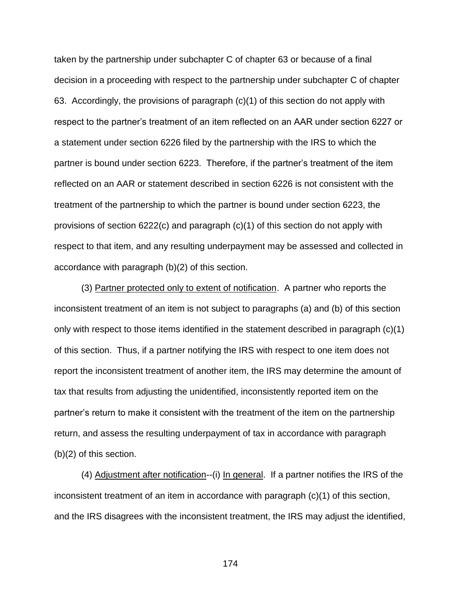taken by the partnership under subchapter C of chapter 63 or because of a final decision in a proceeding with respect to the partnership under subchapter C of chapter 63. Accordingly, the provisions of paragraph (c)(1) of this section do not apply with respect to the partner's treatment of an item reflected on an AAR under section 6227 or a statement under section 6226 filed by the partnership with the IRS to which the partner is bound under section 6223. Therefore, if the partner's treatment of the item reflected on an AAR or statement described in section 6226 is not consistent with the treatment of the partnership to which the partner is bound under section 6223, the provisions of section 6222(c) and paragraph (c)(1) of this section do not apply with respect to that item, and any resulting underpayment may be assessed and collected in accordance with paragraph (b)(2) of this section.

(3) Partner protected only to extent of notification. A partner who reports the inconsistent treatment of an item is not subject to paragraphs (a) and (b) of this section only with respect to those items identified in the statement described in paragraph (c)(1) of this section. Thus, if a partner notifying the IRS with respect to one item does not report the inconsistent treatment of another item, the IRS may determine the amount of tax that results from adjusting the unidentified, inconsistently reported item on the partner's return to make it consistent with the treatment of the item on the partnership return, and assess the resulting underpayment of tax in accordance with paragraph (b)(2) of this section.

(4) Adjustment after notification--(i) In general. If a partner notifies the IRS of the inconsistent treatment of an item in accordance with paragraph (c)(1) of this section, and the IRS disagrees with the inconsistent treatment, the IRS may adjust the identified,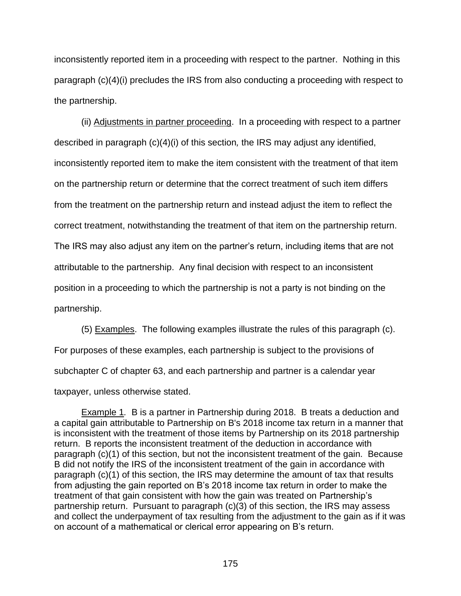inconsistently reported item in a proceeding with respect to the partner. Nothing in this paragraph (c)(4)(i) precludes the IRS from also conducting a proceeding with respect to the partnership.

(ii) Adjustments in partner proceeding. In a proceeding with respect to a partner described in paragraph (c)(4)(i) of this section*,* the IRS may adjust any identified, inconsistently reported item to make the item consistent with the treatment of that item on the partnership return or determine that the correct treatment of such item differs from the treatment on the partnership return and instead adjust the item to reflect the correct treatment, notwithstanding the treatment of that item on the partnership return. The IRS may also adjust any item on the partner's return, including items that are not attributable to the partnership. Any final decision with respect to an inconsistent position in a proceeding to which the partnership is not a party is not binding on the partnership.

(5) Examples. The following examples illustrate the rules of this paragraph (c). For purposes of these examples, each partnership is subject to the provisions of subchapter C of chapter 63, and each partnership and partner is a calendar year taxpayer, unless otherwise stated.

Example 1*.* B is a partner in Partnership during 2018. B treats a deduction and a capital gain attributable to Partnership on B's 2018 income tax return in a manner that is inconsistent with the treatment of those items by Partnership on its 2018 partnership return. B reports the inconsistent treatment of the deduction in accordance with paragraph (c)(1) of this section, but not the inconsistent treatment of the gain. Because B did not notify the IRS of the inconsistent treatment of the gain in accordance with paragraph (c)(1) of this section, the IRS may determine the amount of tax that results from adjusting the gain reported on B's 2018 income tax return in order to make the treatment of that gain consistent with how the gain was treated on Partnership's partnership return. Pursuant to paragraph (c)(3) of this section, the IRS may assess and collect the underpayment of tax resulting from the adjustment to the gain as if it was on account of a mathematical or clerical error appearing on B's return.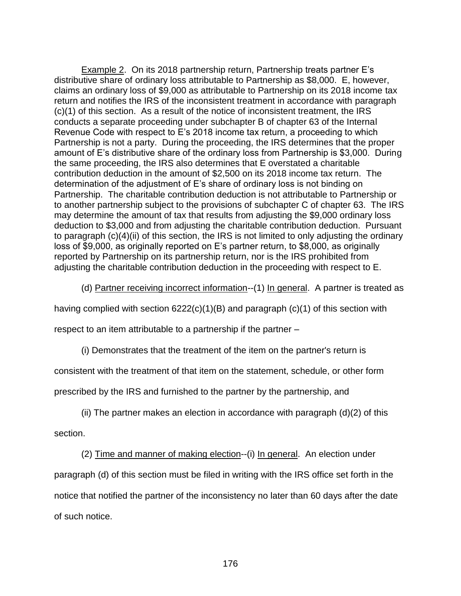Example 2. On its 2018 partnership return, Partnership treats partner E's distributive share of ordinary loss attributable to Partnership as \$8,000. E, however, claims an ordinary loss of \$9,000 as attributable to Partnership on its 2018 income tax return and notifies the IRS of the inconsistent treatment in accordance with paragraph (c)(1) of this section. As a result of the notice of inconsistent treatment, the IRS conducts a separate proceeding under subchapter B of chapter 63 of the Internal Revenue Code with respect to E's 2018 income tax return, a proceeding to which Partnership is not a party. During the proceeding, the IRS determines that the proper amount of E's distributive share of the ordinary loss from Partnership is \$3,000. During the same proceeding, the IRS also determines that E overstated a charitable contribution deduction in the amount of \$2,500 on its 2018 income tax return. The determination of the adjustment of E's share of ordinary loss is not binding on Partnership. The charitable contribution deduction is not attributable to Partnership or to another partnership subject to the provisions of subchapter C of chapter 63. The IRS may determine the amount of tax that results from adjusting the \$9,000 ordinary loss deduction to \$3,000 and from adjusting the charitable contribution deduction. Pursuant to paragraph (c)(4)(ii) of this section, the IRS is not limited to only adjusting the ordinary loss of \$9,000, as originally reported on E's partner return, to \$8,000, as originally reported by Partnership on its partnership return, nor is the IRS prohibited from adjusting the charitable contribution deduction in the proceeding with respect to E.

(d) Partner receiving incorrect information--(1) In general. A partner is treated as

having complied with section  $6222(c)(1)(B)$  and paragraph  $(c)(1)$  of this section with

respect to an item attributable to a partnership if the partner –

(i) Demonstrates that the treatment of the item on the partner's return is

consistent with the treatment of that item on the statement, schedule, or other form

prescribed by the IRS and furnished to the partner by the partnership, and

(ii) The partner makes an election in accordance with paragraph  $(d)(2)$  of this

section.

(2) Time and manner of making election--(i) In general. An election under paragraph (d) of this section must be filed in writing with the IRS office set forth in the notice that notified the partner of the inconsistency no later than 60 days after the date of such notice.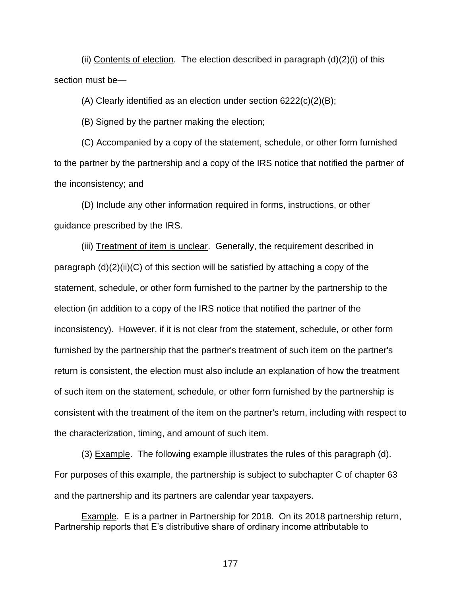(ii) Contents of election*.* The election described in paragraph (d)(2)(i) of this section must be—

(A) Clearly identified as an election under section 6222(c)(2)(B);

(B) Signed by the partner making the election;

(C) Accompanied by a copy of the statement, schedule, or other form furnished to the partner by the partnership and a copy of the IRS notice that notified the partner of the inconsistency; and

(D) Include any other information required in forms, instructions, or other guidance prescribed by the IRS.

(iii) Treatment of item is unclear. Generally, the requirement described in paragraph  $(d)(2)(ii)(C)$  of this section will be satisfied by attaching a copy of the statement, schedule, or other form furnished to the partner by the partnership to the election (in addition to a copy of the IRS notice that notified the partner of the inconsistency). However, if it is not clear from the statement, schedule, or other form furnished by the partnership that the partner's treatment of such item on the partner's return is consistent, the election must also include an explanation of how the treatment of such item on the statement, schedule, or other form furnished by the partnership is consistent with the treatment of the item on the partner's return, including with respect to the characterization, timing, and amount of such item.

(3) Example. The following example illustrates the rules of this paragraph (d). For purposes of this example, the partnership is subject to subchapter C of chapter 63 and the partnership and its partners are calendar year taxpayers.

Example. E is a partner in Partnership for 2018. On its 2018 partnership return, Partnership reports that E's distributive share of ordinary income attributable to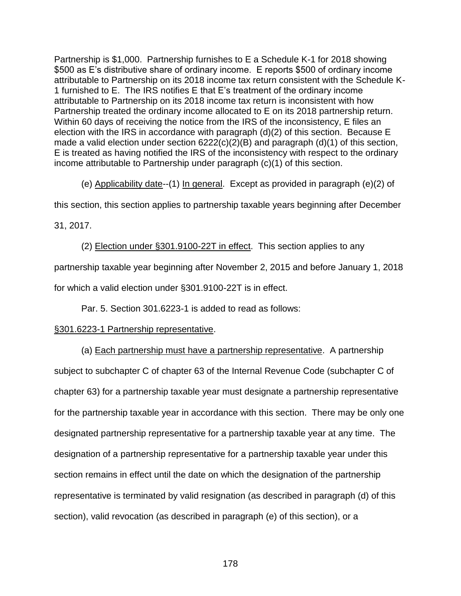Partnership is \$1,000. Partnership furnishes to E a Schedule K-1 for 2018 showing \$500 as E's distributive share of ordinary income. E reports \$500 of ordinary income attributable to Partnership on its 2018 income tax return consistent with the Schedule K-1 furnished to E. The IRS notifies E that E's treatment of the ordinary income attributable to Partnership on its 2018 income tax return is inconsistent with how Partnership treated the ordinary income allocated to E on its 2018 partnership return. Within 60 days of receiving the notice from the IRS of the inconsistency, E files an election with the IRS in accordance with paragraph (d)(2) of this section. Because E made a valid election under section 6222(c)(2)(B) and paragraph (d)(1) of this section, E is treated as having notified the IRS of the inconsistency with respect to the ordinary income attributable to Partnership under paragraph (c)(1) of this section.

(e) Applicability date--(1) In general. Except as provided in paragraph (e)(2) of

this section, this section applies to partnership taxable years beginning after December

31, 2017.

(2) Election under §301.9100-22T in effect. This section applies to any partnership taxable year beginning after November 2, 2015 and before January 1, 2018 for which a valid election under §301.9100-22T is in effect.

Par. 5. Section 301.6223-1 is added to read as follows:

# §301.6223-1 Partnership representative.

(a) Each partnership must have a partnership representative. A partnership subject to subchapter C of chapter 63 of the Internal Revenue Code (subchapter C of chapter 63) for a partnership taxable year must designate a partnership representative for the partnership taxable year in accordance with this section. There may be only one designated partnership representative for a partnership taxable year at any time. The designation of a partnership representative for a partnership taxable year under this section remains in effect until the date on which the designation of the partnership representative is terminated by valid resignation (as described in paragraph (d) of this section), valid revocation (as described in paragraph (e) of this section), or a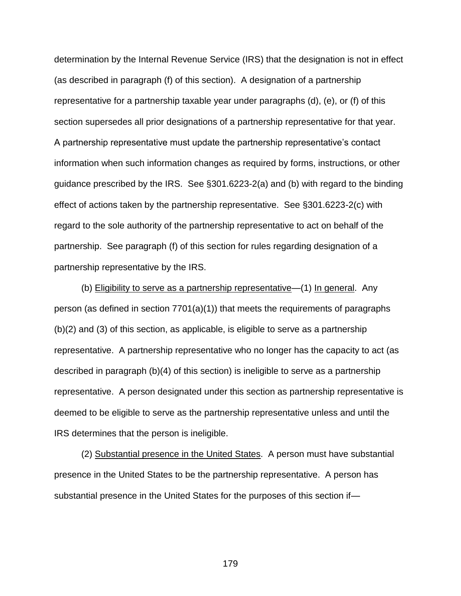determination by the Internal Revenue Service (IRS) that the designation is not in effect (as described in paragraph (f) of this section). A designation of a partnership representative for a partnership taxable year under paragraphs (d), (e), or (f) of this section supersedes all prior designations of a partnership representative for that year. A partnership representative must update the partnership representative's contact information when such information changes as required by forms, instructions, or other guidance prescribed by the IRS. See §301.6223-2(a) and (b) with regard to the binding effect of actions taken by the partnership representative. See §301.6223-2(c) with regard to the sole authority of the partnership representative to act on behalf of the partnership. See paragraph (f) of this section for rules regarding designation of a partnership representative by the IRS.

(b) Eligibility to serve as a partnership representative—(1) In general. Any person (as defined in section 7701(a)(1)) that meets the requirements of paragraphs (b)(2) and (3) of this section, as applicable, is eligible to serve as a partnership representative. A partnership representative who no longer has the capacity to act (as described in paragraph (b)(4) of this section) is ineligible to serve as a partnership representative. A person designated under this section as partnership representative is deemed to be eligible to serve as the partnership representative unless and until the IRS determines that the person is ineligible.

(2) Substantial presence in the United States. A person must have substantial presence in the United States to be the partnership representative. A person has substantial presence in the United States for the purposes of this section if—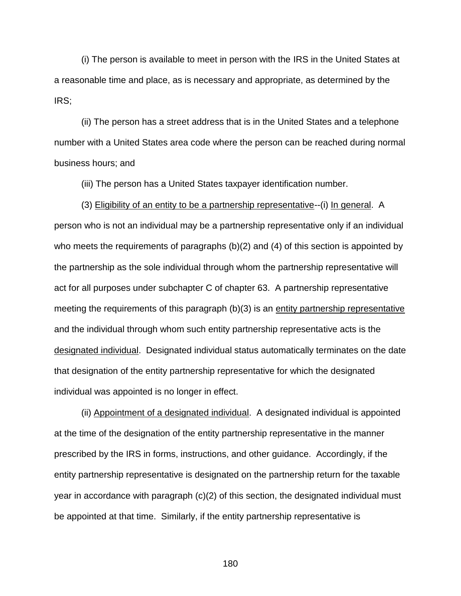(i) The person is available to meet in person with the IRS in the United States at a reasonable time and place, as is necessary and appropriate, as determined by the IRS;

(ii) The person has a street address that is in the United States and a telephone number with a United States area code where the person can be reached during normal business hours; and

(iii) The person has a United States taxpayer identification number.

(3) Eligibility of an entity to be a partnership representative--(i) In general. A person who is not an individual may be a partnership representative only if an individual who meets the requirements of paragraphs (b)(2) and (4) of this section is appointed by the partnership as the sole individual through whom the partnership representative will act for all purposes under subchapter C of chapter 63. A partnership representative meeting the requirements of this paragraph (b)(3) is an entity partnership representative and the individual through whom such entity partnership representative acts is the designated individual. Designated individual status automatically terminates on the date that designation of the entity partnership representative for which the designated individual was appointed is no longer in effect.

(ii) Appointment of a designated individual. A designated individual is appointed at the time of the designation of the entity partnership representative in the manner prescribed by the IRS in forms, instructions, and other guidance. Accordingly, if the entity partnership representative is designated on the partnership return for the taxable year in accordance with paragraph (c)(2) of this section, the designated individual must be appointed at that time. Similarly, if the entity partnership representative is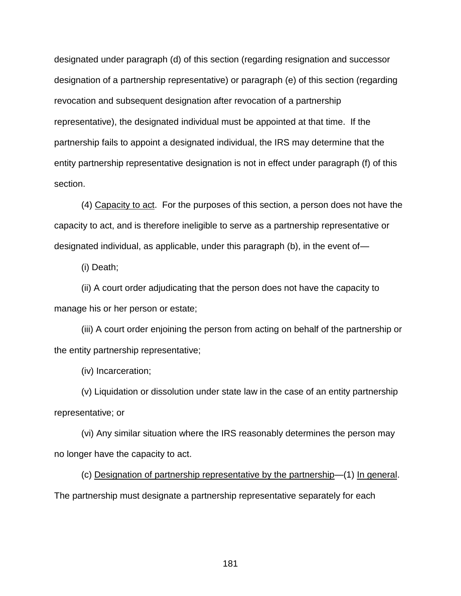designated under paragraph (d) of this section (regarding resignation and successor designation of a partnership representative) or paragraph (e) of this section (regarding revocation and subsequent designation after revocation of a partnership representative), the designated individual must be appointed at that time. If the partnership fails to appoint a designated individual, the IRS may determine that the entity partnership representative designation is not in effect under paragraph (f) of this section.

(4) Capacity to act. For the purposes of this section, a person does not have the capacity to act, and is therefore ineligible to serve as a partnership representative or designated individual, as applicable, under this paragraph (b), in the event of—

(i) Death;

(ii) A court order adjudicating that the person does not have the capacity to manage his or her person or estate;

(iii) A court order enjoining the person from acting on behalf of the partnership or the entity partnership representative;

(iv) Incarceration;

(v) Liquidation or dissolution under state law in the case of an entity partnership representative; or

(vi) Any similar situation where the IRS reasonably determines the person may no longer have the capacity to act.

(c) Designation of partnership representative by the partnership—(1) In general. The partnership must designate a partnership representative separately for each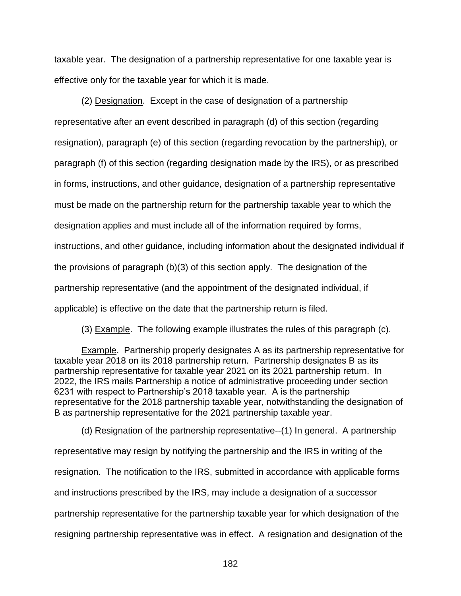taxable year. The designation of a partnership representative for one taxable year is effective only for the taxable year for which it is made.

(2) Designation. Except in the case of designation of a partnership representative after an event described in paragraph (d) of this section (regarding resignation), paragraph (e) of this section (regarding revocation by the partnership), or paragraph (f) of this section (regarding designation made by the IRS), or as prescribed in forms, instructions, and other guidance, designation of a partnership representative must be made on the partnership return for the partnership taxable year to which the designation applies and must include all of the information required by forms, instructions, and other guidance, including information about the designated individual if the provisions of paragraph (b)(3) of this section apply. The designation of the partnership representative (and the appointment of the designated individual, if applicable) is effective on the date that the partnership return is filed.

(3) Example. The following example illustrates the rules of this paragraph (c).

Example. Partnership properly designates A as its partnership representative for taxable year 2018 on its 2018 partnership return. Partnership designates B as its partnership representative for taxable year 2021 on its 2021 partnership return. In 2022, the IRS mails Partnership a notice of administrative proceeding under section 6231 with respect to Partnership's 2018 taxable year. A is the partnership representative for the 2018 partnership taxable year, notwithstanding the designation of B as partnership representative for the 2021 partnership taxable year.

(d) Resignation of the partnership representative--(1) In general. A partnership representative may resign by notifying the partnership and the IRS in writing of the resignation. The notification to the IRS, submitted in accordance with applicable forms and instructions prescribed by the IRS, may include a designation of a successor partnership representative for the partnership taxable year for which designation of the resigning partnership representative was in effect. A resignation and designation of the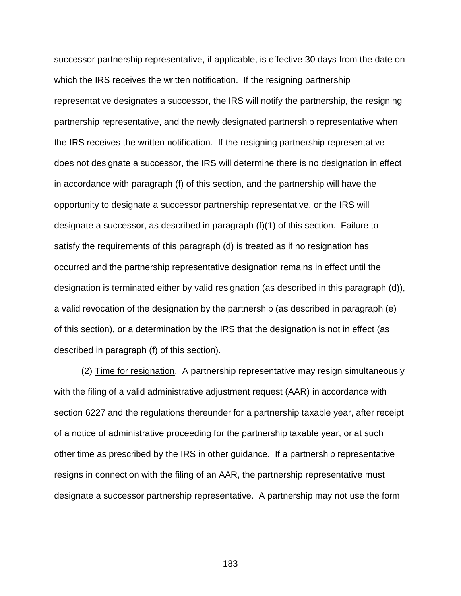successor partnership representative, if applicable, is effective 30 days from the date on which the IRS receives the written notification. If the resigning partnership representative designates a successor, the IRS will notify the partnership, the resigning partnership representative, and the newly designated partnership representative when the IRS receives the written notification. If the resigning partnership representative does not designate a successor, the IRS will determine there is no designation in effect in accordance with paragraph (f) of this section, and the partnership will have the opportunity to designate a successor partnership representative, or the IRS will designate a successor, as described in paragraph (f)(1) of this section. Failure to satisfy the requirements of this paragraph (d) is treated as if no resignation has occurred and the partnership representative designation remains in effect until the designation is terminated either by valid resignation (as described in this paragraph (d)), a valid revocation of the designation by the partnership (as described in paragraph (e) of this section), or a determination by the IRS that the designation is not in effect (as described in paragraph (f) of this section).

(2) Time for resignation. A partnership representative may resign simultaneously with the filing of a valid administrative adjustment request (AAR) in accordance with section 6227 and the regulations thereunder for a partnership taxable year, after receipt of a notice of administrative proceeding for the partnership taxable year, or at such other time as prescribed by the IRS in other guidance. If a partnership representative resigns in connection with the filing of an AAR, the partnership representative must designate a successor partnership representative. A partnership may not use the form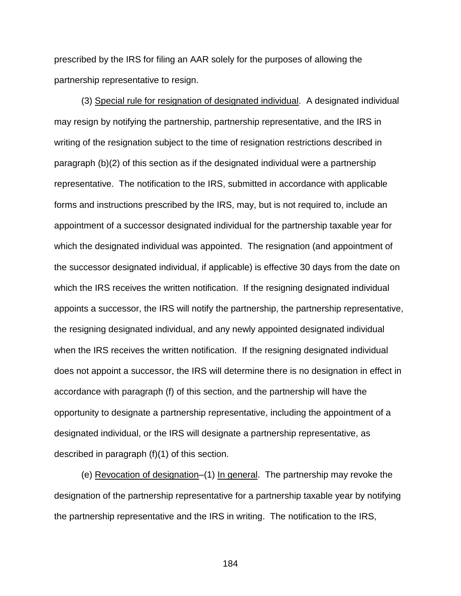prescribed by the IRS for filing an AAR solely for the purposes of allowing the partnership representative to resign.

(3) Special rule for resignation of designated individual. A designated individual may resign by notifying the partnership, partnership representative, and the IRS in writing of the resignation subject to the time of resignation restrictions described in paragraph (b)(2) of this section as if the designated individual were a partnership representative. The notification to the IRS, submitted in accordance with applicable forms and instructions prescribed by the IRS, may, but is not required to, include an appointment of a successor designated individual for the partnership taxable year for which the designated individual was appointed. The resignation (and appointment of the successor designated individual, if applicable) is effective 30 days from the date on which the IRS receives the written notification. If the resigning designated individual appoints a successor, the IRS will notify the partnership, the partnership representative, the resigning designated individual, and any newly appointed designated individual when the IRS receives the written notification. If the resigning designated individual does not appoint a successor, the IRS will determine there is no designation in effect in accordance with paragraph (f) of this section, and the partnership will have the opportunity to designate a partnership representative, including the appointment of a designated individual, or the IRS will designate a partnership representative, as described in paragraph (f)(1) of this section.

(e) Revocation of designation–(1) In general. The partnership may revoke the designation of the partnership representative for a partnership taxable year by notifying the partnership representative and the IRS in writing. The notification to the IRS,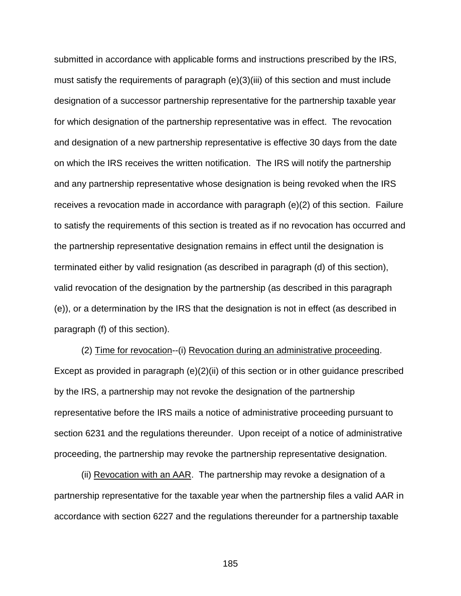submitted in accordance with applicable forms and instructions prescribed by the IRS, must satisfy the requirements of paragraph (e)(3)(iii) of this section and must include designation of a successor partnership representative for the partnership taxable year for which designation of the partnership representative was in effect. The revocation and designation of a new partnership representative is effective 30 days from the date on which the IRS receives the written notification. The IRS will notify the partnership and any partnership representative whose designation is being revoked when the IRS receives a revocation made in accordance with paragraph (e)(2) of this section. Failure to satisfy the requirements of this section is treated as if no revocation has occurred and the partnership representative designation remains in effect until the designation is terminated either by valid resignation (as described in paragraph (d) of this section), valid revocation of the designation by the partnership (as described in this paragraph (e)), or a determination by the IRS that the designation is not in effect (as described in paragraph (f) of this section).

(2) Time for revocation--(i) Revocation during an administrative proceeding. Except as provided in paragraph (e)(2)(ii) of this section or in other guidance prescribed by the IRS, a partnership may not revoke the designation of the partnership representative before the IRS mails a notice of administrative proceeding pursuant to section 6231 and the regulations thereunder. Upon receipt of a notice of administrative proceeding, the partnership may revoke the partnership representative designation.

(ii) Revocation with an AAR. The partnership may revoke a designation of a partnership representative for the taxable year when the partnership files a valid AAR in accordance with section 6227 and the regulations thereunder for a partnership taxable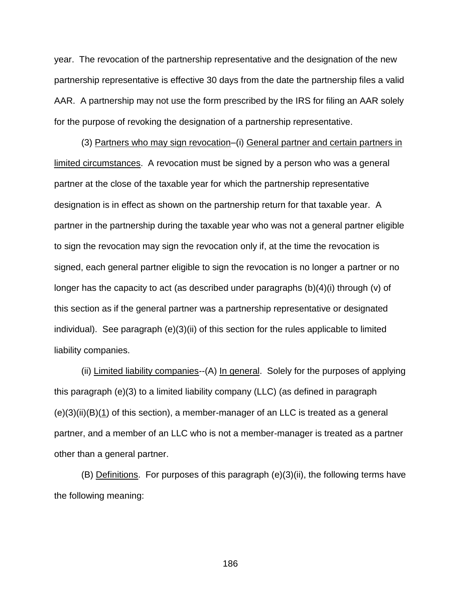year. The revocation of the partnership representative and the designation of the new partnership representative is effective 30 days from the date the partnership files a valid AAR. A partnership may not use the form prescribed by the IRS for filing an AAR solely for the purpose of revoking the designation of a partnership representative.

(3) Partners who may sign revocation–(i) General partner and certain partners in limited circumstances. A revocation must be signed by a person who was a general partner at the close of the taxable year for which the partnership representative designation is in effect as shown on the partnership return for that taxable year. A partner in the partnership during the taxable year who was not a general partner eligible to sign the revocation may sign the revocation only if, at the time the revocation is signed, each general partner eligible to sign the revocation is no longer a partner or no longer has the capacity to act (as described under paragraphs  $(b)(4)(i)$  through (v) of this section as if the general partner was a partnership representative or designated individual). See paragraph (e)(3)(ii) of this section for the rules applicable to limited liability companies.

(ii) Limited liability companies--(A) In general. Solely for the purposes of applying this paragraph (e)(3) to a limited liability company (LLC) (as defined in paragraph (e)(3)(ii)(B)(1) of this section), a member-manager of an LLC is treated as a general partner, and a member of an LLC who is not a member-manager is treated as a partner other than a general partner.

(B) Definitions. For purposes of this paragraph (e)(3)(ii), the following terms have the following meaning: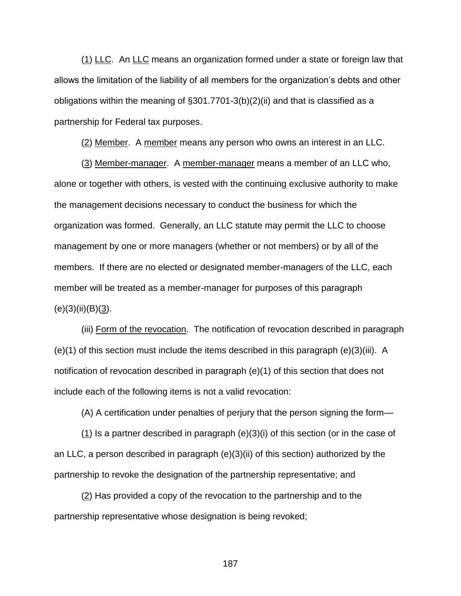(1) LLC. An LLC means an organization formed under a state or foreign law that allows the limitation of the liability of all members for the organization's debts and other obligations within the meaning of §301.7701-3(b)(2)(ii) and that is classified as a partnership for Federal tax purposes.

(2) Member. A member means any person who owns an interest in an LLC.

(3) Member-manager. A member-manager means a member of an LLC who, alone or together with others, is vested with the continuing exclusive authority to make the management decisions necessary to conduct the business for which the organization was formed. Generally, an LLC statute may permit the LLC to choose management by one or more managers (whether or not members) or by all of the members. If there are no elected or designated member-managers of the LLC, each member will be treated as a member-manager for purposes of this paragraph  $(e)(3)(ii)(B)(3).$ 

(iii) Form of the revocation. The notification of revocation described in paragraph (e)(1) of this section must include the items described in this paragraph (e)(3)(iii). A notification of revocation described in paragraph (e)(1) of this section that does not include each of the following items is not a valid revocation:

(A) A certification under penalties of perjury that the person signing the form—

(1) Is a partner described in paragraph (e)(3)(i) of this section (or in the case of an LLC, a person described in paragraph (e)(3)(ii) of this section) authorized by the partnership to revoke the designation of the partnership representative; and

(2) Has provided a copy of the revocation to the partnership and to the partnership representative whose designation is being revoked;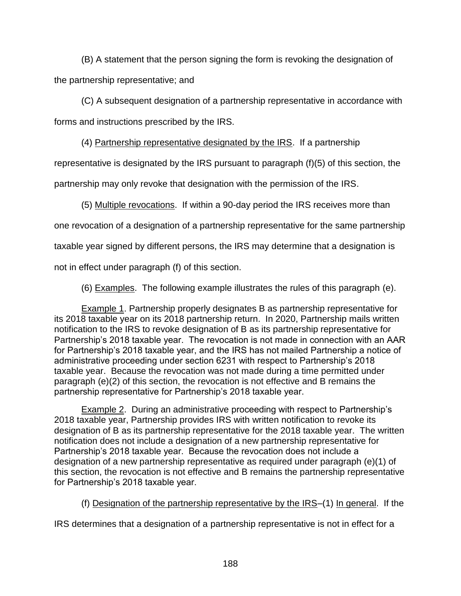(B) A statement that the person signing the form is revoking the designation of the partnership representative; and

(C) A subsequent designation of a partnership representative in accordance with forms and instructions prescribed by the IRS.

(4) Partnership representative designated by the IRS. If a partnership

representative is designated by the IRS pursuant to paragraph (f)(5) of this section, the

partnership may only revoke that designation with the permission of the IRS.

(5) Multiple revocations. If within a 90-day period the IRS receives more than

one revocation of a designation of a partnership representative for the same partnership

taxable year signed by different persons, the IRS may determine that a designation is

not in effect under paragraph (f) of this section.

(6) Examples. The following example illustrates the rules of this paragraph (e).

Example 1. Partnership properly designates B as partnership representative for its 2018 taxable year on its 2018 partnership return. In 2020, Partnership mails written notification to the IRS to revoke designation of B as its partnership representative for Partnership's 2018 taxable year. The revocation is not made in connection with an AAR for Partnership's 2018 taxable year, and the IRS has not mailed Partnership a notice of administrative proceeding under section 6231 with respect to Partnership's 2018 taxable year. Because the revocation was not made during a time permitted under paragraph (e)(2) of this section, the revocation is not effective and B remains the partnership representative for Partnership's 2018 taxable year.

Example 2. During an administrative proceeding with respect to Partnership's 2018 taxable year, Partnership provides IRS with written notification to revoke its designation of B as its partnership representative for the 2018 taxable year. The written notification does not include a designation of a new partnership representative for Partnership's 2018 taxable year. Because the revocation does not include a designation of a new partnership representative as required under paragraph (e)(1) of this section, the revocation is not effective and B remains the partnership representative for Partnership's 2018 taxable year.

(f) Designation of the partnership representative by the IRS–(1) In general. If the

IRS determines that a designation of a partnership representative is not in effect for a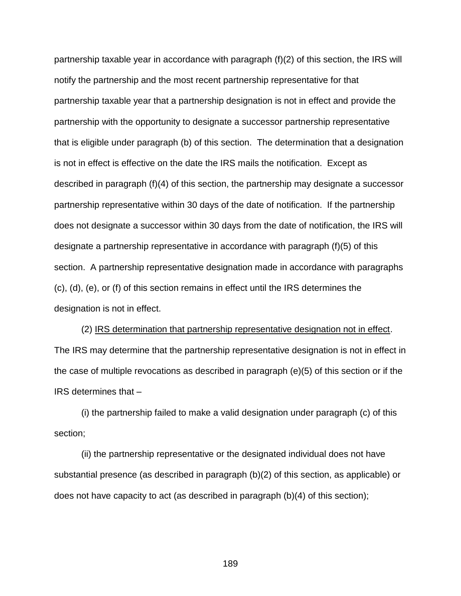partnership taxable year in accordance with paragraph (f)(2) of this section, the IRS will notify the partnership and the most recent partnership representative for that partnership taxable year that a partnership designation is not in effect and provide the partnership with the opportunity to designate a successor partnership representative that is eligible under paragraph (b) of this section. The determination that a designation is not in effect is effective on the date the IRS mails the notification. Except as described in paragraph (f)(4) of this section, the partnership may designate a successor partnership representative within 30 days of the date of notification. If the partnership does not designate a successor within 30 days from the date of notification, the IRS will designate a partnership representative in accordance with paragraph (f)(5) of this section. A partnership representative designation made in accordance with paragraphs (c), (d), (e), or (f) of this section remains in effect until the IRS determines the designation is not in effect.

(2) IRS determination that partnership representative designation not in effect. The IRS may determine that the partnership representative designation is not in effect in the case of multiple revocations as described in paragraph (e)(5) of this section or if the IRS determines that –

(i) the partnership failed to make a valid designation under paragraph (c) of this section;

(ii) the partnership representative or the designated individual does not have substantial presence (as described in paragraph (b)(2) of this section, as applicable) or does not have capacity to act (as described in paragraph (b)(4) of this section);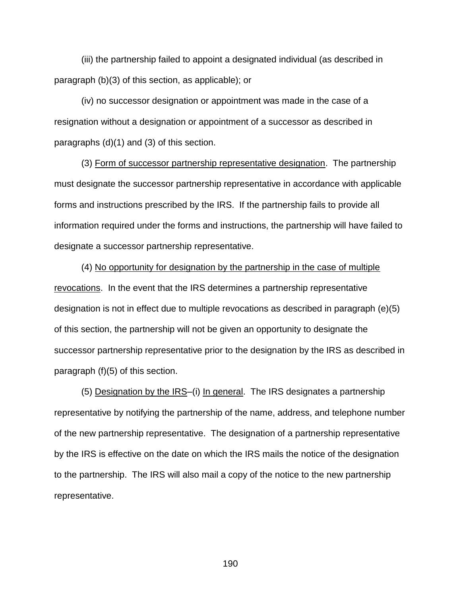(iii) the partnership failed to appoint a designated individual (as described in paragraph (b)(3) of this section, as applicable); or

(iv) no successor designation or appointment was made in the case of a resignation without a designation or appointment of a successor as described in paragraphs (d)(1) and (3) of this section.

(3) Form of successor partnership representative designation. The partnership must designate the successor partnership representative in accordance with applicable forms and instructions prescribed by the IRS. If the partnership fails to provide all information required under the forms and instructions, the partnership will have failed to designate a successor partnership representative.

(4) No opportunity for designation by the partnership in the case of multiple revocations. In the event that the IRS determines a partnership representative designation is not in effect due to multiple revocations as described in paragraph (e)(5) of this section, the partnership will not be given an opportunity to designate the successor partnership representative prior to the designation by the IRS as described in paragraph (f)(5) of this section.

(5) Designation by the IRS–(i) In general. The IRS designates a partnership representative by notifying the partnership of the name, address, and telephone number of the new partnership representative. The designation of a partnership representative by the IRS is effective on the date on which the IRS mails the notice of the designation to the partnership. The IRS will also mail a copy of the notice to the new partnership representative.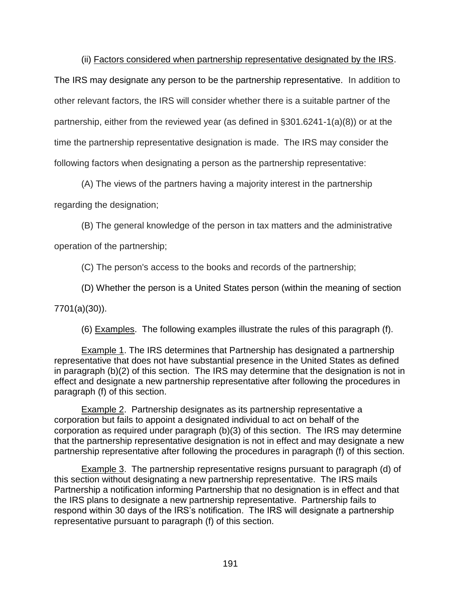(ii) Factors considered when partnership representative designated by the IRS.

The IRS may designate any person to be the partnership representative. In addition to other relevant factors, the IRS will consider whether there is a suitable partner of the partnership, either from the reviewed year (as defined in §301.6241-1(a)(8)) or at the time the partnership representative designation is made. The IRS may consider the following factors when designating a person as the partnership representative:

(A) The views of the partners having a majority interest in the partnership

regarding the designation;

(B) The general knowledge of the person in tax matters and the administrative

operation of the partnership;

(C) The person's access to the books and records of the partnership;

(D) Whether the person is a United States person (within the meaning of [section](https://1.next.westlaw.com/Link/Document/FullText?findType=L&pubNum=1000546&cite=26USCAS7701&originatingDoc=NF9802A508C0D11D98CF4E0B65F42E6DA&refType=RB&originationContext=document&transitionType=DocumentItem&contextData=(sc.Keycite)#co_pp_3d5c0000c2703) 

[7701\(a\)\(30\)\)](https://1.next.westlaw.com/Link/Document/FullText?findType=L&pubNum=1000546&cite=26USCAS7701&originatingDoc=NF9802A508C0D11D98CF4E0B65F42E6DA&refType=RB&originationContext=document&transitionType=DocumentItem&contextData=(sc.Keycite)#co_pp_3d5c0000c2703).

(6) Examples. The following examples illustrate the rules of this paragraph (f).

Example 1. The IRS determines that Partnership has designated a partnership representative that does not have substantial presence in the United States as defined in paragraph (b)(2) of this section. The IRS may determine that the designation is not in effect and designate a new partnership representative after following the procedures in paragraph (f) of this section.

Example 2. Partnership designates as its partnership representative a corporation but fails to appoint a designated individual to act on behalf of the corporation as required under paragraph (b)(3) of this section. The IRS may determine that the partnership representative designation is not in effect and may designate a new partnership representative after following the procedures in paragraph (f) of this section.

Example 3. The partnership representative resigns pursuant to paragraph (d) of this section without designating a new partnership representative. The IRS mails Partnership a notification informing Partnership that no designation is in effect and that the IRS plans to designate a new partnership representative. Partnership fails to respond within 30 days of the IRS's notification. The IRS will designate a partnership representative pursuant to paragraph (f) of this section.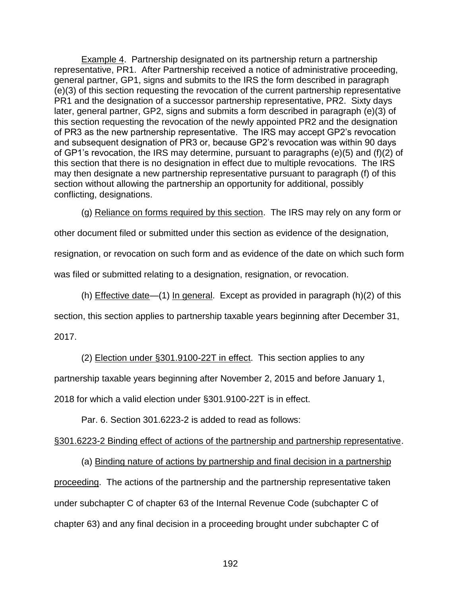Example 4. Partnership designated on its partnership return a partnership representative, PR1. After Partnership received a notice of administrative proceeding, general partner, GP1, signs and submits to the IRS the form described in paragraph (e)(3) of this section requesting the revocation of the current partnership representative PR1 and the designation of a successor partnership representative, PR2. Sixty days later, general partner, GP2, signs and submits a form described in paragraph (e)(3) of this section requesting the revocation of the newly appointed PR2 and the designation of PR3 as the new partnership representative. The IRS may accept GP2's revocation and subsequent designation of PR3 or, because GP2's revocation was within 90 days of GP1's revocation, the IRS may determine, pursuant to paragraphs (e)(5) and (f)(2) of this section that there is no designation in effect due to multiple revocations. The IRS may then designate a new partnership representative pursuant to paragraph (f) of this section without allowing the partnership an opportunity for additional, possibly conflicting, designations.

(g) Reliance on forms required by this section. The IRS may rely on any form or

other document filed or submitted under this section as evidence of the designation,

resignation, or revocation on such form and as evidence of the date on which such form

was filed or submitted relating to a designation, resignation, or revocation.

(h) Effective date—(1) In general. Except as provided in paragraph (h)(2) of this

section, this section applies to partnership taxable years beginning after December 31,

2017.

(2) Election under §301.9100-22T in effect. This section applies to any

partnership taxable years beginning after November 2, 2015 and before January 1,

2018 for which a valid election under §301.9100-22T is in effect.

Par. 6. Section 301.6223-2 is added to read as follows:

## §301.6223-2 Binding effect of actions of the partnership and partnership representative.

(a) Binding nature of actions by partnership and final decision in a partnership proceeding. The actions of the partnership and the partnership representative taken under subchapter C of chapter 63 of the Internal Revenue Code (subchapter C of chapter 63) and any final decision in a proceeding brought under subchapter C of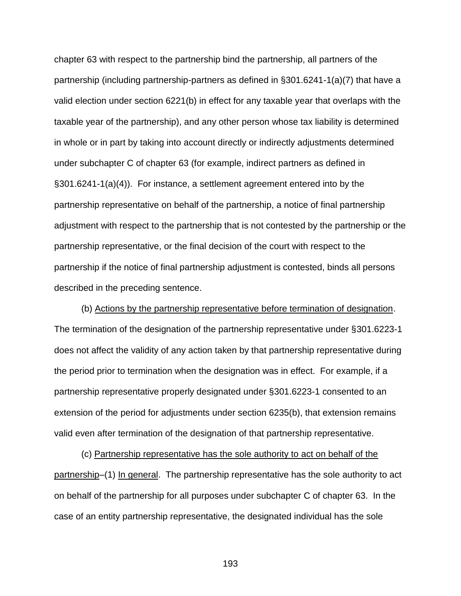chapter 63 with respect to the partnership bind the partnership, all partners of the partnership (including partnership-partners as defined in §301.6241-1(a)(7) that have a valid election under section 6221(b) in effect for any taxable year that overlaps with the taxable year of the partnership), and any other person whose tax liability is determined in whole or in part by taking into account directly or indirectly adjustments determined under subchapter C of chapter 63 (for example, indirect partners as defined in §301.6241-1(a)(4)). For instance, a settlement agreement entered into by the partnership representative on behalf of the partnership, a notice of final partnership adjustment with respect to the partnership that is not contested by the partnership or the partnership representative, or the final decision of the court with respect to the partnership if the notice of final partnership adjustment is contested, binds all persons described in the preceding sentence.

(b) Actions by the partnership representative before termination of designation. The termination of the designation of the partnership representative under §301.6223-1 does not affect the validity of any action taken by that partnership representative during the period prior to termination when the designation was in effect. For example, if a partnership representative properly designated under §301.6223-1 consented to an extension of the period for adjustments under section 6235(b), that extension remains valid even after termination of the designation of that partnership representative.

(c) Partnership representative has the sole authority to act on behalf of the partnership–(1) In general. The partnership representative has the sole authority to act on behalf of the partnership for all purposes under subchapter C of chapter 63. In the case of an entity partnership representative, the designated individual has the sole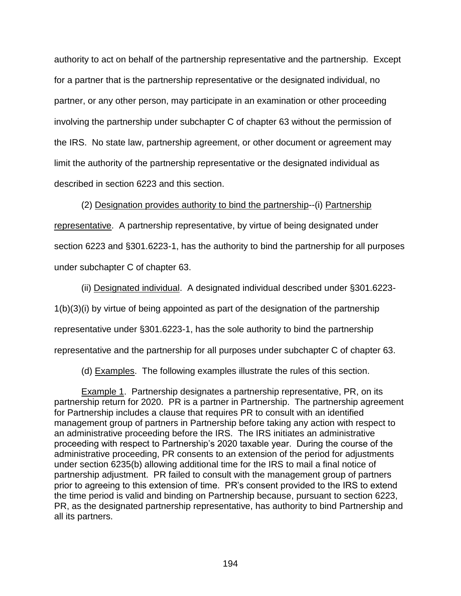authority to act on behalf of the partnership representative and the partnership. Except for a partner that is the partnership representative or the designated individual, no partner, or any other person, may participate in an examination or other proceeding involving the partnership under subchapter C of chapter 63 without the permission of the IRS. No state law, partnership agreement, or other document or agreement may limit the authority of the partnership representative or the designated individual as described in section 6223 and this section.

(2) Designation provides authority to bind the partnership--(i) Partnership representative. A partnership representative, by virtue of being designated under section 6223 and §301.6223-1, has the authority to bind the partnership for all purposes under subchapter C of chapter 63.

(ii) Designated individual. A designated individual described under §301.6223- 1(b)(3)(i) by virtue of being appointed as part of the designation of the partnership representative under §301.6223-1, has the sole authority to bind the partnership representative and the partnership for all purposes under subchapter C of chapter 63.

(d) Examples. The following examples illustrate the rules of this section.

**Example 1.** Partnership designates a partnership representative, PR, on its partnership return for 2020. PR is a partner in Partnership. The partnership agreement for Partnership includes a clause that requires PR to consult with an identified management group of partners in Partnership before taking any action with respect to an administrative proceeding before the IRS. The IRS initiates an administrative proceeding with respect to Partnership's 2020 taxable year. During the course of the administrative proceeding, PR consents to an extension of the period for adjustments under section 6235(b) allowing additional time for the IRS to mail a final notice of partnership adjustment. PR failed to consult with the management group of partners prior to agreeing to this extension of time. PR's consent provided to the IRS to extend the time period is valid and binding on Partnership because, pursuant to section 6223, PR, as the designated partnership representative, has authority to bind Partnership and all its partners.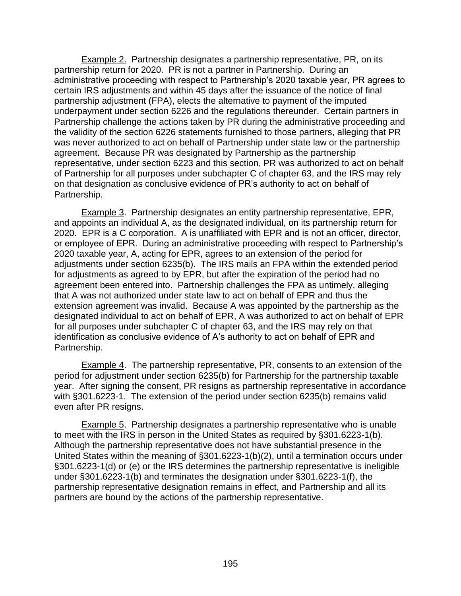Example 2. Partnership designates a partnership representative, PR, on its partnership return for 2020. PR is not a partner in Partnership. During an administrative proceeding with respect to Partnership's 2020 taxable year, PR agrees to certain IRS adjustments and within 45 days after the issuance of the notice of final partnership adjustment (FPA), elects the alternative to payment of the imputed underpayment under section 6226 and the regulations thereunder. Certain partners in Partnership challenge the actions taken by PR during the administrative proceeding and the validity of the section 6226 statements furnished to those partners, alleging that PR was never authorized to act on behalf of Partnership under state law or the partnership agreement. Because PR was designated by Partnership as the partnership representative, under section 6223 and this section, PR was authorized to act on behalf of Partnership for all purposes under subchapter C of chapter 63, and the IRS may rely on that designation as conclusive evidence of PR's authority to act on behalf of Partnership.

Example 3. Partnership designates an entity partnership representative, EPR, and appoints an individual A, as the designated individual, on its partnership return for 2020. EPR is a C corporation. A is unaffiliated with EPR and is not an officer, director, or employee of EPR. During an administrative proceeding with respect to Partnership's 2020 taxable year, A, acting for EPR, agrees to an extension of the period for adjustments under section 6235(b). The IRS mails an FPA within the extended period for adjustments as agreed to by EPR, but after the expiration of the period had no agreement been entered into. Partnership challenges the FPA as untimely, alleging that A was not authorized under state law to act on behalf of EPR and thus the extension agreement was invalid. Because A was appointed by the partnership as the designated individual to act on behalf of EPR, A was authorized to act on behalf of EPR for all purposes under subchapter C of chapter 63, and the IRS may rely on that identification as conclusive evidence of A's authority to act on behalf of EPR and Partnership.

Example 4. The partnership representative, PR, consents to an extension of the period for adjustment under section 6235(b) for Partnership for the partnership taxable year. After signing the consent, PR resigns as partnership representative in accordance with §301.6223-1. The extension of the period under section 6235(b) remains valid even after PR resigns.

**Example 5.** Partnership designates a partnership representative who is unable to meet with the IRS in person in the United States as required by §301.6223-1(b). Although the partnership representative does not have substantial presence in the United States within the meaning of §301.6223-1(b)(2), until a termination occurs under §301.6223-1(d) or (e) or the IRS determines the partnership representative is ineligible under §301.6223-1(b) and terminates the designation under §301.6223-1(f), the partnership representative designation remains in effect, and Partnership and all its partners are bound by the actions of the partnership representative.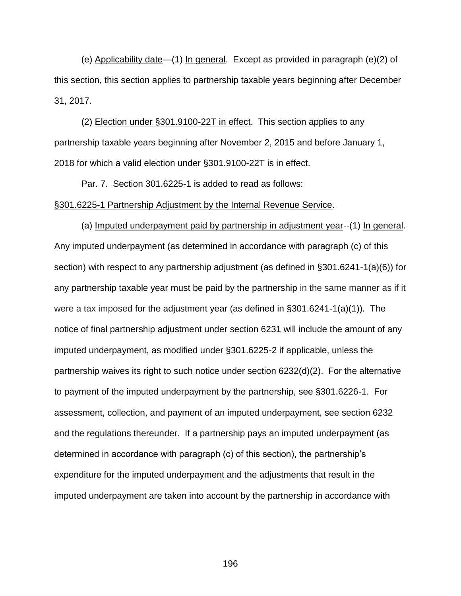(e) Applicability date—(1) In general. Except as provided in paragraph (e)(2) of this section, this section applies to partnership taxable years beginning after December 31, 2017.

(2) Election under §301.9100-22T in effect. This section applies to any partnership taxable years beginning after November 2, 2015 and before January 1, 2018 for which a valid election under §301.9100-22T is in effect.

Par. 7. Section 301.6225-1 is added to read as follows: §301.6225-1 Partnership Adjustment by the Internal Revenue Service.

(a) Imputed underpayment paid by partnership in adjustment year--(1) In general. Any imputed underpayment (as determined in accordance with paragraph (c) of this section) with respect to any partnership adjustment (as defined in §301.6241-1(a)(6)) for any partnership taxable year must be paid by the partnership in the same manner as if it were a tax imposed for the adjustment year (as defined in §301.6241-1(a)(1)). The notice of final partnership adjustment under section 6231 will include the amount of any imputed underpayment, as modified under §301.6225-2 if applicable, unless the partnership waives its right to such notice under section 6232(d)(2). For the alternative to payment of the imputed underpayment by the partnership, see §301.6226-1. For assessment, collection, and payment of an imputed underpayment, see section 6232 and the regulations thereunder. If a partnership pays an imputed underpayment (as determined in accordance with paragraph (c) of this section), the partnership's expenditure for the imputed underpayment and the adjustments that result in the imputed underpayment are taken into account by the partnership in accordance with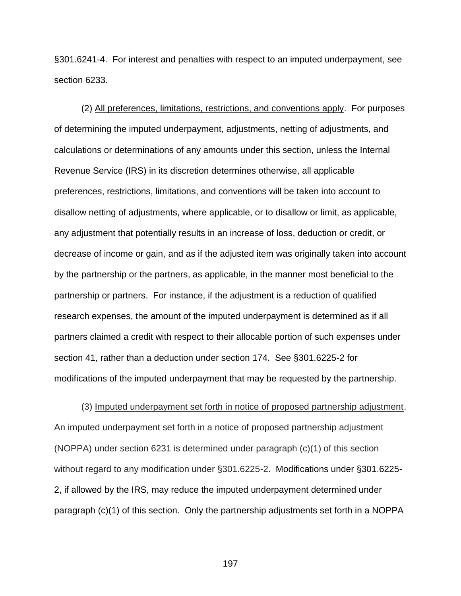§301.6241-4. For interest and penalties with respect to an imputed underpayment, see section 6233.

(2) All preferences, limitations, restrictions, and conventions apply. For purposes of determining the imputed underpayment, adjustments, netting of adjustments, and calculations or determinations of any amounts under this section, unless the Internal Revenue Service (IRS) in its discretion determines otherwise, all applicable preferences, restrictions, limitations, and conventions will be taken into account to disallow netting of adjustments, where applicable, or to disallow or limit, as applicable, any adjustment that potentially results in an increase of loss, deduction or credit, or decrease of income or gain, and as if the adjusted item was originally taken into account by the partnership or the partners, as applicable, in the manner most beneficial to the partnership or partners. For instance, if the adjustment is a reduction of qualified research expenses, the amount of the imputed underpayment is determined as if all partners claimed a credit with respect to their allocable portion of such expenses under section 41, rather than a deduction under section 174. See §301.6225-2 for modifications of the imputed underpayment that may be requested by the partnership.

(3) Imputed underpayment set forth in notice of proposed partnership adjustment. An imputed underpayment set forth in a notice of proposed partnership adjustment (NOPPA) under section 6231 is determined under paragraph (c)(1) of this section without regard to any modification under §301.6225-2. Modifications under §301.6225- 2, if allowed by the IRS, may reduce the imputed underpayment determined under paragraph (c)(1) of this section. Only the partnership adjustments set forth in a NOPPA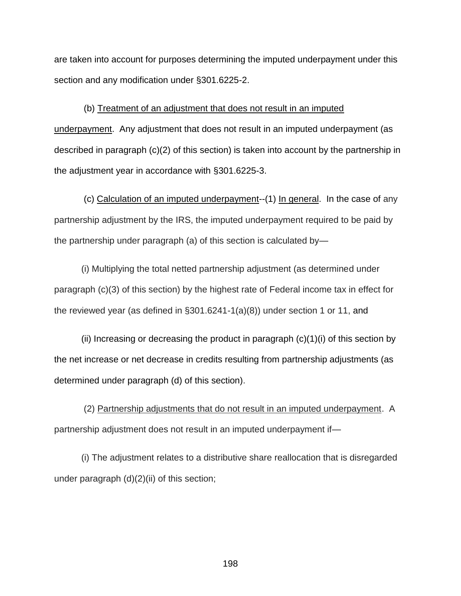are taken into account for purposes determining the imputed underpayment under this section and any modification under §301.6225-2.

(b) Treatment of an adjustment that does not result in an imputed underpayment. Any adjustment that does not result in an imputed underpayment (as described in paragraph (c)(2) of this section) is taken into account by the partnership in the adjustment year in accordance with §301.6225-3.

(c) Calculation of an imputed underpayment--(1) In general. In the case of any partnership adjustment by the IRS, the imputed underpayment required to be paid by the partnership under paragraph (a) of this section is calculated by—

(i) Multiplying the total netted partnership adjustment (as determined under paragraph (c)(3) of this section) by the highest rate of Federal income tax in effect for the reviewed year (as defined in §301.6241-1(a)(8)) under section 1 or 11, and

(ii) Increasing or decreasing the product in paragraph  $(c)(1)(i)$  of this section by the net increase or net decrease in credits resulting from partnership adjustments (as determined under paragraph (d) of this section).

(2) Partnership adjustments that do not result in an imputed underpayment. A partnership adjustment does not result in an imputed underpayment if—

(i) The adjustment relates to a distributive share reallocation that is disregarded under paragraph (d)(2)(ii) of this section;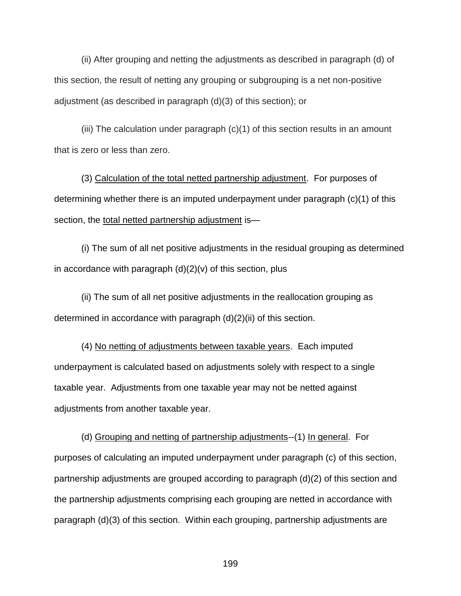(ii) After grouping and netting the adjustments as described in paragraph (d) of this section, the result of netting any grouping or subgrouping is a net non-positive adjustment (as described in paragraph (d)(3) of this section); or

(iii) The calculation under paragraph (c)(1) of this section results in an amount that is zero or less than zero.

(3) Calculation of the total netted partnership adjustment. For purposes of determining whether there is an imputed underpayment under paragraph (c)(1) of this section, the total netted partnership adjustment is—

(i) The sum of all net positive adjustments in the residual grouping as determined in accordance with paragraph  $(d)(2)(v)$  of this section, plus

(ii) The sum of all net positive adjustments in the reallocation grouping as determined in accordance with paragraph (d)(2)(ii) of this section.

(4) No netting of adjustments between taxable years. Each imputed underpayment is calculated based on adjustments solely with respect to a single taxable year. Adjustments from one taxable year may not be netted against adjustments from another taxable year.

(d) Grouping and netting of partnership adjustments--(1) In general. For purposes of calculating an imputed underpayment under paragraph (c) of this section, partnership adjustments are grouped according to paragraph (d)(2) of this section and the partnership adjustments comprising each grouping are netted in accordance with paragraph (d)(3) of this section. Within each grouping, partnership adjustments are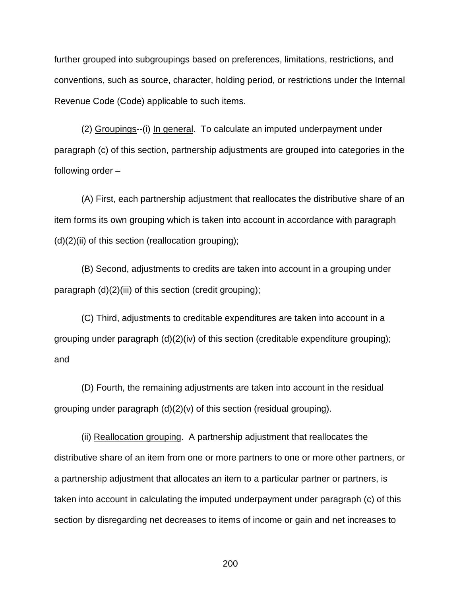further grouped into subgroupings based on preferences, limitations, restrictions, and conventions, such as source, character, holding period, or restrictions under the Internal Revenue Code (Code) applicable to such items.

(2) Groupings--(i) In general. To calculate an imputed underpayment under paragraph (c) of this section, partnership adjustments are grouped into categories in the following order –

(A) First, each partnership adjustment that reallocates the distributive share of an item forms its own grouping which is taken into account in accordance with paragraph  $(d)(2)(ii)$  of this section (reallocation grouping);

(B) Second, adjustments to credits are taken into account in a grouping under paragraph (d)(2)(iii) of this section (credit grouping);

(C) Third, adjustments to creditable expenditures are taken into account in a grouping under paragraph (d)(2)(iv) of this section (creditable expenditure grouping); and

(D) Fourth, the remaining adjustments are taken into account in the residual grouping under paragraph (d)(2)(v) of this section (residual grouping).

(ii) Reallocation grouping. A partnership adjustment that reallocates the distributive share of an item from one or more partners to one or more other partners, or a partnership adjustment that allocates an item to a particular partner or partners, is taken into account in calculating the imputed underpayment under paragraph (c) of this section by disregarding net decreases to items of income or gain and net increases to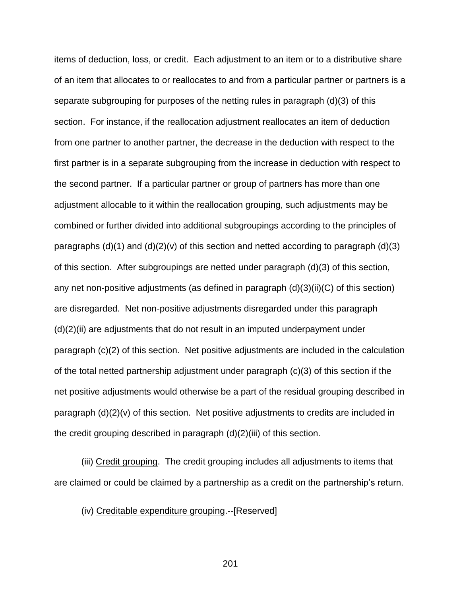items of deduction, loss, or credit. Each adjustment to an item or to a distributive share of an item that allocates to or reallocates to and from a particular partner or partners is a separate subgrouping for purposes of the netting rules in paragraph (d)(3) of this section. For instance, if the reallocation adjustment reallocates an item of deduction from one partner to another partner, the decrease in the deduction with respect to the first partner is in a separate subgrouping from the increase in deduction with respect to the second partner. If a particular partner or group of partners has more than one adjustment allocable to it within the reallocation grouping, such adjustments may be combined or further divided into additional subgroupings according to the principles of paragraphs  $(d)(1)$  and  $(d)(2)(v)$  of this section and netted according to paragraph  $(d)(3)$ of this section. After subgroupings are netted under paragraph (d)(3) of this section, any net non-positive adjustments (as defined in paragraph  $(d)(3)(ii)(C)$  of this section) are disregarded. Net non-positive adjustments disregarded under this paragraph (d)(2)(ii) are adjustments that do not result in an imputed underpayment under paragraph (c)(2) of this section. Net positive adjustments are included in the calculation of the total netted partnership adjustment under paragraph (c)(3) of this section if the net positive adjustments would otherwise be a part of the residual grouping described in paragraph (d)(2)(v) of this section. Net positive adjustments to credits are included in the credit grouping described in paragraph (d)(2)(iii) of this section.

(iii) Credit grouping. The credit grouping includes all adjustments to items that are claimed or could be claimed by a partnership as a credit on the partnership's return.

(iv) Creditable expenditure grouping.--[Reserved]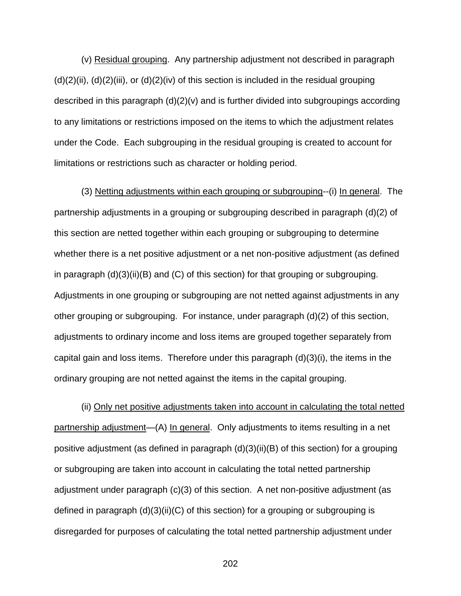(v) Residual grouping. Any partnership adjustment not described in paragraph  $(d)(2)(ii)$ ,  $(d)(2)(iii)$ , or  $(d)(2)(iv)$  of this section is included in the residual grouping described in this paragraph (d)(2)(v) and is further divided into subgroupings according to any limitations or restrictions imposed on the items to which the adjustment relates under the Code. Each subgrouping in the residual grouping is created to account for limitations or restrictions such as character or holding period.

(3) Netting adjustments within each grouping or subgrouping--(i) In general. The partnership adjustments in a grouping or subgrouping described in paragraph (d)(2) of this section are netted together within each grouping or subgrouping to determine whether there is a net positive adjustment or a net non-positive adjustment (as defined in paragraph  $(d)(3)(ii)(B)$  and  $(C)$  of this section) for that grouping or subgrouping. Adjustments in one grouping or subgrouping are not netted against adjustments in any other grouping or subgrouping. For instance, under paragraph (d)(2) of this section, adjustments to ordinary income and loss items are grouped together separately from capital gain and loss items. Therefore under this paragraph (d)(3)(i), the items in the ordinary grouping are not netted against the items in the capital grouping.

(ii) Only net positive adjustments taken into account in calculating the total netted partnership adjustment—(A) In general. Only adjustments to items resulting in a net positive adjustment (as defined in paragraph (d)(3)(ii)(B) of this section) for a grouping or subgrouping are taken into account in calculating the total netted partnership adjustment under paragraph (c)(3) of this section. A net non-positive adjustment (as defined in paragraph  $(d)(3)(ii)(C)$  of this section) for a grouping or subgrouping is disregarded for purposes of calculating the total netted partnership adjustment under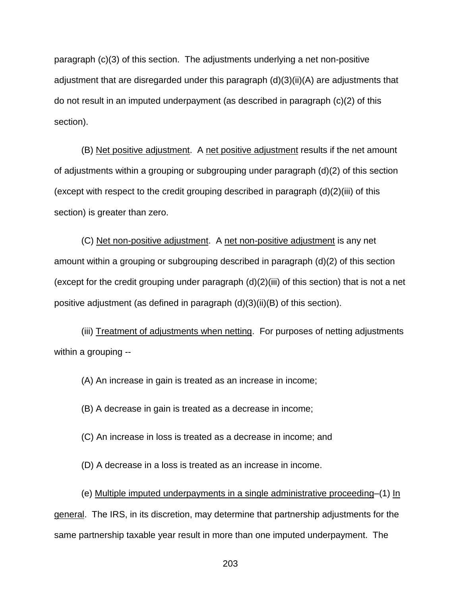paragraph (c)(3) of this section. The adjustments underlying a net non-positive adjustment that are disregarded under this paragraph  $(d)(3)(ii)(A)$  are adjustments that do not result in an imputed underpayment (as described in paragraph (c)(2) of this section).

(B) Net positive adjustment. A net positive adjustment results if the net amount of adjustments within a grouping or subgrouping under paragraph (d)(2) of this section (except with respect to the credit grouping described in paragraph (d)(2)(iii) of this section) is greater than zero.

(C) Net non-positive adjustment. A net non-positive adjustment is any net amount within a grouping or subgrouping described in paragraph (d)(2) of this section (except for the credit grouping under paragraph  $(d)(2)(iii)$  of this section) that is not a net positive adjustment (as defined in paragraph (d)(3)(ii)(B) of this section).

(iii) Treatment of adjustments when netting. For purposes of netting adjustments within a grouping --

(A) An increase in gain is treated as an increase in income;

(B) A decrease in gain is treated as a decrease in income;

(C) An increase in loss is treated as a decrease in income; and

(D) A decrease in a loss is treated as an increase in income.

(e) Multiple imputed underpayments in a single administrative proceeding–(1) In general. The IRS, in its discretion, may determine that partnership adjustments for the same partnership taxable year result in more than one imputed underpayment. The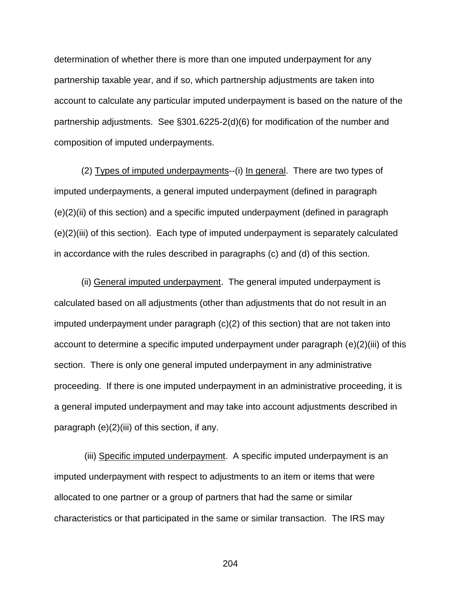determination of whether there is more than one imputed underpayment for any partnership taxable year, and if so, which partnership adjustments are taken into account to calculate any particular imputed underpayment is based on the nature of the partnership adjustments. See §301.6225-2(d)(6) for modification of the number and composition of imputed underpayments.

(2) Types of imputed underpayments--(i) In general. There are two types of imputed underpayments, a general imputed underpayment (defined in paragraph (e)(2)(ii) of this section) and a specific imputed underpayment (defined in paragraph (e)(2)(iii) of this section). Each type of imputed underpayment is separately calculated in accordance with the rules described in paragraphs (c) and (d) of this section.

(ii) General imputed underpayment. The general imputed underpayment is calculated based on all adjustments (other than adjustments that do not result in an imputed underpayment under paragraph (c)(2) of this section) that are not taken into account to determine a specific imputed underpayment under paragraph (e)(2)(iii) of this section. There is only one general imputed underpayment in any administrative proceeding. If there is one imputed underpayment in an administrative proceeding, it is a general imputed underpayment and may take into account adjustments described in paragraph (e)(2)(iii) of this section, if any.

 (iii) Specific imputed underpayment. A specific imputed underpayment is an imputed underpayment with respect to adjustments to an item or items that were allocated to one partner or a group of partners that had the same or similar characteristics or that participated in the same or similar transaction. The IRS may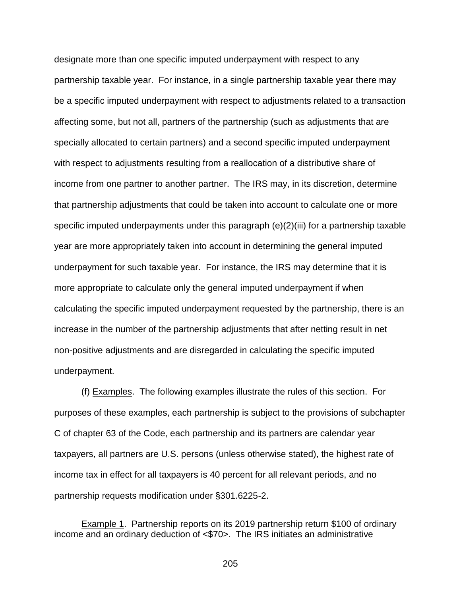designate more than one specific imputed underpayment with respect to any partnership taxable year. For instance, in a single partnership taxable year there may be a specific imputed underpayment with respect to adjustments related to a transaction affecting some, but not all, partners of the partnership (such as adjustments that are specially allocated to certain partners) and a second specific imputed underpayment with respect to adjustments resulting from a reallocation of a distributive share of income from one partner to another partner. The IRS may, in its discretion, determine that partnership adjustments that could be taken into account to calculate one or more specific imputed underpayments under this paragraph (e)(2)(iii) for a partnership taxable year are more appropriately taken into account in determining the general imputed underpayment for such taxable year. For instance, the IRS may determine that it is more appropriate to calculate only the general imputed underpayment if when calculating the specific imputed underpayment requested by the partnership, there is an increase in the number of the partnership adjustments that after netting result in net non-positive adjustments and are disregarded in calculating the specific imputed underpayment.

(f) Examples. The following examples illustrate the rules of this section. For purposes of these examples, each partnership is subject to the provisions of subchapter C of chapter 63 of the Code, each partnership and its partners are calendar year taxpayers, all partners are U.S. persons (unless otherwise stated), the highest rate of income tax in effect for all taxpayers is 40 percent for all relevant periods, and no partnership requests modification under §301.6225-2.

Example 1. Partnership reports on its 2019 partnership return \$100 of ordinary income and an ordinary deduction of <\$70>. The IRS initiates an administrative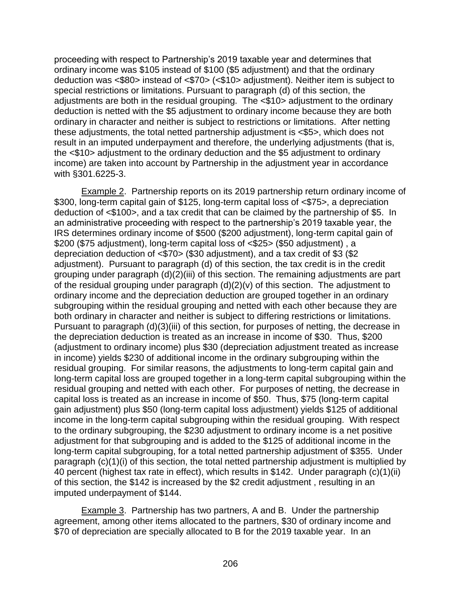proceeding with respect to Partnership's 2019 taxable year and determines that ordinary income was \$105 instead of \$100 (\$5 adjustment) and that the ordinary deduction was <\$80> instead of <\$70> (<\$10> adjustment). Neither item is subject to special restrictions or limitations. Pursuant to paragraph (d) of this section, the adjustments are both in the residual grouping. The <\$10> adjustment to the ordinary deduction is netted with the \$5 adjustment to ordinary income because they are both ordinary in character and neither is subject to restrictions or limitations. After netting these adjustments, the total netted partnership adjustment is <\$5>, which does not result in an imputed underpayment and therefore, the underlying adjustments (that is, the <\$10> adjustment to the ordinary deduction and the \$5 adjustment to ordinary income) are taken into account by Partnership in the adjustment year in accordance with §301.6225-3.

Example 2. Partnership reports on its 2019 partnership return ordinary income of \$300, long-term capital gain of \$125, long-term capital loss of <\$75>, a depreciation deduction of <\$100>, and a tax credit that can be claimed by the partnership of \$5. In an administrative proceeding with respect to the partnership's 2019 taxable year, the IRS determines ordinary income of \$500 (\$200 adjustment), long-term capital gain of \$200 (\$75 adjustment), long-term capital loss of <\$25> (\$50 adjustment) , a depreciation deduction of <\$70> (\$30 adjustment), and a tax credit of \$3 (\$2 adjustment). Pursuant to paragraph (d) of this section, the tax credit is in the credit grouping under paragraph (d)(2)(iii) of this section. The remaining adjustments are part of the residual grouping under paragraph (d)(2)(v) of this section. The adjustment to ordinary income and the depreciation deduction are grouped together in an ordinary subgrouping within the residual grouping and netted with each other because they are both ordinary in character and neither is subject to differing restrictions or limitations. Pursuant to paragraph (d)(3)(iii) of this section, for purposes of netting, the decrease in the depreciation deduction is treated as an increase in income of \$30. Thus, \$200 (adjustment to ordinary income) plus \$30 (depreciation adjustment treated as increase in income) yields \$230 of additional income in the ordinary subgrouping within the residual grouping. For similar reasons, the adjustments to long-term capital gain and long-term capital loss are grouped together in a long-term capital subgrouping within the residual grouping and netted with each other. For purposes of netting, the decrease in capital loss is treated as an increase in income of \$50. Thus, \$75 (long-term capital gain adjustment) plus \$50 (long-term capital loss adjustment) yields \$125 of additional income in the long-term capital subgrouping within the residual grouping. With respect to the ordinary subgrouping, the \$230 adjustment to ordinary income is a net positive adjustment for that subgrouping and is added to the \$125 of additional income in the long-term capital subgrouping, for a total netted partnership adjustment of \$355. Under paragraph (c)(1)(i) of this section, the total netted partnership adjustment is multiplied by 40 percent (highest tax rate in effect), which results in \$142. Under paragraph (c)(1)(ii) of this section, the \$142 is increased by the \$2 credit adjustment , resulting in an imputed underpayment of \$144.

Example 3. Partnership has two partners, A and B. Under the partnership agreement, among other items allocated to the partners, \$30 of ordinary income and \$70 of depreciation are specially allocated to B for the 2019 taxable year. In an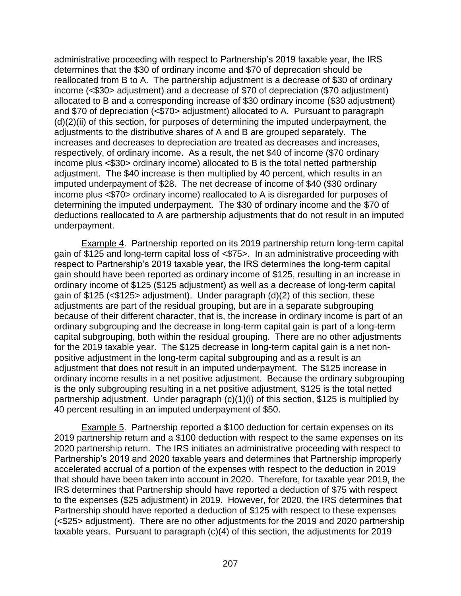administrative proceeding with respect to Partnership's 2019 taxable year, the IRS determines that the \$30 of ordinary income and \$70 of deprecation should be reallocated from B to A. The partnership adjustment is a decrease of \$30 of ordinary income (<\$30> adjustment) and a decrease of \$70 of depreciation (\$70 adjustment) allocated to B and a corresponding increase of \$30 ordinary income (\$30 adjustment) and \$70 of depreciation (<\$70> adjustment) allocated to A. Pursuant to paragraph  $(d)(2)(ii)$  of this section, for purposes of determining the imputed underpayment, the adjustments to the distributive shares of A and B are grouped separately. The increases and decreases to depreciation are treated as decreases and increases, respectively, of ordinary income. As a result, the net \$40 of income (\$70 ordinary income plus <\$30> ordinary income) allocated to B is the total netted partnership adjustment. The \$40 increase is then multiplied by 40 percent, which results in an imputed underpayment of \$28. The net decrease of income of \$40 (\$30 ordinary income plus <\$70> ordinary income) reallocated to A is disregarded for purposes of determining the imputed underpayment. The \$30 of ordinary income and the \$70 of deductions reallocated to A are partnership adjustments that do not result in an imputed underpayment.

Example 4. Partnership reported on its 2019 partnership return long-term capital gain of \$125 and long-term capital loss of <\$75>. In an administrative proceeding with respect to Partnership's 2019 taxable year, the IRS determines the long-term capital gain should have been reported as ordinary income of \$125, resulting in an increase in ordinary income of \$125 (\$125 adjustment) as well as a decrease of long-term capital gain of \$125 (<\$125> adjustment). Under paragraph (d)(2) of this section, these adjustments are part of the residual grouping, but are in a separate subgrouping because of their different character, that is, the increase in ordinary income is part of an ordinary subgrouping and the decrease in long-term capital gain is part of a long-term capital subgrouping, both within the residual grouping. There are no other adjustments for the 2019 taxable year. The \$125 decrease in long-term capital gain is a net nonpositive adjustment in the long-term capital subgrouping and as a result is an adjustment that does not result in an imputed underpayment. The \$125 increase in ordinary income results in a net positive adjustment. Because the ordinary subgrouping is the only subgrouping resulting in a net positive adjustment, \$125 is the total netted partnership adjustment. Under paragraph (c)(1)(i) of this section, \$125 is multiplied by 40 percent resulting in an imputed underpayment of \$50.

Example 5. Partnership reported a \$100 deduction for certain expenses on its 2019 partnership return and a \$100 deduction with respect to the same expenses on its 2020 partnership return. The IRS initiates an administrative proceeding with respect to Partnership's 2019 and 2020 taxable years and determines that Partnership improperly accelerated accrual of a portion of the expenses with respect to the deduction in 2019 that should have been taken into account in 2020. Therefore, for taxable year 2019, the IRS determines that Partnership should have reported a deduction of \$75 with respect to the expenses (\$25 adjustment) in 2019. However, for 2020, the IRS determines that Partnership should have reported a deduction of \$125 with respect to these expenses (<\$25> adjustment). There are no other adjustments for the 2019 and 2020 partnership taxable years. Pursuant to paragraph (c)(4) of this section, the adjustments for 2019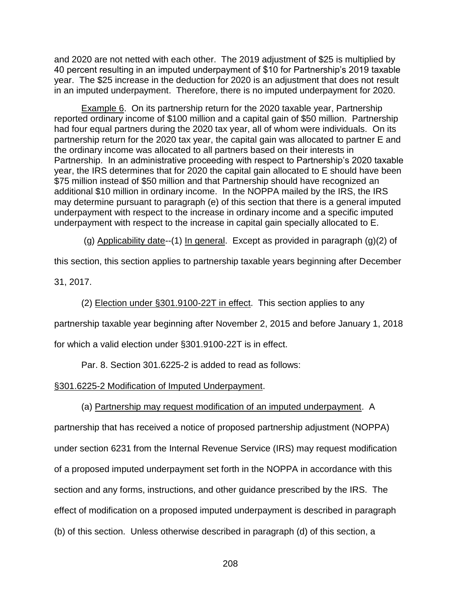and 2020 are not netted with each other. The 2019 adjustment of \$25 is multiplied by 40 percent resulting in an imputed underpayment of \$10 for Partnership's 2019 taxable year. The \$25 increase in the deduction for 2020 is an adjustment that does not result in an imputed underpayment. Therefore, there is no imputed underpayment for 2020.

Example 6. On its partnership return for the 2020 taxable year, Partnership reported ordinary income of \$100 million and a capital gain of \$50 million. Partnership had four equal partners during the 2020 tax year, all of whom were individuals. On its partnership return for the 2020 tax year, the capital gain was allocated to partner E and the ordinary income was allocated to all partners based on their interests in Partnership. In an administrative proceeding with respect to Partnership's 2020 taxable year, the IRS determines that for 2020 the capital gain allocated to E should have been \$75 million instead of \$50 million and that Partnership should have recognized an additional \$10 million in ordinary income. In the NOPPA mailed by the IRS, the IRS may determine pursuant to paragraph (e) of this section that there is a general imputed underpayment with respect to the increase in ordinary income and a specific imputed underpayment with respect to the increase in capital gain specially allocated to E.

(g) Applicability date--(1) In general. Except as provided in paragraph  $(g)(2)$  of

this section, this section applies to partnership taxable years beginning after December

31, 2017.

(2) Election under §301.9100-22T in effect. This section applies to any

partnership taxable year beginning after November 2, 2015 and before January 1, 2018

for which a valid election under §301.9100-22T is in effect.

Par. 8. Section 301.6225-2 is added to read as follows:

§301.6225-2 Modification of Imputed Underpayment.

(a) Partnership may request modification of an imputed underpayment. A

partnership that has received a notice of proposed partnership adjustment (NOPPA) under section 6231 from the Internal Revenue Service (IRS) may request modification of a proposed imputed underpayment set forth in the NOPPA in accordance with this section and any forms, instructions, and other guidance prescribed by the IRS. The effect of modification on a proposed imputed underpayment is described in paragraph (b) of this section. Unless otherwise described in paragraph (d) of this section, a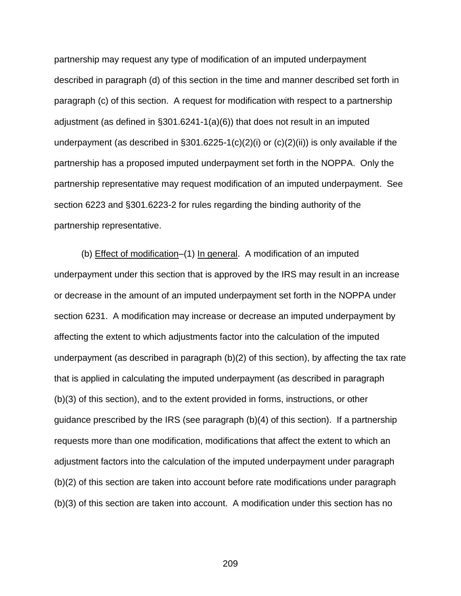partnership may request any type of modification of an imputed underpayment described in paragraph (d) of this section in the time and manner described set forth in paragraph (c) of this section. A request for modification with respect to a partnership adjustment (as defined in §301.6241-1(a)(6)) that does not result in an imputed underpayment (as described in  $\S 301.6225-1(c)(2)(i)$  or  $(c)(2)(ii)$ ) is only available if the partnership has a proposed imputed underpayment set forth in the NOPPA. Only the partnership representative may request modification of an imputed underpayment. See section 6223 and §301.6223-2 for rules regarding the binding authority of the partnership representative.

(b) Effect of modification–(1) In general. A modification of an imputed underpayment under this section that is approved by the IRS may result in an increase or decrease in the amount of an imputed underpayment set forth in the NOPPA under section 6231. A modification may increase or decrease an imputed underpayment by affecting the extent to which adjustments factor into the calculation of the imputed underpayment (as described in paragraph (b)(2) of this section), by affecting the tax rate that is applied in calculating the imputed underpayment (as described in paragraph (b)(3) of this section), and to the extent provided in forms, instructions, or other guidance prescribed by the IRS (see paragraph (b)(4) of this section). If a partnership requests more than one modification, modifications that affect the extent to which an adjustment factors into the calculation of the imputed underpayment under paragraph (b)(2) of this section are taken into account before rate modifications under paragraph (b)(3) of this section are taken into account. A modification under this section has no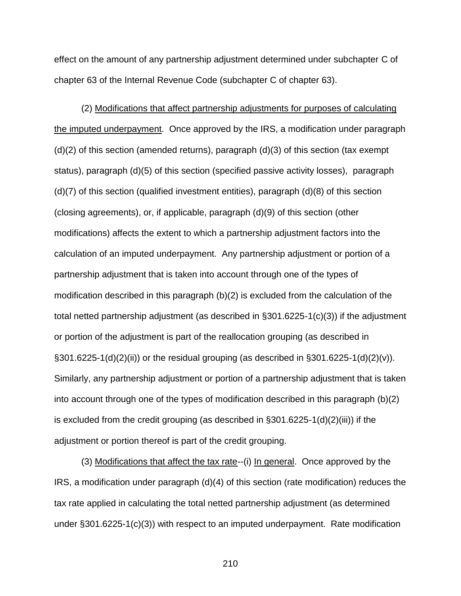effect on the amount of any partnership adjustment determined under subchapter C of chapter 63 of the Internal Revenue Code (subchapter C of chapter 63).

(2) Modifications that affect partnership adjustments for purposes of calculating the imputed underpayment. Once approved by the IRS, a modification under paragraph  $(d)(2)$  of this section (amended returns), paragraph  $(d)(3)$  of this section (tax exempt status), paragraph (d)(5) of this section (specified passive activity losses), paragraph (d)(7) of this section (qualified investment entities), paragraph (d)(8) of this section (closing agreements), or, if applicable, paragraph (d)(9) of this section (other modifications) affects the extent to which a partnership adjustment factors into the calculation of an imputed underpayment. Any partnership adjustment or portion of a partnership adjustment that is taken into account through one of the types of modification described in this paragraph (b)(2) is excluded from the calculation of the total netted partnership adjustment (as described in §301.6225-1(c)(3)) if the adjustment or portion of the adjustment is part of the reallocation grouping (as described in  $\S301.6225-1(d)(2)(ii)$  or the residual grouping (as described in  $\S301.6225-1(d)(2)(v)$ ). Similarly, any partnership adjustment or portion of a partnership adjustment that is taken into account through one of the types of modification described in this paragraph (b)(2) is excluded from the credit grouping (as described in §301.6225-1(d)(2)(iii)) if the adjustment or portion thereof is part of the credit grouping.

(3) Modifications that affect the tax rate--(i) In general. Once approved by the IRS, a modification under paragraph (d)(4) of this section (rate modification) reduces the tax rate applied in calculating the total netted partnership adjustment (as determined under §301.6225-1(c)(3)) with respect to an imputed underpayment. Rate modification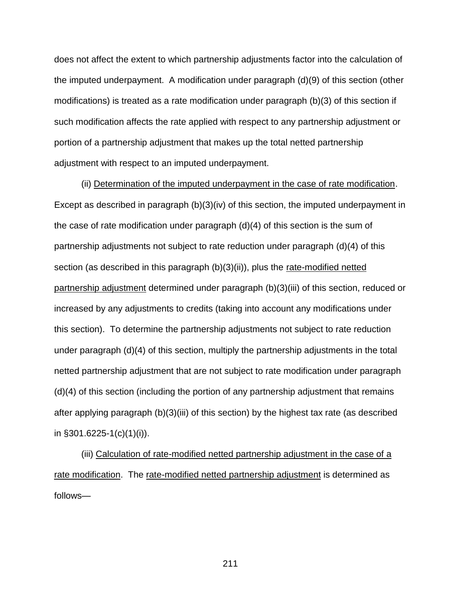does not affect the extent to which partnership adjustments factor into the calculation of the imputed underpayment. A modification under paragraph (d)(9) of this section (other modifications) is treated as a rate modification under paragraph (b)(3) of this section if such modification affects the rate applied with respect to any partnership adjustment or portion of a partnership adjustment that makes up the total netted partnership adjustment with respect to an imputed underpayment.

(ii) Determination of the imputed underpayment in the case of rate modification. Except as described in paragraph (b)(3)(iv) of this section, the imputed underpayment in the case of rate modification under paragraph  $(d)(4)$  of this section is the sum of partnership adjustments not subject to rate reduction under paragraph (d)(4) of this section (as described in this paragraph (b)(3)(ii)), plus the rate-modified netted partnership adjustment determined under paragraph (b)(3)(iii) of this section, reduced or increased by any adjustments to credits (taking into account any modifications under this section). To determine the partnership adjustments not subject to rate reduction under paragraph (d)(4) of this section, multiply the partnership adjustments in the total netted partnership adjustment that are not subject to rate modification under paragraph (d)(4) of this section (including the portion of any partnership adjustment that remains after applying paragraph (b)(3)(iii) of this section) by the highest tax rate (as described in §301.6225-1(c)(1)(i)).

(iii) Calculation of rate-modified netted partnership adjustment in the case of a rate modification. The rate-modified netted partnership adjustment is determined as follows—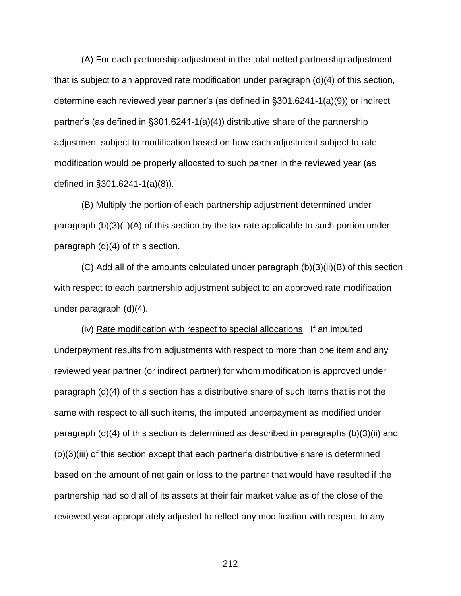(A) For each partnership adjustment in the total netted partnership adjustment that is subject to an approved rate modification under paragraph (d)(4) of this section, determine each reviewed year partner's (as defined in §301.6241-1(a)(9)) or indirect partner's (as defined in §301.6241-1(a)(4)) distributive share of the partnership adjustment subject to modification based on how each adjustment subject to rate modification would be properly allocated to such partner in the reviewed year (as defined in §301.6241-1(a)(8)).

(B) Multiply the portion of each partnership adjustment determined under paragraph (b)(3)(ii)(A) of this section by the tax rate applicable to such portion under paragraph (d)(4) of this section.

(C) Add all of the amounts calculated under paragraph (b)(3)(ii)(B) of this section with respect to each partnership adjustment subject to an approved rate modification under paragraph (d)(4).

(iv) Rate modification with respect to special allocations. If an imputed underpayment results from adjustments with respect to more than one item and any reviewed year partner (or indirect partner) for whom modification is approved under paragraph (d)(4) of this section has a distributive share of such items that is not the same with respect to all such items, the imputed underpayment as modified under paragraph (d)(4) of this section is determined as described in paragraphs (b)(3)(ii) and (b)(3)(iii) of this section except that each partner's distributive share is determined based on the amount of net gain or loss to the partner that would have resulted if the partnership had sold all of its assets at their fair market value as of the close of the reviewed year appropriately adjusted to reflect any modification with respect to any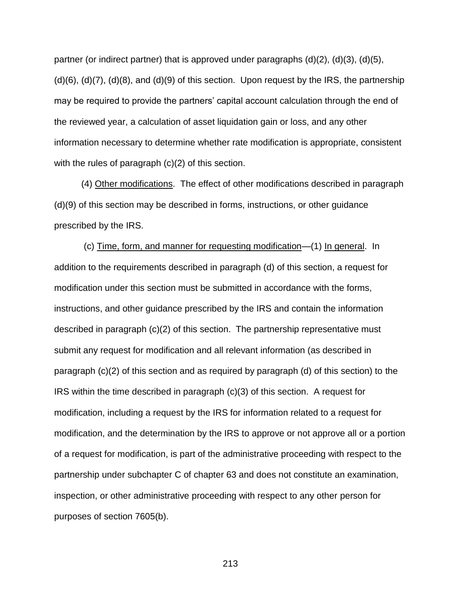partner (or indirect partner) that is approved under paragraphs  $(d)(2)$ ,  $(d)(3)$ ,  $(d)(5)$ ,  $(d)(6)$ ,  $(d)(7)$ ,  $(d)(8)$ , and  $(d)(9)$  of this section. Upon request by the IRS, the partnership may be required to provide the partners' capital account calculation through the end of the reviewed year, a calculation of asset liquidation gain or loss, and any other information necessary to determine whether rate modification is appropriate, consistent with the rules of paragraph (c)(2) of this section.

(4) Other modifications. The effect of other modifications described in paragraph (d)(9) of this section may be described in forms, instructions, or other guidance prescribed by the IRS.

(c) Time, form, and manner for requesting modification—(1) In general. In addition to the requirements described in paragraph (d) of this section, a request for modification under this section must be submitted in accordance with the forms, instructions, and other guidance prescribed by the IRS and contain the information described in paragraph (c)(2) of this section. The partnership representative must submit any request for modification and all relevant information (as described in paragraph (c)(2) of this section and as required by paragraph (d) of this section) to the IRS within the time described in paragraph (c)(3) of this section. A request for modification, including a request by the IRS for information related to a request for modification, and the determination by the IRS to approve or not approve all or a portion of a request for modification, is part of the administrative proceeding with respect to the partnership under subchapter C of chapter 63 and does not constitute an examination, inspection, or other administrative proceeding with respect to any other person for purposes of section 7605(b).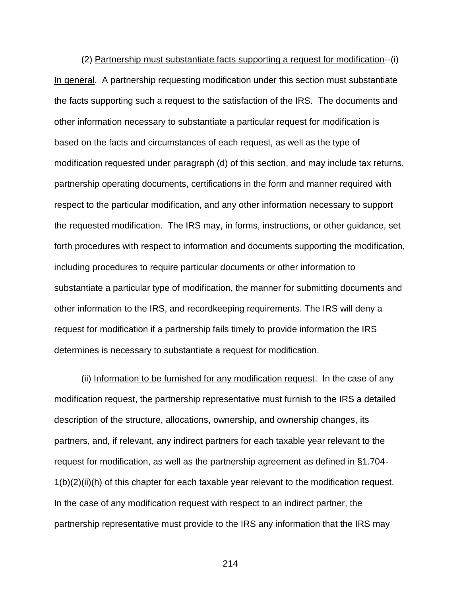(2) Partnership must substantiate facts supporting a request for modification--(i) In general. A partnership requesting modification under this section must substantiate the facts supporting such a request to the satisfaction of the IRS. The documents and other information necessary to substantiate a particular request for modification is based on the facts and circumstances of each request, as well as the type of modification requested under paragraph (d) of this section, and may include tax returns, partnership operating documents, certifications in the form and manner required with respect to the particular modification, and any other information necessary to support the requested modification. The IRS may, in forms, instructions, or other guidance, set forth procedures with respect to information and documents supporting the modification, including procedures to require particular documents or other information to substantiate a particular type of modification, the manner for submitting documents and other information to the IRS, and recordkeeping requirements. The IRS will deny a request for modification if a partnership fails timely to provide information the IRS determines is necessary to substantiate a request for modification.

(ii) Information to be furnished for any modification request. In the case of any modification request, the partnership representative must furnish to the IRS a detailed description of the structure, allocations, ownership, and ownership changes, its partners, and, if relevant, any indirect partners for each taxable year relevant to the request for modification, as well as the partnership agreement as defined in §1.704- 1(b)(2)(ii)(h) of this chapter for each taxable year relevant to the modification request. In the case of any modification request with respect to an indirect partner, the partnership representative must provide to the IRS any information that the IRS may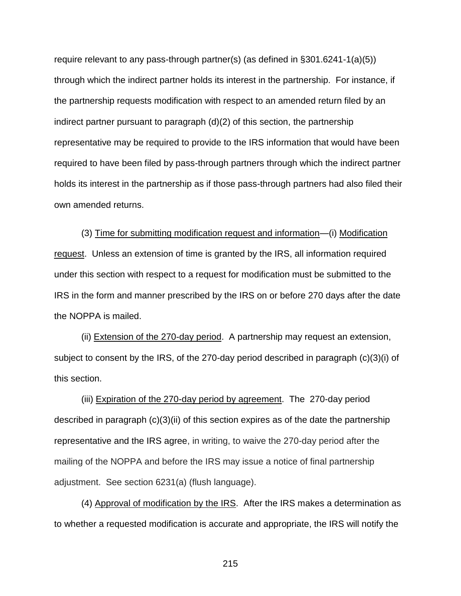require relevant to any pass-through partner(s) (as defined in §301.6241-1(a)(5)) through which the indirect partner holds its interest in the partnership. For instance, if the partnership requests modification with respect to an amended return filed by an indirect partner pursuant to paragraph (d)(2) of this section, the partnership representative may be required to provide to the IRS information that would have been required to have been filed by pass-through partners through which the indirect partner holds its interest in the partnership as if those pass-through partners had also filed their own amended returns.

(3) Time for submitting modification request and information—(i) Modification request. Unless an extension of time is granted by the IRS, all information required under this section with respect to a request for modification must be submitted to the IRS in the form and manner prescribed by the IRS on or before 270 days after the date the NOPPA is mailed.

(ii) Extension of the 270-day period. A partnership may request an extension, subject to consent by the IRS, of the 270-day period described in paragraph (c)(3)(i) of this section.

(iii) Expiration of the 270-day period by agreement. The 270-day period described in paragraph (c)(3)(ii) of this section expires as of the date the partnership representative and the IRS agree, in writing, to waive the 270-day period after the mailing of the NOPPA and before the IRS may issue a notice of final partnership adjustment. See section 6231(a) (flush language).

(4) Approval of modification by the IRS. After the IRS makes a determination as to whether a requested modification is accurate and appropriate, the IRS will notify the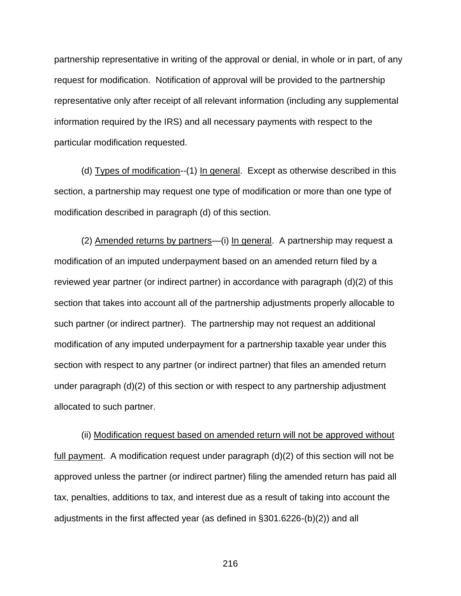partnership representative in writing of the approval or denial, in whole or in part, of any request for modification. Notification of approval will be provided to the partnership representative only after receipt of all relevant information (including any supplemental information required by the IRS) and all necessary payments with respect to the particular modification requested.

(d) Types of modification--(1) In general. Except as otherwise described in this section, a partnership may request one type of modification or more than one type of modification described in paragraph (d) of this section.

(2) Amended returns by partners—(i) In general. A partnership may request a modification of an imputed underpayment based on an amended return filed by a reviewed year partner (or indirect partner) in accordance with paragraph (d)(2) of this section that takes into account all of the partnership adjustments properly allocable to such partner (or indirect partner). The partnership may not request an additional modification of any imputed underpayment for a partnership taxable year under this section with respect to any partner (or indirect partner) that files an amended return under paragraph (d)(2) of this section or with respect to any partnership adjustment allocated to such partner.

(ii) Modification request based on amended return will not be approved without full payment. A modification request under paragraph (d)(2) of this section will not be approved unless the partner (or indirect partner) filing the amended return has paid all tax, penalties, additions to tax, and interest due as a result of taking into account the adjustments in the first affected year (as defined in §301.6226-(b)(2)) and all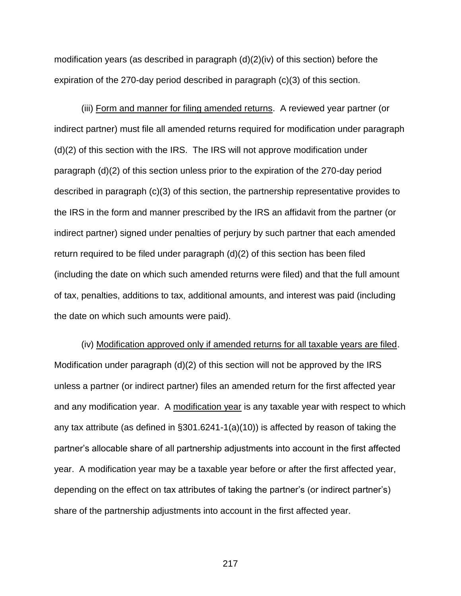modification years (as described in paragraph (d)(2)(iv) of this section) before the expiration of the 270-day period described in paragraph (c)(3) of this section.

(iii) Form and manner for filing amended returns. A reviewed year partner (or indirect partner) must file all amended returns required for modification under paragraph (d)(2) of this section with the IRS. The IRS will not approve modification under paragraph (d)(2) of this section unless prior to the expiration of the 270-day period described in paragraph (c)(3) of this section, the partnership representative provides to the IRS in the form and manner prescribed by the IRS an affidavit from the partner (or indirect partner) signed under penalties of perjury by such partner that each amended return required to be filed under paragraph (d)(2) of this section has been filed (including the date on which such amended returns were filed) and that the full amount of tax, penalties, additions to tax, additional amounts, and interest was paid (including the date on which such amounts were paid).

(iv) Modification approved only if amended returns for all taxable years are filed. Modification under paragraph (d)(2) of this section will not be approved by the IRS unless a partner (or indirect partner) files an amended return for the first affected year and any modification year. A modification year is any taxable year with respect to which any tax attribute (as defined in §301.6241-1(a)(10)) is affected by reason of taking the partner's allocable share of all partnership adjustments into account in the first affected year. A modification year may be a taxable year before or after the first affected year, depending on the effect on tax attributes of taking the partner's (or indirect partner's) share of the partnership adjustments into account in the first affected year.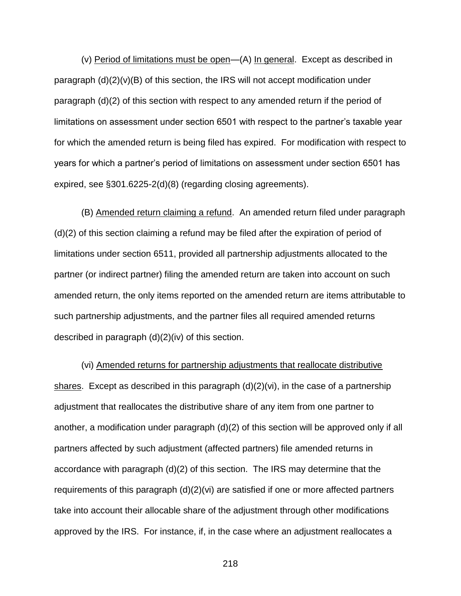(v) Period of limitations must be open—(A) In general. Except as described in paragraph  $(d)(2)(v)(B)$  of this section, the IRS will not accept modification under paragraph (d)(2) of this section with respect to any amended return if the period of limitations on assessment under section 6501 with respect to the partner's taxable year for which the amended return is being filed has expired. For modification with respect to years for which a partner's period of limitations on assessment under section 6501 has expired, see §301.6225-2(d)(8) (regarding closing agreements).

(B) Amended return claiming a refund. An amended return filed under paragraph (d)(2) of this section claiming a refund may be filed after the expiration of period of limitations under section 6511, provided all partnership adjustments allocated to the partner (or indirect partner) filing the amended return are taken into account on such amended return, the only items reported on the amended return are items attributable to such partnership adjustments, and the partner files all required amended returns described in paragraph (d)(2)(iv) of this section.

(vi) Amended returns for partnership adjustments that reallocate distributive shares. Except as described in this paragraph (d)(2)(vi), in the case of a partnership adjustment that reallocates the distributive share of any item from one partner to another, a modification under paragraph (d)(2) of this section will be approved only if all partners affected by such adjustment (affected partners) file amended returns in accordance with paragraph (d)(2) of this section. The IRS may determine that the requirements of this paragraph (d)(2)(vi) are satisfied if one or more affected partners take into account their allocable share of the adjustment through other modifications approved by the IRS. For instance, if, in the case where an adjustment reallocates a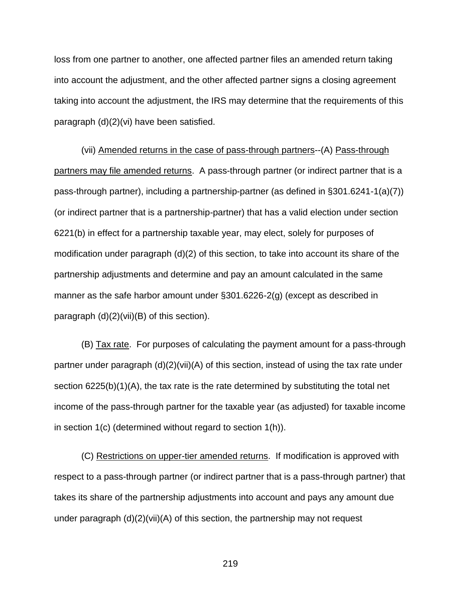loss from one partner to another, one affected partner files an amended return taking into account the adjustment, and the other affected partner signs a closing agreement taking into account the adjustment, the IRS may determine that the requirements of this paragraph (d)(2)(vi) have been satisfied.

(vii) Amended returns in the case of pass-through partners--(A) Pass-through partners may file amended returns. A pass-through partner (or indirect partner that is a pass-through partner), including a partnership-partner (as defined in §301.6241-1(a)(7)) (or indirect partner that is a partnership-partner) that has a valid election under section 6221(b) in effect for a partnership taxable year, may elect, solely for purposes of modification under paragraph (d)(2) of this section, to take into account its share of the partnership adjustments and determine and pay an amount calculated in the same manner as the safe harbor amount under §301.6226-2(g) (except as described in paragraph (d)(2)(vii)(B) of this section).

(B) Tax rate. For purposes of calculating the payment amount for a pass-through partner under paragraph (d)(2)(vii)(A) of this section, instead of using the tax rate under section 6225(b)(1)(A), the tax rate is the rate determined by substituting the total net income of the pass-through partner for the taxable year (as adjusted) for taxable income in section 1(c) (determined without regard to section 1(h)).

(C) Restrictions on upper-tier amended returns. If modification is approved with respect to a pass-through partner (or indirect partner that is a pass-through partner) that takes its share of the partnership adjustments into account and pays any amount due under paragraph (d)(2)(vii)(A) of this section, the partnership may not request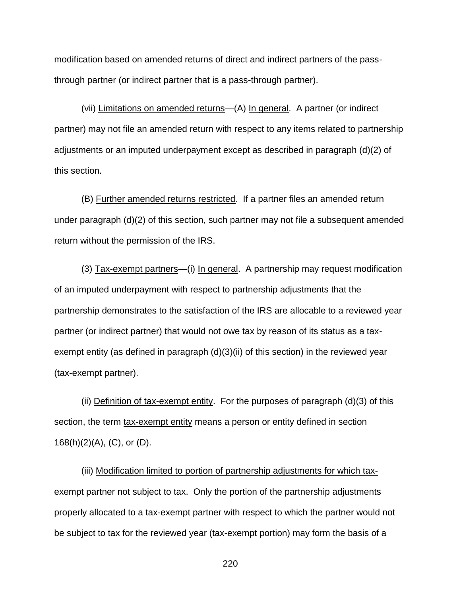modification based on amended returns of direct and indirect partners of the passthrough partner (or indirect partner that is a pass-through partner).

(vii) Limitations on amended returns—(A) In general. A partner (or indirect partner) may not file an amended return with respect to any items related to partnership adjustments or an imputed underpayment except as described in paragraph (d)(2) of this section.

(B) Further amended returns restricted. If a partner files an amended return under paragraph (d)(2) of this section, such partner may not file a subsequent amended return without the permission of the IRS.

(3) Tax-exempt partners—(i) In general. A partnership may request modification of an imputed underpayment with respect to partnership adjustments that the partnership demonstrates to the satisfaction of the IRS are allocable to a reviewed year partner (or indirect partner) that would not owe tax by reason of its status as a taxexempt entity (as defined in paragraph (d)(3)(ii) of this section) in the reviewed year (tax-exempt partner).

(ii) Definition of tax-exempt entity. For the purposes of paragraph  $(d)(3)$  of this section, the term tax-exempt entity means a person or entity defined in section 168(h)(2)(A), (C), or (D).

(iii) Modification limited to portion of partnership adjustments for which taxexempt partner not subject to tax. Only the portion of the partnership adjustments properly allocated to a tax-exempt partner with respect to which the partner would not be subject to tax for the reviewed year (tax-exempt portion) may form the basis of a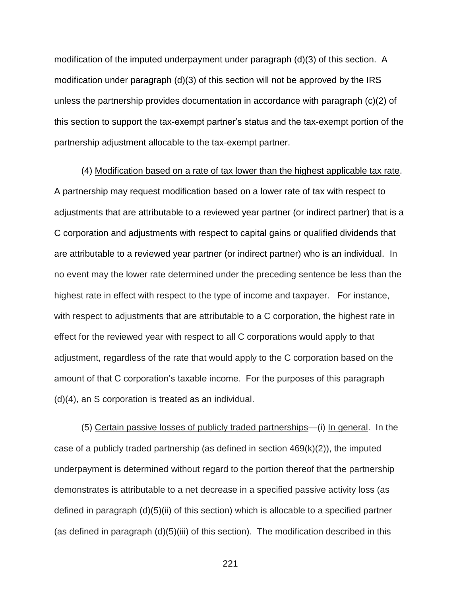modification of the imputed underpayment under paragraph (d)(3) of this section. A modification under paragraph (d)(3) of this section will not be approved by the IRS unless the partnership provides documentation in accordance with paragraph (c)(2) of this section to support the tax-exempt partner's status and the tax-exempt portion of the partnership adjustment allocable to the tax-exempt partner.

(4) Modification based on a rate of tax lower than the highest applicable tax rate. A partnership may request modification based on a lower rate of tax with respect to adjustments that are attributable to a reviewed year partner (or indirect partner) that is a C corporation and adjustments with respect to capital gains or qualified dividends that are attributable to a reviewed year partner (or indirect partner) who is an individual. In no event may the lower rate determined under the preceding sentence be less than the highest rate in effect with respect to the type of income and taxpayer. For instance, with respect to adjustments that are attributable to a C corporation, the highest rate in effect for the reviewed year with respect to all C corporations would apply to that adjustment, regardless of the rate that would apply to the C corporation based on the amount of that C corporation's taxable income. For the purposes of this paragraph (d)(4), an S corporation is treated as an individual.

(5) Certain passive losses of publicly traded partnerships—(i) In general. In the case of a publicly traded partnership (as defined in section  $469(k)(2)$ ), the imputed underpayment is determined without regard to the portion thereof that the partnership demonstrates is attributable to a net decrease in a specified passive activity loss (as defined in paragraph (d)(5)(ii) of this section) which is allocable to a specified partner (as defined in paragraph (d)(5)(iii) of this section). The modification described in this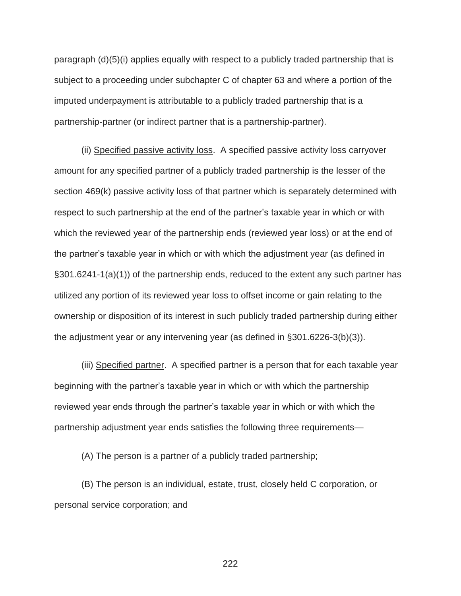paragraph (d)(5)(i) applies equally with respect to a publicly traded partnership that is subject to a proceeding under subchapter C of chapter 63 and where a portion of the imputed underpayment is attributable to a publicly traded partnership that is a partnership-partner (or indirect partner that is a partnership-partner).

(ii) Specified passive activity loss. A specified passive activity loss carryover amount for any specified partner of a publicly traded partnership is the lesser of the section 469(k) passive activity loss of that partner which is separately determined with respect to such partnership at the end of the partner's taxable year in which or with which the reviewed year of the partnership ends (reviewed year loss) or at the end of the partner's taxable year in which or with which the adjustment year (as defined in §301.6241-1(a)(1)) of the partnership ends, reduced to the extent any such partner has utilized any portion of its reviewed year loss to offset income or gain relating to the ownership or disposition of its interest in such publicly traded partnership during either the adjustment year or any intervening year (as defined in §301.6226-3(b)(3)).

(iii) Specified partner. A specified partner is a person that for each taxable year beginning with the partner's taxable year in which or with which the partnership reviewed year ends through the partner's taxable year in which or with which the partnership adjustment year ends satisfies the following three requirements—

(A) The person is a partner of a publicly traded partnership;

(B) The person is an individual, estate, trust, closely held C corporation, or personal service corporation; and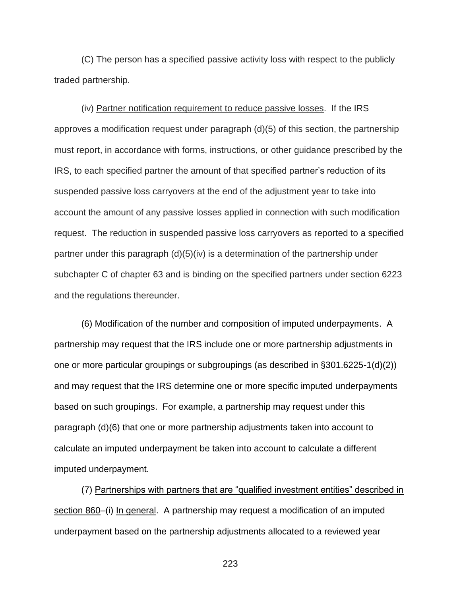(C) The person has a specified passive activity loss with respect to the publicly traded partnership.

(iv) Partner notification requirement to reduce passive losses. If the IRS approves a modification request under paragraph (d)(5) of this section, the partnership must report, in accordance with forms, instructions, or other guidance prescribed by the IRS, to each specified partner the amount of that specified partner's reduction of its suspended passive loss carryovers at the end of the adjustment year to take into account the amount of any passive losses applied in connection with such modification request. The reduction in suspended passive loss carryovers as reported to a specified partner under this paragraph (d)(5)(iv) is a determination of the partnership under subchapter C of chapter 63 and is binding on the specified partners under section 6223 and the regulations thereunder.

(6) Modification of the number and composition of imputed underpayments. A partnership may request that the IRS include one or more partnership adjustments in one or more particular groupings or subgroupings (as described in §301.6225-1(d)(2)) and may request that the IRS determine one or more specific imputed underpayments based on such groupings. For example, a partnership may request under this paragraph (d)(6) that one or more partnership adjustments taken into account to calculate an imputed underpayment be taken into account to calculate a different imputed underpayment.

(7) Partnerships with partners that are "qualified investment entities" described in section 860–(i) In general. A partnership may request a modification of an imputed underpayment based on the partnership adjustments allocated to a reviewed year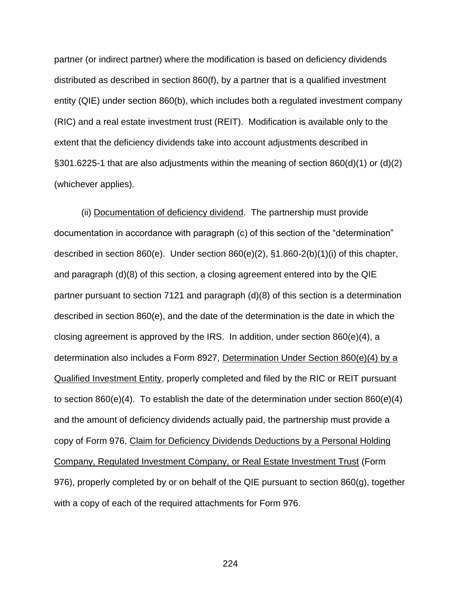partner (or indirect partner) where the modification is based on deficiency dividends distributed as described in section 860(f), by a partner that is a qualified investment entity (QIE) under section 860(b), which includes both a regulated investment company (RIC) and a real estate investment trust (REIT). Modification is available only to the extent that the deficiency dividends take into account adjustments described in §301.6225-1 that are also adjustments within the meaning of section 860(d)(1) or (d)(2) (whichever applies).

(ii) Documentation of deficiency dividend. The partnership must provide documentation in accordance with paragraph (c) of this section of the "determination" described in section 860(e). Under section 860(e)(2), §1.860-2(b)(1)(i) of this chapter, and paragraph (d)(8) of this section, a closing agreement entered into by the QIE partner pursuant to section 7121 and paragraph (d)(8) of this section is a determination described in section 860(e), and the date of the determination is the date in which the closing agreement is approved by the IRS. In addition, under section 860(e)(4), a determination also includes a Form 8927, Determination Under Section 860(e)(4) by a Qualified Investment Entity, properly completed and filed by the RIC or REIT pursuant to section  $860(e)(4)$ . To establish the date of the determination under section  $860(e)(4)$ and the amount of deficiency dividends actually paid, the partnership must provide a copy of Form 976, Claim for Deficiency Dividends Deductions by a Personal Holding Company, Regulated Investment Company, or Real Estate Investment Trust (Form 976), properly completed by or on behalf of the QIE pursuant to section 860(g), together with a copy of each of the required attachments for Form 976.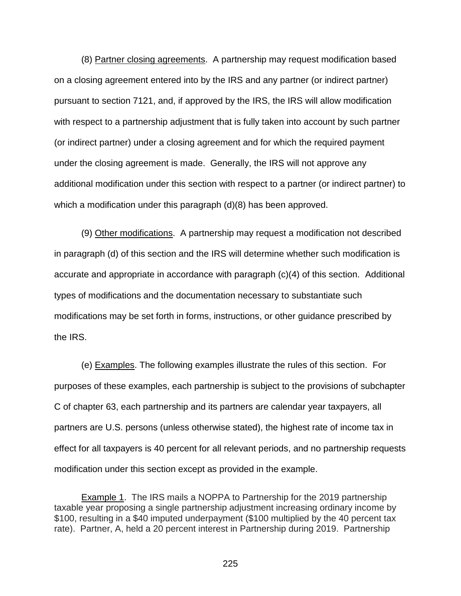(8) Partner closing agreements. A partnership may request modification based on a closing agreement entered into by the IRS and any partner (or indirect partner) pursuant to section 7121, and, if approved by the IRS, the IRS will allow modification with respect to a partnership adjustment that is fully taken into account by such partner (or indirect partner) under a closing agreement and for which the required payment under the closing agreement is made. Generally, the IRS will not approve any additional modification under this section with respect to a partner (or indirect partner) to which a modification under this paragraph (d)(8) has been approved.

(9) Other modifications. A partnership may request a modification not described in paragraph (d) of this section and the IRS will determine whether such modification is accurate and appropriate in accordance with paragraph (c)(4) of this section. Additional types of modifications and the documentation necessary to substantiate such modifications may be set forth in forms, instructions, or other guidance prescribed by the IRS.

(e) Examples. The following examples illustrate the rules of this section. For purposes of these examples, each partnership is subject to the provisions of subchapter C of chapter 63, each partnership and its partners are calendar year taxpayers, all partners are U.S. persons (unless otherwise stated), the highest rate of income tax in effect for all taxpayers is 40 percent for all relevant periods, and no partnership requests modification under this section except as provided in the example.

Example 1. The IRS mails a NOPPA to Partnership for the 2019 partnership taxable year proposing a single partnership adjustment increasing ordinary income by \$100, resulting in a \$40 imputed underpayment (\$100 multiplied by the 40 percent tax rate). Partner, A, held a 20 percent interest in Partnership during 2019. Partnership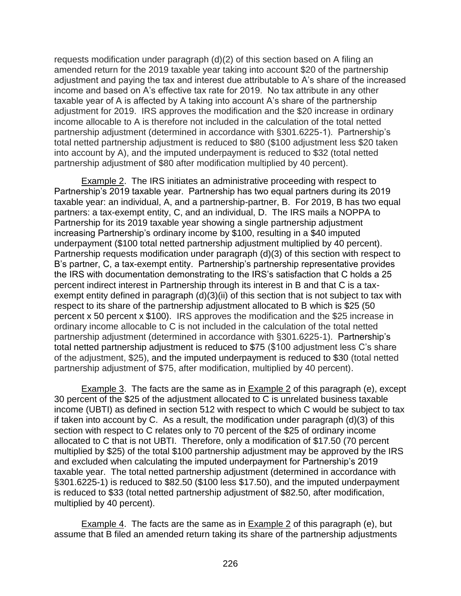requests modification under paragraph (d)(2) of this section based on A filing an amended return for the 2019 taxable year taking into account \$20 of the partnership adjustment and paying the tax and interest due attributable to A's share of the increased income and based on A's effective tax rate for 2019. No tax attribute in any other taxable year of A is affected by A taking into account A's share of the partnership adjustment for 2019. IRS approves the modification and the \$20 increase in ordinary income allocable to A is therefore not included in the calculation of the total netted partnership adjustment (determined in accordance with §301.6225-1). Partnership's total netted partnership adjustment is reduced to \$80 (\$100 adjustment less \$20 taken into account by A), and the imputed underpayment is reduced to \$32 (total netted partnership adjustment of \$80 after modification multiplied by 40 percent).

Example 2. The IRS initiates an administrative proceeding with respect to Partnership's 2019 taxable year. Partnership has two equal partners during its 2019 taxable year: an individual, A, and a partnership-partner, B. For 2019, B has two equal partners: a tax-exempt entity, C, and an individual, D. The IRS mails a NOPPA to Partnership for its 2019 taxable year showing a single partnership adjustment increasing Partnership's ordinary income by \$100, resulting in a \$40 imputed underpayment (\$100 total netted partnership adjustment multiplied by 40 percent). Partnership requests modification under paragraph (d)(3) of this section with respect to B's partner, C, a tax-exempt entity. Partnership's partnership representative provides the IRS with documentation demonstrating to the IRS's satisfaction that C holds a 25 percent indirect interest in Partnership through its interest in B and that C is a taxexempt entity defined in paragraph (d)(3)(ii) of this section that is not subject to tax with respect to its share of the partnership adjustment allocated to B which is \$25 (50 percent x 50 percent x \$100). IRS approves the modification and the \$25 increase in ordinary income allocable to C is not included in the calculation of the total netted partnership adjustment (determined in accordance with §301.6225-1). Partnership's total netted partnership adjustment is reduced to \$75 (\$100 adjustment less C's share of the adjustment, \$25), and the imputed underpayment is reduced to \$30 (total netted partnership adjustment of \$75, after modification, multiplied by 40 percent).

Example 3. The facts are the same as in Example 2 of this paragraph (e), except 30 percent of the \$25 of the adjustment allocated to C is unrelated business taxable income (UBTI) as defined in section 512 with respect to which C would be subject to tax if taken into account by C. As a result, the modification under paragraph (d)(3) of this section with respect to C relates only to 70 percent of the \$25 of ordinary income allocated to C that is not UBTI. Therefore, only a modification of \$17.50 (70 percent multiplied by \$25) of the total \$100 partnership adjustment may be approved by the IRS and excluded when calculating the imputed underpayment for Partnership's 2019 taxable year. The total netted partnership adjustment (determined in accordance with §301.6225-1) is reduced to \$82.50 (\$100 less \$17.50), and the imputed underpayment is reduced to \$33 (total netted partnership adjustment of \$82.50, after modification, multiplied by 40 percent).

Example 4. The facts are the same as in Example 2 of this paragraph (e), but assume that B filed an amended return taking its share of the partnership adjustments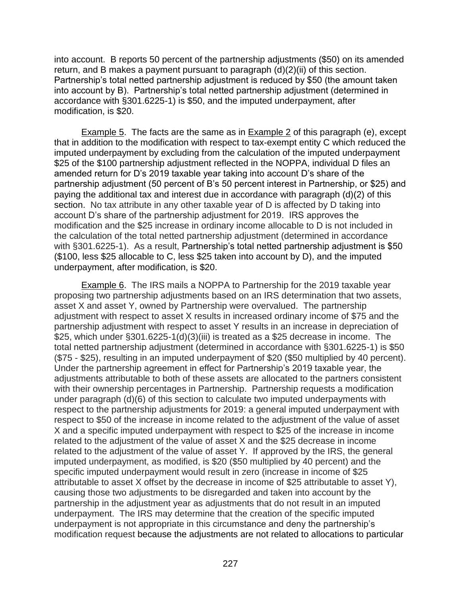into account. B reports 50 percent of the partnership adjustments (\$50) on its amended return, and B makes a payment pursuant to paragraph (d)(2)(ii) of this section. Partnership's total netted partnership adjustment is reduced by \$50 (the amount taken into account by B). Partnership's total netted partnership adjustment (determined in accordance with §301.6225-1) is \$50, and the imputed underpayment, after modification, is \$20.

Example 5. The facts are the same as in Example 2 of this paragraph (e), except that in addition to the modification with respect to tax-exempt entity C which reduced the imputed underpayment by excluding from the calculation of the imputed underpayment \$25 of the \$100 partnership adjustment reflected in the NOPPA, individual D files an amended return for D's 2019 taxable year taking into account D's share of the partnership adjustment (50 percent of B's 50 percent interest in Partnership, or \$25) and paying the additional tax and interest due in accordance with paragraph (d)(2) of this section. No tax attribute in any other taxable year of D is affected by D taking into account D's share of the partnership adjustment for 2019. IRS approves the modification and the \$25 increase in ordinary income allocable to D is not included in the calculation of the total netted partnership adjustment (determined in accordance with §301.6225-1). As a result, Partnership's total netted partnership adjustment is \$50 (\$100, less \$25 allocable to C, less \$25 taken into account by D), and the imputed underpayment, after modification, is \$20.

Example 6. The IRS mails a NOPPA to Partnership for the 2019 taxable year proposing two partnership adjustments based on an IRS determination that two assets, asset X and asset Y, owned by Partnership were overvalued. The partnership adjustment with respect to asset X results in increased ordinary income of \$75 and the partnership adjustment with respect to asset Y results in an increase in depreciation of \$25, which under §301.6225-1(d)(3)(iii) is treated as a \$25 decrease in income. The total netted partnership adjustment (determined in accordance with §301.6225-1) is \$50 (\$75 - \$25), resulting in an imputed underpayment of \$20 (\$50 multiplied by 40 percent). Under the partnership agreement in effect for Partnership's 2019 taxable year, the adjustments attributable to both of these assets are allocated to the partners consistent with their ownership percentages in Partnership. Partnership requests a modification under paragraph (d)(6) of this section to calculate two imputed underpayments with respect to the partnership adjustments for 2019: a general imputed underpayment with respect to \$50 of the increase in income related to the adjustment of the value of asset X and a specific imputed underpayment with respect to \$25 of the increase in income related to the adjustment of the value of asset X and the \$25 decrease in income related to the adjustment of the value of asset Y. If approved by the IRS, the general imputed underpayment, as modified, is \$20 (\$50 multiplied by 40 percent) and the specific imputed underpayment would result in zero (increase in income of \$25 attributable to asset X offset by the decrease in income of \$25 attributable to asset Y), causing those two adjustments to be disregarded and taken into account by the partnership in the adjustment year as adjustments that do not result in an imputed underpayment. The IRS may determine that the creation of the specific imputed underpayment is not appropriate in this circumstance and deny the partnership's modification request because the adjustments are not related to allocations to particular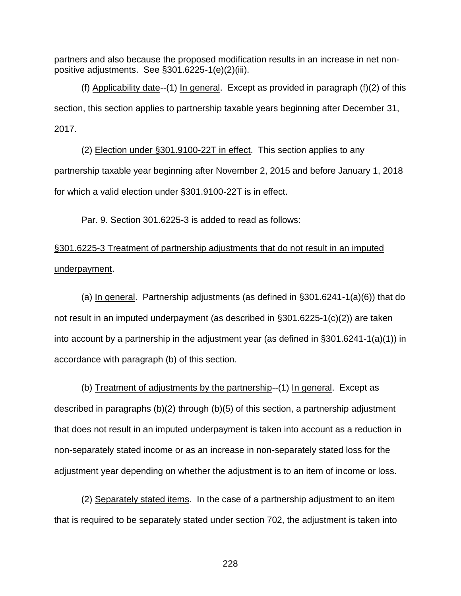partners and also because the proposed modification results in an increase in net nonpositive adjustments. See §301.6225-1(e)(2)(iii).

(f) Applicability date--(1) In general. Except as provided in paragraph (f)(2) of this section, this section applies to partnership taxable years beginning after December 31, 2017.

(2) Election under §301.9100-22T in effect. This section applies to any partnership taxable year beginning after November 2, 2015 and before January 1, 2018 for which a valid election under §301.9100-22T is in effect.

Par. 9. Section 301.6225-3 is added to read as follows:

§301.6225-3 Treatment of partnership adjustments that do not result in an imputed underpayment.

(a) In general. Partnership adjustments (as defined in  $\S 301.6241-1(a)(6)$ ) that do not result in an imputed underpayment (as described in §301.6225-1(c)(2)) are taken into account by a partnership in the adjustment year (as defined in §301.6241-1(a)(1)) in accordance with paragraph (b) of this section.

(b) Treatment of adjustments by the partnership--(1) In general. Except as described in paragraphs (b)(2) through (b)(5) of this section, a partnership adjustment that does not result in an imputed underpayment is taken into account as a reduction in non-separately stated income or as an increase in non-separately stated loss for the adjustment year depending on whether the adjustment is to an item of income or loss.

(2) Separately stated items. In the case of a partnership adjustment to an item that is required to be separately stated under section 702, the adjustment is taken into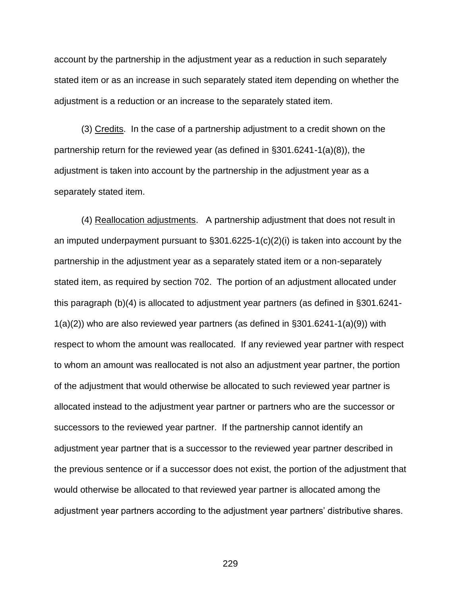account by the partnership in the adjustment year as a reduction in such separately stated item or as an increase in such separately stated item depending on whether the adjustment is a reduction or an increase to the separately stated item.

(3) Credits. In the case of a partnership adjustment to a credit shown on the partnership return for the reviewed year (as defined in §301.6241-1(a)(8)), the adjustment is taken into account by the partnership in the adjustment year as a separately stated item.

(4) Reallocation adjustments. A partnership adjustment that does not result in an imputed underpayment pursuant to §301.6225-1(c)(2)(i) is taken into account by the partnership in the adjustment year as a separately stated item or a non-separately stated item, as required by section 702. The portion of an adjustment allocated under this paragraph (b)(4) is allocated to adjustment year partners (as defined in §301.6241-  $1(a)(2)$ ) who are also reviewed year partners (as defined in §301.6241-1(a)(9)) with respect to whom the amount was reallocated. If any reviewed year partner with respect to whom an amount was reallocated is not also an adjustment year partner, the portion of the adjustment that would otherwise be allocated to such reviewed year partner is allocated instead to the adjustment year partner or partners who are the successor or successors to the reviewed year partner. If the partnership cannot identify an adjustment year partner that is a successor to the reviewed year partner described in the previous sentence or if a successor does not exist, the portion of the adjustment that would otherwise be allocated to that reviewed year partner is allocated among the adjustment year partners according to the adjustment year partners' distributive shares.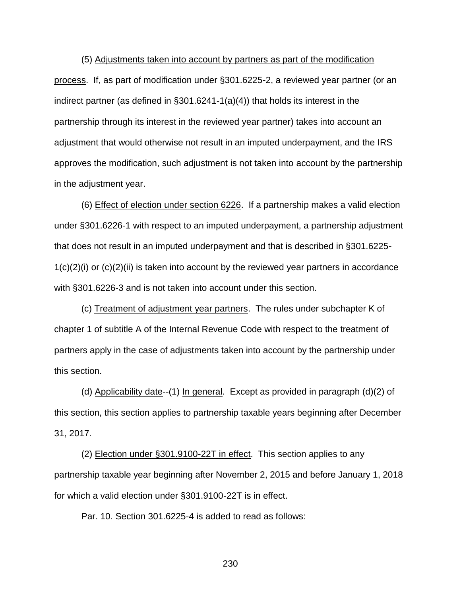(5) Adjustments taken into account by partners as part of the modification process. If, as part of modification under §301.6225-2, a reviewed year partner (or an indirect partner (as defined in §301.6241-1(a)(4)) that holds its interest in the partnership through its interest in the reviewed year partner) takes into account an adjustment that would otherwise not result in an imputed underpayment, and the IRS approves the modification, such adjustment is not taken into account by the partnership in the adjustment year.

(6) Effect of election under section 6226. If a partnership makes a valid election under §301.6226-1 with respect to an imputed underpayment, a partnership adjustment that does not result in an imputed underpayment and that is described in §301.6225-  $1(c)(2)(i)$  or  $(c)(2)(ii)$  is taken into account by the reviewed year partners in accordance with §301.6226-3 and is not taken into account under this section.

(c) Treatment of adjustment year partners. The rules under subchapter K of chapter 1 of subtitle A of the Internal Revenue Code with respect to the treatment of partners apply in the case of adjustments taken into account by the partnership under this section.

(d) Applicability date--(1) In general. Except as provided in paragraph  $(d)(2)$  of this section, this section applies to partnership taxable years beginning after December 31, 2017.

(2) Election under §301.9100-22T in effect. This section applies to any partnership taxable year beginning after November 2, 2015 and before January 1, 2018 for which a valid election under §301.9100-22T is in effect.

Par. 10. Section 301.6225-4 is added to read as follows: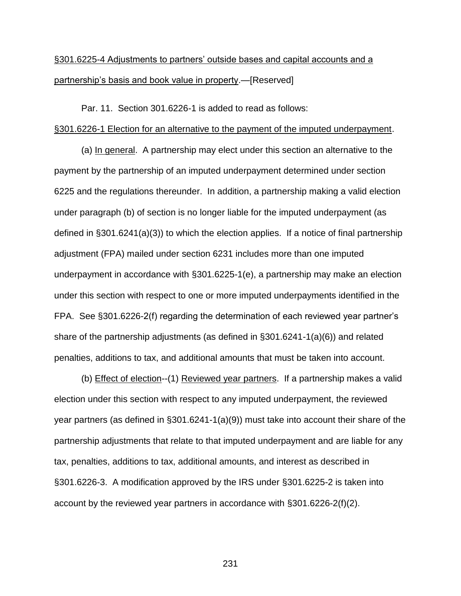# §301.6225-4 Adjustments to partners' outside bases and capital accounts and a partnership's basis and book value in property.—[Reserved]

Par. 11. Section 301.6226-1 is added to read as follows:

## §301.6226-1 Election for an alternative to the payment of the imputed underpayment.

(a) In general. A partnership may elect under this section an alternative to the payment by the partnership of an imputed underpayment determined under section 6225 and the regulations thereunder. In addition, a partnership making a valid election under paragraph (b) of section is no longer liable for the imputed underpayment (as defined in §301.6241(a)(3)) to which the election applies. If a notice of final partnership adjustment (FPA) mailed under section 6231 includes more than one imputed underpayment in accordance with §301.6225-1(e), a partnership may make an election under this section with respect to one or more imputed underpayments identified in the FPA. See §301.6226-2(f) regarding the determination of each reviewed year partner's share of the partnership adjustments (as defined in §301.6241-1(a)(6)) and related penalties, additions to tax, and additional amounts that must be taken into account.

(b) Effect of election--(1) Reviewed year partners. If a partnership makes a valid election under this section with respect to any imputed underpayment, the reviewed year partners (as defined in §301.6241-1(a)(9)) must take into account their share of the partnership adjustments that relate to that imputed underpayment and are liable for any tax, penalties, additions to tax, additional amounts, and interest as described in §301.6226-3. A modification approved by the IRS under §301.6225-2 is taken into account by the reviewed year partners in accordance with §301.6226-2(f)(2).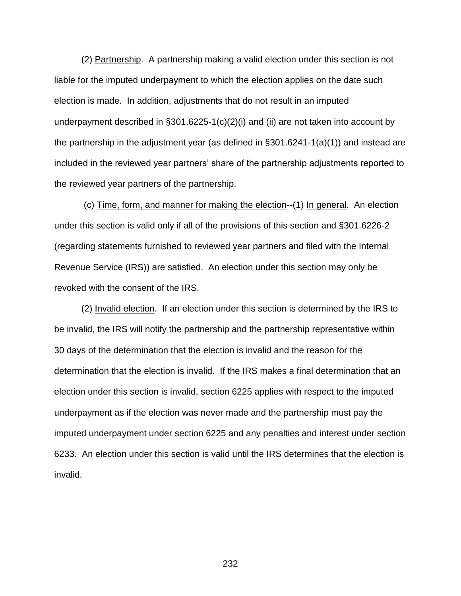(2) Partnership. A partnership making a valid election under this section is not liable for the imputed underpayment to which the election applies on the date such election is made. In addition, adjustments that do not result in an imputed underpayment described in §301.6225-1(c)(2)(i) and (ii) are not taken into account by the partnership in the adjustment year (as defined in §301.6241-1(a)(1)) and instead are included in the reviewed year partners' share of the partnership adjustments reported to the reviewed year partners of the partnership.

(c) Time, form, and manner for making the election--(1) In general. An election under this section is valid only if all of the provisions of this section and §301.6226-2 (regarding statements furnished to reviewed year partners and filed with the Internal Revenue Service (IRS)) are satisfied. An election under this section may only be revoked with the consent of the IRS.

(2) Invalid election. If an election under this section is determined by the IRS to be invalid, the IRS will notify the partnership and the partnership representative within 30 days of the determination that the election is invalid and the reason for the determination that the election is invalid. If the IRS makes a final determination that an election under this section is invalid, section 6225 applies with respect to the imputed underpayment as if the election was never made and the partnership must pay the imputed underpayment under section 6225 and any penalties and interest under section 6233. An election under this section is valid until the IRS determines that the election is invalid.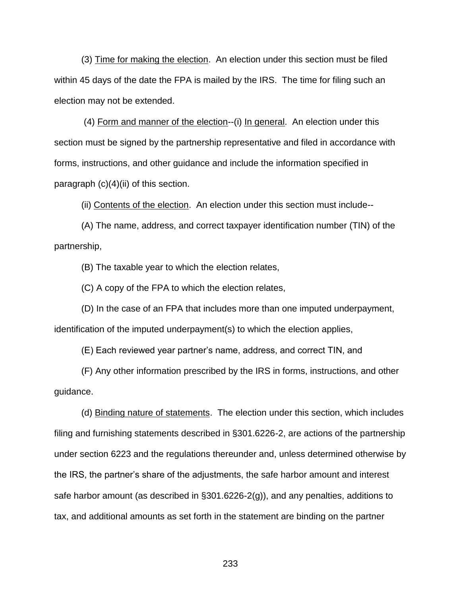(3) Time for making the election. An election under this section must be filed within 45 days of the date the FPA is mailed by the IRS. The time for filing such an election may not be extended.

(4) Form and manner of the election--(i) In general. An election under this section must be signed by the partnership representative and filed in accordance with forms, instructions, and other guidance and include the information specified in paragraph  $(c)(4)(ii)$  of this section.

(ii) Contents of the election. An election under this section must include--

(A) The name, address, and correct taxpayer identification number (TIN) of the partnership,

(B) The taxable year to which the election relates,

(C) A copy of the FPA to which the election relates,

(D) In the case of an FPA that includes more than one imputed underpayment, identification of the imputed underpayment(s) to which the election applies,

(E) Each reviewed year partner's name, address, and correct TIN, and

(F) Any other information prescribed by the IRS in forms, instructions, and other guidance.

(d) Binding nature of statements. The election under this section, which includes filing and furnishing statements described in §301.6226-2, are actions of the partnership under section 6223 and the regulations thereunder and, unless determined otherwise by the IRS, the partner's share of the adjustments, the safe harbor amount and interest safe harbor amount (as described in §301.6226-2(g)), and any penalties, additions to tax, and additional amounts as set forth in the statement are binding on the partner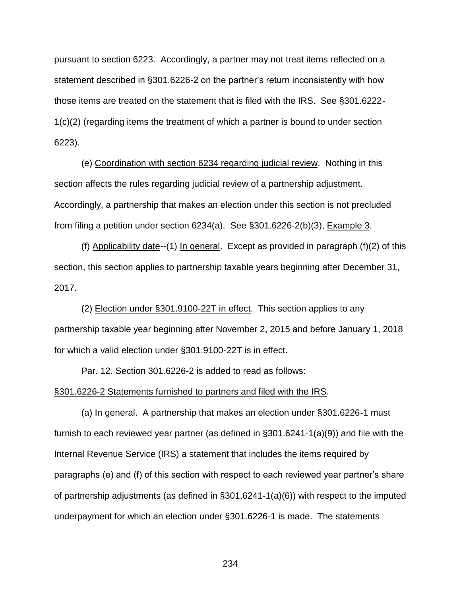pursuant to section 6223. Accordingly, a partner may not treat items reflected on a statement described in §301.6226-2 on the partner's return inconsistently with how those items are treated on the statement that is filed with the IRS. See §301.6222- 1(c)(2) (regarding items the treatment of which a partner is bound to under section 6223).

(e) Coordination with section 6234 regarding judicial review. Nothing in this section affects the rules regarding judicial review of a partnership adjustment. Accordingly, a partnership that makes an election under this section is not precluded from filing a petition under section 6234(a). See §301.6226-2(b)(3), Example 3.

(f) Applicability date--(1) In general. Except as provided in paragraph (f)(2) of this section, this section applies to partnership taxable years beginning after December 31, 2017.

(2) Election under §301.9100-22T in effect. This section applies to any partnership taxable year beginning after November 2, 2015 and before January 1, 2018 for which a valid election under §301.9100-22T is in effect.

Par. 12. Section 301.6226-2 is added to read as follows:

## §301.6226-2 Statements furnished to partners and filed with the IRS.

(a) In general. A partnership that makes an election under §301.6226-1 must furnish to each reviewed year partner (as defined in §301.6241-1(a)(9)) and file with the Internal Revenue Service (IRS) a statement that includes the items required by paragraphs (e) and (f) of this section with respect to each reviewed year partner's share of partnership adjustments (as defined in §301.6241-1(a)(6)) with respect to the imputed underpayment for which an election under §301.6226-1 is made. The statements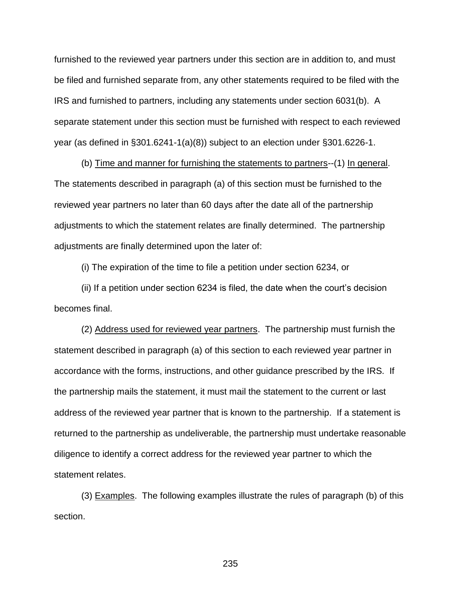furnished to the reviewed year partners under this section are in addition to, and must be filed and furnished separate from, any other statements required to be filed with the IRS and furnished to partners, including any statements under section 6031(b). A separate statement under this section must be furnished with respect to each reviewed year (as defined in §301.6241-1(a)(8)) subject to an election under §301.6226-1.

(b) Time and manner for furnishing the statements to partners--(1) In general. The statements described in paragraph (a) of this section must be furnished to the reviewed year partners no later than 60 days after the date all of the partnership adjustments to which the statement relates are finally determined. The partnership adjustments are finally determined upon the later of:

(i) The expiration of the time to file a petition under section 6234, or

(ii) If a petition under section 6234 is filed, the date when the court's decision becomes final.

(2) Address used for reviewed year partners. The partnership must furnish the statement described in paragraph (a) of this section to each reviewed year partner in accordance with the forms, instructions, and other guidance prescribed by the IRS. If the partnership mails the statement, it must mail the statement to the current or last address of the reviewed year partner that is known to the partnership. If a statement is returned to the partnership as undeliverable, the partnership must undertake reasonable diligence to identify a correct address for the reviewed year partner to which the statement relates.

(3) Examples. The following examples illustrate the rules of paragraph (b) of this section.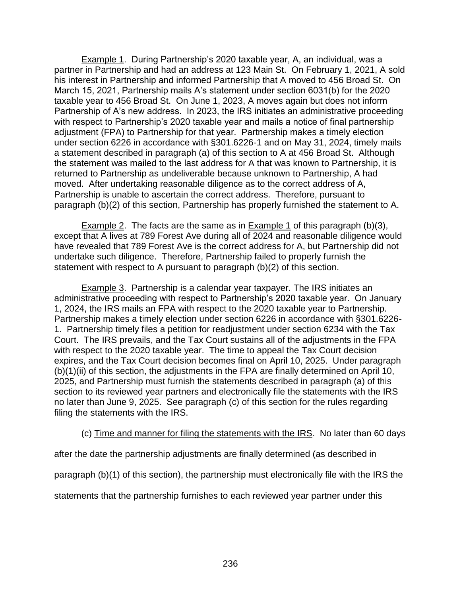Example 1. During Partnership's 2020 taxable year, A, an individual, was a partner in Partnership and had an address at 123 Main St. On February 1, 2021, A sold his interest in Partnership and informed Partnership that A moved to 456 Broad St. On March 15, 2021, Partnership mails A's statement under section 6031(b) for the 2020 taxable year to 456 Broad St. On June 1, 2023, A moves again but does not inform Partnership of A's new address. In 2023, the IRS initiates an administrative proceeding with respect to Partnership's 2020 taxable year and mails a notice of final partnership adjustment (FPA) to Partnership for that year. Partnership makes a timely election under section 6226 in accordance with §301.6226-1 and on May 31, 2024, timely mails a statement described in paragraph (a) of this section to A at 456 Broad St. Although the statement was mailed to the last address for A that was known to Partnership, it is returned to Partnership as undeliverable because unknown to Partnership, A had moved. After undertaking reasonable diligence as to the correct address of A, Partnership is unable to ascertain the correct address. Therefore, pursuant to paragraph (b)(2) of this section, Partnership has properly furnished the statement to A.

Example 2. The facts are the same as in Example 1 of this paragraph (b)(3), except that A lives at 789 Forest Ave during all of 2024 and reasonable diligence would have revealed that 789 Forest Ave is the correct address for A, but Partnership did not undertake such diligence. Therefore, Partnership failed to properly furnish the statement with respect to A pursuant to paragraph (b)(2) of this section.

Example 3. Partnership is a calendar year taxpayer. The IRS initiates an administrative proceeding with respect to Partnership's 2020 taxable year. On January 1, 2024, the IRS mails an FPA with respect to the 2020 taxable year to Partnership. Partnership makes a timely election under section 6226 in accordance with §301.6226- 1. Partnership timely files a petition for readjustment under section 6234 with the Tax Court. The IRS prevails, and the Tax Court sustains all of the adjustments in the FPA with respect to the 2020 taxable year. The time to appeal the Tax Court decision expires, and the Tax Court decision becomes final on April 10, 2025. Under paragraph (b)(1)(ii) of this section, the adjustments in the FPA are finally determined on April 10, 2025, and Partnership must furnish the statements described in paragraph (a) of this section to its reviewed year partners and electronically file the statements with the IRS no later than June 9, 2025. See paragraph (c) of this section for the rules regarding filing the statements with the IRS.

## (c) Time and manner for filing the statements with the IRS. No later than 60 days

after the date the partnership adjustments are finally determined (as described in

paragraph (b)(1) of this section), the partnership must electronically file with the IRS the

statements that the partnership furnishes to each reviewed year partner under this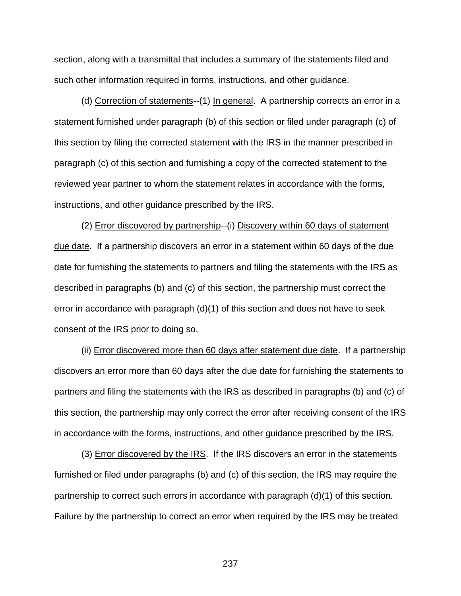section, along with a transmittal that includes a summary of the statements filed and such other information required in forms, instructions, and other guidance.

(d) Correction of statements--(1) In general. A partnership corrects an error in a statement furnished under paragraph (b) of this section or filed under paragraph (c) of this section by filing the corrected statement with the IRS in the manner prescribed in paragraph (c) of this section and furnishing a copy of the corrected statement to the reviewed year partner to whom the statement relates in accordance with the forms, instructions, and other guidance prescribed by the IRS.

(2) Error discovered by partnership--(i) Discovery within 60 days of statement due date. If a partnership discovers an error in a statement within 60 days of the due date for furnishing the statements to partners and filing the statements with the IRS as described in paragraphs (b) and (c) of this section, the partnership must correct the error in accordance with paragraph (d)(1) of this section and does not have to seek consent of the IRS prior to doing so.

(ii) Error discovered more than 60 days after statement due date. If a partnership discovers an error more than 60 days after the due date for furnishing the statements to partners and filing the statements with the IRS as described in paragraphs (b) and (c) of this section, the partnership may only correct the error after receiving consent of the IRS in accordance with the forms, instructions, and other guidance prescribed by the IRS.

(3) Error discovered by the IRS. If the IRS discovers an error in the statements furnished or filed under paragraphs (b) and (c) of this section, the IRS may require the partnership to correct such errors in accordance with paragraph (d)(1) of this section. Failure by the partnership to correct an error when required by the IRS may be treated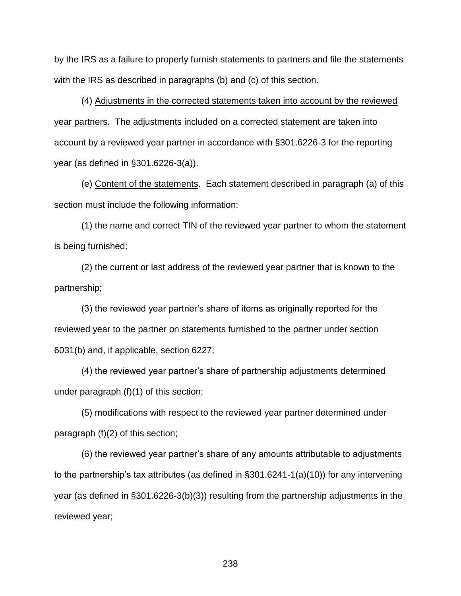by the IRS as a failure to properly furnish statements to partners and file the statements with the IRS as described in paragraphs (b) and (c) of this section.

(4) Adjustments in the corrected statements taken into account by the reviewed year partners. The adjustments included on a corrected statement are taken into account by a reviewed year partner in accordance with §301.6226-3 for the reporting year (as defined in §301.6226-3(a)).

(e) Content of the statements. Each statement described in paragraph (a) of this section must include the following information:

(1) the name and correct TIN of the reviewed year partner to whom the statement is being furnished;

(2) the current or last address of the reviewed year partner that is known to the partnership;

(3) the reviewed year partner's share of items as originally reported for the reviewed year to the partner on statements furnished to the partner under section 6031(b) and, if applicable, section 6227;

(4) the reviewed year partner's share of partnership adjustments determined under paragraph (f)(1) of this section;

(5) modifications with respect to the reviewed year partner determined under paragraph (f)(2) of this section;

(6) the reviewed year partner's share of any amounts attributable to adjustments to the partnership's tax attributes (as defined in §301.6241-1(a)(10)) for any intervening year (as defined in §301.6226-3(b)(3)) resulting from the partnership adjustments in the reviewed year;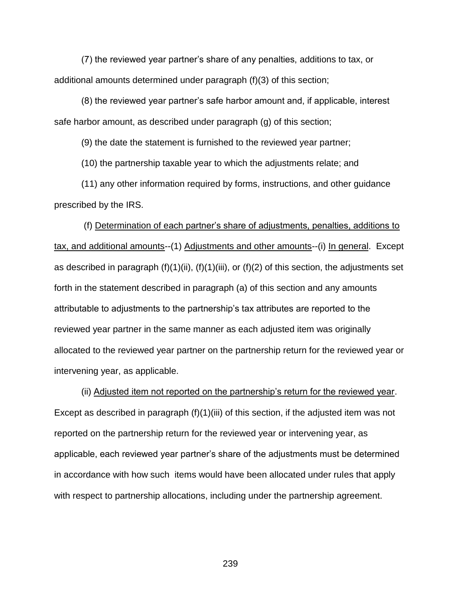(7) the reviewed year partner's share of any penalties, additions to tax, or additional amounts determined under paragraph (f)(3) of this section;

(8) the reviewed year partner's safe harbor amount and, if applicable, interest safe harbor amount, as described under paragraph (g) of this section;

(9) the date the statement is furnished to the reviewed year partner;

(10) the partnership taxable year to which the adjustments relate; and

(11) any other information required by forms, instructions, and other guidance prescribed by the IRS.

(f) Determination of each partner's share of adjustments, penalties, additions to tax, and additional amounts--(1) Adjustments and other amounts--(i) In general. Except as described in paragraph  $(f)(1)(ii)$ ,  $(f)(1)(iii)$ , or  $(f)(2)$  of this section, the adjustments set forth in the statement described in paragraph (a) of this section and any amounts attributable to adjustments to the partnership's tax attributes are reported to the reviewed year partner in the same manner as each adjusted item was originally allocated to the reviewed year partner on the partnership return for the reviewed year or intervening year, as applicable.

(ii) Adjusted item not reported on the partnership's return for the reviewed year. Except as described in paragraph (f)(1)(iii) of this section, if the adjusted item was not reported on the partnership return for the reviewed year or intervening year, as applicable, each reviewed year partner's share of the adjustments must be determined in accordance with how such items would have been allocated under rules that apply with respect to partnership allocations, including under the partnership agreement.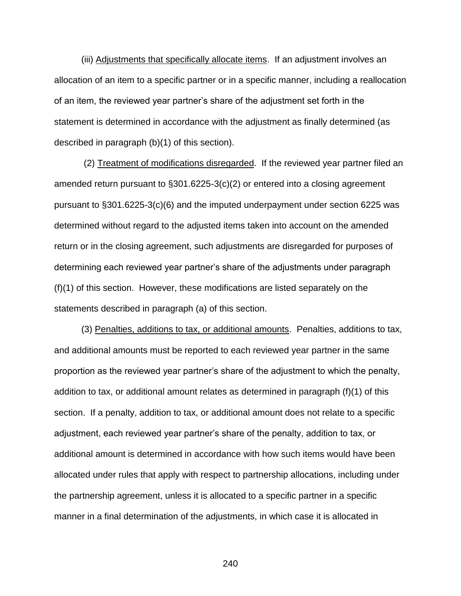(iii) Adjustments that specifically allocate items. If an adjustment involves an allocation of an item to a specific partner or in a specific manner, including a reallocation of an item, the reviewed year partner's share of the adjustment set forth in the statement is determined in accordance with the adjustment as finally determined (as described in paragraph (b)(1) of this section).

(2) Treatment of modifications disregarded. If the reviewed year partner filed an amended return pursuant to §301.6225-3(c)(2) or entered into a closing agreement pursuant to §301.6225-3(c)(6) and the imputed underpayment under section 6225 was determined without regard to the adjusted items taken into account on the amended return or in the closing agreement, such adjustments are disregarded for purposes of determining each reviewed year partner's share of the adjustments under paragraph (f)(1) of this section. However, these modifications are listed separately on the statements described in paragraph (a) of this section.

(3) Penalties, additions to tax, or additional amounts. Penalties, additions to tax, and additional amounts must be reported to each reviewed year partner in the same proportion as the reviewed year partner's share of the adjustment to which the penalty, addition to tax, or additional amount relates as determined in paragraph (f)(1) of this section. If a penalty, addition to tax, or additional amount does not relate to a specific adjustment, each reviewed year partner's share of the penalty, addition to tax, or additional amount is determined in accordance with how such items would have been allocated under rules that apply with respect to partnership allocations, including under the partnership agreement, unless it is allocated to a specific partner in a specific manner in a final determination of the adjustments, in which case it is allocated in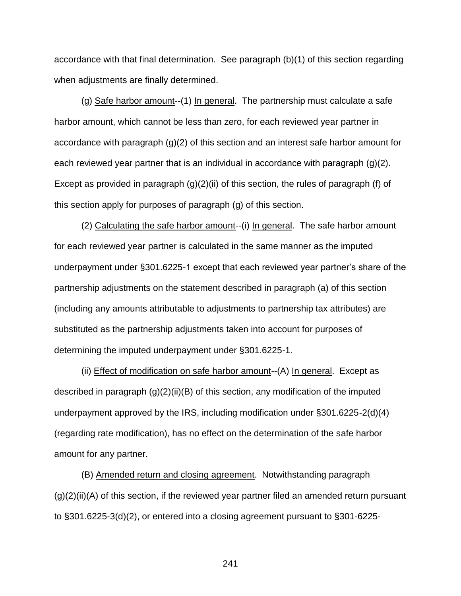accordance with that final determination. See paragraph (b)(1) of this section regarding when adjustments are finally determined.

(g) Safe harbor amount--(1) In general. The partnership must calculate a safe harbor amount, which cannot be less than zero, for each reviewed year partner in accordance with paragraph (g)(2) of this section and an interest safe harbor amount for each reviewed year partner that is an individual in accordance with paragraph (g)(2). Except as provided in paragraph  $(g)(2)(ii)$  of this section, the rules of paragraph (f) of this section apply for purposes of paragraph (g) of this section.

(2) Calculating the safe harbor amount--(i) In general. The safe harbor amount for each reviewed year partner is calculated in the same manner as the imputed underpayment under §301.6225-1 except that each reviewed year partner's share of the partnership adjustments on the statement described in paragraph (a) of this section (including any amounts attributable to adjustments to partnership tax attributes) are substituted as the partnership adjustments taken into account for purposes of determining the imputed underpayment under §301.6225-1.

(ii) **Effect of modification on safe harbor amount--(A) In general.** Except as described in paragraph  $(g)(2)(ii)(B)$  of this section, any modification of the imputed underpayment approved by the IRS, including modification under §301.6225-2(d)(4) (regarding rate modification), has no effect on the determination of the safe harbor amount for any partner.

(B) Amended return and closing agreement. Notwithstanding paragraph  $(q)(2)(ii)(A)$  of this section, if the reviewed year partner filed an amended return pursuant to §301.6225-3(d)(2), or entered into a closing agreement pursuant to §301-6225-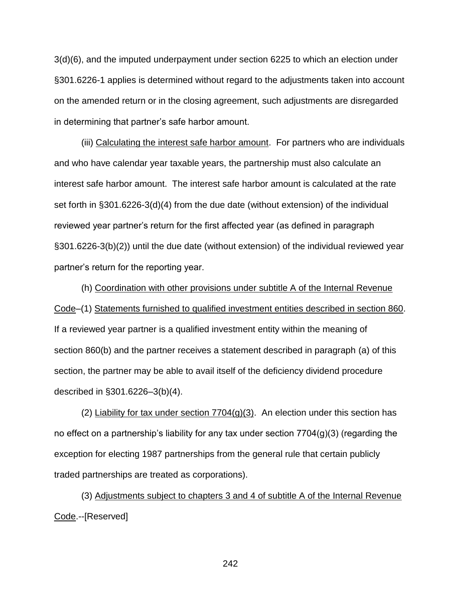3(d)(6), and the imputed underpayment under section 6225 to which an election under §301.6226-1 applies is determined without regard to the adjustments taken into account on the amended return or in the closing agreement, such adjustments are disregarded in determining that partner's safe harbor amount.

(iii) Calculating the interest safe harbor amount. For partners who are individuals and who have calendar year taxable years, the partnership must also calculate an interest safe harbor amount. The interest safe harbor amount is calculated at the rate set forth in §301.6226-3(d)(4) from the due date (without extension) of the individual reviewed year partner's return for the first affected year (as defined in paragraph §301.6226-3(b)(2)) until the due date (without extension) of the individual reviewed year partner's return for the reporting year.

(h) Coordination with other provisions under subtitle A of the Internal Revenue Code–(1) Statements furnished to qualified investment entities described in section 860. If a reviewed year partner is a qualified investment entity within the meaning of section 860(b) and the partner receives a statement described in paragraph (a) of this section, the partner may be able to avail itself of the deficiency dividend procedure described in §301.6226–3(b)(4).

(2) Liability for tax under section  $7704(g)(3)$ . An election under this section has no effect on a partnership's liability for any tax under section 7704(g)(3) (regarding the exception for electing 1987 partnerships from the general rule that certain publicly traded partnerships are treated as corporations).

(3) Adjustments subject to chapters 3 and 4 of subtitle A of the Internal Revenue Code.--[Reserved]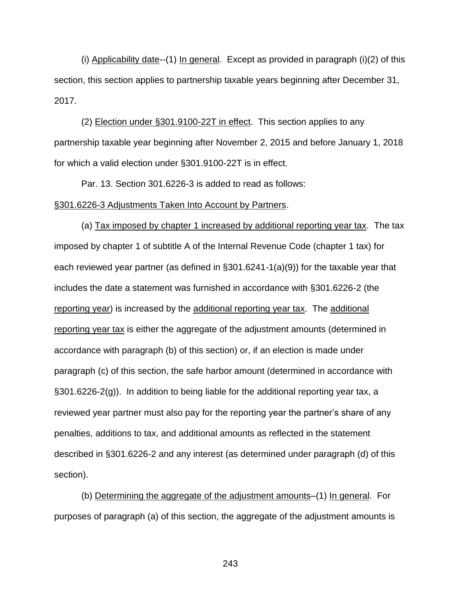(i) Applicability date--(1) In general. Except as provided in paragraph (i)(2) of this section, this section applies to partnership taxable years beginning after December 31, 2017.

(2) Election under §301.9100-22T in effect. This section applies to any partnership taxable year beginning after November 2, 2015 and before January 1, 2018 for which a valid election under §301.9100-22T is in effect.

Par. 13. Section 301.6226-3 is added to read as follows: §301.6226-3 Adjustments Taken Into Account by Partners.

(a) Tax imposed by chapter 1 increased by additional reporting year tax. The tax imposed by chapter 1 of subtitle A of the Internal Revenue Code (chapter 1 tax) for each reviewed year partner (as defined in §301.6241-1(a)(9)) for the taxable year that includes the date a statement was furnished in accordance with §301.6226-2 (the reporting year) is increased by the additional reporting year tax. The additional reporting year tax is either the aggregate of the adjustment amounts (determined in accordance with paragraph (b) of this section) or, if an election is made under paragraph (c) of this section, the safe harbor amount (determined in accordance with §301.6226-2(g)). In addition to being liable for the additional reporting year tax, a reviewed year partner must also pay for the reporting year the partner's share of any penalties, additions to tax, and additional amounts as reflected in the statement described in §301.6226-2 and any interest (as determined under paragraph (d) of this section).

(b) Determining the aggregate of the adjustment amounts–(1) In general. For purposes of paragraph (a) of this section, the aggregate of the adjustment amounts is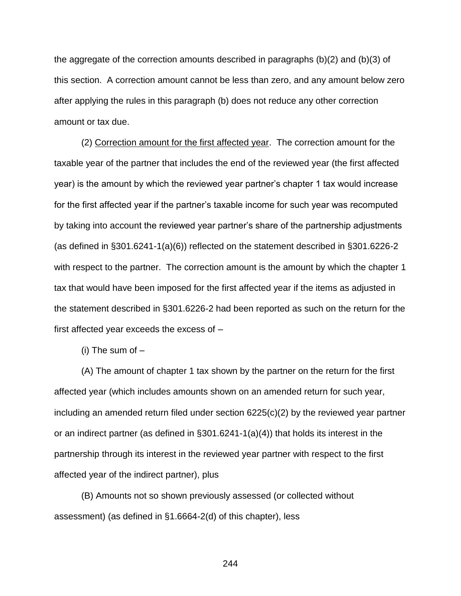the aggregate of the correction amounts described in paragraphs (b)(2) and (b)(3) of this section. A correction amount cannot be less than zero, and any amount below zero after applying the rules in this paragraph (b) does not reduce any other correction amount or tax due.

(2) Correction amount for the first affected year. The correction amount for the taxable year of the partner that includes the end of the reviewed year (the first affected year) is the amount by which the reviewed year partner's chapter 1 tax would increase for the first affected year if the partner's taxable income for such year was recomputed by taking into account the reviewed year partner's share of the partnership adjustments (as defined in §301.6241-1(a)(6)) reflected on the statement described in §301.6226-2 with respect to the partner. The correction amount is the amount by which the chapter 1 tax that would have been imposed for the first affected year if the items as adjusted in the statement described in §301.6226-2 had been reported as such on the return for the first affected year exceeds the excess of –

(i) The sum of  $-$ 

(A) The amount of chapter 1 tax shown by the partner on the return for the first affected year (which includes amounts shown on an amended return for such year, including an amended return filed under section 6225(c)(2) by the reviewed year partner or an indirect partner (as defined in §301.6241-1(a)(4)) that holds its interest in the partnership through its interest in the reviewed year partner with respect to the first affected year of the indirect partner), plus

(B) Amounts not so shown previously assessed (or collected without assessment) (as defined in §1.6664-2(d) of this chapter), less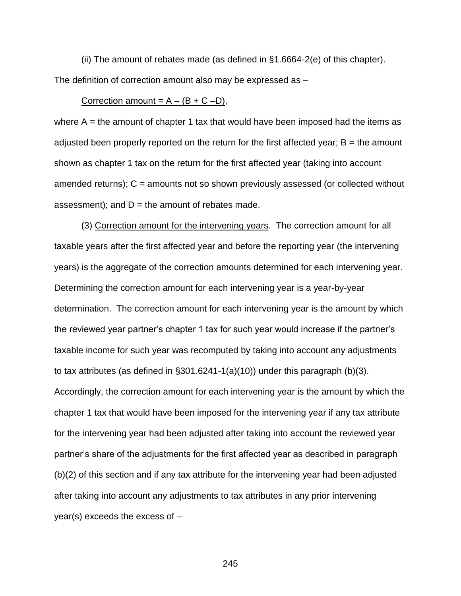(ii) The amount of rebates made (as defined in §1.6664-2(e) of this chapter). The definition of correction amount also may be expressed as –

## Correction amount =  $A - (B + C - D)$ ,

where  $A =$  the amount of chapter 1 tax that would have been imposed had the items as adjusted been properly reported on the return for the first affected year;  $B =$  the amount shown as chapter 1 tax on the return for the first affected year (taking into account amended returns);  $C =$  amounts not so shown previously assessed (or collected without assessment); and  $D =$  the amount of rebates made.

(3) Correction amount for the intervening years. The correction amount for all taxable years after the first affected year and before the reporting year (the intervening years) is the aggregate of the correction amounts determined for each intervening year. Determining the correction amount for each intervening year is a year-by-year determination. The correction amount for each intervening year is the amount by which the reviewed year partner's chapter 1 tax for such year would increase if the partner's taxable income for such year was recomputed by taking into account any adjustments to tax attributes (as defined in  $\S 301.6241 - 1(a)(10)$ ) under this paragraph (b)(3). Accordingly, the correction amount for each intervening year is the amount by which the chapter 1 tax that would have been imposed for the intervening year if any tax attribute for the intervening year had been adjusted after taking into account the reviewed year partner's share of the adjustments for the first affected year as described in paragraph (b)(2) of this section and if any tax attribute for the intervening year had been adjusted after taking into account any adjustments to tax attributes in any prior intervening year(s) exceeds the excess of –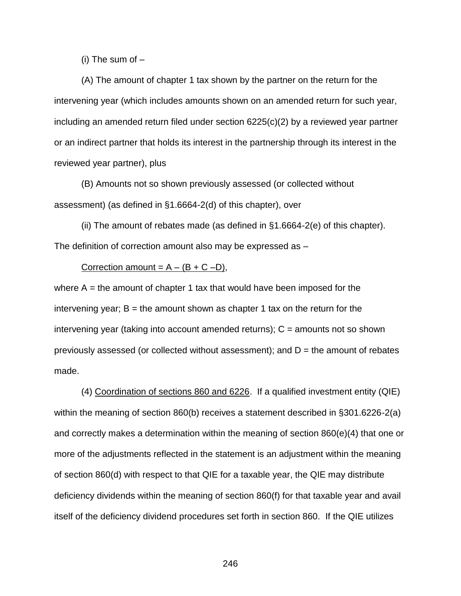(i) The sum of  $-$ 

(A) The amount of chapter 1 tax shown by the partner on the return for the intervening year (which includes amounts shown on an amended return for such year, including an amended return filed under section 6225(c)(2) by a reviewed year partner or an indirect partner that holds its interest in the partnership through its interest in the reviewed year partner), plus

(B) Amounts not so shown previously assessed (or collected without assessment) (as defined in §1.6664-2(d) of this chapter), over

(ii) The amount of rebates made (as defined in §1.6664-2(e) of this chapter). The definition of correction amount also may be expressed as –

## Correction amount =  $A - (B + C - D)$ ,

where  $A =$  the amount of chapter 1 tax that would have been imposed for the intervening year;  $B =$  the amount shown as chapter 1 tax on the return for the intervening year (taking into account amended returns);  $C =$  amounts not so shown previously assessed (or collected without assessment); and  $D =$  the amount of rebates made.

(4) Coordination of sections 860 and 6226. If a qualified investment entity (QIE) within the meaning of section 860(b) receives a statement described in §301.6226-2(a) and correctly makes a determination within the meaning of section 860(e)(4) that one or more of the adjustments reflected in the statement is an adjustment within the meaning of section 860(d) with respect to that QIE for a taxable year, the QIE may distribute deficiency dividends within the meaning of section 860(f) for that taxable year and avail itself of the deficiency dividend procedures set forth in section 860. If the QIE utilizes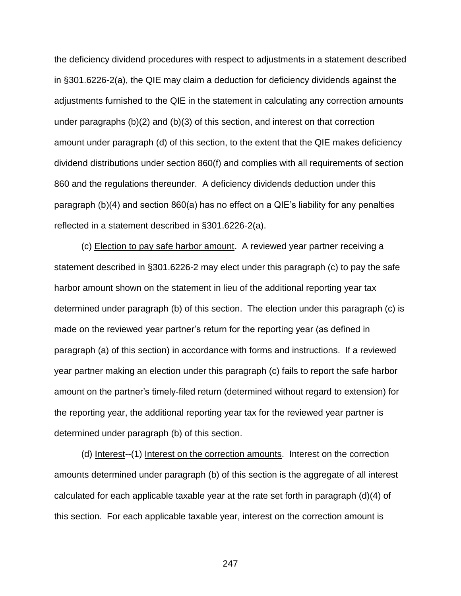the deficiency dividend procedures with respect to adjustments in a statement described in §301.6226-2(a), the QIE may claim a deduction for deficiency dividends against the adjustments furnished to the QIE in the statement in calculating any correction amounts under paragraphs (b)(2) and (b)(3) of this section, and interest on that correction amount under paragraph (d) of this section, to the extent that the QIE makes deficiency dividend distributions under section 860(f) and complies with all requirements of section 860 and the regulations thereunder. A deficiency dividends deduction under this paragraph (b)(4) and section 860(a) has no effect on a QIE's liability for any penalties reflected in a statement described in §301.6226-2(a).

(c) Election to pay safe harbor amount. A reviewed year partner receiving a statement described in §301.6226-2 may elect under this paragraph (c) to pay the safe harbor amount shown on the statement in lieu of the additional reporting year tax determined under paragraph (b) of this section. The election under this paragraph (c) is made on the reviewed year partner's return for the reporting year (as defined in paragraph (a) of this section) in accordance with forms and instructions. If a reviewed year partner making an election under this paragraph (c) fails to report the safe harbor amount on the partner's timely-filed return (determined without regard to extension) for the reporting year, the additional reporting year tax for the reviewed year partner is determined under paragraph (b) of this section.

(d) Interest--(1) Interest on the correction amounts. Interest on the correction amounts determined under paragraph (b) of this section is the aggregate of all interest calculated for each applicable taxable year at the rate set forth in paragraph (d)(4) of this section. For each applicable taxable year, interest on the correction amount is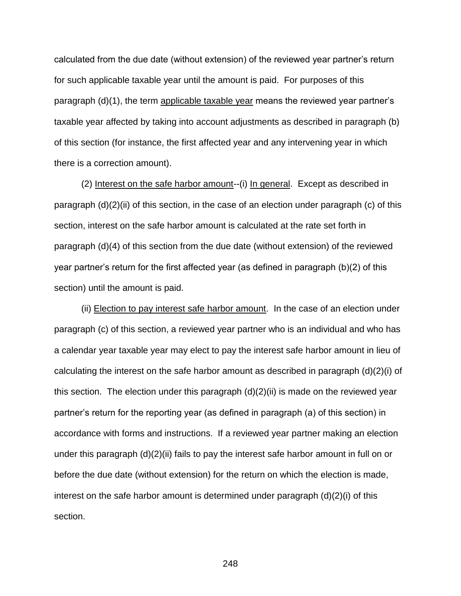calculated from the due date (without extension) of the reviewed year partner's return for such applicable taxable year until the amount is paid. For purposes of this paragraph (d)(1), the term applicable taxable year means the reviewed year partner's taxable year affected by taking into account adjustments as described in paragraph (b) of this section (for instance, the first affected year and any intervening year in which there is a correction amount).

(2) Interest on the safe harbor amount--(i) In general. Except as described in paragraph (d)(2)(ii) of this section, in the case of an election under paragraph (c) of this section, interest on the safe harbor amount is calculated at the rate set forth in paragraph (d)(4) of this section from the due date (without extension) of the reviewed year partner's return for the first affected year (as defined in paragraph (b)(2) of this section) until the amount is paid.

(ii) Election to pay interest safe harbor amount. In the case of an election under paragraph (c) of this section, a reviewed year partner who is an individual and who has a calendar year taxable year may elect to pay the interest safe harbor amount in lieu of calculating the interest on the safe harbor amount as described in paragraph (d)(2)(i) of this section. The election under this paragraph (d)(2)(ii) is made on the reviewed year partner's return for the reporting year (as defined in paragraph (a) of this section) in accordance with forms and instructions. If a reviewed year partner making an election under this paragraph (d)(2)(ii) fails to pay the interest safe harbor amount in full on or before the due date (without extension) for the return on which the election is made, interest on the safe harbor amount is determined under paragraph (d)(2)(i) of this section.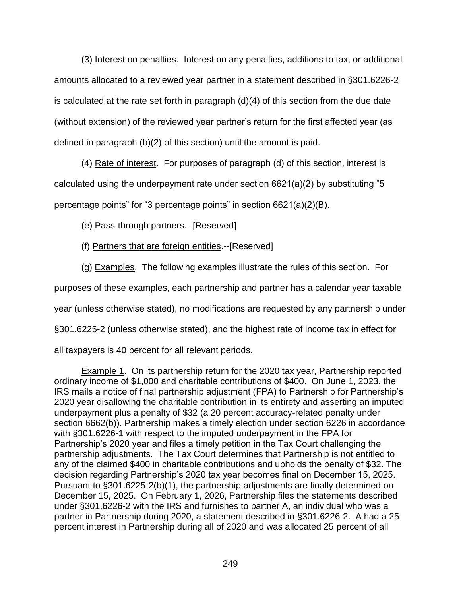(3) Interest on penalties. Interest on any penalties, additions to tax, or additional amounts allocated to a reviewed year partner in a statement described in §301.6226-2 is calculated at the rate set forth in paragraph (d)(4) of this section from the due date (without extension) of the reviewed year partner's return for the first affected year (as defined in paragraph (b)(2) of this section) until the amount is paid.

(4) Rate of interest. For purposes of paragraph (d) of this section, interest is calculated using the underpayment rate under section 6621(a)(2) by substituting "5 percentage points" for "3 percentage points" in section 6621(a)(2)(B).

(e) Pass-through partners.--[Reserved]

(f) Partners that are foreign entities.--[Reserved]

(g) Examples. The following examples illustrate the rules of this section. For

purposes of these examples, each partnership and partner has a calendar year taxable

year (unless otherwise stated), no modifications are requested by any partnership under

§301.6225-2 (unless otherwise stated), and the highest rate of income tax in effect for

all taxpayers is 40 percent for all relevant periods.

Example 1. On its partnership return for the 2020 tax year, Partnership reported ordinary income of \$1,000 and charitable contributions of \$400. On June 1, 2023, the IRS mails a notice of final partnership adjustment (FPA) to Partnership for Partnership's 2020 year disallowing the charitable contribution in its entirety and asserting an imputed underpayment plus a penalty of \$32 (a 20 percent accuracy-related penalty under section 6662(b)). Partnership makes a timely election under section 6226 in accordance with §301.6226-1 with respect to the imputed underpayment in the FPA for Partnership's 2020 year and files a timely petition in the Tax Court challenging the partnership adjustments. The Tax Court determines that Partnership is not entitled to any of the claimed \$400 in charitable contributions and upholds the penalty of \$32. The decision regarding Partnership's 2020 tax year becomes final on December 15, 2025. Pursuant to §301.6225-2(b)(1), the partnership adjustments are finally determined on December 15, 2025. On February 1, 2026, Partnership files the statements described under §301.6226-2 with the IRS and furnishes to partner A, an individual who was a partner in Partnership during 2020, a statement described in §301.6226-2. A had a 25 percent interest in Partnership during all of 2020 and was allocated 25 percent of all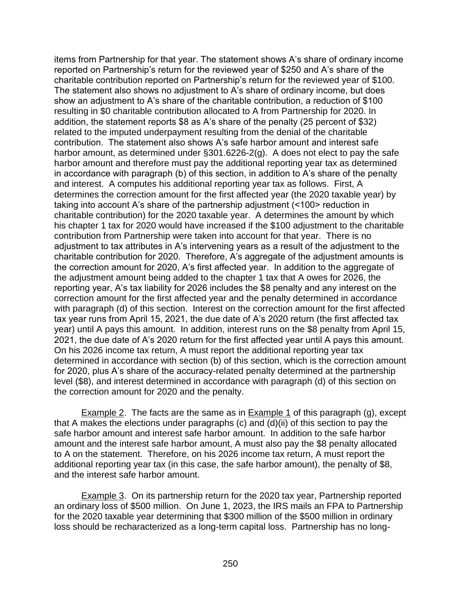items from Partnership for that year. The statement shows A's share of ordinary income reported on Partnership's return for the reviewed year of \$250 and A's share of the charitable contribution reported on Partnership's return for the reviewed year of \$100. The statement also shows no adjustment to A's share of ordinary income, but does show an adjustment to A's share of the charitable contribution, a reduction of \$100 resulting in \$0 charitable contribution allocated to A from Partnership for 2020. In addition, the statement reports \$8 as A's share of the penalty (25 percent of \$32) related to the imputed underpayment resulting from the denial of the charitable contribution. The statement also shows A's safe harbor amount and interest safe harbor amount, as determined under §301.6226-2(g). A does not elect to pay the safe harbor amount and therefore must pay the additional reporting year tax as determined in accordance with paragraph (b) of this section, in addition to A's share of the penalty and interest. A computes his additional reporting year tax as follows. First, A determines the correction amount for the first affected year (the 2020 taxable year) by taking into account A's share of the partnership adjustment (<100> reduction in charitable contribution) for the 2020 taxable year. A determines the amount by which his chapter 1 tax for 2020 would have increased if the \$100 adjustment to the charitable contribution from Partnership were taken into account for that year. There is no adjustment to tax attributes in A's intervening years as a result of the adjustment to the charitable contribution for 2020. Therefore, A's aggregate of the adjustment amounts is the correction amount for 2020, A's first affected year. In addition to the aggregate of the adjustment amount being added to the chapter 1 tax that A owes for 2026, the reporting year, A's tax liability for 2026 includes the \$8 penalty and any interest on the correction amount for the first affected year and the penalty determined in accordance with paragraph (d) of this section. Interest on the correction amount for the first affected tax year runs from April 15, 2021, the due date of A's 2020 return (the first affected tax year) until A pays this amount. In addition, interest runs on the \$8 penalty from April 15, 2021, the due date of A's 2020 return for the first affected year until A pays this amount. On his 2026 income tax return, A must report the additional reporting year tax determined in accordance with section (b) of this section, which is the correction amount for 2020, plus A's share of the accuracy-related penalty determined at the partnership level (\$8), and interest determined in accordance with paragraph (d) of this section on the correction amount for 2020 and the penalty.

Example 2. The facts are the same as in Example 1 of this paragraph (g), except that A makes the elections under paragraphs  $(c)$  and  $(d)(ii)$  of this section to pay the safe harbor amount and interest safe harbor amount. In addition to the safe harbor amount and the interest safe harbor amount, A must also pay the \$8 penalty allocated to A on the statement. Therefore, on his 2026 income tax return, A must report the additional reporting year tax (in this case, the safe harbor amount), the penalty of \$8, and the interest safe harbor amount.

Example 3. On its partnership return for the 2020 tax year, Partnership reported an ordinary loss of \$500 million. On June 1, 2023, the IRS mails an FPA to Partnership for the 2020 taxable year determining that \$300 million of the \$500 million in ordinary loss should be recharacterized as a long-term capital loss. Partnership has no long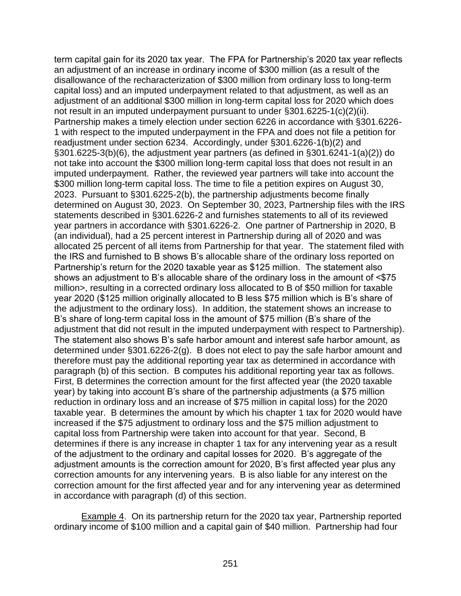term capital gain for its 2020 tax year. The FPA for Partnership's 2020 tax year reflects an adjustment of an increase in ordinary income of \$300 million (as a result of the disallowance of the recharacterization of \$300 million from ordinary loss to long-term capital loss) and an imputed underpayment related to that adjustment, as well as an adjustment of an additional \$300 million in long-term capital loss for 2020 which does not result in an imputed underpayment pursuant to under §301.6225-1(c)(2)(ii). Partnership makes a timely election under section 6226 in accordance with §301.6226- 1 with respect to the imputed underpayment in the FPA and does not file a petition for readjustment under section 6234. Accordingly, under §301.6226-1(b)(2) and §301.6225-3(b)(6), the adjustment year partners (as defined in §301.6241-1(a)(2)) do not take into account the \$300 million long-term capital loss that does not result in an imputed underpayment. Rather, the reviewed year partners will take into account the \$300 million long-term capital loss. The time to file a petition expires on August 30, 2023. Pursuant to §301.6225-2(b), the partnership adjustments become finally determined on August 30, 2023. On September 30, 2023, Partnership files with the IRS statements described in §301.6226-2 and furnishes statements to all of its reviewed year partners in accordance with §301.6226-2. One partner of Partnership in 2020, B (an individual), had a 25 percent interest in Partnership during all of 2020 and was allocated 25 percent of all items from Partnership for that year. The statement filed with the IRS and furnished to B shows B's allocable share of the ordinary loss reported on Partnership's return for the 2020 taxable year as \$125 million. The statement also shows an adjustment to B's allocable share of the ordinary loss in the amount of <\$75 million>, resulting in a corrected ordinary loss allocated to B of \$50 million for taxable year 2020 (\$125 million originally allocated to B less \$75 million which is B's share of the adjustment to the ordinary loss). In addition, the statement shows an increase to B's share of long-term capital loss in the amount of \$75 million (B's share of the adjustment that did not result in the imputed underpayment with respect to Partnership). The statement also shows B's safe harbor amount and interest safe harbor amount, as determined under §301.6226-2(g). B does not elect to pay the safe harbor amount and therefore must pay the additional reporting year tax as determined in accordance with paragraph (b) of this section. B computes his additional reporting year tax as follows. First, B determines the correction amount for the first affected year (the 2020 taxable year) by taking into account B's share of the partnership adjustments (a \$75 million reduction in ordinary loss and an increase of \$75 million in capital loss) for the 2020 taxable year. B determines the amount by which his chapter 1 tax for 2020 would have increased if the \$75 adjustment to ordinary loss and the \$75 million adjustment to capital loss from Partnership were taken into account for that year. Second, B determines if there is any increase in chapter 1 tax for any intervening year as a result of the adjustment to the ordinary and capital losses for 2020. B's aggregate of the adjustment amounts is the correction amount for 2020, B's first affected year plus any correction amounts for any intervening years. B is also liable for any interest on the correction amount for the first affected year and for any intervening year as determined in accordance with paragraph (d) of this section.

Example 4. On its partnership return for the 2020 tax year, Partnership reported ordinary income of \$100 million and a capital gain of \$40 million. Partnership had four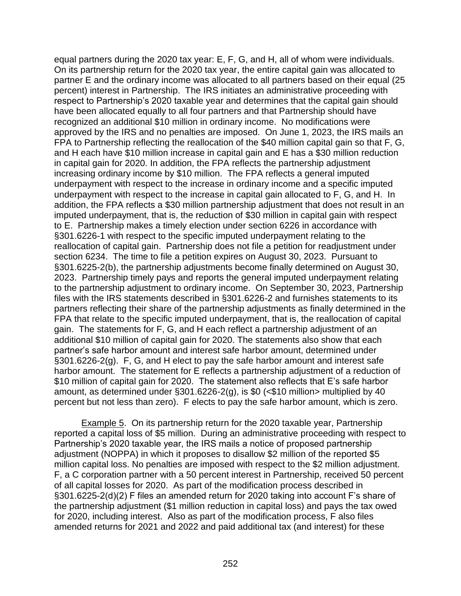equal partners during the 2020 tax year: E, F, G, and H, all of whom were individuals. On its partnership return for the 2020 tax year, the entire capital gain was allocated to partner E and the ordinary income was allocated to all partners based on their equal (25 percent) interest in Partnership. The IRS initiates an administrative proceeding with respect to Partnership's 2020 taxable year and determines that the capital gain should have been allocated equally to all four partners and that Partnership should have recognized an additional \$10 million in ordinary income. No modifications were approved by the IRS and no penalties are imposed. On June 1, 2023, the IRS mails an FPA to Partnership reflecting the reallocation of the \$40 million capital gain so that F, G, and H each have \$10 million increase in capital gain and E has a \$30 million reduction in capital gain for 2020. In addition, the FPA reflects the partnership adjustment increasing ordinary income by \$10 million. The FPA reflects a general imputed underpayment with respect to the increase in ordinary income and a specific imputed underpayment with respect to the increase in capital gain allocated to F, G, and H. In addition, the FPA reflects a \$30 million partnership adjustment that does not result in an imputed underpayment, that is, the reduction of \$30 million in capital gain with respect to E. Partnership makes a timely election under section 6226 in accordance with §301.6226-1 with respect to the specific imputed underpayment relating to the reallocation of capital gain. Partnership does not file a petition for readjustment under section 6234. The time to file a petition expires on August 30, 2023. Pursuant to §301.6225-2(b), the partnership adjustments become finally determined on August 30, 2023. Partnership timely pays and reports the general imputed underpayment relating to the partnership adjustment to ordinary income. On September 30, 2023, Partnership files with the IRS statements described in §301.6226-2 and furnishes statements to its partners reflecting their share of the partnership adjustments as finally determined in the FPA that relate to the specific imputed underpayment, that is, the reallocation of capital gain. The statements for F, G, and H each reflect a partnership adjustment of an additional \$10 million of capital gain for 2020. The statements also show that each partner's safe harbor amount and interest safe harbor amount, determined under §301.6226-2(g). F, G, and H elect to pay the safe harbor amount and interest safe harbor amount. The statement for E reflects a partnership adjustment of a reduction of \$10 million of capital gain for 2020. The statement also reflects that E's safe harbor amount, as determined under  $\S 301.6226-2(g)$ , is \$0 (<\$10 million> multiplied by 40 percent but not less than zero). F elects to pay the safe harbor amount, which is zero.

Example 5. On its partnership return for the 2020 taxable year, Partnership reported a capital loss of \$5 million. During an administrative proceeding with respect to Partnership's 2020 taxable year, the IRS mails a notice of proposed partnership adjustment (NOPPA) in which it proposes to disallow \$2 million of the reported \$5 million capital loss. No penalties are imposed with respect to the \$2 million adjustment. F, a C corporation partner with a 50 percent interest in Partnership, received 50 percent of all capital losses for 2020. As part of the modification process described in §301.6225-2(d)(2) F files an amended return for 2020 taking into account F's share of the partnership adjustment (\$1 million reduction in capital loss) and pays the tax owed for 2020, including interest. Also as part of the modification process, F also files amended returns for 2021 and 2022 and paid additional tax (and interest) for these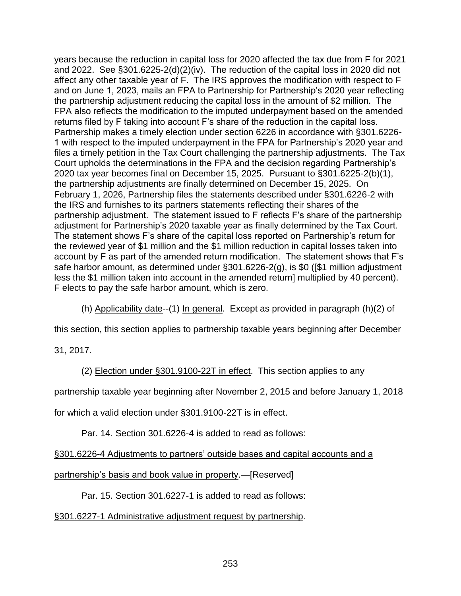years because the reduction in capital loss for 2020 affected the tax due from F for 2021 and 2022. See §301.6225-2(d)(2)(iv). The reduction of the capital loss in 2020 did not affect any other taxable year of F. The IRS approves the modification with respect to F and on June 1, 2023, mails an FPA to Partnership for Partnership's 2020 year reflecting the partnership adjustment reducing the capital loss in the amount of \$2 million. The FPA also reflects the modification to the imputed underpayment based on the amended returns filed by F taking into account F's share of the reduction in the capital loss. Partnership makes a timely election under section 6226 in accordance with §301.6226- 1 with respect to the imputed underpayment in the FPA for Partnership's 2020 year and files a timely petition in the Tax Court challenging the partnership adjustments. The Tax Court upholds the determinations in the FPA and the decision regarding Partnership's 2020 tax year becomes final on December 15, 2025. Pursuant to §301.6225-2(b)(1), the partnership adjustments are finally determined on December 15, 2025. On February 1, 2026, Partnership files the statements described under §301.6226-2 with the IRS and furnishes to its partners statements reflecting their shares of the partnership adjustment. The statement issued to F reflects F's share of the partnership adjustment for Partnership's 2020 taxable year as finally determined by the Tax Court. The statement shows F's share of the capital loss reported on Partnership's return for the reviewed year of \$1 million and the \$1 million reduction in capital losses taken into account by F as part of the amended return modification. The statement shows that F's safe harbor amount, as determined under §301.6226-2(g), is \$0 ([\$1 million adjustment less the \$1 million taken into account in the amended return] multiplied by 40 percent). F elects to pay the safe harbor amount, which is zero.

(h) Applicability date--(1) In general. Except as provided in paragraph (h)(2) of

this section, this section applies to partnership taxable years beginning after December

31, 2017.

(2) Election under §301.9100-22T in effect. This section applies to any

partnership taxable year beginning after November 2, 2015 and before January 1, 2018

for which a valid election under §301.9100-22T is in effect.

Par. 14. Section 301.6226-4 is added to read as follows:

§301.6226-4 Adjustments to partners' outside bases and capital accounts and a

partnership's basis and book value in property.—[Reserved]

Par. 15. Section 301.6227-1 is added to read as follows:

## §301.6227-1 Administrative adjustment request by partnership.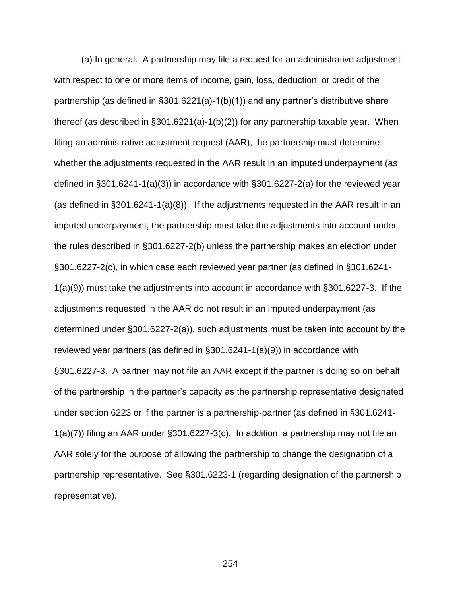(a) In general. A partnership may file a request for an administrative adjustment with respect to one or more items of income, gain, loss, deduction, or credit of the partnership (as defined in §301.6221(a)-1(b)(1)) and any partner's distributive share thereof (as described in §301.6221(a)-1(b)(2)) for any partnership taxable year. When filing an administrative adjustment request (AAR), the partnership must determine whether the adjustments requested in the AAR result in an imputed underpayment (as defined in §301.6241-1(a)(3)) in accordance with §301.6227-2(a) for the reviewed year (as defined in §301.6241-1(a)(8)). If the adjustments requested in the AAR result in an imputed underpayment, the partnership must take the adjustments into account under the rules described in §301.6227-2(b) unless the partnership makes an election under §301.6227-2(c), in which case each reviewed year partner (as defined in §301.6241- 1(a)(9)) must take the adjustments into account in accordance with §301.6227-3. If the adjustments requested in the AAR do not result in an imputed underpayment (as determined under §301.6227-2(a)), such adjustments must be taken into account by the reviewed year partners (as defined in §301.6241-1(a)(9)) in accordance with §301.6227-3. A partner may not file an AAR except if the partner is doing so on behalf of the partnership in the partner's capacity as the partnership representative designated under section 6223 or if the partner is a partnership-partner (as defined in §301.6241- 1(a)(7)) filing an AAR under §301.6227-3(c). In addition, a partnership may not file an AAR solely for the purpose of allowing the partnership to change the designation of a partnership representative. See §301.6223-1 (regarding designation of the partnership representative).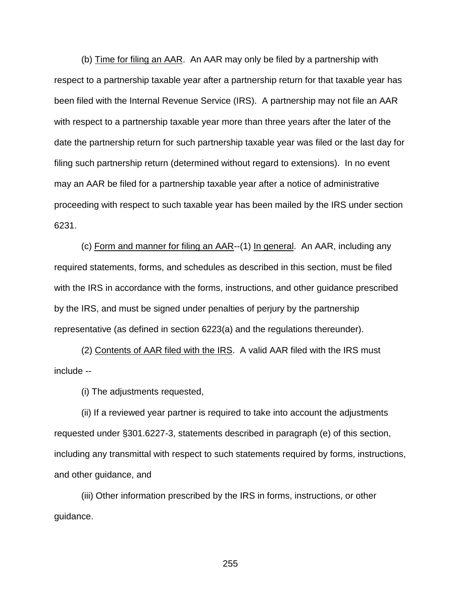(b) Time for filing an AAR. An AAR may only be filed by a partnership with respect to a partnership taxable year after a partnership return for that taxable year has been filed with the Internal Revenue Service (IRS). A partnership may not file an AAR with respect to a partnership taxable year more than three years after the later of the date the partnership return for such partnership taxable year was filed or the last day for filing such partnership return (determined without regard to extensions). In no event may an AAR be filed for a partnership taxable year after a notice of administrative proceeding with respect to such taxable year has been mailed by the IRS under section 6231.

(c) Form and manner for filing an AAR--(1) In general. An AAR, including any required statements, forms, and schedules as described in this section, must be filed with the IRS in accordance with the forms, instructions, and other guidance prescribed by the IRS, and must be signed under penalties of perjury by the partnership representative (as defined in section 6223(a) and the regulations thereunder).

(2) Contents of AAR filed with the IRS. A valid AAR filed with the IRS must include --

(i) The adjustments requested,

(ii) If a reviewed year partner is required to take into account the adjustments requested under §301.6227-3, statements described in paragraph (e) of this section, including any transmittal with respect to such statements required by forms, instructions, and other guidance, and

(iii) Other information prescribed by the IRS in forms, instructions, or other guidance.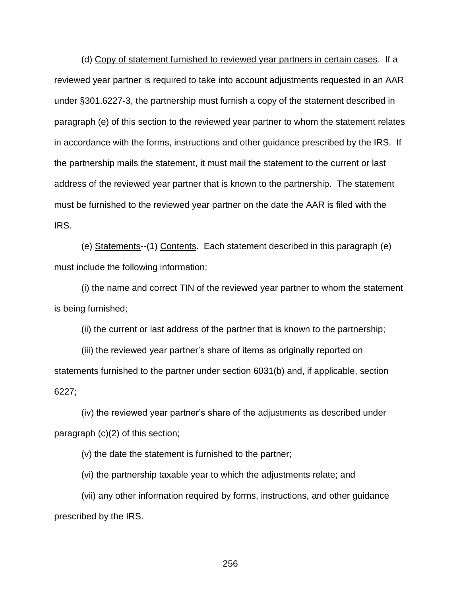(d) Copy of statement furnished to reviewed year partners in certain cases. If a reviewed year partner is required to take into account adjustments requested in an AAR under §301.6227-3, the partnership must furnish a copy of the statement described in paragraph (e) of this section to the reviewed year partner to whom the statement relates in accordance with the forms, instructions and other guidance prescribed by the IRS. If the partnership mails the statement, it must mail the statement to the current or last address of the reviewed year partner that is known to the partnership. The statement must be furnished to the reviewed year partner on the date the AAR is filed with the IRS.

(e) Statements--(1) Contents. Each statement described in this paragraph (e) must include the following information:

(i) the name and correct TIN of the reviewed year partner to whom the statement is being furnished;

(ii) the current or last address of the partner that is known to the partnership;

(iii) the reviewed year partner's share of items as originally reported on statements furnished to the partner under section 6031(b) and, if applicable, section 6227;

(iv) the reviewed year partner's share of the adjustments as described under paragraph (c)(2) of this section;

(v) the date the statement is furnished to the partner;

(vi) the partnership taxable year to which the adjustments relate; and

(vii) any other information required by forms, instructions, and other guidance prescribed by the IRS.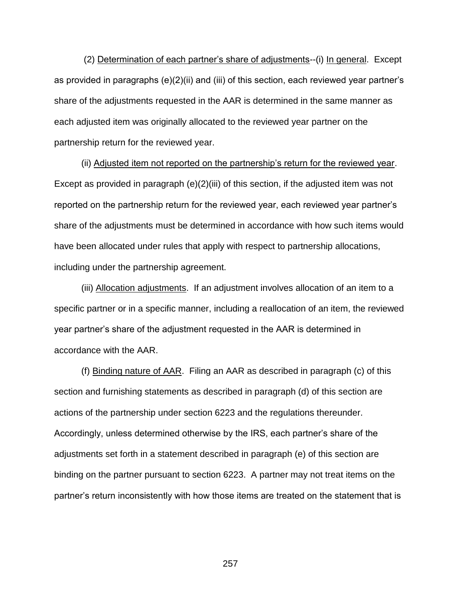(2) Determination of each partner's share of adjustments--(i) In general. Except as provided in paragraphs (e)(2)(ii) and (iii) of this section, each reviewed year partner's share of the adjustments requested in the AAR is determined in the same manner as each adjusted item was originally allocated to the reviewed year partner on the partnership return for the reviewed year.

(ii) Adjusted item not reported on the partnership's return for the reviewed year. Except as provided in paragraph (e)(2)(iii) of this section, if the adjusted item was not reported on the partnership return for the reviewed year, each reviewed year partner's share of the adjustments must be determined in accordance with how such items would have been allocated under rules that apply with respect to partnership allocations, including under the partnership agreement.

(iii) Allocation adjustments. If an adjustment involves allocation of an item to a specific partner or in a specific manner, including a reallocation of an item, the reviewed year partner's share of the adjustment requested in the AAR is determined in accordance with the AAR.

(f) Binding nature of AAR. Filing an AAR as described in paragraph (c) of this section and furnishing statements as described in paragraph (d) of this section are actions of the partnership under section 6223 and the regulations thereunder. Accordingly, unless determined otherwise by the IRS, each partner's share of the adjustments set forth in a statement described in paragraph (e) of this section are binding on the partner pursuant to section 6223. A partner may not treat items on the partner's return inconsistently with how those items are treated on the statement that is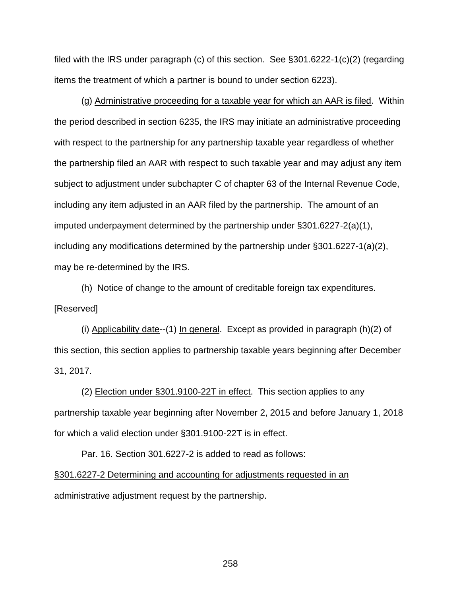filed with the IRS under paragraph (c) of this section. See §301.6222-1(c)(2) (regarding items the treatment of which a partner is bound to under section 6223).

(g) Administrative proceeding for a taxable year for which an AAR is filed. Within the period described in section 6235, the IRS may initiate an administrative proceeding with respect to the partnership for any partnership taxable year regardless of whether the partnership filed an AAR with respect to such taxable year and may adjust any item subject to adjustment under subchapter C of chapter 63 of the Internal Revenue Code, including any item adjusted in an AAR filed by the partnership. The amount of an imputed underpayment determined by the partnership under §301.6227-2(a)(1), including any modifications determined by the partnership under §301.6227-1(a)(2), may be re-determined by the IRS.

(h) Notice of change to the amount of creditable foreign tax expenditures. [Reserved]

(i) Applicability date--(1) In general. Except as provided in paragraph (h)(2) of this section, this section applies to partnership taxable years beginning after December 31, 2017.

(2) Election under §301.9100-22T in effect. This section applies to any partnership taxable year beginning after November 2, 2015 and before January 1, 2018 for which a valid election under §301.9100-22T is in effect.

Par. 16. Section 301.6227-2 is added to read as follows:

§301.6227-2 Determining and accounting for adjustments requested in an administrative adjustment request by the partnership.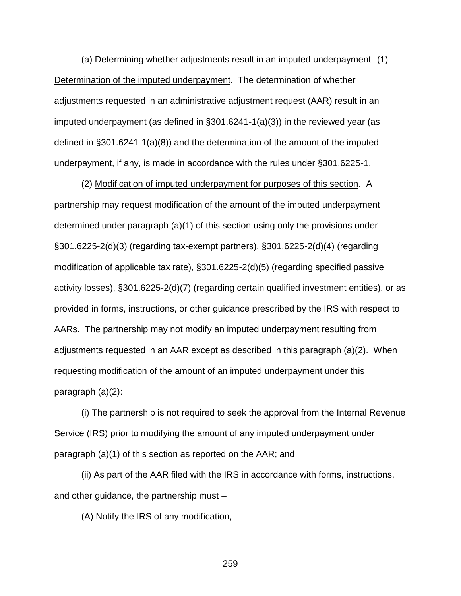(a) Determining whether adjustments result in an imputed underpayment--(1) Determination of the imputed underpayment. The determination of whether adjustments requested in an administrative adjustment request (AAR) result in an imputed underpayment (as defined in  $\S 301.6241 - 1(a)(3)$ ) in the reviewed year (as defined in §301.6241-1(a)(8)) and the determination of the amount of the imputed underpayment, if any, is made in accordance with the rules under §301.6225-1.

(2) Modification of imputed underpayment for purposes of this section. A partnership may request modification of the amount of the imputed underpayment determined under paragraph (a)(1) of this section using only the provisions under §301.6225-2(d)(3) (regarding tax-exempt partners), §301.6225-2(d)(4) (regarding modification of applicable tax rate), §301.6225-2(d)(5) (regarding specified passive activity losses), §301.6225-2(d)(7) (regarding certain qualified investment entities), or as provided in forms, instructions, or other guidance prescribed by the IRS with respect to AARs. The partnership may not modify an imputed underpayment resulting from adjustments requested in an AAR except as described in this paragraph (a)(2). When requesting modification of the amount of an imputed underpayment under this paragraph (a)(2):

(i) The partnership is not required to seek the approval from the Internal Revenue Service (IRS) prior to modifying the amount of any imputed underpayment under paragraph (a)(1) of this section as reported on the AAR; and

(ii) As part of the AAR filed with the IRS in accordance with forms, instructions, and other guidance, the partnership must –

(A) Notify the IRS of any modification,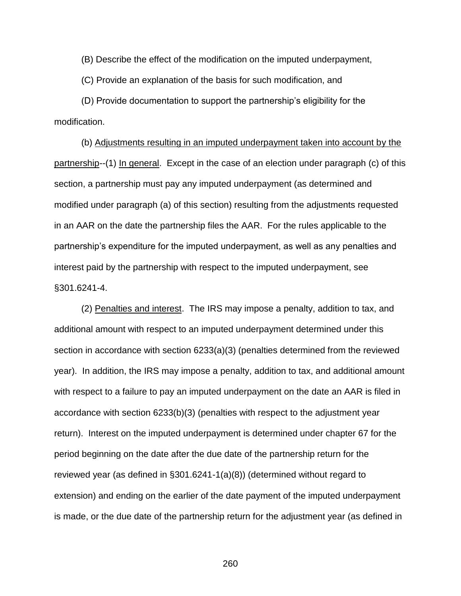(B) Describe the effect of the modification on the imputed underpayment,

(C) Provide an explanation of the basis for such modification, and

(D) Provide documentation to support the partnership's eligibility for the modification.

 (b) Adjustments resulting in an imputed underpayment taken into account by the partnership--(1) In general. Except in the case of an election under paragraph (c) of this section, a partnership must pay any imputed underpayment (as determined and modified under paragraph (a) of this section) resulting from the adjustments requested in an AAR on the date the partnership files the AAR. For the rules applicable to the partnership's expenditure for the imputed underpayment, as well as any penalties and interest paid by the partnership with respect to the imputed underpayment, see §301.6241-4.

(2) Penalties and interest. The IRS may impose a penalty, addition to tax, and additional amount with respect to an imputed underpayment determined under this section in accordance with section 6233(a)(3) (penalties determined from the reviewed year). In addition, the IRS may impose a penalty, addition to tax, and additional amount with respect to a failure to pay an imputed underpayment on the date an AAR is filed in accordance with section 6233(b)(3) (penalties with respect to the adjustment year return). Interest on the imputed underpayment is determined under chapter 67 for the period beginning on the date after the due date of the partnership return for the reviewed year (as defined in §301.6241-1(a)(8)) (determined without regard to extension) and ending on the earlier of the date payment of the imputed underpayment is made, or the due date of the partnership return for the adjustment year (as defined in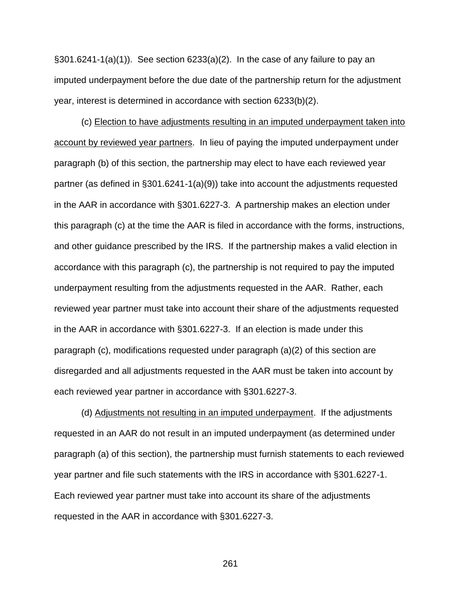$\S$ 301.6241-1(a)(1)). See section 6233(a)(2). In the case of any failure to pay an imputed underpayment before the due date of the partnership return for the adjustment year, interest is determined in accordance with section 6233(b)(2).

(c) Election to have adjustments resulting in an imputed underpayment taken into account by reviewed year partners. In lieu of paying the imputed underpayment under paragraph (b) of this section, the partnership may elect to have each reviewed year partner (as defined in §301.6241-1(a)(9)) take into account the adjustments requested in the AAR in accordance with §301.6227-3. A partnership makes an election under this paragraph (c) at the time the AAR is filed in accordance with the forms, instructions, and other guidance prescribed by the IRS. If the partnership makes a valid election in accordance with this paragraph (c), the partnership is not required to pay the imputed underpayment resulting from the adjustments requested in the AAR. Rather, each reviewed year partner must take into account their share of the adjustments requested in the AAR in accordance with §301.6227-3. If an election is made under this paragraph (c), modifications requested under paragraph (a)(2) of this section are disregarded and all adjustments requested in the AAR must be taken into account by each reviewed year partner in accordance with §301.6227-3.

(d) Adjustments not resulting in an imputed underpayment. If the adjustments requested in an AAR do not result in an imputed underpayment (as determined under paragraph (a) of this section), the partnership must furnish statements to each reviewed year partner and file such statements with the IRS in accordance with §301.6227-1. Each reviewed year partner must take into account its share of the adjustments requested in the AAR in accordance with §301.6227-3.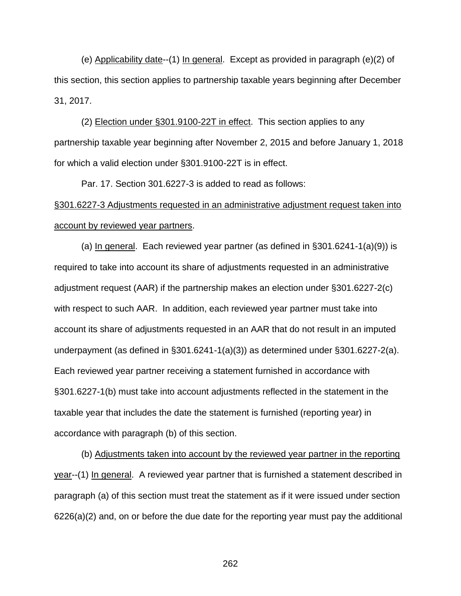(e) Applicability date--(1) In general. Except as provided in paragraph (e)(2) of this section, this section applies to partnership taxable years beginning after December 31, 2017.

(2) Election under §301.9100-22T in effect. This section applies to any partnership taxable year beginning after November 2, 2015 and before January 1, 2018 for which a valid election under §301.9100-22T is in effect.

Par. 17. Section 301.6227-3 is added to read as follows: §301.6227-3 Adjustments requested in an administrative adjustment request taken into account by reviewed year partners.

(a) In general. Each reviewed year partner (as defined in  $\S 301.6241 - 1(a)(9)$  is required to take into account its share of adjustments requested in an administrative adjustment request (AAR) if the partnership makes an election under §301.6227-2(c) with respect to such AAR. In addition, each reviewed year partner must take into account its share of adjustments requested in an AAR that do not result in an imputed underpayment (as defined in §301.6241-1(a)(3)) as determined under §301.6227-2(a). Each reviewed year partner receiving a statement furnished in accordance with §301.6227-1(b) must take into account adjustments reflected in the statement in the taxable year that includes the date the statement is furnished (reporting year) in accordance with paragraph (b) of this section.

(b) Adjustments taken into account by the reviewed year partner in the reporting year--(1) In general. A reviewed year partner that is furnished a statement described in paragraph (a) of this section must treat the statement as if it were issued under section 6226(a)(2) and, on or before the due date for the reporting year must pay the additional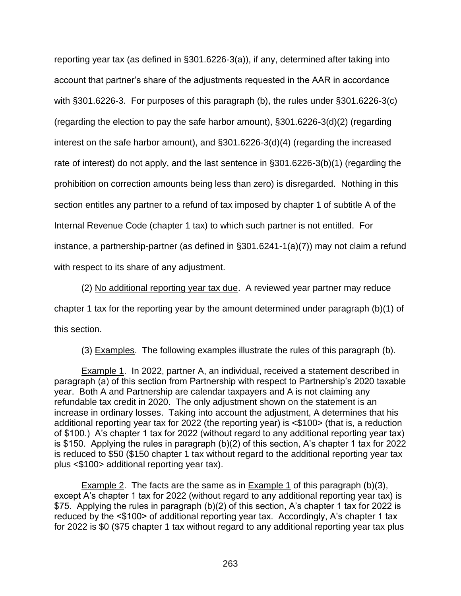reporting year tax (as defined in §301.6226-3(a)), if any, determined after taking into account that partner's share of the adjustments requested in the AAR in accordance with §301.6226-3. For purposes of this paragraph (b), the rules under §301.6226-3(c) (regarding the election to pay the safe harbor amount), §301.6226-3(d)(2) (regarding interest on the safe harbor amount), and §301.6226-3(d)(4) (regarding the increased rate of interest) do not apply, and the last sentence in §301.6226-3(b)(1) (regarding the prohibition on correction amounts being less than zero) is disregarded. Nothing in this section entitles any partner to a refund of tax imposed by chapter 1 of subtitle A of the Internal Revenue Code (chapter 1 tax) to which such partner is not entitled. For instance, a partnership-partner (as defined in §301.6241-1(a)(7)) may not claim a refund with respect to its share of any adjustment.

(2) No additional reporting year tax due. A reviewed year partner may reduce chapter 1 tax for the reporting year by the amount determined under paragraph (b)(1) of this section.

(3) Examples. The following examples illustrate the rules of this paragraph (b).

Example 1. In 2022, partner A, an individual, received a statement described in paragraph (a) of this section from Partnership with respect to Partnership's 2020 taxable year. Both A and Partnership are calendar taxpayers and A is not claiming any refundable tax credit in 2020. The only adjustment shown on the statement is an increase in ordinary losses. Taking into account the adjustment, A determines that his additional reporting year tax for 2022 (the reporting year) is <\$100> (that is, a reduction of \$100.) A's chapter 1 tax for 2022 (without regard to any additional reporting year tax) is \$150. Applying the rules in paragraph (b)(2) of this section, A's chapter 1 tax for 2022 is reduced to \$50 (\$150 chapter 1 tax without regard to the additional reporting year tax plus <\$100> additional reporting year tax).

Example 2. The facts are the same as in Example 1 of this paragraph (b)(3), except A's chapter 1 tax for 2022 (without regard to any additional reporting year tax) is \$75. Applying the rules in paragraph (b)(2) of this section, A's chapter 1 tax for 2022 is reduced by the <\$100> of additional reporting year tax. Accordingly, A's chapter 1 tax for 2022 is \$0 (\$75 chapter 1 tax without regard to any additional reporting year tax plus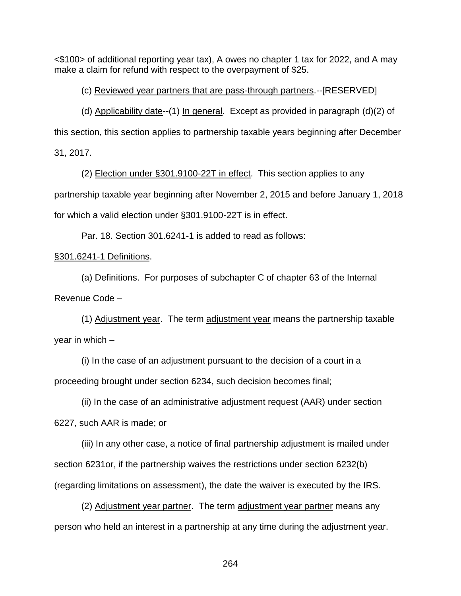<\$100> of additional reporting year tax), A owes no chapter 1 tax for 2022, and A may make a claim for refund with respect to the overpayment of \$25.

(c) Reviewed year partners that are pass-through partners.--[RESERVED]

(d) Applicability date--(1) In general. Except as provided in paragraph (d)(2) of this section, this section applies to partnership taxable years beginning after December 31, 2017.

(2) Election under §301.9100-22T in effect. This section applies to any partnership taxable year beginning after November 2, 2015 and before January 1, 2018 for which a valid election under §301.9100-22T is in effect.

Par. 18. Section 301.6241-1 is added to read as follows:

# §301.6241-1 Definitions.

(a) Definitions. For purposes of subchapter C of chapter 63 of the Internal Revenue Code –

(1) Adjustment year. The term adjustment year means the partnership taxable year in which –

(i) In the case of an adjustment pursuant to the decision of a court in a proceeding brought under section 6234, such decision becomes final;

(ii) In the case of an administrative adjustment request (AAR) under section 6227, such AAR is made; or

(iii) In any other case, a notice of final partnership adjustment is mailed under section 6231or, if the partnership waives the restrictions under section 6232(b) (regarding limitations on assessment), the date the waiver is executed by the IRS.

(2) Adjustment year partner. The term adjustment year partner means any person who held an interest in a partnership at any time during the adjustment year.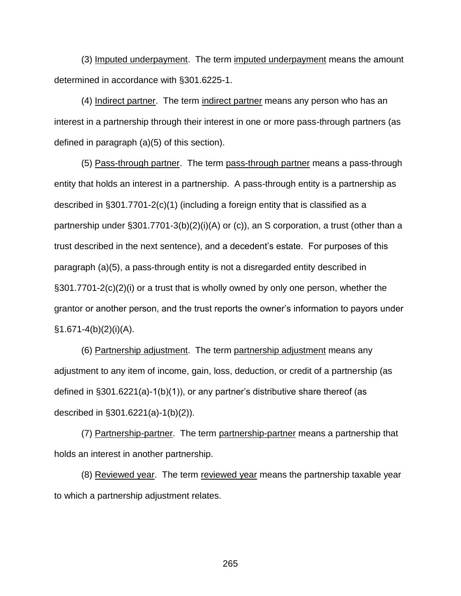(3) Imputed underpayment. The term imputed underpayment means the amount determined in accordance with §301.6225-1.

(4) Indirect partner. The term indirect partner means any person who has an interest in a partnership through their interest in one or more pass-through partners (as defined in paragraph (a)(5) of this section).

(5) Pass-through partner. The term pass-through partner means a pass-through entity that holds an interest in a partnership. A pass-through entity is a partnership as described in §301.7701-2(c)(1) (including a foreign entity that is classified as a partnership under §301.7701-3(b)(2)(i)(A) or (c)), an S corporation, a trust (other than a trust described in the next sentence), and a decedent's estate. For purposes of this paragraph (a)(5), a pass-through entity is not a disregarded entity described in §301.7701-2(c)(2)(i) or a trust that is wholly owned by only one person, whether the grantor or another person, and the trust reports the owner's information to payors under  $§1.671-4(b)(2)(i)(A).$ 

(6) Partnership adjustment. The term partnership adjustment means any adjustment to any item of income, gain, loss, deduction, or credit of a partnership (as defined in §301.6221(a)-1(b)(1)), or any partner's distributive share thereof (as described in §301.6221(a)-1(b)(2)).

(7) Partnership-partner. The term partnership-partner means a partnership that holds an interest in another partnership.

(8) Reviewed year. The term reviewed year means the partnership taxable year to which a partnership adjustment relates.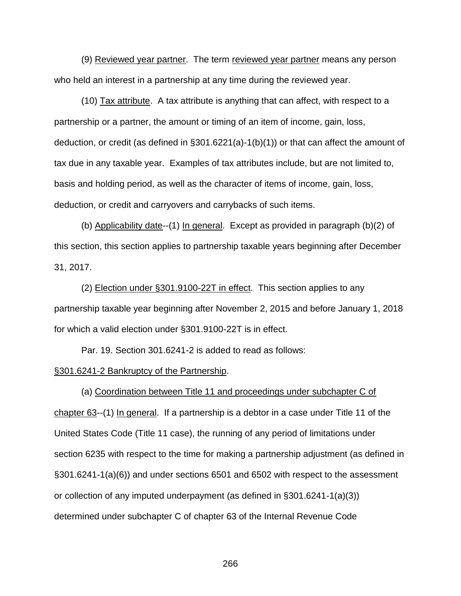(9) Reviewed year partner. The term reviewed year partner means any person who held an interest in a partnership at any time during the reviewed year.

(10) Tax attribute. A tax attribute is anything that can affect, with respect to a partnership or a partner, the amount or timing of an item of income, gain, loss, deduction, or credit (as defined in §301.6221(a)-1(b)(1)) or that can affect the amount of tax due in any taxable year. Examples of tax attributes include, but are not limited to, basis and holding period, as well as the character of items of income, gain, loss, deduction, or credit and carryovers and carrybacks of such items.

(b) Applicability date--(1) In general. Except as provided in paragraph (b)(2) of this section, this section applies to partnership taxable years beginning after December 31, 2017.

(2) Election under §301.9100-22T in effect. This section applies to any partnership taxable year beginning after November 2, 2015 and before January 1, 2018 for which a valid election under §301.9100-22T is in effect.

Par. 19. Section 301.6241-2 is added to read as follows:

#### §301.6241-2 Bankruptcy of the Partnership.

(a) Coordination between Title 11 and proceedings under subchapter C of chapter 63--(1) In general. If a partnership is a debtor in a case under Title 11 of the United States Code (Title 11 case), the running of any period of limitations under section 6235 with respect to the time for making a partnership adjustment (as defined in §301.6241-1(a)(6)) and under sections 6501 and 6502 with respect to the assessment or collection of any imputed underpayment (as defined in §301.6241-1(a)(3)) determined under subchapter C of chapter 63 of the Internal Revenue Code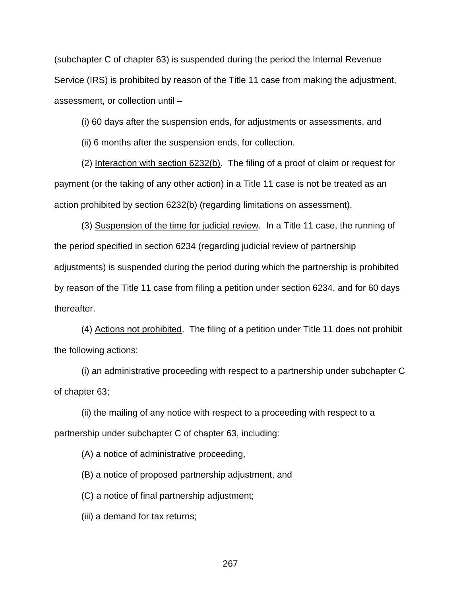(subchapter C of chapter 63) is suspended during the period the Internal Revenue Service (IRS) is prohibited by reason of the Title 11 case from making the adjustment, assessment, or collection until –

(i) 60 days after the suspension ends, for adjustments or assessments, and

(ii) 6 months after the suspension ends, for collection.

(2) Interaction with section 6232(b). The filing of a proof of claim or request for payment (or the taking of any other action) in a Title 11 case is not be treated as an action prohibited by section 6232(b) (regarding limitations on assessment).

(3) Suspension of the time for judicial review. In a Title 11 case, the running of the period specified in section 6234 (regarding judicial review of partnership adjustments) is suspended during the period during which the partnership is prohibited by reason of the Title 11 case from filing a petition under section 6234, and for 60 days thereafter.

(4) Actions not prohibited. The filing of a petition under Title 11 does not prohibit the following actions:

(i) an administrative proceeding with respect to a partnership under subchapter C of chapter 63;

(ii) the mailing of any notice with respect to a proceeding with respect to a partnership under subchapter C of chapter 63, including:

(A) a notice of administrative proceeding,

(B) a notice of proposed partnership adjustment, and

(C) a notice of final partnership adjustment;

(iii) a demand for tax returns;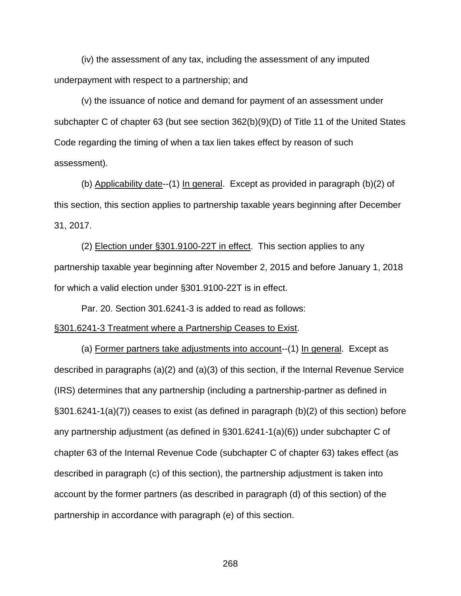(iv) the assessment of any tax, including the assessment of any imputed underpayment with respect to a partnership; and

(v) the issuance of notice and demand for payment of an assessment under subchapter C of chapter 63 (but see section 362(b)(9)(D) of Title 11 of the United States Code regarding the timing of when a tax lien takes effect by reason of such assessment).

(b) Applicability date--(1) In general. Except as provided in paragraph (b)(2) of this section, this section applies to partnership taxable years beginning after December 31, 2017.

(2) Election under §301.9100-22T in effect. This section applies to any partnership taxable year beginning after November 2, 2015 and before January 1, 2018 for which a valid election under §301.9100-22T is in effect.

Par. 20. Section 301.6241-3 is added to read as follows:

#### §301.6241-3 Treatment where a Partnership Ceases to Exist.

(a) Former partners take adjustments into account--(1) In general. Except as described in paragraphs (a)(2) and (a)(3) of this section, if the Internal Revenue Service (IRS) determines that any partnership (including a partnership-partner as defined in §301.6241-1(a)(7)) ceases to exist (as defined in paragraph (b)(2) of this section) before any partnership adjustment (as defined in §301.6241-1(a)(6)) under subchapter C of chapter 63 of the Internal Revenue Code (subchapter C of chapter 63) takes effect (as described in paragraph (c) of this section), the partnership adjustment is taken into account by the former partners (as described in paragraph (d) of this section) of the partnership in accordance with paragraph (e) of this section.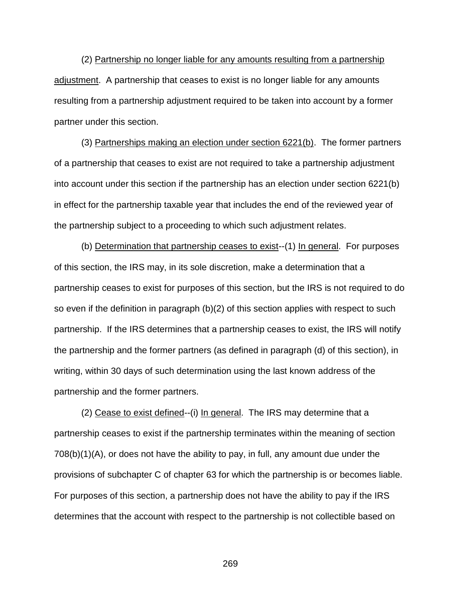(2) Partnership no longer liable for any amounts resulting from a partnership adjustment. A partnership that ceases to exist is no longer liable for any amounts resulting from a partnership adjustment required to be taken into account by a former partner under this section.

(3) Partnerships making an election under section 6221(b). The former partners of a partnership that ceases to exist are not required to take a partnership adjustment into account under this section if the partnership has an election under section 6221(b) in effect for the partnership taxable year that includes the end of the reviewed year of the partnership subject to a proceeding to which such adjustment relates.

(b) Determination that partnership ceases to exist--(1) In general. For purposes of this section, the IRS may, in its sole discretion, make a determination that a partnership ceases to exist for purposes of this section, but the IRS is not required to do so even if the definition in paragraph (b)(2) of this section applies with respect to such partnership. If the IRS determines that a partnership ceases to exist, the IRS will notify the partnership and the former partners (as defined in paragraph (d) of this section), in writing, within 30 days of such determination using the last known address of the partnership and the former partners.

(2) Cease to exist defined--(i) In general. The IRS may determine that a partnership ceases to exist if the partnership terminates within the meaning of section 708(b)(1)(A), or does not have the ability to pay, in full, any amount due under the provisions of subchapter C of chapter 63 for which the partnership is or becomes liable. For purposes of this section, a partnership does not have the ability to pay if the IRS determines that the account with respect to the partnership is not collectible based on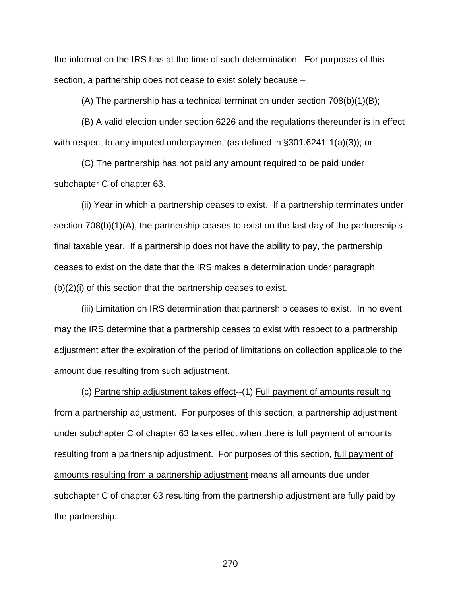the information the IRS has at the time of such determination. For purposes of this section, a partnership does not cease to exist solely because –

(A) The partnership has a technical termination under section  $708(b)(1)(B)$ ;

(B) A valid election under section 6226 and the regulations thereunder is in effect with respect to any imputed underpayment (as defined in §301.6241-1(a)(3)); or

(C) The partnership has not paid any amount required to be paid under subchapter C of chapter 63.

(ii) Year in which a partnership ceases to exist. If a partnership terminates under section 708(b)(1)(A), the partnership ceases to exist on the last day of the partnership's final taxable year. If a partnership does not have the ability to pay, the partnership ceases to exist on the date that the IRS makes a determination under paragraph (b)(2)(i) of this section that the partnership ceases to exist.

(iii) Limitation on IRS determination that partnership ceases to exist. In no event may the IRS determine that a partnership ceases to exist with respect to a partnership adjustment after the expiration of the period of limitations on collection applicable to the amount due resulting from such adjustment.

(c) Partnership adjustment takes effect--(1) Full payment of amounts resulting from a partnership adjustment. For purposes of this section, a partnership adjustment under subchapter C of chapter 63 takes effect when there is full payment of amounts resulting from a partnership adjustment. For purposes of this section, full payment of amounts resulting from a partnership adjustment means all amounts due under subchapter C of chapter 63 resulting from the partnership adjustment are fully paid by the partnership.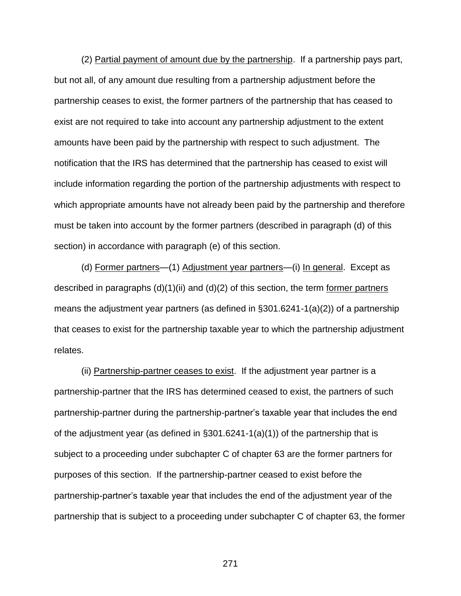(2) Partial payment of amount due by the partnership. If a partnership pays part, but not all, of any amount due resulting from a partnership adjustment before the partnership ceases to exist, the former partners of the partnership that has ceased to exist are not required to take into account any partnership adjustment to the extent amounts have been paid by the partnership with respect to such adjustment. The notification that the IRS has determined that the partnership has ceased to exist will include information regarding the portion of the partnership adjustments with respect to which appropriate amounts have not already been paid by the partnership and therefore must be taken into account by the former partners (described in paragraph (d) of this section) in accordance with paragraph (e) of this section.

(d) Former partners—(1) Adjustment year partners—(i) In general. Except as described in paragraphs  $(d)(1)(ii)$  and  $(d)(2)$  of this section, the term former partners means the adjustment year partners (as defined in §301.6241-1(a)(2)) of a partnership that ceases to exist for the partnership taxable year to which the partnership adjustment relates.

(ii) Partnership-partner ceases to exist. If the adjustment year partner is a partnership-partner that the IRS has determined ceased to exist, the partners of such partnership-partner during the partnership-partner's taxable year that includes the end of the adjustment year (as defined in §301.6241-1(a)(1)) of the partnership that is subject to a proceeding under subchapter C of chapter 63 are the former partners for purposes of this section. If the partnership-partner ceased to exist before the partnership-partner's taxable year that includes the end of the adjustment year of the partnership that is subject to a proceeding under subchapter C of chapter 63, the former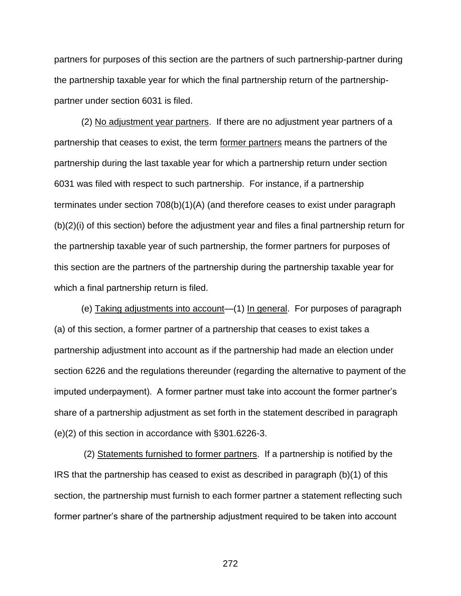partners for purposes of this section are the partners of such partnership-partner during the partnership taxable year for which the final partnership return of the partnershippartner under section 6031 is filed.

(2) No adjustment year partners. If there are no adjustment year partners of a partnership that ceases to exist, the term former partners means the partners of the partnership during the last taxable year for which a partnership return under section 6031 was filed with respect to such partnership. For instance, if a partnership terminates under section 708(b)(1)(A) (and therefore ceases to exist under paragraph (b)(2)(i) of this section) before the adjustment year and files a final partnership return for the partnership taxable year of such partnership, the former partners for purposes of this section are the partners of the partnership during the partnership taxable year for which a final partnership return is filed.

(e) Taking adjustments into account—(1) In general. For purposes of paragraph (a) of this section, a former partner of a partnership that ceases to exist takes a partnership adjustment into account as if the partnership had made an election under section 6226 and the regulations thereunder (regarding the alternative to payment of the imputed underpayment). A former partner must take into account the former partner's share of a partnership adjustment as set forth in the statement described in paragraph (e)(2) of this section in accordance with §301.6226-3.

(2) Statements furnished to former partners. If a partnership is notified by the IRS that the partnership has ceased to exist as described in paragraph (b)(1) of this section, the partnership must furnish to each former partner a statement reflecting such former partner's share of the partnership adjustment required to be taken into account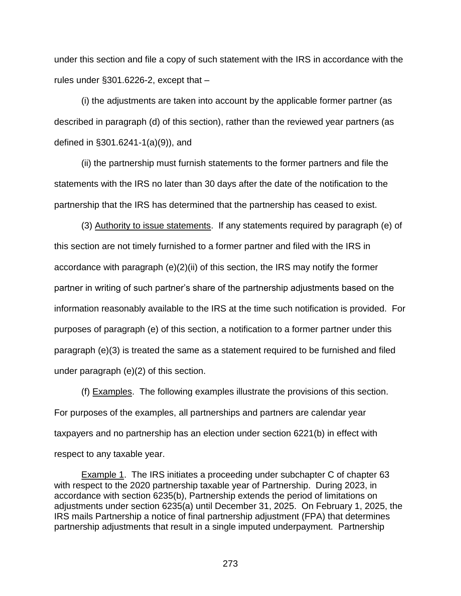under this section and file a copy of such statement with the IRS in accordance with the rules under §301.6226-2, except that –

(i) the adjustments are taken into account by the applicable former partner (as described in paragraph (d) of this section), rather than the reviewed year partners (as defined in §301.6241-1(a)(9)), and

(ii) the partnership must furnish statements to the former partners and file the statements with the IRS no later than 30 days after the date of the notification to the partnership that the IRS has determined that the partnership has ceased to exist.

(3) Authority to issue statements. If any statements required by paragraph (e) of this section are not timely furnished to a former partner and filed with the IRS in accordance with paragraph  $(e)(2)(ii)$  of this section, the IRS may notify the former partner in writing of such partner's share of the partnership adjustments based on the information reasonably available to the IRS at the time such notification is provided. For purposes of paragraph (e) of this section, a notification to a former partner under this paragraph (e)(3) is treated the same as a statement required to be furnished and filed under paragraph (e)(2) of this section.

(f) Examples. The following examples illustrate the provisions of this section. For purposes of the examples, all partnerships and partners are calendar year taxpayers and no partnership has an election under section 6221(b) in effect with respect to any taxable year.

Example 1. The IRS initiates a proceeding under subchapter C of chapter 63 with respect to the 2020 partnership taxable year of Partnership. During 2023, in accordance with section 6235(b), Partnership extends the period of limitations on adjustments under section 6235(a) until December 31, 2025. On February 1, 2025, the IRS mails Partnership a notice of final partnership adjustment (FPA) that determines partnership adjustments that result in a single imputed underpayment. Partnership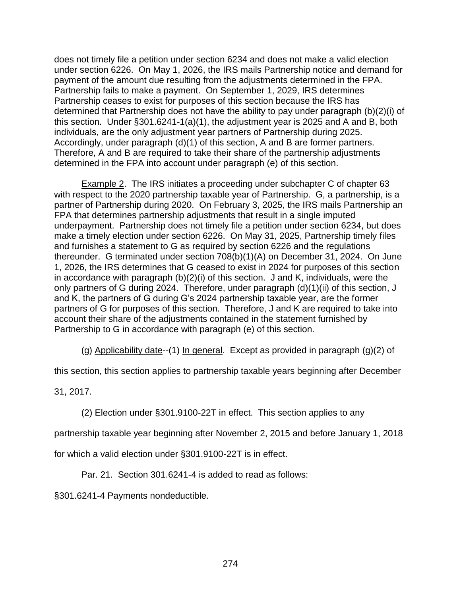does not timely file a petition under section 6234 and does not make a valid election under section 6226. On May 1, 2026, the IRS mails Partnership notice and demand for payment of the amount due resulting from the adjustments determined in the FPA. Partnership fails to make a payment. On September 1, 2029, IRS determines Partnership ceases to exist for purposes of this section because the IRS has determined that Partnership does not have the ability to pay under paragraph (b)(2)(i) of this section. Under §301.6241-1(a)(1), the adjustment year is 2025 and A and B, both individuals, are the only adjustment year partners of Partnership during 2025. Accordingly, under paragraph (d)(1) of this section, A and B are former partners. Therefore, A and B are required to take their share of the partnership adjustments determined in the FPA into account under paragraph (e) of this section.

Example 2. The IRS initiates a proceeding under subchapter C of chapter 63 with respect to the 2020 partnership taxable year of Partnership. G, a partnership, is a partner of Partnership during 2020. On February 3, 2025, the IRS mails Partnership an FPA that determines partnership adjustments that result in a single imputed underpayment. Partnership does not timely file a petition under section 6234, but does make a timely election under section 6226. On May 31, 2025, Partnership timely files and furnishes a statement to G as required by section 6226 and the regulations thereunder. G terminated under section 708(b)(1)(A) on December 31, 2024. On June 1, 2026, the IRS determines that G ceased to exist in 2024 for purposes of this section in accordance with paragraph (b)(2)(i) of this section. J and K, individuals, were the only partners of G during 2024. Therefore, under paragraph (d)(1)(ii) of this section, J and K, the partners of G during G's 2024 partnership taxable year, are the former partners of G for purposes of this section. Therefore, J and K are required to take into account their share of the adjustments contained in the statement furnished by Partnership to G in accordance with paragraph (e) of this section.

(g) Applicability date--(1) In general. Except as provided in paragraph  $(g)(2)$  of

this section, this section applies to partnership taxable years beginning after December

31, 2017.

(2) Election under §301.9100-22T in effect. This section applies to any

partnership taxable year beginning after November 2, 2015 and before January 1, 2018

for which a valid election under §301.9100-22T is in effect.

Par. 21. Section 301.6241-4 is added to read as follows:

## §301.6241-4 Payments nondeductible.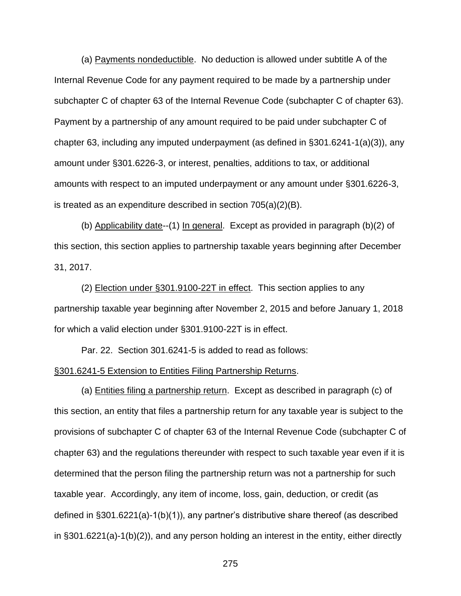(a) Payments nondeductible. No deduction is allowed under subtitle A of the Internal Revenue Code for any payment required to be made by a partnership under subchapter C of chapter 63 of the Internal Revenue Code (subchapter C of chapter 63). Payment by a partnership of any amount required to be paid under subchapter C of chapter 63, including any imputed underpayment (as defined in  $\S 301.6241 - 1(a)(3)$ ), any amount under §301.6226-3, or interest, penalties, additions to tax, or additional amounts with respect to an imputed underpayment or any amount under §301.6226-3, is treated as an expenditure described in section 705(a)(2)(B).

(b) Applicability date--(1) In general. Except as provided in paragraph (b)(2) of this section, this section applies to partnership taxable years beginning after December 31, 2017.

(2) Election under §301.9100-22T in effect. This section applies to any partnership taxable year beginning after November 2, 2015 and before January 1, 2018 for which a valid election under §301.9100-22T is in effect.

Par. 22. Section 301.6241-5 is added to read as follows:

### §301.6241-5 Extension to Entities Filing Partnership Returns.

(a) Entities filing a partnership return. Except as described in paragraph (c) of this section, an entity that files a partnership return for any taxable year is subject to the provisions of subchapter C of chapter 63 of the Internal Revenue Code (subchapter C of chapter 63) and the regulations thereunder with respect to such taxable year even if it is determined that the person filing the partnership return was not a partnership for such taxable year. Accordingly, any item of income, loss, gain, deduction, or credit (as defined in §301.6221(a)-1(b)(1)), any partner's distributive share thereof (as described in §301.6221(a)-1(b)(2)), and any person holding an interest in the entity, either directly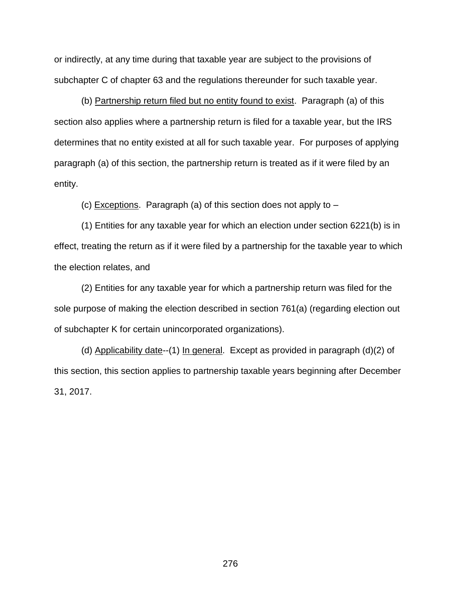or indirectly, at any time during that taxable year are subject to the provisions of subchapter C of chapter 63 and the regulations thereunder for such taxable year.

(b) Partnership return filed but no entity found to exist. Paragraph (a) of this section also applies where a partnership return is filed for a taxable year, but the IRS determines that no entity existed at all for such taxable year. For purposes of applying paragraph (a) of this section, the partnership return is treated as if it were filed by an entity.

(c) Exceptions. Paragraph (a) of this section does not apply to –

(1) Entities for any taxable year for which an election under section 6221(b) is in effect, treating the return as if it were filed by a partnership for the taxable year to which the election relates, and

(2) Entities for any taxable year for which a partnership return was filed for the sole purpose of making the election described in section 761(a) (regarding election out of subchapter K for certain unincorporated organizations).

(d) Applicability date--(1) In general. Except as provided in paragraph  $(d)(2)$  of this section, this section applies to partnership taxable years beginning after December 31, 2017.